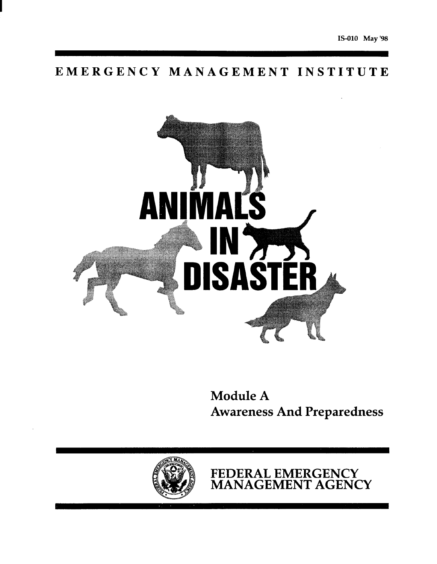# EMERGENCY MANAGEMENT INSTITUTE



**Module A Awareness And Preparedness** 



FEDERAL EMERGENCY<br>MANAGEMENT AGENCY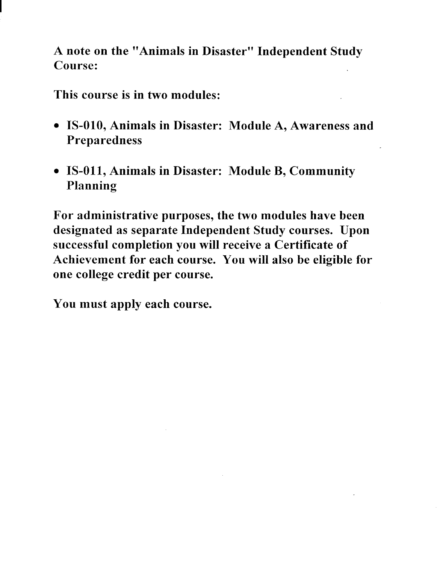A note on the "Animals in Disaster" Independent Study Course:

This course is in two modules:

- IS-010, Animals in Disaster: Module A, Awareness and Preparedness
- IS-011, Animals in Disaster: Module B, Community Planning

For administrative purposes, the two modules have been designated as separate Independent Study courses. Upon successful completion you will receive a Certificate of Achievement for each course. You will also be eligible for one college credit per course.

You must apply each course.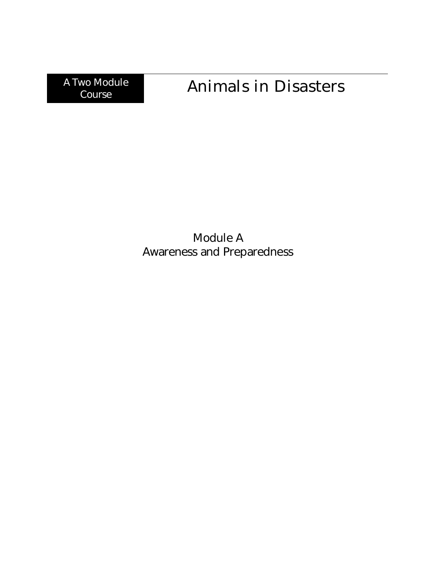A Two Module

# Animals in Disasters

Module A Awareness and Preparedness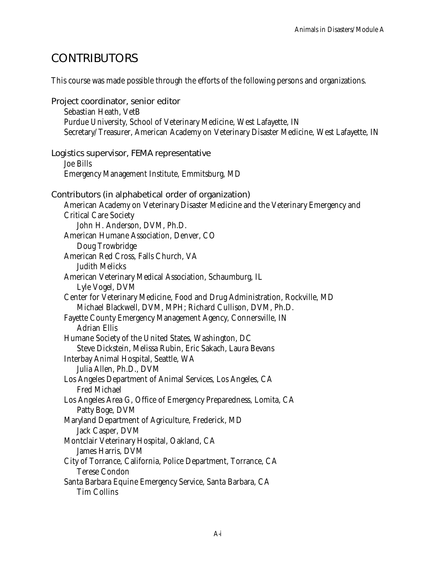# **CONTRIBUTORS**

This course was made possible through the efforts of the following persons and organizations.

Project coordinator, senior editor Sebastian Heath, VetB Purdue University, School of Veterinary Medicine, West Lafayette, IN Secretary/Treasurer, American Academy on Veterinary Disaster Medicine, West Lafayette, IN Logistics supervisor, FEMA representative Joe Bills Emergency Management Institute, Emmitsburg, MD Contributors (in alphabetical order of organization) American Academy on Veterinary Disaster Medicine and the Veterinary Emergency and Critical Care Society John H. Anderson, DVM, Ph.D. American Humane Association, Denver, CO Doug Trowbridge American Red Cross, Falls Church, VA Judith Melicks American Veterinary Medical Association, Schaumburg, IL Lyle Vogel, DVM Center for Veterinary Medicine, Food and Drug Administration, Rockville, MD Michael Blackwell, DVM, MPH; Richard Cullison, DVM, Ph.D. Fayette County Emergency Management Agency, Connersville, IN Adrian Ellis Humane Society of the United States, Washington, DC Steve Dickstein, Melissa Rubin, Eric Sakach, Laura Bevans Interbay Animal Hospital, Seattle, WA Julia Allen, Ph.D., DVM Los Angeles Department of Animal Services, Los Angeles, CA Fred Michael Los Angeles Area G, Office of Emergency Preparedness, Lomita, CA Patty Boge, DVM Maryland Department of Agriculture, Frederick, MD Jack Casper, DVM Montclair Veterinary Hospital, Oakland, CA James Harris, DVM City of Torrance, California, Police Department, Torrance, CA Terese Condon Santa Barbara Equine Emergency Service, Santa Barbara, CA Tim Collins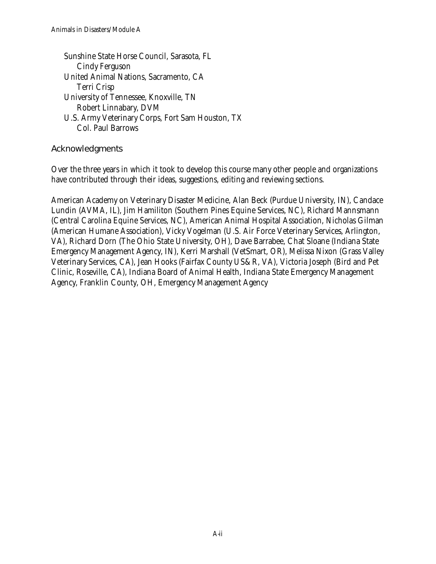Sunshine State Horse Council, Sarasota, FL Cindy Ferguson United Animal Nations, Sacramento, CA Terri Crisp University of Tennessee, Knoxville, TN Robert Linnabary, DVM U.S. Army Veterinary Corps, Fort Sam Houston, TX Col. Paul Barrows

### Acknowledgments

Over the three years in which it took to develop this course many other people and organizations have contributed through their ideas, suggestions, editing and reviewing sections.

American Academy on Veterinary Disaster Medicine, Alan Beck (Purdue University, IN), Candace Lundin (AVMA, IL), Jim Hamiliton (Southern Pines Equine Services, NC), Richard Mannsmann (Central Carolina Equine Services, NC), American Animal Hospital Association, Nicholas Gilman (American Humane Association), Vicky Vogelman (U.S. Air Force Veterinary Services, Arlington, VA), Richard Dorn (The Ohio State University, OH), Dave Barrabee, Chat Sloane (Indiana State Emergency Management Agency, IN), Kerri Marshall (VetSmart, OR), Melissa Nixon (Grass Valley Veterinary Services, CA), Jean Hooks (Fairfax County US&R, VA), Victoria Joseph (Bird and Pet Clinic, Roseville, CA), Indiana Board of Animal Health, Indiana State Emergency Management Agency, Franklin County, OH, Emergency Management Agency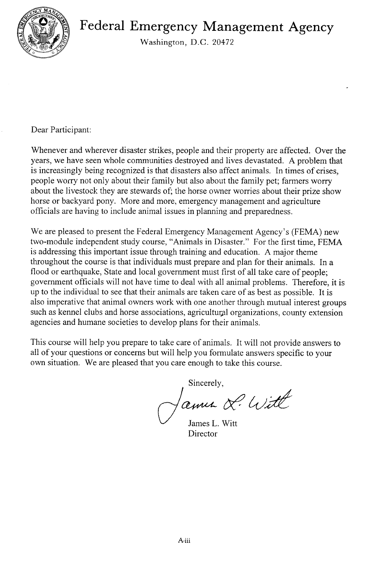

# Federal Emergency Management Agency

Washington, D.C. 20472

Dear Participant:

Whenever and wherever disaster strikes, people and their property are affected. Over the years, we have seen whole communities destroyed and lives devastated. A problem that is increasingly being recognized is that disasters also affect animals. In times of crises, people worry not only about their family but also about the family pet; farmers worry about the livestock they are stewards of; the horse owner worries about their prize show horse or backyard pony. More and more, emergency management and agriculture officials are having to include animal issues in planning and preparedness.

We are pleased to present the Federal Emergency Management Agency's (FEMA) new two-module independent study course, "Animals in Disaster." For the first time, FEMA is addressing this important issue through training and education. A major theme throughout the course is that individuals must prepare and plan for their animals. In a flood or earthquake, State and local government must first of all take care of people: government officials will not have time to deal with all animal problems. Therefore, it is up to the individual to see that their animals are taken care of as best as possible. It is also imperative that animal owners work with one another through mutual interest groups such as kennel clubs and horse associations, agricultural organizations, county extension agencies and humane societies to develop plans for their animals.

This course will help you prepare to take care of animals. It will not provide answers to all of your questions or concerns but will help you formulate answers specific to your own situation. We are pleased that you care enough to take this course.

Sincerely,

James L. Witt

James L. Witt Director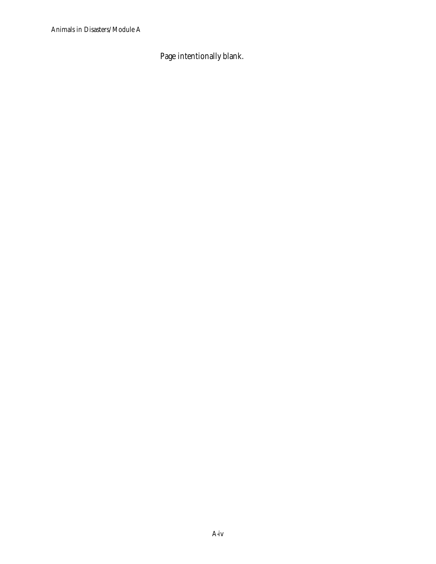Animals in Disasters/Module A

Page intentionally blank.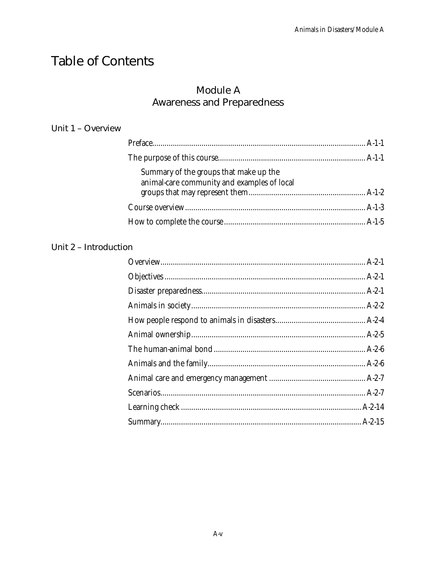# **Table of Contents**

### Module A Awareness and Preparedness

### Unit 1 - Overview

| Summary of the groups that make up the<br>animal-care community and examples of local |  |
|---------------------------------------------------------------------------------------|--|
|                                                                                       |  |
|                                                                                       |  |

### Unit 2 - Introduction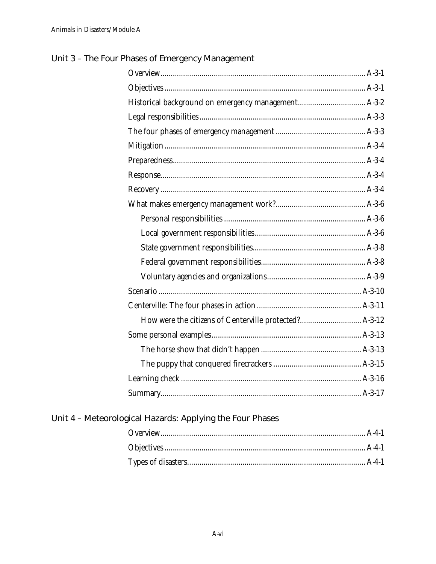### Unit 3 - The Four Phases of Emergency Management

### Unit 4 - Meteorological Hazards: Applying the Four Phases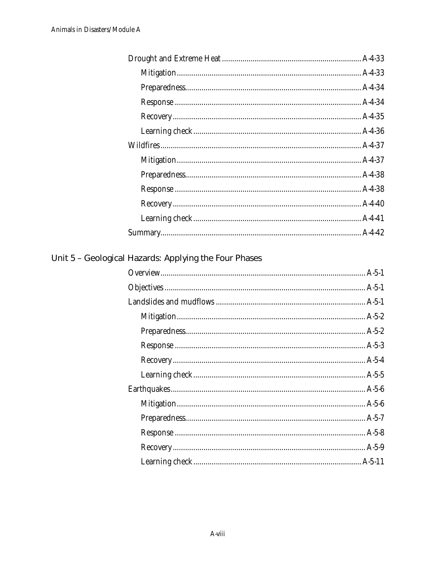### Unit 5 - Geological Hazards: Applying the Four Phases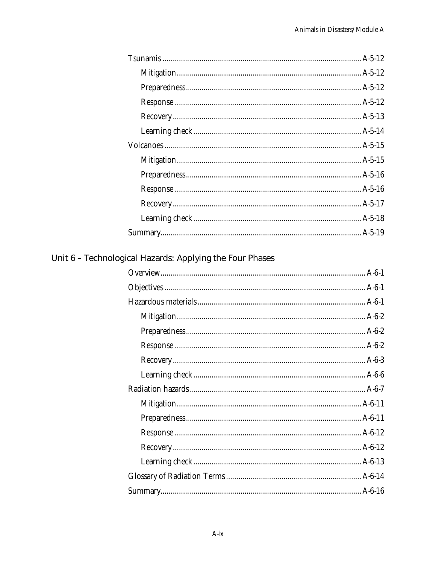### Unit 6 - Technological Hazards: Applying the Four Phases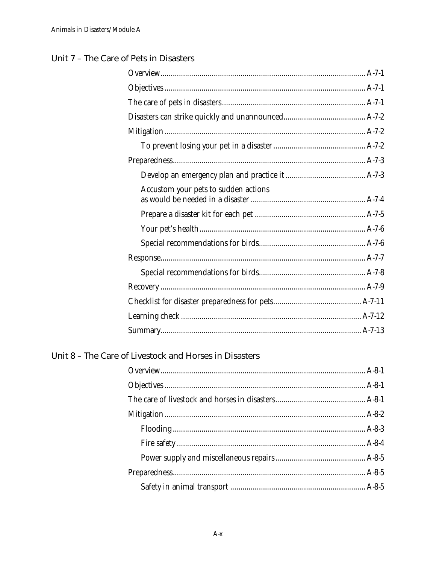### Unit 7 - The Care of Pets in Disasters

| Accustom your pets to sudden actions |
|--------------------------------------|
|                                      |
|                                      |
|                                      |
|                                      |
|                                      |
|                                      |
|                                      |
|                                      |
|                                      |

### Unit 8 - The Care of Livestock and Horses in Disasters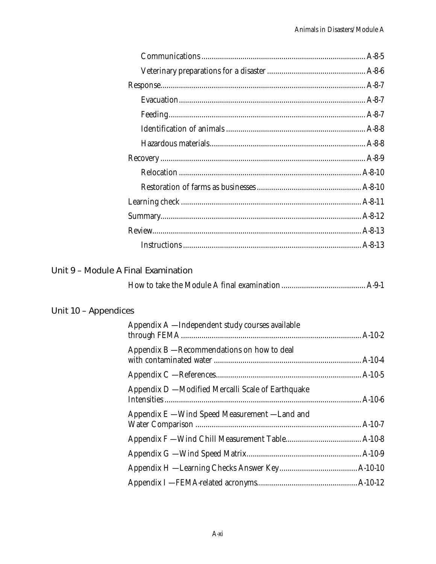### Unit 9 - Module A Final Examination

|--|--|--|--|--|

### Unit 10 - Appendices

| Appendix A – Independent study courses available   |  |
|----------------------------------------------------|--|
| Appendix B – Recommendations on how to deal        |  |
|                                                    |  |
| Appendix D – Modified Mercalli Scale of Earthquake |  |
| Appendix E – Wind Speed Measurement – Land and     |  |
|                                                    |  |
|                                                    |  |
|                                                    |  |
|                                                    |  |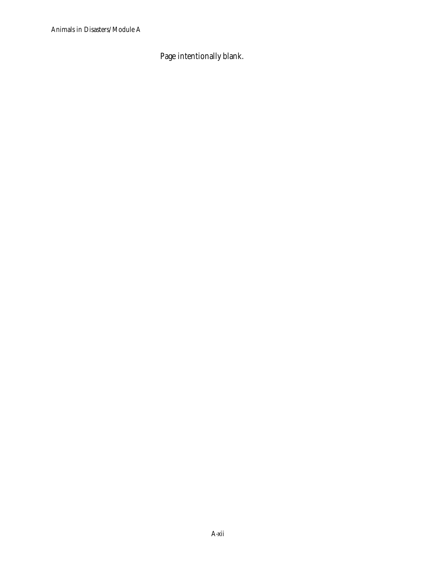Animals in Disasters/Module A

Page intentionally blank.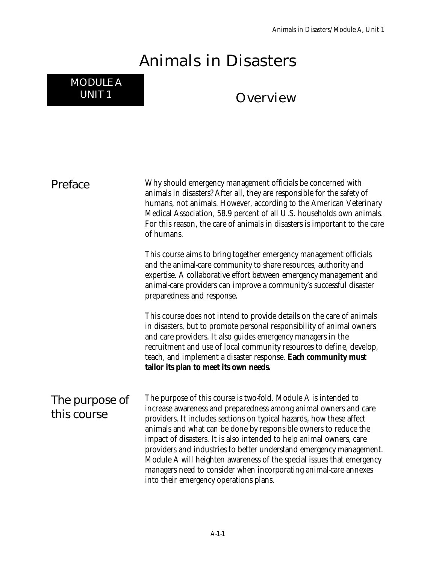# Animals in Disasters

# MODULE A<br>UNIT 1

# Overview

| Preface                       | Why should emergency management officials be concerned with<br>animals in disasters? After all, they are responsible for the safety of<br>humans, not animals. However, according to the American Veterinary<br>Medical Association, 58.9 percent of all U.S. households own animals.<br>For this reason, the care of animals in disasters is important to the care<br>of humans.                                                                                                                                                                                                                                     |
|-------------------------------|-----------------------------------------------------------------------------------------------------------------------------------------------------------------------------------------------------------------------------------------------------------------------------------------------------------------------------------------------------------------------------------------------------------------------------------------------------------------------------------------------------------------------------------------------------------------------------------------------------------------------|
|                               | This course aims to bring together emergency management officials<br>and the animal-care community to share resources, authority and<br>expertise. A collaborative effort between emergency management and<br>animal-care providers can improve a community's successful disaster<br>preparedness and response.                                                                                                                                                                                                                                                                                                       |
|                               | This course does not intend to provide details on the care of animals<br>in disasters, but to promote personal responsibility of animal owners<br>and care providers. It also guides emergency managers in the<br>recruitment and use of local community resources to define, develop,<br>teach, and implement a disaster response. Each community must<br>tailor its plan to meet its own needs.                                                                                                                                                                                                                     |
| The purpose of<br>this course | The purpose of this course is two-fold. Module A is intended to<br>increase awareness and preparedness among animal owners and care<br>providers. It includes sections on typical hazards, how these affect<br>animals and what can be done by responsible owners to reduce the<br>impact of disasters. It is also intended to help animal owners, care<br>providers and industries to better understand emergency management.<br>Module A will heighten awareness of the special issues that emergency<br>managers need to consider when incorporating animal-care annexes<br>into their emergency operations plans. |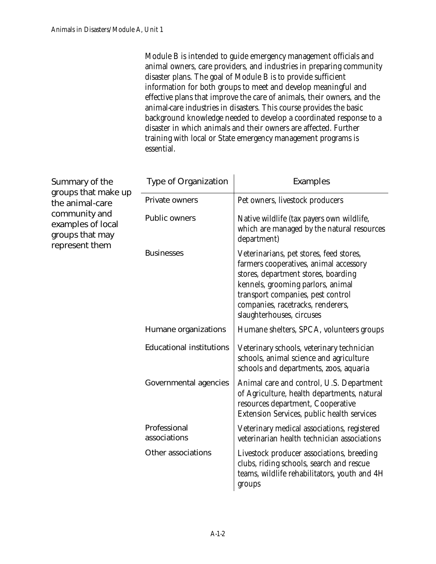Module B is intended to guide emergency management officials and animal owners, care providers, and industries in preparing community disaster plans. The goal of Module B is to provide sufficient information for both groups to meet and develop meaningful and effective plans that improve the care of animals, their owners, and the animal-care industries in disasters. This course provides the basic background knowledge needed to develop a coordinated response to a disaster in which animals and their owners are affected. Further training with local or State emergency management programs is essential.

| Summary of the<br>groups that make up<br>the animal-care<br>community and<br>examples of local<br>groups that may<br>represent them | Type of Organization            | Examples                                                                                                                                                                                                                                                             |
|-------------------------------------------------------------------------------------------------------------------------------------|---------------------------------|----------------------------------------------------------------------------------------------------------------------------------------------------------------------------------------------------------------------------------------------------------------------|
|                                                                                                                                     | Private owners                  | Pet owners, livestock producers                                                                                                                                                                                                                                      |
|                                                                                                                                     | Public owners                   | Native wildlife (tax payers own wildlife,<br>which are managed by the natural resources<br>department)                                                                                                                                                               |
|                                                                                                                                     | <b>Businesses</b>               | Veterinarians, pet stores, feed stores,<br>farmers cooperatives, animal accessory<br>stores, department stores, boarding<br>kennels, grooming parlors, animal<br>transport companies, pest control<br>companies, racetracks, renderers,<br>slaughterhouses, circuses |
|                                                                                                                                     | Humane organizations            | Humane shelters, SPCA, volunteers groups                                                                                                                                                                                                                             |
|                                                                                                                                     | <b>Educational institutions</b> | Veterinary schools, veterinary technician<br>schools, animal science and agriculture<br>schools and departments, zoos, aquaria                                                                                                                                       |
|                                                                                                                                     | Governmental agencies           | Animal care and control, U.S. Department<br>of Agriculture, health departments, natural<br>resources department, Cooperative<br>Extension Services, public health services                                                                                           |
|                                                                                                                                     | Professional<br>associations    | Veterinary medical associations, registered<br>veterinarian health technician associations                                                                                                                                                                           |
|                                                                                                                                     | Other associations              | Livestock producer associations, breeding<br>clubs, riding schools, search and rescue<br>teams, wildlife rehabilitators, youth and 4H<br>groups                                                                                                                      |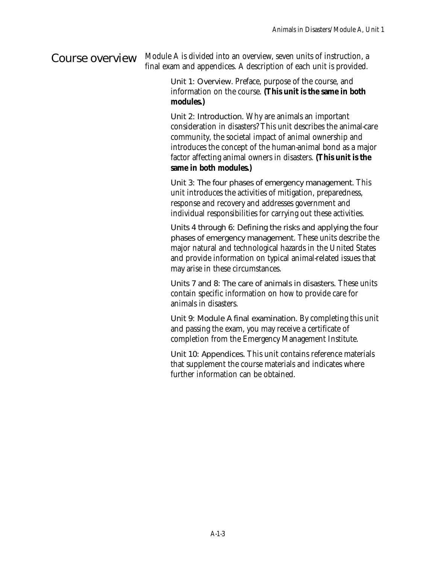Course overview Module A is divided into an overview, seven units of instruction, a final exam and appendices. A description of each unit is provided.

> Unit 1: Overview. Preface, purpose of the course, and information on the course. **(This unit is the same in both modules.)**

Unit 2: Introduction. Why are animals an important consideration in disasters? This unit describes the animal-care community, the societal impact of animal ownership and introduces the concept of the human-animal bond as a major factor affecting animal owners in disasters. **(This unit is the same in both modules.)**

Unit 3: The four phases of emergency management. This unit introduces the activities of mitigation, preparedness, response and recovery and addresses government and individual responsibilities for carrying out these activities.

Units 4 through 6: Defining the risks and applying the four phases of emergency management. These units describe the major natural and technological hazards in the United States and provide information on typical animal-related issues that may arise in these circumstances.

Units 7 and 8: The care of animals in disasters. These units contain specific information on how to provide care for animals in disasters.

Unit 9: Module A final examination. By completing this unit and passing the exam, you may receive a certificate of completion from the Emergency Management Institute.

Unit 10: Appendices. This unit contains reference materials that supplement the course materials and indicates where further information can be obtained.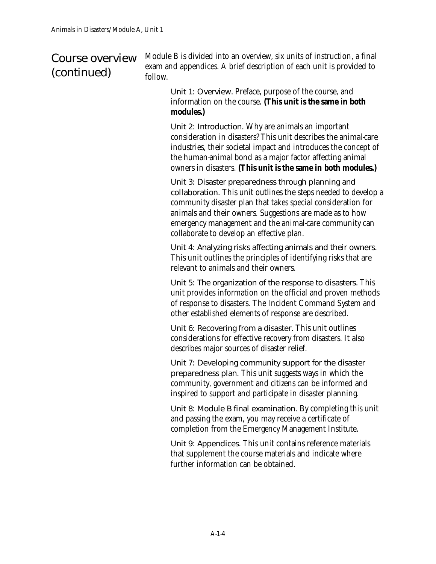# Course overview (continued)

Module B is divided into an overview, six units of instruction, a final exam and appendices. A brief description of each unit is provided to follow.

> Unit 1: Overview. Preface, purpose of the course, and information on the course. **(This unit is the same in both modules.)**

Unit 2: Introduction. Why are animals an important consideration in disasters? This unit describes the animal-care industries, their societal impact and introduces the concept of the human-animal bond as a major factor affecting animal owners in disasters. **(This unit is the same in both modules.)**

Unit 3: Disaster preparedness through planning and collaboration. This unit outlines the steps needed to develop a community disaster plan that takes special consideration for animals and their owners. Suggestions are made as to how emergency management and the animal-care community can collaborate to develop an effective plan.

Unit 4: Analyzing risks affecting animals and their owners. This unit outlines the principles of identifying risks that are relevant to animals and their owners.

Unit 5: The organization of the response to disasters. This unit provides information on the official and proven methods of response to disasters. The Incident Command System and other established elements of response are described.

Unit 6: Recovering from a disaster. This unit outlines considerations for effective recovery from disasters. It also describes major sources of disaster relief.

Unit 7: Developing community support for the disaster preparedness plan. This unit suggests ways in which the community, government and citizens can be informed and inspired to support and participate in disaster planning.

Unit 8: Module B final examination. By completing this unit and passing the exam, you may receive a certificate of completion from the Emergency Management Institute.

Unit 9: Appendices. This unit contains reference materials that supplement the course materials and indicate where further information can be obtained.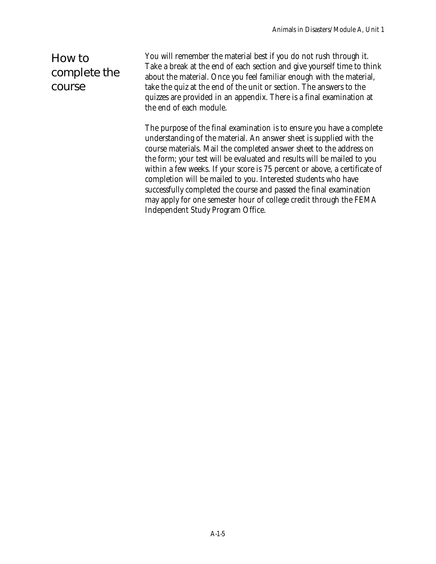### How to complete the course

You will remember the material best if you do not rush through it. Take a break at the end of each section and give yourself time to think about the material. Once you feel familiar enough with the material, take the quiz at the end of the unit or section. The answers to the quizzes are provided in an appendix. There is a final examination at the end of each module.

The purpose of the final examination is to ensure you have a complete understanding of the material. An answer sheet is supplied with the course materials. Mail the completed answer sheet to the address on the form; your test will be evaluated and results will be mailed to you within a few weeks. If your score is 75 percent or above, a certificate of completion will be mailed to you. Interested students who have successfully completed the course and passed the final examination may apply for one semester hour of college credit through the FEMA Independent Study Program Office.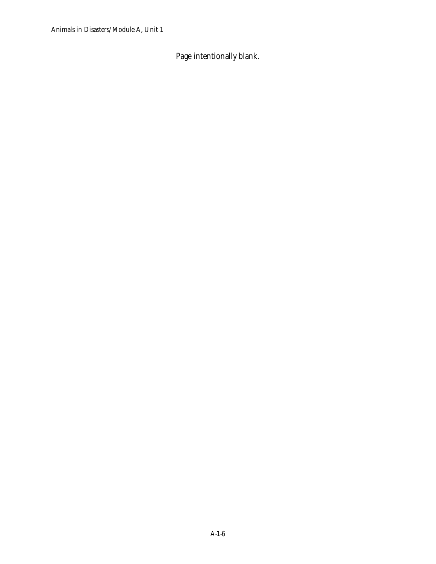Page intentionally blank.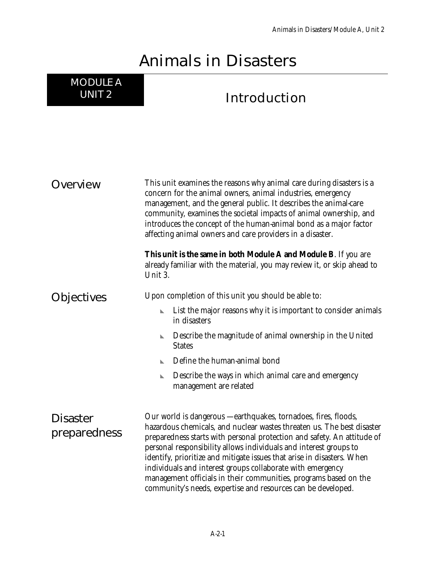# Animals in Disasters

# MODULE A<br>UNIT 2

# Introduction

| Overview                        | This unit examines the reasons why animal care during disasters is a<br>concern for the animal owners, animal industries, emergency<br>management, and the general public. It describes the animal-care<br>community, examines the societal impacts of animal ownership, and<br>introduces the concept of the human-animal bond as a major factor<br>affecting animal owners and care providers in a disaster.                                                                                                                                                        |  |
|---------------------------------|-----------------------------------------------------------------------------------------------------------------------------------------------------------------------------------------------------------------------------------------------------------------------------------------------------------------------------------------------------------------------------------------------------------------------------------------------------------------------------------------------------------------------------------------------------------------------|--|
|                                 | <b>This unit is the same in both Module A and Module B.</b> If you are<br>already familiar with the material, you may review it, or skip ahead to<br>Unit 3.                                                                                                                                                                                                                                                                                                                                                                                                          |  |
| Objectives                      | Upon completion of this unit you should be able to:                                                                                                                                                                                                                                                                                                                                                                                                                                                                                                                   |  |
|                                 | List the major reasons why it is important to consider animals<br>$\mathbf{k}$<br>in disasters                                                                                                                                                                                                                                                                                                                                                                                                                                                                        |  |
|                                 | Describe the magnitude of animal ownership in the United<br>N.<br><b>States</b>                                                                                                                                                                                                                                                                                                                                                                                                                                                                                       |  |
|                                 | Define the human-animal bond<br>Ы                                                                                                                                                                                                                                                                                                                                                                                                                                                                                                                                     |  |
|                                 | Describe the ways in which animal care and emergency<br>Ы<br>management are related                                                                                                                                                                                                                                                                                                                                                                                                                                                                                   |  |
| <b>Disaster</b><br>preparedness | Our world is dangerous – earthquakes, tornadoes, fires, floods,<br>hazardous chemicals, and nuclear wastes threaten us. The best disaster<br>preparedness starts with personal protection and safety. An attitude of<br>personal responsibility allows individuals and interest groups to<br>identify, prioritize and mitigate issues that arise in disasters. When<br>individuals and interest groups collaborate with emergency<br>management officials in their communities, programs based on the<br>community's needs, expertise and resources can be developed. |  |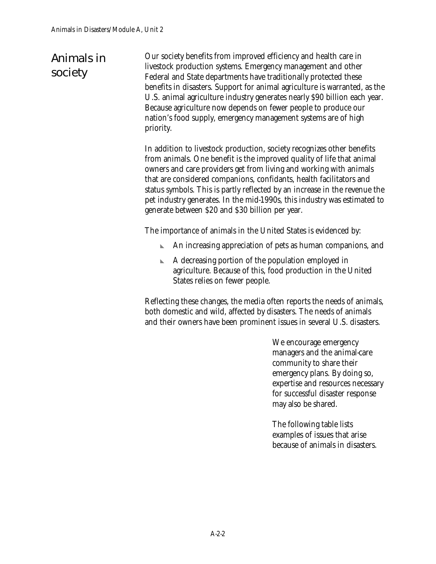# Animals in society

Our society benefits from improved efficiency and health care in livestock production systems. Emergency management and other Federal and State departments have traditionally protected these benefits in disasters. Support for animal agriculture is warranted, as the U.S. animal agriculture industry generates nearly \$90 billion each year. Because agriculture now depends on fewer people to produce our nation's food supply, emergency management systems are of high priority.

In addition to livestock production, society recognizes other benefits from animals. One benefit is the improved quality of life that animal owners and care providers get from living and working with animals that are considered companions, confidants, health facilitators and status symbols. This is partly reflected by an increase in the revenue the pet industry generates. In the mid-1990s, this industry was estimated to generate between \$20 and \$30 billion per year.

The importance of animals in the United States is evidenced by:

- $\blacktriangle$  An increasing appreciation of pets as human companions, and
- $\blacktriangleright$  A decreasing portion of the population employed in agriculture. Because of this, food production in the United States relies on fewer people.

Reflecting these changes, the media often reports the needs of animals, both domestic and wild, affected by disasters. The needs of animals and their owners have been prominent issues in several U.S. disasters.

> We encourage emergency managers and the animal-care community to share their emergency plans. By doing so, expertise and resources necessary for successful disaster response may also be shared.

The following table lists examples of issues that arise because of animals in disasters.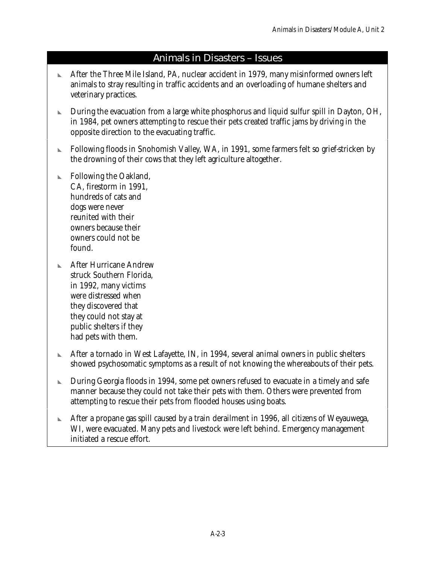### Animals in Disasters – Issues

- : After the Three Mile Island, PA, nuclear accident in 1979, many misinformed owners left animals to stray resulting in traffic accidents and an overloading of humane shelters and veterinary practices.
- : During the evacuation from a large white phosphorus and liquid sulfur spill in Dayton, OH, in 1984, pet owners attempting to rescue their pets created traffic jams by driving in the opposite direction to the evacuating traffic.
- Following floods in Snohomish Valley, WA, in 1991, some farmers felt so grief-stricken by the drowning of their cows that they left agriculture altogether.
- $\Box$  Following the Oakland, CA, firestorm in 1991, hundreds of cats and dogs were never reunited with their owners because their owners could not be found.
- : After Hurricane Andrew struck Southern Florida, in 1992, many victims were distressed when they discovered that they could not stay at public shelters if they had pets with them.
- : After a tornado in West Lafayette, IN, in 1994, several animal owners in public shelters showed psychosomatic symptoms as a result of not knowing the whereabouts of their pets.
- During Georgia floods in 1994, some pet owners refused to evacuate in a timely and safe manner because they could not take their pets with them. Others were prevented from attempting to rescue their pets from flooded houses using boats.
- : After a propane gas spill caused by a train derailment in 1996, all citizens of Weyauwega, WI, were evacuated. Many pets and livestock were left behind. Emergency management initiated a rescue effort.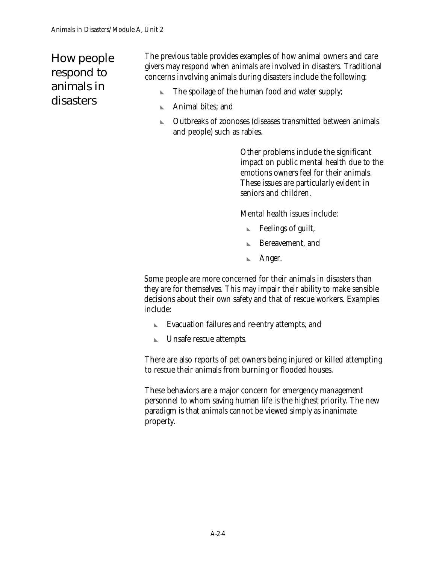### How people respond to animals in disasters

The previous table provides examples of how animal owners and care givers may respond when animals are involved in disasters. Traditional concerns involving animals during disasters include the following:

- $\Box$  The spoilage of the human food and water supply;
- Animal bites: and
- : Outbreaks of zoonoses (diseases transmitted between animals and people) such as rabies.

Other problems include the significant impact on public mental health due to the emotions owners feel for their animals. These issues are particularly evident in seniors and children.

Mental health issues include:

- $\blacktriangleright$  Feelings of guilt,
- **EXECUTE:** Bereavement, and
- $\blacktriangleright$  Anger.

Some people are more concerned for their animals in disasters than they are for themselves. This may impair their ability to make sensible decisions about their own safety and that of rescue workers. Examples include:

- $\blacktriangleright$  Evacuation failures and re-entry attempts, and
- $\Box$  Unsafe rescue attempts.

There are also reports of pet owners being injured or killed attempting to rescue their animals from burning or flooded houses.

These behaviors are a major concern for emergency management personnel to whom saving human life is the highest priority. The new paradigm is that animals cannot be viewed simply as inanimate property.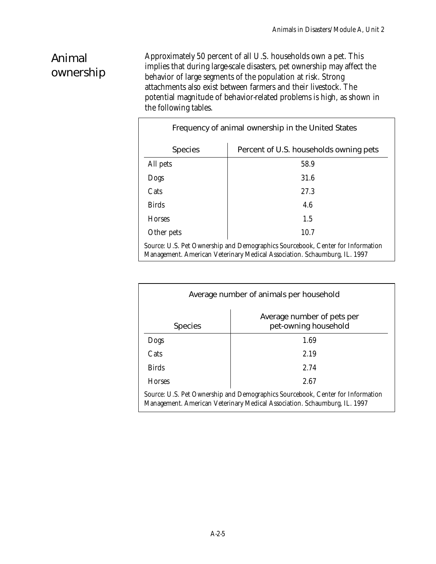# Animal ownership

Approximately 50 percent of all U.S. households own a pet. This implies that during large-scale disasters, pet ownership may affect the behavior of large segments of the population at risk. Strong attachments also exist between farmers and their livestock. The potential magnitude of behavior-related problems is high, as shown in the following tables.

| Frequency of animal ownership in the United States                                                                                                          |                                        |  |
|-------------------------------------------------------------------------------------------------------------------------------------------------------------|----------------------------------------|--|
| <b>Species</b>                                                                                                                                              | Percent of U.S. households owning pets |  |
| All pets                                                                                                                                                    | 58.9                                   |  |
| Dogs                                                                                                                                                        | 31.6                                   |  |
| Cats                                                                                                                                                        | 27.3                                   |  |
| <b>Birds</b>                                                                                                                                                | 4.6                                    |  |
| <b>Horses</b>                                                                                                                                               | 1.5                                    |  |
| Other pets                                                                                                                                                  | 10.7                                   |  |
| Source: U.S. Pet Ownership and Demographics Sourcebook, Center for Information<br>Management. American Veterinary Medical Association. Schaumburg, IL. 1997 |                                        |  |

| Average number of animals per household                                                                                                                     |                                                    |  |
|-------------------------------------------------------------------------------------------------------------------------------------------------------------|----------------------------------------------------|--|
| <b>Species</b>                                                                                                                                              | Average number of pets per<br>pet-owning household |  |
| Dogs                                                                                                                                                        | 1.69                                               |  |
| Cats                                                                                                                                                        | 2.19                                               |  |
| <b>Birds</b>                                                                                                                                                | 2.74                                               |  |
| <b>Horses</b>                                                                                                                                               | 2.67                                               |  |
| Source: U.S. Pet Ownership and Demographics Sourcebook, Center for Information<br>Management. American Veterinary Medical Association. Schaumburg, IL. 1997 |                                                    |  |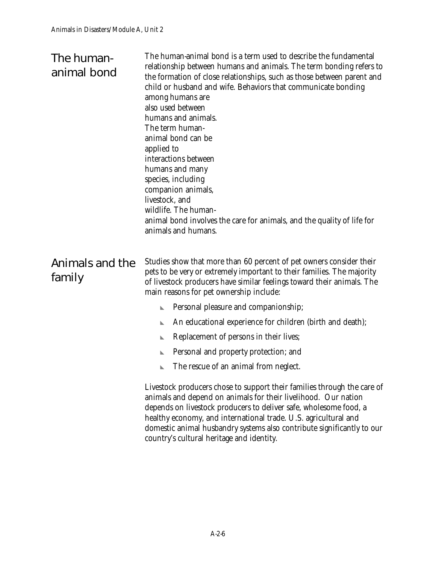### The humananimal bond

The human-animal bond is a term used to describe the fundamental relationship between humans and animals. The term bonding refers to the formation of close relationships, such as those between parent and child or husband and wife. Behaviors that communicate bonding among humans are also used between humans and animals. The term humananimal bond can be applied to interactions between humans and many species, including companion animals, livestock, and wildlife. The humananimal bond involves the care for animals, and the quality of life for animals and humans.

## Animals and the family

Studies show that more than 60 percent of pet owners consider their pets to be very or extremely important to their families. The majority of livestock producers have similar feelings toward their animals. The main reasons for pet ownership include:

- $\blacktriangleright$  Personal pleasure and companionship;
- An educational experience for children (birth and death);
- $\blacktriangleright$  Replacement of persons in their lives;
- **EXECUTE:** Personal and property protection; and
- $\blacktriangleright$  The rescue of an animal from neglect.

Livestock producers chose to support their families through the care of animals and depend on animals for their livelihood. Our nation depends on livestock producers to deliver safe, wholesome food, a healthy economy, and international trade. U.S. agricultural and domestic animal husbandry systems also contribute significantly to our country's cultural heritage and identity.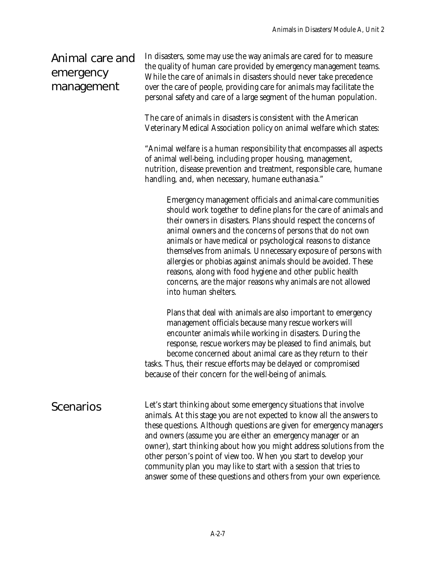### Animal care and emergency management

In disasters, some may use the way animals are cared for to measure the quality of human care provided by emergency management teams. While the care of animals in disasters should never take precedence over the care of people, providing care for animals may facilitate the personal safety and care of a large segment of the human population.

The care of animals in disasters is consistent with the American Veterinary Medical Association policy on animal welfare which states:

"Animal welfare is a human responsibility that encompasses all aspects of animal well-being, including proper housing, management, nutrition, disease prevention and treatment, responsible care, humane handling, and, when necessary, humane euthanasia."

Emergency management officials and animal-care communities should work together to define plans for the care of animals and their owners in disasters. Plans should respect the concerns of animal owners and the concerns of persons that do not own animals or have medical or psychological reasons to distance themselves from animals. Unnecessary exposure of persons with allergies or phobias against animals should be avoided. These reasons, along with food hygiene and other public health concerns, are the major reasons why animals are not allowed into human shelters.

Plans that deal with animals are also important to emergency management officials because many rescue workers will encounter animals while working in disasters. During the response, rescue workers may be pleased to find animals, but become concerned about animal care as they return to their tasks. Thus, their rescue efforts may be delayed or compromised because of their concern for the well-being of animals.

Scenarios **Let's start thinking about some emergency situations that involve** animals. At this stage you are not expected to know all the answers to these questions. Although questions are given for emergency managers and owners (assume you are either an emergency manager or an owner), start thinking about how you might address solutions from the other person's point of view too. When you start to develop your community plan you may like to start with a session that tries to answer some of these questions and others from your own experience.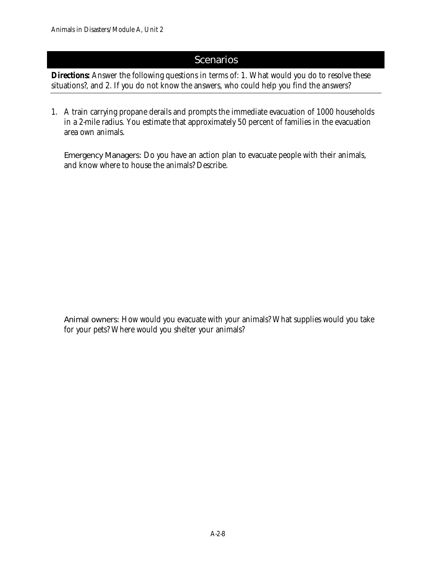**Directions:** Answer the following questions in terms of: 1. What would you do to resolve these situations?, and 2. If you do not know the answers, who could help you find the answers?

1. A train carrying propane derails and prompts the immediate evacuation of 1000 households in a 2-mile radius. You estimate that approximately 50 percent of families in the evacuation area own animals.

Emergency Managers: Do you have an action plan to evacuate people with their animals, and know where to house the animals? Describe.

Animal owners: How would you evacuate with your animals? What supplies would you take for your pets? Where would you shelter your animals?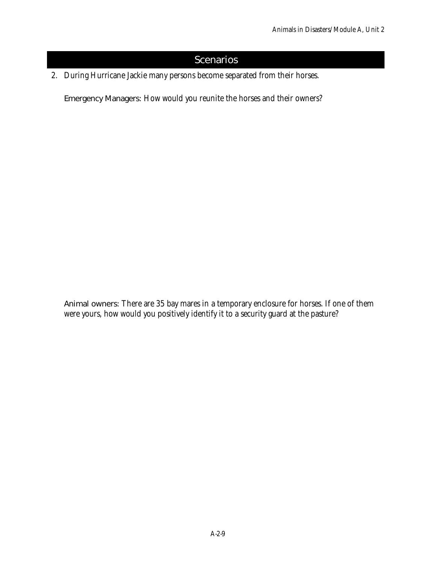2. During Hurricane Jackie many persons become separated from their horses.

Emergency Managers: How would you reunite the horses and their owners?

Animal owners: There are 35 bay mares in a temporary enclosure for horses. If one of them were yours, how would you positively identify it to a security guard at the pasture?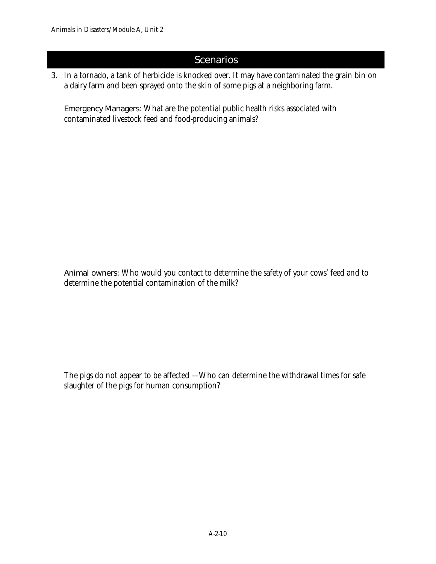3. In a tornado, a tank of herbicide is knocked over. It may have contaminated the grain bin on a dairy farm and been sprayed onto the skin of some pigs at a neighboring farm.

Emergency Managers: What are the potential public health risks associated with contaminated livestock feed and food-producing animals?

Animal owners: Who would you contact to determine the safety of your cows' feed and to determine the potential contamination of the milk?

The pigs do not appear to be affected — Who can determine the withdrawal times for safe slaughter of the pigs for human consumption?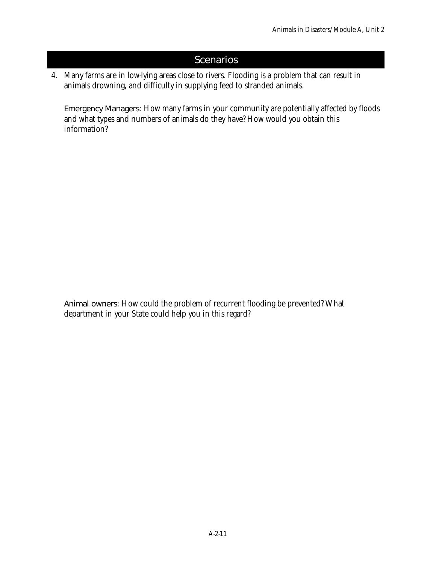4. Many farms are in low-lying areas close to rivers. Flooding is a problem that can result in animals drowning, and difficulty in supplying feed to stranded animals.

Emergency Managers: How many farms in your community are potentially affected by floods and what types and numbers of animals do they have? How would you obtain this information?

Animal owners: How could the problem of recurrent flooding be prevented? What department in your State could help you in this regard?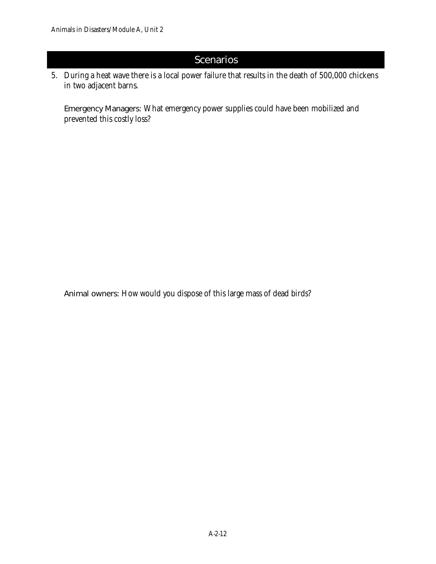5. During a heat wave there is a local power failure that results in the death of 500,000 chickens in two adjacent barns.

Emergency Managers: What emergency power supplies could have been mobilized and prevented this costly loss?

Animal owners: How would you dispose of this large mass of dead birds?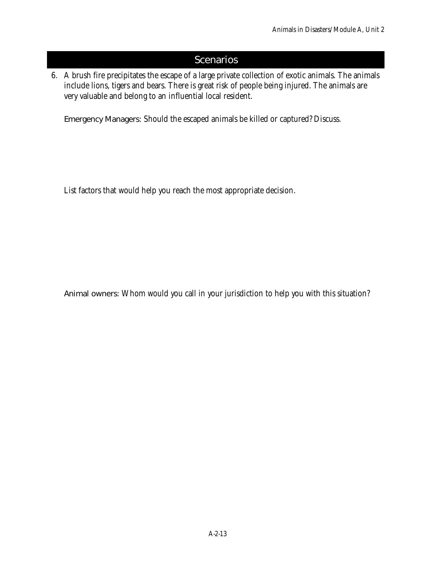6. A brush fire precipitates the escape of a large private collection of exotic animals. The animals include lions, tigers and bears. There is great risk of people being injured. The animals are very valuable and belong to an influential local resident.

Emergency Managers: Should the escaped animals be killed or captured? Discuss.

List factors that would help you reach the most appropriate decision.

Animal owners: Whom would you call in your jurisdiction to help you with this situation?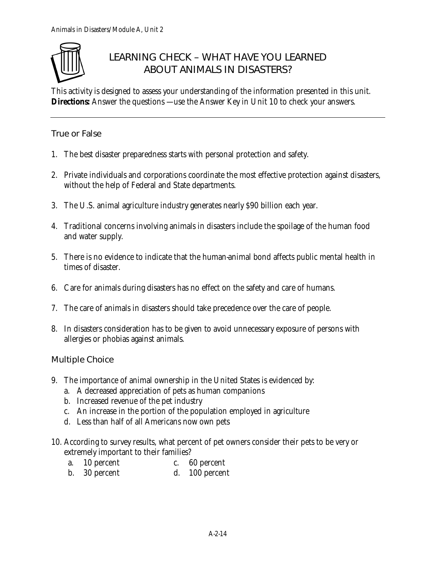

### LEARNING CHECK – WHAT HAVE YOU LEARNED ABOUT ANIMALS IN DISASTERS?

This activity is designed to assess your understanding of the information presented in this unit. **Directions:** Answer the questions – use the Answer Key in Unit 10 to check your answers.

### True or False

- 1. The best disaster preparedness starts with personal protection and safety.
- 2. Private individuals and corporations coordinate the most effective protection against disasters, without the help of Federal and State departments.
- 3. The U.S. animal agriculture industry generates nearly \$90 billion each year.
- 4. Traditional concerns involving animals in disasters include the spoilage of the human food and water supply.
- 5. There is no evidence to indicate that the human-animal bond affects public mental health in times of disaster.
- 6. Care for animals during disasters has no effect on the safety and care of humans.
- 7. The care of animals in disasters should take precedence over the care of people.
- 8. In disasters consideration has to be given to avoid unnecessary exposure of persons with allergies or phobias against animals.

### Multiple Choice

- 9. The importance of animal ownership in the United States is evidenced by:
	- a. A decreased appreciation of pets as human companions
	- b. Increased revenue of the pet industry
	- c. An increase in the portion of the population employed in agriculture
	- d. Less than half of all Americans now own pets
- 10. According to survey results, what percent of pet owners consider their pets to be very or extremely important to their families?
	- a. 10 percent c. 60 percent
	- b. 30 percent d. 100 percent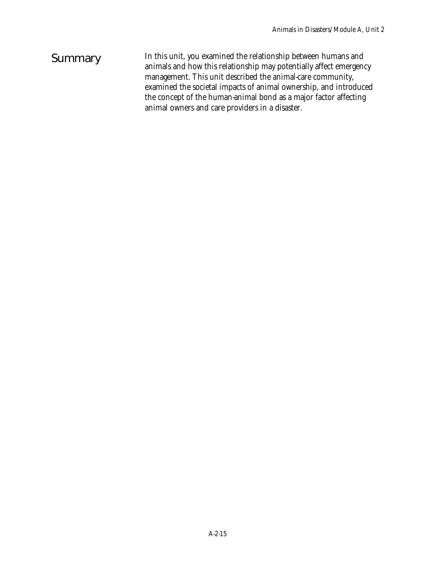Summary In this unit, you examined the relationship between humans and animals and how this relationship may potentially affect emergency management. This unit described the animal-care community, examined the societal impacts of animal ownership, and introduced the concept of the human-animal bond as a major factor affecting animal owners and care providers in a disaster.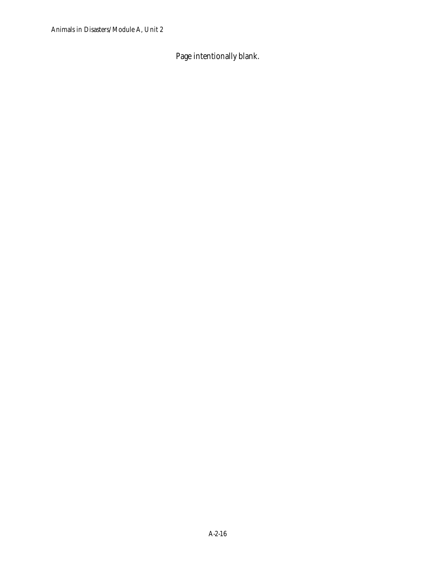Page intentionally blank.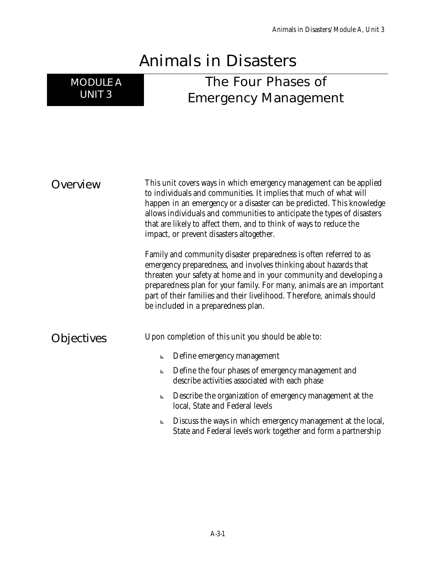# Animals in Disasters

## MODULE A UNIT 3

# The Four Phases of Emergency Management

| Overview   | This unit covers ways in which emergency management can be applied<br>to individuals and communities. It implies that much of what will<br>happen in an emergency or a disaster can be predicted. This knowledge<br>allows individuals and communities to anticipate the types of disasters<br>that are likely to affect them, and to think of ways to reduce the<br>impact, or prevent disasters altogether. |
|------------|---------------------------------------------------------------------------------------------------------------------------------------------------------------------------------------------------------------------------------------------------------------------------------------------------------------------------------------------------------------------------------------------------------------|
|            | Family and community disaster preparedness is often referred to as<br>emergency preparedness, and involves thinking about hazards that<br>threaten your safety at home and in your community and developing a<br>preparedness plan for your family. For many, animals are an important<br>part of their families and their livelihood. Therefore, animals should<br>be included in a preparedness plan.       |
| Objectives | Upon completion of this unit you should be able to:                                                                                                                                                                                                                                                                                                                                                           |
|            | Define emergency management                                                                                                                                                                                                                                                                                                                                                                                   |
|            | Define the four phases of emergency management and<br>ь<br>describe activities associated with each phase                                                                                                                                                                                                                                                                                                     |
|            | Describe the organization of emergency management at the<br>Ы<br>local, State and Federal levels                                                                                                                                                                                                                                                                                                              |
|            | Discuss the ways in which emergency management at the local,<br>ь<br>State and Federal levels work together and form a partnership                                                                                                                                                                                                                                                                            |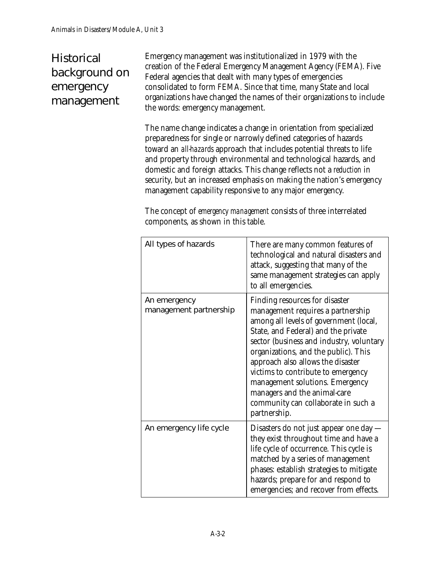## **Historical** background on emergency management

Emergency management was institutionalized in 1979 with the creation of the Federal Emergency Management Agency (FEMA). Five Federal agencies that dealt with many types of emergencies consolidated to form FEMA. Since that time, many State and local organizations have changed the names of their organizations to include the words: emergency management.

The name change indicates a change in orientation from specialized preparedness for single or narrowly defined categories of hazards toward an *all-hazards* approach that includes potential threats to life and property through environmental and technological hazards, and domestic and foreign attacks. This change reflects not a *reduction* in security, but an increased emphasis on making the nation's emergency management capability responsive to any major emergency.

The concept of *emergency management* consists of three interrelated components, as shown in this table.

| All types of hazards                   | There are many common features of<br>technological and natural disasters and<br>attack, suggesting that many of the<br>same management strategies can apply<br>to all emergencies.                                                                                                                                                                                                                                                            |
|----------------------------------------|-----------------------------------------------------------------------------------------------------------------------------------------------------------------------------------------------------------------------------------------------------------------------------------------------------------------------------------------------------------------------------------------------------------------------------------------------|
| An emergency<br>management partnership | Finding resources for disaster<br>management requires a partnership<br>among all levels of government (local,<br>State, and Federal) and the private<br>sector (business and industry, voluntary<br>organizations, and the public). This<br>approach also allows the disaster<br>victims to contribute to emergency<br>management solutions. Emergency<br>managers and the animal-care<br>community can collaborate in such a<br>partnership. |
| An emergency life cycle                | Disasters do not just appear one day -<br>they exist throughout time and have a<br>life cycle of occurrence. This cycle is<br>matched by a series of management<br>phases: establish strategies to mitigate<br>hazards; prepare for and respond to<br>emergencies; and recover from effects.                                                                                                                                                  |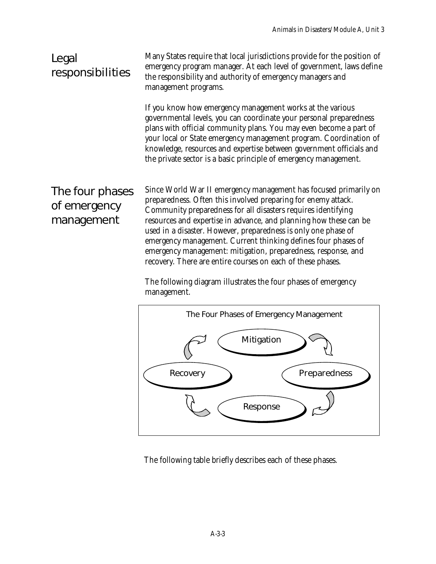| Legal<br>responsibilities                     | Many States require that local jurisdictions provide for the position of<br>emergency program manager. At each level of government, laws define<br>the responsibility and authority of emergency managers and<br>management programs.                                                                                                                                                                                                                                                                                                      |
|-----------------------------------------------|--------------------------------------------------------------------------------------------------------------------------------------------------------------------------------------------------------------------------------------------------------------------------------------------------------------------------------------------------------------------------------------------------------------------------------------------------------------------------------------------------------------------------------------------|
|                                               | If you know how emergency management works at the various<br>governmental levels, you can coordinate your personal preparedness<br>plans with official community plans. You may even become a part of<br>your local or State emergency management program. Coordination of<br>knowledge, resources and expertise between government officials and<br>the private sector is a basic principle of emergency management.                                                                                                                      |
| The four phases<br>of emergency<br>management | Since World War II emergency management has focused primarily on<br>preparedness. Often this involved preparing for enemy attack.<br>Community preparedness for all disasters requires identifying<br>resources and expertise in advance, and planning how these can be<br>used in a disaster. However, preparedness is only one phase of<br>emergency management. Current thinking defines four phases of<br>emergency management: mitigation, preparedness, response, and<br>recovery. There are entire courses on each of these phases. |

The following diagram illustrates the four phases of emergency management.



The following table briefly describes each of these phases.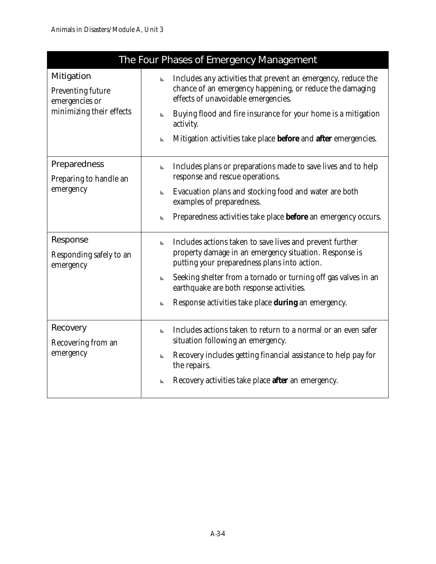| The Four Phases of Emergency Management                                       |                                                                                                                                                                                                                                                                                                                                           |  |
|-------------------------------------------------------------------------------|-------------------------------------------------------------------------------------------------------------------------------------------------------------------------------------------------------------------------------------------------------------------------------------------------------------------------------------------|--|
| Mitigation<br>Preventing future<br>emergencies or<br>minimizing their effects | Includes any activities that prevent an emergency, reduce the<br>chance of an emergency happening, or reduce the damaging<br>effects of unavoidable emergencies.<br>Buying flood and fire insurance for your home is a mitigation<br>k.<br>activity.<br>Mitigation activities take place <b>before</b> and <b>after</b> emergencies.<br>Ы |  |
| Preparedness<br>Preparing to handle an<br>emergency                           | Includes plans or preparations made to save lives and to help<br>response and rescue operations.                                                                                                                                                                                                                                          |  |
|                                                                               | Evacuation plans and stocking food and water are both<br>K.<br>examples of preparedness.                                                                                                                                                                                                                                                  |  |
|                                                                               | Preparedness activities take place <b>before</b> an emergency occurs.                                                                                                                                                                                                                                                                     |  |
| Response<br>Responding safely to an<br>emergency                              | Includes actions taken to save lives and prevent further<br>K.<br>property damage in an emergency situation. Response is<br>putting your preparedness plans into action.                                                                                                                                                                  |  |
|                                                                               | Seeking shelter from a tornado or turning off gas valves in an<br>Ы<br>earthquake are both response activities.                                                                                                                                                                                                                           |  |
|                                                                               | Response activities take place <b>during</b> an emergency.                                                                                                                                                                                                                                                                                |  |
| Recovery<br>Recovering from an<br>emergency                                   | Includes actions taken to return to a normal or an even safer<br>K.<br>situation following an emergency.<br>Recovery includes getting financial assistance to help pay for<br>k.                                                                                                                                                          |  |
|                                                                               | the repairs.                                                                                                                                                                                                                                                                                                                              |  |
|                                                                               | Recovery activities take place after an emergency.                                                                                                                                                                                                                                                                                        |  |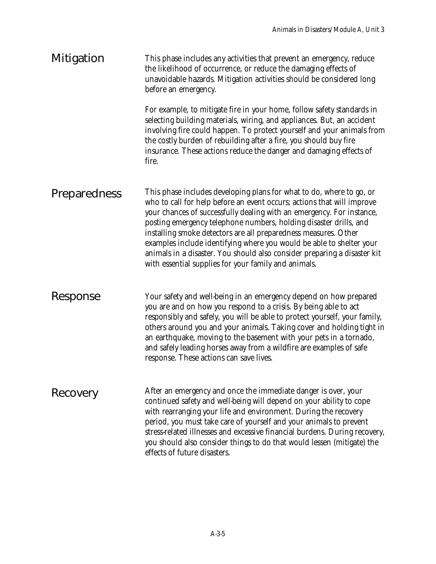| Mitigation   | This phase includes any activities that prevent an emergency, reduce<br>the likelihood of occurrence, or reduce the damaging effects of<br>unavoidable hazards. Mitigation activities should be considered long<br>before an emergency.                                                                                                                                                                                                                                                                                                                                     |
|--------------|-----------------------------------------------------------------------------------------------------------------------------------------------------------------------------------------------------------------------------------------------------------------------------------------------------------------------------------------------------------------------------------------------------------------------------------------------------------------------------------------------------------------------------------------------------------------------------|
|              | For example, to mitigate fire in your home, follow safety standards in<br>selecting building materials, wiring, and appliances. But, an accident<br>involving fire could happen. To protect yourself and your animals from<br>the costly burden of rebuilding after a fire, you should buy fire<br>insurance. These actions reduce the danger and damaging effects of<br>fire.                                                                                                                                                                                              |
| Preparedness | This phase includes developing plans for what to do, where to go, or<br>who to call for help before an event occurs; actions that will improve<br>your chances of successfully dealing with an emergency. For instance,<br>posting emergency telephone numbers, holding disaster drills, and<br>installing smoke detectors are all preparedness measures. Other<br>examples include identifying where you would be able to shelter your<br>animals in a disaster. You should also consider preparing a disaster kit<br>with essential supplies for your family and animals. |
| Response     | Your safety and well-being in an emergency depend on how prepared<br>you are and on how you respond to a crisis. By being able to act<br>responsibly and safely, you will be able to protect yourself, your family,<br>others around you and your animals. Taking cover and holding tight in<br>an earthquake, moving to the basement with your pets in a tornado,<br>and safely leading horses away from a wildfire are examples of safe<br>response. These actions can save lives.                                                                                        |
| Recovery     | After an emergency and once the immediate danger is over, your<br>continued safety and well-being will depend on your ability to cope<br>with rearranging your life and environment. During the recovery<br>period, you must take care of yourself and your animals to prevent<br>stress-related illnesses and excessive financial burdens. During recovery,<br>you should also consider things to do that would lessen (mitigate) the<br>effects of future disasters.                                                                                                      |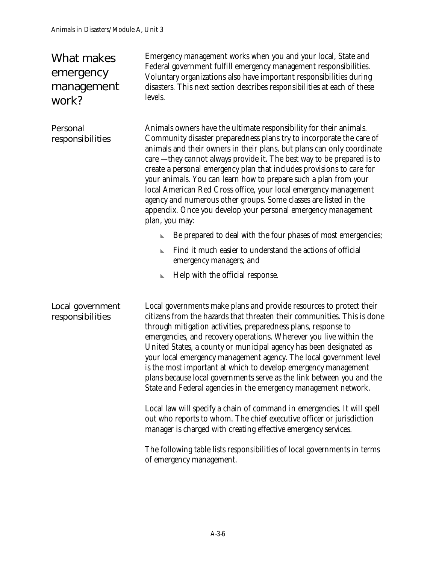| What makes<br>emergency<br>management<br>work? | Emergency management works when you and your local, State and<br>Federal government fulfill emergency management responsibilities.<br>Voluntary organizations also have important responsibilities during<br>disasters. This next section describes responsibilities at each of these<br>levels.                                                                                                                                                                                                                                                                                                                                                                        |
|------------------------------------------------|-------------------------------------------------------------------------------------------------------------------------------------------------------------------------------------------------------------------------------------------------------------------------------------------------------------------------------------------------------------------------------------------------------------------------------------------------------------------------------------------------------------------------------------------------------------------------------------------------------------------------------------------------------------------------|
| Personal<br>responsibilities                   | Animals owners have the ultimate responsibility for their animals.<br>Community disaster preparedness plans try to incorporate the care of<br>animals and their owners in their plans, but plans can only coordinate<br>care – they cannot always provide it. The best way to be prepared is to<br>create a personal emergency plan that includes provisions to care for<br>your animals. You can learn how to prepare such a plan from your<br>local American Red Cross office, your local emergency management<br>agency and numerous other groups. Some classes are listed in the<br>appendix. Once you develop your personal emergency management<br>plan, you may: |
|                                                | Be prepared to deal with the four phases of most emergencies;                                                                                                                                                                                                                                                                                                                                                                                                                                                                                                                                                                                                           |
|                                                | Find it much easier to understand the actions of official<br>Ы<br>emergency managers; and                                                                                                                                                                                                                                                                                                                                                                                                                                                                                                                                                                               |
|                                                | Help with the official response.                                                                                                                                                                                                                                                                                                                                                                                                                                                                                                                                                                                                                                        |
| Local government<br>responsibilities           | Local governments make plans and provide resources to protect their<br>citizens from the hazards that threaten their communities. This is done<br>through mitigation activities, preparedness plans, response to<br>emergencies, and recovery operations. Wherever you live within the<br>United States, a county or municipal agency has been designated as<br>your local emergency management agency. The local government level<br>is the most important at which to develop emergency management<br>plans because local governments serve as the link between you and the<br>State and Federal agencies in the emergency management network.                        |
|                                                | Local law will specify a chain of command in emergencies. It will spell<br>out who reports to whom. The chief executive officer or jurisdiction<br>manager is charged with creating effective emergency services.                                                                                                                                                                                                                                                                                                                                                                                                                                                       |
|                                                | The following table lists responsibilities of local governments in terms<br>of emergency management.                                                                                                                                                                                                                                                                                                                                                                                                                                                                                                                                                                    |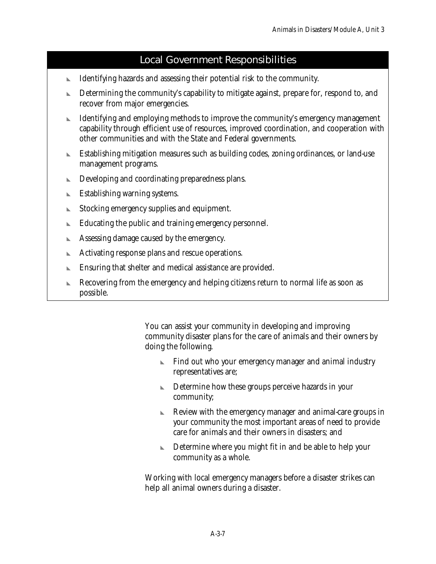## Local Government Responsibilities

- $\Box$  Identifying hazards and assessing their potential risk to the community.
- $\Box$  Determining the community's capability to mitigate against, prepare for, respond to, and recover from major emergencies.
- $\Box$  Identifying and employing methods to improve the community's emergency management capability through efficient use of resources, improved coordination, and cooperation with other communities and with the State and Federal governments.
- **Establishing mitigation measures such as building codes, zoning ordinances, or land-use** management programs.
- $\blacktriangleright$  Developing and coordinating preparedness plans.
- $\blacktriangleright$  Establishing warning systems.
- $\blacktriangleright$  Stocking emergency supplies and equipment.
- $\blacktriangleright$  Educating the public and training emergency personnel.
- $\blacktriangleright$  Assessing damage caused by the emergency.
- Activating response plans and rescue operations.
- $\blacktriangleright$  Ensuring that shelter and medical assistance are provided.
- $\blacktriangleright$  Recovering from the emergency and helping citizens return to normal life as soon as possible.

You can assist your community in developing and improving community disaster plans for the care of animals and their owners by doing the following.

- ► Find out who your emergency manager and animal industry representatives are;
- $\blacktriangleright$  Determine how these groups perceive hazards in your community;
- $\Box$  Review with the emergency manager and animal-care groups in your community the most important areas of need to provide care for animals and their owners in disasters; and
- $\Box$  Determine where you might fit in and be able to help your community as a whole.

Working with local emergency managers before a disaster strikes can help all animal owners during a disaster.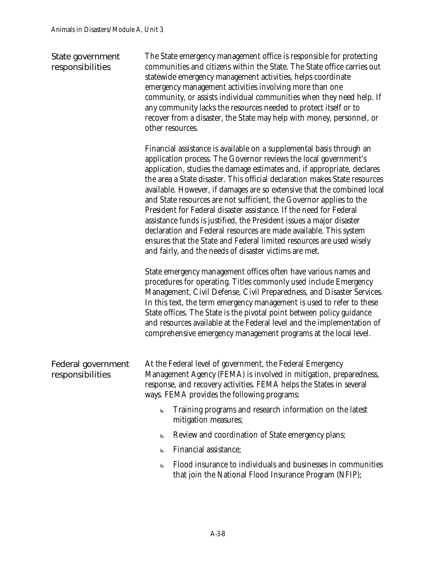#### State government responsibilities

The State emergency management office is responsible for protecting communities and citizens within the State. The State office carries out statewide emergency management activities, helps coordinate emergency management activities involving more than one community, or assists individual communities when they need help. If any community lacks the resources needed to protect itself or to recover from a disaster, the State may help with money, personnel, or other resources.

Financial assistance is available on a supplemental basis through an application process. The Governor reviews the local government's application, studies the damage estimates and, if appropriate, declares the area a State disaster. This official declaration makes State resources available. However, if damages are so extensive that the combined local and State resources are not sufficient, the Governor applies to the President for Federal disaster assistance. If the need for Federal assistance funds is justified, the President issues a major disaster declaration and Federal resources are made available. This system ensures that the State and Federal limited resources are used wisely and fairly, and the needs of disaster victims are met.

State emergency management offices often have various names and procedures for operating. Titles commonly used include Emergency Management, Civil Defense, Civil Preparedness, and Disaster Services. In this text, the term emergency management is used to refer to these State offices. The State is the pivotal point between policy guidance and resources available at the Federal level and the implementation of comprehensive emergency management programs at the local level.

Federal government responsibilities At the Federal level of government, the Federal Emergency Management Agency (FEMA) is involved in mitigation, preparedness, response, and recovery activities. FEMA helps the States in several ways. FEMA provides the following programs:

- $\Box$  Training programs and research information on the latest mitigation measures;
- Exercise Review and coordination of State emergency plans;
- : Financial assistance;
- Flood insurance to individuals and businesses in communities that join the National Flood Insurance Program (NFIP);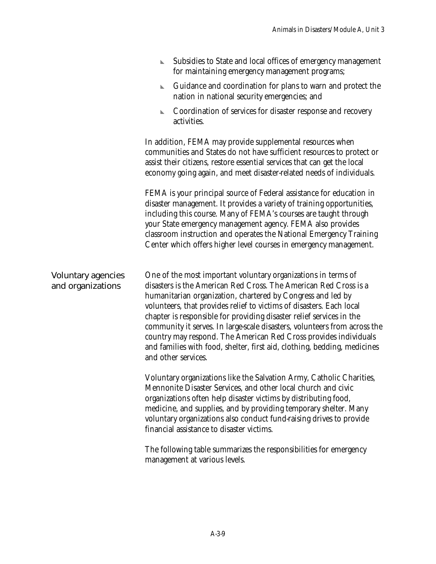|                                         | Subsidies to State and local offices of emergency management<br>for maintaining emergency management programs;                                                                                                                                                                                                                                                                                                                                                                                                                                                                                       |
|-----------------------------------------|------------------------------------------------------------------------------------------------------------------------------------------------------------------------------------------------------------------------------------------------------------------------------------------------------------------------------------------------------------------------------------------------------------------------------------------------------------------------------------------------------------------------------------------------------------------------------------------------------|
|                                         | Guidance and coordination for plans to warn and protect the<br>$\blacksquare$<br>nation in national security emergencies; and                                                                                                                                                                                                                                                                                                                                                                                                                                                                        |
|                                         | Coordination of services for disaster response and recovery<br>Ы<br>activities.                                                                                                                                                                                                                                                                                                                                                                                                                                                                                                                      |
|                                         | In addition, FEMA may provide supplemental resources when<br>communities and States do not have sufficient resources to protect or<br>assist their citizens, restore essential services that can get the local<br>economy going again, and meet disaster-related needs of individuals.                                                                                                                                                                                                                                                                                                               |
|                                         | FEMA is your principal source of Federal assistance for education in<br>disaster management. It provides a variety of training opportunities,<br>including this course. Many of FEMA's courses are taught through<br>your State emergency management agency. FEMA also provides<br>classroom instruction and operates the National Emergency Training<br>Center which offers higher level courses in emergency management.                                                                                                                                                                           |
| Voluntary agencies<br>and organizations | One of the most important voluntary organizations in terms of<br>disasters is the American Red Cross. The American Red Cross is a<br>humanitarian organization, chartered by Congress and led by<br>volunteers, that provides relief to victims of disasters. Each local<br>chapter is responsible for providing disaster relief services in the<br>community it serves. In large-scale disasters, volunteers from across the<br>country may respond. The American Red Cross provides individuals<br>and families with food, shelter, first aid, clothing, bedding, medicines<br>and other services. |
|                                         | Voluntary organizations like the Salvation Army, Catholic Charities,<br>Mennonite Disaster Services, and other local church and civic<br>organizations often help disaster victims by distributing food,<br>medicine, and supplies, and by providing temporary shelter. Many<br>voluntary organizations also conduct fund-raising drives to provide<br>financial assistance to disaster victims.                                                                                                                                                                                                     |
|                                         | The following table summarizes the responsibilities for emergency<br>management at various levels.                                                                                                                                                                                                                                                                                                                                                                                                                                                                                                   |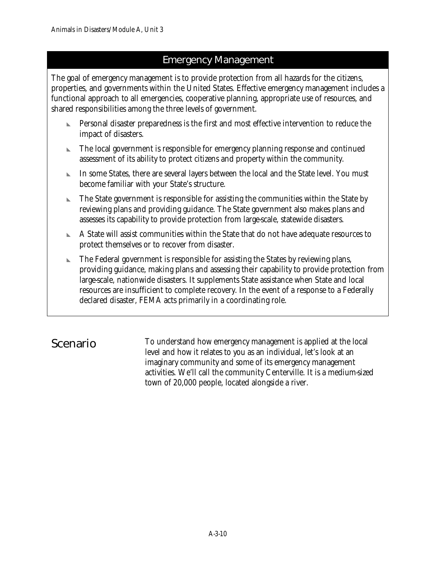## Emergency Management

The goal of emergency management is to provide protection from all hazards for the citizens, properties, and governments within the United States. Effective emergency management includes a functional approach to all emergencies, cooperative planning, appropriate use of resources, and shared responsibilities among the three levels of government.

- **EXECUTE:** Personal disaster preparedness is the first and most effective intervention to reduce the impact of disasters.
- $\Box$  The local government is responsible for emergency planning response and continued assessment of its ability to protect citizens and property within the community.
- In some States, there are several layers between the local and the State level. You must become familiar with your State's structure.
- $\Box$  The State government is responsible for assisting the communities within the State by reviewing plans and providing guidance. The State government also makes plans and assesses its capability to provide protection from large-scale, statewide disasters.
- $\blacktriangleright$  A State will assist communities within the State that do not have adequate resources to protect themselves or to recover from disaster.
- $\Box$  The Federal government is responsible for assisting the States by reviewing plans, providing guidance, making plans and assessing their capability to provide protection from large-scale, nationwide disasters. It supplements State assistance when State and local resources are insufficient to complete recovery. In the event of a response to a Federally declared disaster, FEMA acts primarily in a coordinating role.

Scenario To understand how emergency management is applied at the local level and how it relates to you as an individual, let's look at an imaginary community and some of its emergency management activities. We'll call the community Centerville. It is a medium-sized town of 20,000 people, located alongside a river.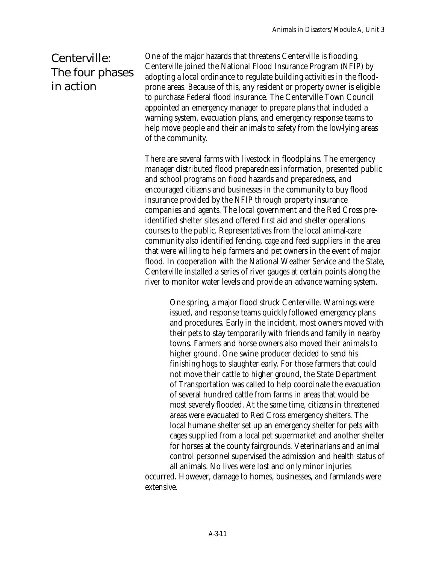## Centerville: The four phases in action

One of the major hazards that threatens Centerville is flooding. Centerville joined the National Flood Insurance Program (NFIP) by adopting a local ordinance to regulate building activities in the floodprone areas. Because of this, any resident or property owner is eligible to purchase Federal flood insurance. The Centerville Town Council appointed an emergency manager to prepare plans that included a warning system, evacuation plans, and emergency response teams to help move people and their animals to safety from the low-lying areas of the community.

There are several farms with livestock in floodplains. The emergency manager distributed flood preparedness information, presented public and school programs on flood hazards and preparedness, and encouraged citizens and businesses in the community to buy flood insurance provided by the NFIP through property insurance companies and agents. The local government and the Red Cross preidentified shelter sites and offered first aid and shelter operations courses to the public. Representatives from the local animal-care community also identified fencing, cage and feed suppliers in the area that were willing to help farmers and pet owners in the event of major flood. In cooperation with the National Weather Service and the State, Centerville installed a series of river gauges at certain points along the river to monitor water levels and provide an advance warning system.

One spring, a major flood struck Centerville. Warnings were issued, and response teams quickly followed emergency plans and procedures. Early in the incident, most owners moved with their pets to stay temporarily with friends and family in nearby towns. Farmers and horse owners also moved their animals to higher ground. One swine producer decided to send his finishing hogs to slaughter early. For those farmers that could not move their cattle to higher ground, the State Department of Transportation was called to help coordinate the evacuation of several hundred cattle from farms in areas that would be most severely flooded. At the same time, citizens in threatened areas were evacuated to Red Cross emergency shelters. The local humane shelter set up an emergency shelter for pets with cages supplied from a local pet supermarket and another shelter for horses at the county fairgrounds. Veterinarians and animal control personnel supervised the admission and health status of all animals. No lives were lost and only minor injuries

occurred. However, damage to homes, businesses, and farmlands were extensive.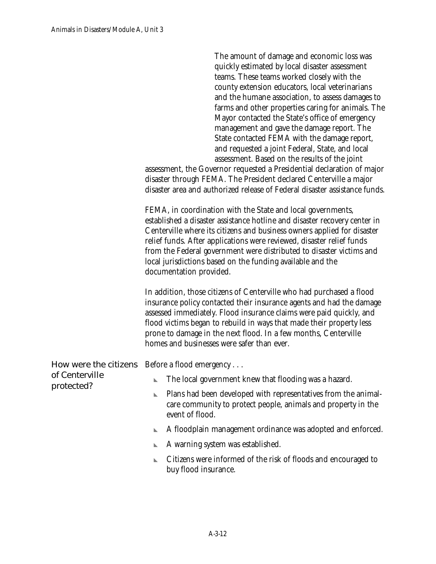|                                                       | The amount of damage and economic loss was<br>quickly estimated by local disaster assessment<br>teams. These teams worked closely with the<br>county extension educators, local veterinarians<br>and the humane association, to assess damages to<br>farms and other properties caring for animals. The<br>Mayor contacted the State's office of emergency<br>management and gave the damage report. The<br>State contacted FEMA with the damage report,<br>and requested a joint Federal, State, and local<br>assessment. Based on the results of the joint<br>assessment, the Governor requested a Presidential declaration of major<br>disaster through FEMA. The President declared Centerville a major<br>disaster area and authorized release of Federal disaster assistance funds. |
|-------------------------------------------------------|-------------------------------------------------------------------------------------------------------------------------------------------------------------------------------------------------------------------------------------------------------------------------------------------------------------------------------------------------------------------------------------------------------------------------------------------------------------------------------------------------------------------------------------------------------------------------------------------------------------------------------------------------------------------------------------------------------------------------------------------------------------------------------------------|
|                                                       | FEMA, in coordination with the State and local governments,<br>established a disaster assistance hotline and disaster recovery center in<br>Centerville where its citizens and business owners applied for disaster<br>relief funds. After applications were reviewed, disaster relief funds<br>from the Federal government were distributed to disaster victims and<br>local jurisdictions based on the funding available and the<br>documentation provided.                                                                                                                                                                                                                                                                                                                             |
|                                                       | In addition, those citizens of Centerville who had purchased a flood<br>insurance policy contacted their insurance agents and had the damage<br>assessed immediately. Flood insurance claims were paid quickly, and<br>flood victims began to rebuild in ways that made their property less<br>prone to damage in the next flood. In a few months, Centerville<br>homes and businesses were safer than ever.                                                                                                                                                                                                                                                                                                                                                                              |
| How were the citizens<br>of Centerville<br>protected? | Before a flood emergency                                                                                                                                                                                                                                                                                                                                                                                                                                                                                                                                                                                                                                                                                                                                                                  |
|                                                       | The local government knew that flooding was a hazard.<br>ь                                                                                                                                                                                                                                                                                                                                                                                                                                                                                                                                                                                                                                                                                                                                |
|                                                       | Plans had been developed with representatives from the animal-<br>N<br>care community to protect people, animals and property in the<br>event of flood.                                                                                                                                                                                                                                                                                                                                                                                                                                                                                                                                                                                                                                   |
|                                                       | A floodplain management ordinance was adopted and enforced.<br>⊾                                                                                                                                                                                                                                                                                                                                                                                                                                                                                                                                                                                                                                                                                                                          |
|                                                       | A warning system was established.                                                                                                                                                                                                                                                                                                                                                                                                                                                                                                                                                                                                                                                                                                                                                         |
|                                                       | Citizens were informed of the risk of floods and encouraged to<br>buy flood insurance.                                                                                                                                                                                                                                                                                                                                                                                                                                                                                                                                                                                                                                                                                                    |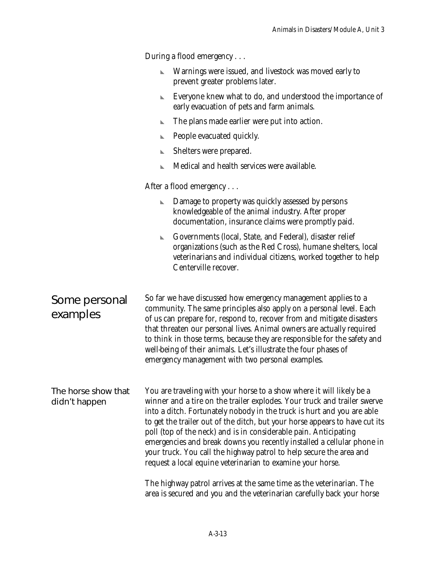|                                      | During a flood emergency                                                                                                                                                                                                                                                                                                                                                                                                                                                                                                                                                                      |
|--------------------------------------|-----------------------------------------------------------------------------------------------------------------------------------------------------------------------------------------------------------------------------------------------------------------------------------------------------------------------------------------------------------------------------------------------------------------------------------------------------------------------------------------------------------------------------------------------------------------------------------------------|
|                                      | Warnings were issued, and livestock was moved early to<br>$\mathbf{h}$<br>prevent greater problems later.                                                                                                                                                                                                                                                                                                                                                                                                                                                                                     |
|                                      | Everyone knew what to do, and understood the importance of<br>$\blacksquare$<br>early evacuation of pets and farm animals.                                                                                                                                                                                                                                                                                                                                                                                                                                                                    |
|                                      | The plans made earlier were put into action.<br>⊾                                                                                                                                                                                                                                                                                                                                                                                                                                                                                                                                             |
|                                      | People evacuated quickly.<br>⊾                                                                                                                                                                                                                                                                                                                                                                                                                                                                                                                                                                |
|                                      | Shelters were prepared.<br>ь                                                                                                                                                                                                                                                                                                                                                                                                                                                                                                                                                                  |
|                                      | Medical and health services were available.                                                                                                                                                                                                                                                                                                                                                                                                                                                                                                                                                   |
|                                      | After a flood emergency                                                                                                                                                                                                                                                                                                                                                                                                                                                                                                                                                                       |
|                                      | Damage to property was quickly assessed by persons<br>ь<br>knowledgeable of the animal industry. After proper<br>documentation, insurance claims were promptly paid.                                                                                                                                                                                                                                                                                                                                                                                                                          |
|                                      | Governments (local, State, and Federal), disaster relief<br>ь<br>organizations (such as the Red Cross), humane shelters, local<br>veterinarians and individual citizens, worked together to help<br>Centerville recover.                                                                                                                                                                                                                                                                                                                                                                      |
| Some personal<br>examples            | So far we have discussed how emergency management applies to a<br>community. The same principles also apply on a personal level. Each<br>of us can prepare for, respond to, recover from and mitigate disasters<br>that threaten our personal lives. Animal owners are actually required<br>to think in those terms, because they are responsible for the safety and<br>well-being of their animals. Let's illustrate the four phases of<br>emergency management with two personal examples.                                                                                                  |
| The horse show that<br>didn't happen | You are traveling with your horse to a show where it will likely be a<br>winner and a tire on the trailer explodes. Your truck and trailer swerve<br>into a ditch. Fortunately nobody in the truck is hurt and you are able<br>to get the trailer out of the ditch, but your horse appears to have cut its<br>poll (top of the neck) and is in considerable pain. Anticipating<br>emergencies and break downs you recently installed a cellular phone in<br>your truck. You call the highway patrol to help secure the area and<br>request a local equine veterinarian to examine your horse. |
|                                      | The highway patrol arrives at the same time as the veterinarian. The<br>area is secured and you and the veterinarian carefully back your horse                                                                                                                                                                                                                                                                                                                                                                                                                                                |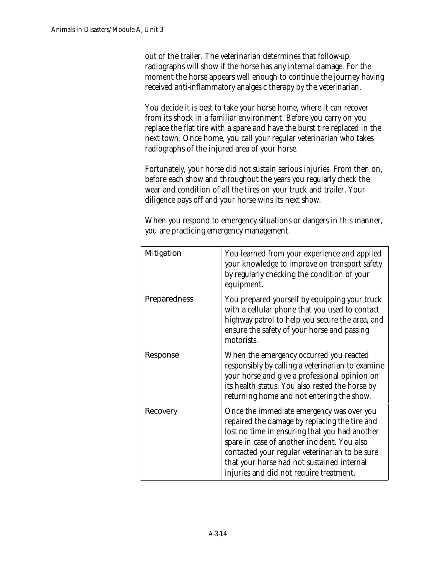out of the trailer. The veterinarian determines that follow-up radiographs will show if the horse has any internal damage. For the moment the horse appears well enough to continue the journey having received anti-inflammatory analgesic therapy by the veterinarian.

You decide it is best to take your horse home, where it can recover from its shock in a familiar environment. Before you carry on you replace the flat tire with a spare and have the burst tire replaced in the next town. Once home, you call your regular veterinarian who takes radiographs of the injured area of your horse.

Fortunately, your horse did not sustain serious injuries. From then on, before each show and throughout the years you regularly check the wear and condition of all the tires on your truck and trailer. Your diligence pays off and your horse wins its next show.

When you respond to emergency situations or dangers in this manner, you are practicing emergency management.

| Mitigation   | You learned from your experience and applied<br>your knowledge to improve on transport safety<br>by regularly checking the condition of your<br>equipment.                                                                                                                                                                            |
|--------------|---------------------------------------------------------------------------------------------------------------------------------------------------------------------------------------------------------------------------------------------------------------------------------------------------------------------------------------|
| Preparedness | You prepared yourself by equipping your truck<br>with a cellular phone that you used to contact<br>highway patrol to help you secure the area, and<br>ensure the safety of your horse and passing<br>motorists.                                                                                                                       |
| Response     | When the emergency occurred you reacted<br>responsibly by calling a veterinarian to examine<br>your horse and give a professional opinion on<br>its health status. You also rested the horse by<br>returning home and not entering the show.                                                                                          |
| Recovery     | Once the immediate emergency was over you<br>repaired the damage by replacing the tire and<br>lost no time in ensuring that you had another<br>spare in case of another incident. You also<br>contacted your regular veterinarian to be sure<br>that your horse had not sustained internal<br>injuries and did not require treatment. |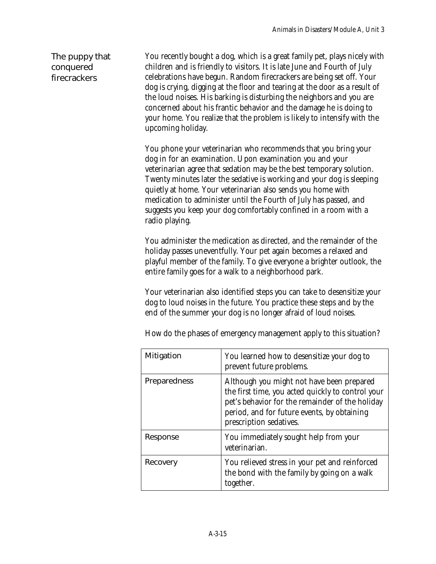The puppy that conquered firecrackers You recently bought a dog, which is a great family pet, plays nicely with children and is friendly to visitors. It is late June and Fourth of July celebrations have begun. Random firecrackers are being set off. Your dog is crying, digging at the floor and tearing at the door as a result of the loud noises. His barking is disturbing the neighbors and you are concerned about his frantic behavior and the damage he is doing to your home. You realize that the problem is likely to intensify with the upcoming holiday.

> You phone your veterinarian who recommends that you bring your dog in for an examination. Upon examination you and your veterinarian agree that sedation may be the best temporary solution. Twenty minutes later the sedative is working and your dog is sleeping quietly at home. Your veterinarian also sends you home with medication to administer until the Fourth of July has passed, and suggests you keep your dog comfortably confined in a room with a radio playing.

You administer the medication as directed, and the remainder of the holiday passes uneventfully. Your pet again becomes a relaxed and playful member of the family. To give everyone a brighter outlook, the entire family goes for a walk to a neighborhood park.

Your veterinarian also identified steps you can take to desensitize your dog to loud noises in the future. You practice these steps and by the end of the summer your dog is no longer afraid of loud noises.

| Mitigation   | You learned how to desensitize your dog to<br>prevent future problems.                                                                                                                                                      |
|--------------|-----------------------------------------------------------------------------------------------------------------------------------------------------------------------------------------------------------------------------|
| Preparedness | Although you might not have been prepared<br>the first time, you acted quickly to control your<br>pet's behavior for the remainder of the holiday<br>period, and for future events, by obtaining<br>prescription sedatives. |
| Response     | You immediately sought help from your<br>veterinarian.                                                                                                                                                                      |
| Recovery     | You relieved stress in your pet and reinforced<br>the bond with the family by going on a walk<br>together.                                                                                                                  |

How do the phases of emergency management apply to this situation?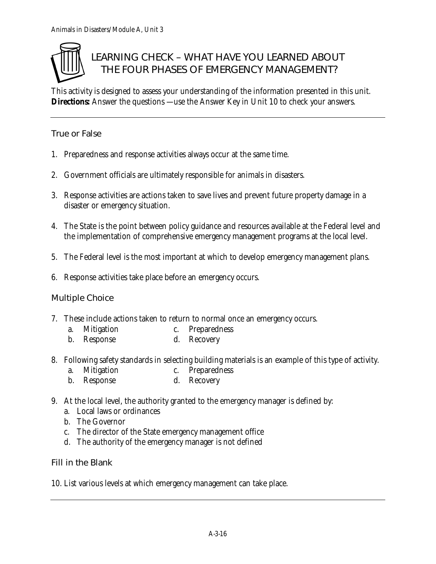## LEARNING CHECK – WHAT HAVE YOU LEARNED ABOUT THE FOUR PHASES OF EMERGENCY MANAGEMENT? 1

This activity is designed to assess your understanding of the information presented in this unit. **Directions:** Answer the questions – use the Answer Key in Unit 10 to check your answers.

## True or False

- 1. Preparedness and response activities always occur at the same time.
- 2. Government officials are ultimately responsible for animals in disasters.
- 3. Response activities are actions taken to save lives and prevent future property damage in a disaster or emergency situation.
- 4. The State is the point between policy guidance and resources available at the Federal level and the implementation of comprehensive emergency management programs at the local level.
- 5. The Federal level is the most important at which to develop emergency management plans.
- 6. Response activities take place before an emergency occurs.

### Multiple Choice

- 7. These include actions taken to return to normal once an emergency occurs.
	- a. Mitigation c. Preparedness
	- b. Response d. Recovery
- 8. Following safety standards in selecting building materials is an example of this type of activity.
	- a. Mitigation c. Preparedness
	- b. Response d. Recovery
- 9. At the local level, the authority granted to the emergency manager is defined by:
	- a. Local laws or ordinances
	- b. The Governor
	- c. The director of the State emergency management office
	- d. The authority of the emergency manager is not defined

#### Fill in the Blank

10. List various levels at which emergency management can take place.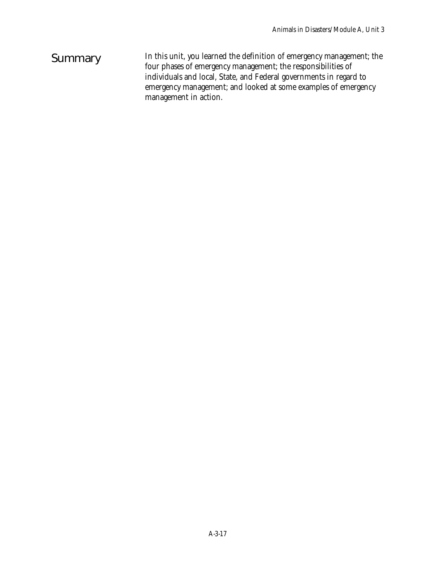Summary In this unit, you learned the definition of emergency management; the four phases of emergency management; the responsibilities of individuals and local, State, and Federal governments in regard to emergency management; and looked at some examples of emergency management in action.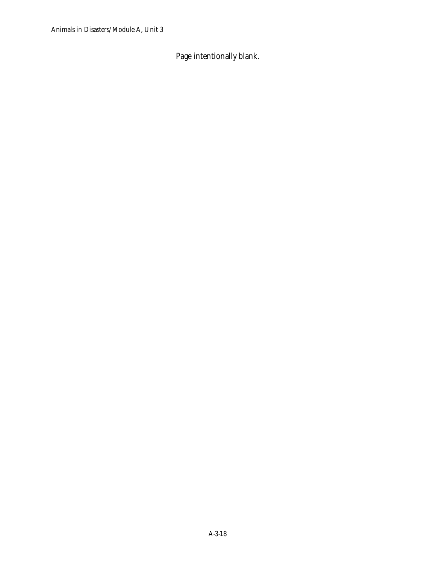Page intentionally blank.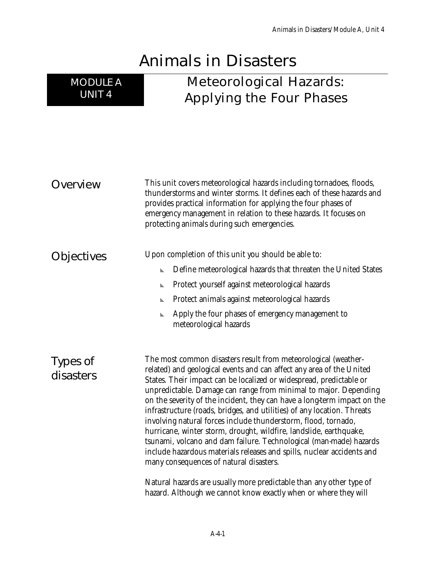# Animals in Disasters

## MODULE A UNIT 4

# Meteorological Hazards: Applying the Four Phases

| Overview              | This unit covers meteorological hazards including tornadoes, floods,<br>thunderstorms and winter storms. It defines each of these hazards and<br>provides practical information for applying the four phases of<br>emergency management in relation to these hazards. It focuses on<br>protecting animals during such emergencies.                                                                                                                                                                                                                                                                                                                                                                                                                                                                                                                                                                                    |
|-----------------------|-----------------------------------------------------------------------------------------------------------------------------------------------------------------------------------------------------------------------------------------------------------------------------------------------------------------------------------------------------------------------------------------------------------------------------------------------------------------------------------------------------------------------------------------------------------------------------------------------------------------------------------------------------------------------------------------------------------------------------------------------------------------------------------------------------------------------------------------------------------------------------------------------------------------------|
| Objectives            | Upon completion of this unit you should be able to:<br>Define meteorological hazards that threaten the United States<br>N<br>Protect yourself against meteorological hazards<br>ь<br>Protect animals against meteorological hazards<br>Apply the four phases of emergency management to<br>meteorological hazards                                                                                                                                                                                                                                                                                                                                                                                                                                                                                                                                                                                                     |
| Types of<br>disasters | The most common disasters result from meteorological (weather-<br>related) and geological events and can affect any area of the United<br>States. Their impact can be localized or widespread, predictable or<br>unpredictable. Damage can range from minimal to major. Depending<br>on the severity of the incident, they can have a long-term impact on the<br>infrastructure (roads, bridges, and utilities) of any location. Threats<br>involving natural forces include thunderstorm, flood, tornado,<br>hurricane, winter storm, drought, wildfire, landslide, earthquake,<br>tsunami, volcano and dam failure. Technological (man-made) hazards<br>include hazardous materials releases and spills, nuclear accidents and<br>many consequences of natural disasters.<br>Natural hazards are usually more predictable than any other type of<br>hazard. Although we cannot know exactly when or where they will |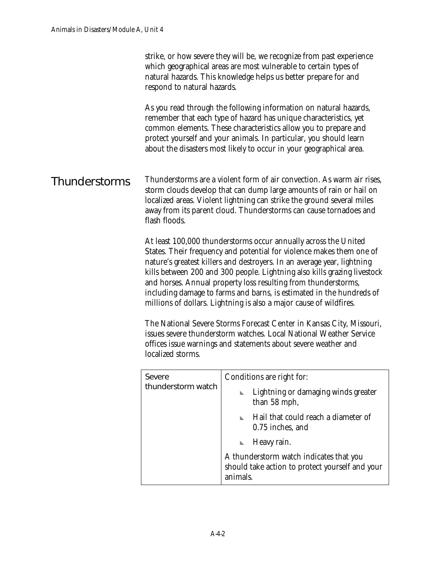|                      | respond to natural hazards.  | strike, or how severe they will be, we recognize from past experience<br>which geographical areas are most vulnerable to certain types of<br>natural hazards. This knowledge helps us better prepare for and<br>As you read through the following information on natural hazards,<br>remember that each type of hazard has unique characteristics, yet<br>common elements. These characteristics allow you to prepare and                                                                                      |
|----------------------|------------------------------|----------------------------------------------------------------------------------------------------------------------------------------------------------------------------------------------------------------------------------------------------------------------------------------------------------------------------------------------------------------------------------------------------------------------------------------------------------------------------------------------------------------|
|                      |                              | protect yourself and your animals. In particular, you should learn<br>about the disasters most likely to occur in your geographical area.                                                                                                                                                                                                                                                                                                                                                                      |
| <b>Thunderstorms</b> | flash floods.                | Thunderstorms are a violent form of air convection. As warm air rises,<br>storm clouds develop that can dump large amounts of rain or hail on<br>localized areas. Violent lightning can strike the ground several miles<br>away from its parent cloud. Thunderstorms can cause tornadoes and                                                                                                                                                                                                                   |
|                      |                              | At least 100,000 thunderstorms occur annually across the United<br>States. Their frequency and potential for violence makes them one of<br>nature's greatest killers and destroyers. In an average year, lightning<br>kills between 200 and 300 people. Lightning also kills grazing livestock<br>and horses. Annual property loss resulting from thunderstorms,<br>including damage to farms and barns, is estimated in the hundreds of<br>millions of dollars. Lightning is also a major cause of wildfires. |
|                      | localized storms.            | The National Severe Storms Forecast Center in Kansas City, Missouri,<br>issues severe thunderstorm watches. Local National Weather Service<br>offices issue warnings and statements about severe weather and                                                                                                                                                                                                                                                                                                   |
|                      | Severe<br>thunderstorm watch | Conditions are right for:                                                                                                                                                                                                                                                                                                                                                                                                                                                                                      |
|                      |                              | Lightning or damaging winds greater<br>ь<br>than 58 mph,                                                                                                                                                                                                                                                                                                                                                                                                                                                       |
|                      |                              | Hail that could reach a diameter of<br>Ы<br>0.75 inches, and                                                                                                                                                                                                                                                                                                                                                                                                                                                   |
|                      |                              | Heavy rain.<br>N                                                                                                                                                                                                                                                                                                                                                                                                                                                                                               |
|                      |                              | A thunderstorm watch indicates that you<br>should take action to protect yourself and your<br>animals.                                                                                                                                                                                                                                                                                                                                                                                                         |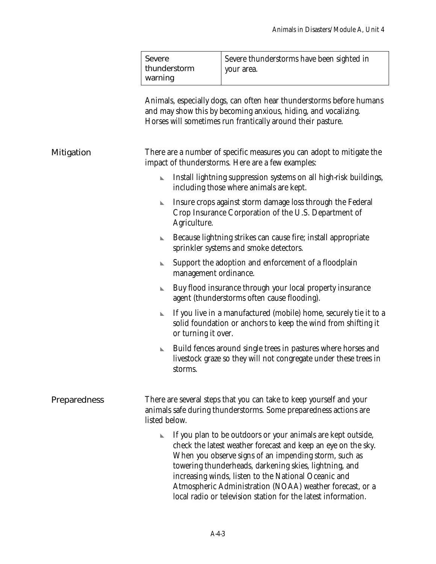|              | Severe<br>warning                                                                                                                                                                                     | thunderstorm                                                                                                                       | Severe thunderstorms have been sighted in<br>your area.                                                                                                                                                                                                                                                                                                                                                                               |  |
|--------------|-------------------------------------------------------------------------------------------------------------------------------------------------------------------------------------------------------|------------------------------------------------------------------------------------------------------------------------------------|---------------------------------------------------------------------------------------------------------------------------------------------------------------------------------------------------------------------------------------------------------------------------------------------------------------------------------------------------------------------------------------------------------------------------------------|--|
|              | Animals, especially dogs, can often hear thunderstorms before humans<br>and may show this by becoming anxious, hiding, and vocalizing.<br>Horses will sometimes run frantically around their pasture. |                                                                                                                                    |                                                                                                                                                                                                                                                                                                                                                                                                                                       |  |
| Mitigation   |                                                                                                                                                                                                       |                                                                                                                                    | There are a number of specific measures you can adopt to mitigate the<br>impact of thunderstorms. Here are a few examples:                                                                                                                                                                                                                                                                                                            |  |
|              | Install lightning suppression systems on all high-risk buildings,<br>$\mathbf{h}$<br>including those where animals are kept.                                                                          |                                                                                                                                    |                                                                                                                                                                                                                                                                                                                                                                                                                                       |  |
|              | ь                                                                                                                                                                                                     | Insure crops against storm damage loss through the Federal<br>Crop Insurance Corporation of the U.S. Department of<br>Agriculture. |                                                                                                                                                                                                                                                                                                                                                                                                                                       |  |
|              | Because lightning strikes can cause fire; install appropriate<br>$\mathbf{h}$<br>sprinkler systems and smoke detectors.                                                                               |                                                                                                                                    |                                                                                                                                                                                                                                                                                                                                                                                                                                       |  |
|              | Support the adoption and enforcement of a floodplain<br>ь<br>management ordinance.                                                                                                                    |                                                                                                                                    |                                                                                                                                                                                                                                                                                                                                                                                                                                       |  |
|              | ь                                                                                                                                                                                                     |                                                                                                                                    | Buy flood insurance through your local property insurance<br>agent (thunderstorms often cause flooding).                                                                                                                                                                                                                                                                                                                              |  |
|              | ь                                                                                                                                                                                                     | or turning it over.                                                                                                                | If you live in a manufactured (mobile) home, securely tie it to a<br>solid foundation or anchors to keep the wind from shifting it                                                                                                                                                                                                                                                                                                    |  |
|              | $\mathbf{h}$                                                                                                                                                                                          | storms.                                                                                                                            | Build fences around single trees in pastures where horses and<br>livestock graze so they will not congregate under these trees in                                                                                                                                                                                                                                                                                                     |  |
| Preparedness | listed below.                                                                                                                                                                                         |                                                                                                                                    | There are several steps that you can take to keep yourself and your<br>animals safe during thunderstorms. Some preparedness actions are                                                                                                                                                                                                                                                                                               |  |
|              | Ы                                                                                                                                                                                                     |                                                                                                                                    | If you plan to be outdoors or your animals are kept outside,<br>check the latest weather forecast and keep an eye on the sky.<br>When you observe signs of an impending storm, such as<br>towering thunderheads, darkening skies, lightning, and<br>increasing winds, listen to the National Oceanic and<br>Atmospheric Administration (NOAA) weather forecast, or a<br>local radio or television station for the latest information. |  |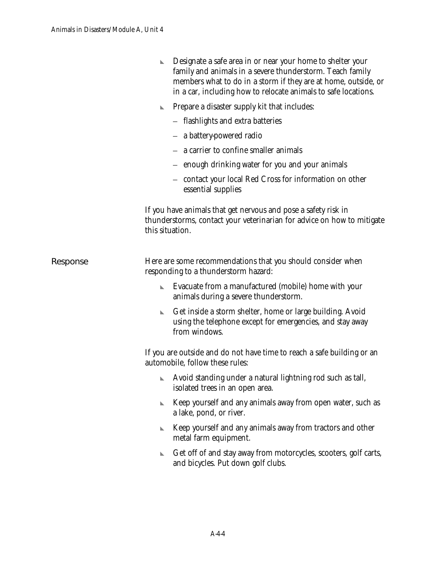|          | Designate a safe area in or near your home to shelter your<br>family and animals in a severe thunderstorm. Teach family<br>members what to do in a storm if they are at home, outside, or<br>in a car, including how to relocate animals to safe locations. |
|----------|-------------------------------------------------------------------------------------------------------------------------------------------------------------------------------------------------------------------------------------------------------------|
|          | Prepare a disaster supply kit that includes:<br>Ы                                                                                                                                                                                                           |
|          | - flashlights and extra batteries                                                                                                                                                                                                                           |
|          | - a battery-powered radio                                                                                                                                                                                                                                   |
|          | a carrier to confine smaller animals                                                                                                                                                                                                                        |
|          | enough drinking water for you and your animals                                                                                                                                                                                                              |
|          | contact your local Red Cross for information on other<br>essential supplies                                                                                                                                                                                 |
|          | If you have animals that get nervous and pose a safety risk in<br>thunderstorms, contact your veterinarian for advice on how to mitigate<br>this situation.                                                                                                 |
| Response | Here are some recommendations that you should consider when<br>responding to a thunderstorm hazard:                                                                                                                                                         |
|          | Evacuate from a manufactured (mobile) home with your<br>animals during a severe thunderstorm.                                                                                                                                                               |
|          | Get inside a storm shelter, home or large building. Avoid<br>N.<br>using the telephone except for emergencies, and stay away<br>from windows.                                                                                                               |
|          | If you are outside and do not have time to reach a safe building or an<br>automobile, follow these rules:                                                                                                                                                   |
|          | Avoid standing under a natural lightning rod such as tall,<br>isolated trees in an open area.                                                                                                                                                               |
|          | Keep yourself and any animals away from open water, such as<br>ь<br>a lake, pond, or river.                                                                                                                                                                 |
|          | Keep yourself and any animals away from tractors and other<br>N<br>metal farm equipment.                                                                                                                                                                    |
|          | Get off of and stay away from motorcycles, scooters, golf carts,<br>ь<br>and bicycles. Put down golf clubs.                                                                                                                                                 |
|          |                                                                                                                                                                                                                                                             |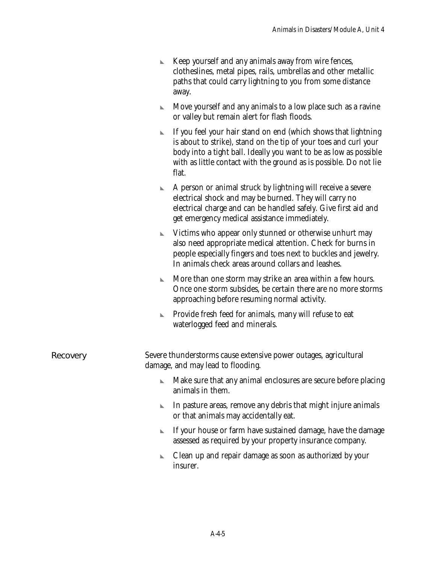|          | ь                       | Keep yourself and any animals away from wire fences,<br>clotheslines, metal pipes, rails, umbrellas and other metallic<br>paths that could carry lightning to you from some distance<br>away.                                                                                         |
|----------|-------------------------|---------------------------------------------------------------------------------------------------------------------------------------------------------------------------------------------------------------------------------------------------------------------------------------|
|          | Ы                       | Move yourself and any animals to a low place such as a ravine<br>or valley but remain alert for flash floods.                                                                                                                                                                         |
|          | $\mathbf{h}_\mathrm{c}$ | If you feel your hair stand on end (which shows that lightning<br>is about to strike), stand on the tip of your toes and curl your<br>body into a tight ball. Ideally you want to be as low as possible<br>with as little contact with the ground as is possible. Do not lie<br>flat. |
|          | ь                       | A person or animal struck by lightning will receive a severe<br>electrical shock and may be burned. They will carry no<br>electrical charge and can be handled safely. Give first aid and<br>get emergency medical assistance immediately.                                            |
|          | $\mathbf{h}$            | Victims who appear only stunned or otherwise unhurt may<br>also need appropriate medical attention. Check for burns in<br>people especially fingers and toes next to buckles and jewelry.<br>In animals check areas around collars and leashes.                                       |
|          | Ы                       | More than one storm may strike an area within a few hours.<br>Once one storm subsides, be certain there are no more storms<br>approaching before resuming normal activity.                                                                                                            |
|          | N                       | Provide fresh feed for animals, many will refuse to eat<br>waterlogged feed and minerals.                                                                                                                                                                                             |
| Recovery |                         | Severe thunderstorms cause extensive power outages, agricultural<br>damage, and may lead to flooding.                                                                                                                                                                                 |
|          | Ы                       | Make sure that any animal enclosures are secure before placing<br>animals in them.                                                                                                                                                                                                    |
|          | Ы                       | In pasture areas, remove any debris that might injure animals<br>or that animals may accidentally eat.                                                                                                                                                                                |
|          | Ы                       | If your house or farm have sustained damage, have the damage<br>assessed as required by your property insurance company.                                                                                                                                                              |
|          | ь                       | Clean up and repair damage as soon as authorized by your<br>insurer.                                                                                                                                                                                                                  |
|          |                         |                                                                                                                                                                                                                                                                                       |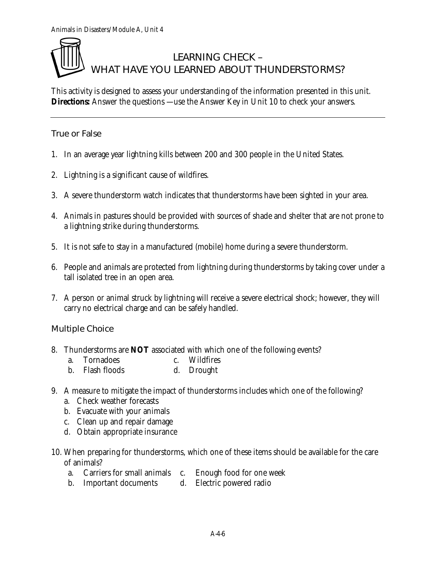## LEARNING CHECK – WHAT HAVE YOU LEARNED ABOUT THUNDERSTORMS? 1

This activity is designed to assess your understanding of the information presented in this unit. **Directions:** Answer the questions – use the Answer Key in Unit 10 to check your answers.

## True or False

- 1. In an average year lightning kills between 200 and 300 people in the United States.
- 2. Lightning is a significant cause of wildfires.
- 3. A severe thunderstorm watch indicates that thunderstorms have been sighted in your area.
- 4. Animals in pastures should be provided with sources of shade and shelter that are not prone to a lightning strike during thunderstorms.
- 5. It is not safe to stay in a manufactured (mobile) home during a severe thunderstorm.
- 6. People and animals are protected from lightning during thunderstorms by taking cover under a tall isolated tree in an open area.
- 7. A person or animal struck by lightning will receive a severe electrical shock; however, they will carry no electrical charge and can be safely handled.

### Multiple Choice

- 8. Thunderstorms are **NOT** associated with which one of the following events?
	- a. Tornadoes c. Wildfires
	- b. Flash floods d. Drought
- 9. A measure to mitigate the impact of thunderstorms includes which one of the following?
	- a. Check weather forecasts
	- b. Evacuate with your animals
	- c. Clean up and repair damage
	- d. Obtain appropriate insurance
- 10. When preparing for thunderstorms, which one of these items should be available for the care of animals?
	- a. Carriers for small animals c. Enough food for one week
	- b. Important documents d. Electric powered radio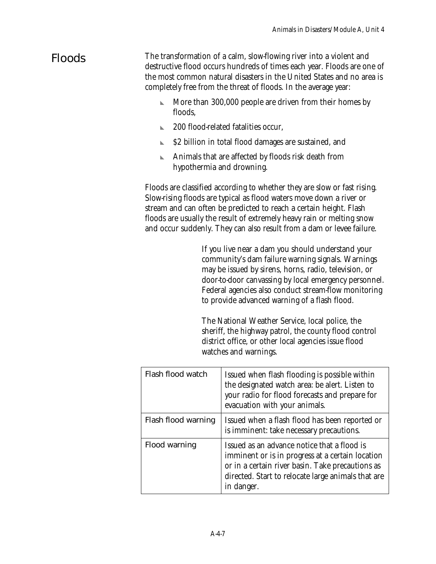#### Floods The transformation of a calm, slow-flowing river into a violent and destructive flood occurs hundreds of times each year. Floods are one of the most common natural disasters in the United States and no area is completely free from the threat of floods. In the average year:

- $\blacksquare$  More than 300,000 people are driven from their homes by floods,
- 200 flood-related fatalities occur,
- \$2 billion in total flood damages are sustained, and
- : Animals that are affected by floods risk death from hypothermia and drowning.

Floods are classified according to whether they are slow or fast rising. Slow-rising floods are typical as flood waters move down a river or stream and can often be predicted to reach a certain height. Flash floods are usually the result of extremely heavy rain or melting snow and occur suddenly. They can also result from a dam or levee failure.

> If you live near a dam you should understand your community's dam failure warning signals. Warnings may be issued by sirens, horns, radio, television, or door-to-door canvassing by local emergency personnel. Federal agencies also conduct stream-flow monitoring to provide advanced warning of a flash flood.

The National Weather Service, local police, the sheriff, the highway patrol, the county flood control district office, or other local agencies issue flood watches and warnings.

| Flash flood watch   | Issued when flash flooding is possible within<br>the designated watch area: be alert. Listen to<br>your radio for flood forecasts and prepare for<br>evacuation with your animals.                                      |
|---------------------|-------------------------------------------------------------------------------------------------------------------------------------------------------------------------------------------------------------------------|
| Flash flood warning | Issued when a flash flood has been reported or<br>is imminent: take necessary precautions.                                                                                                                              |
| Flood warning       | Issued as an advance notice that a flood is<br>imminent or is in progress at a certain location<br>or in a certain river basin. Take precautions as<br>directed. Start to relocate large animals that are<br>in danger. |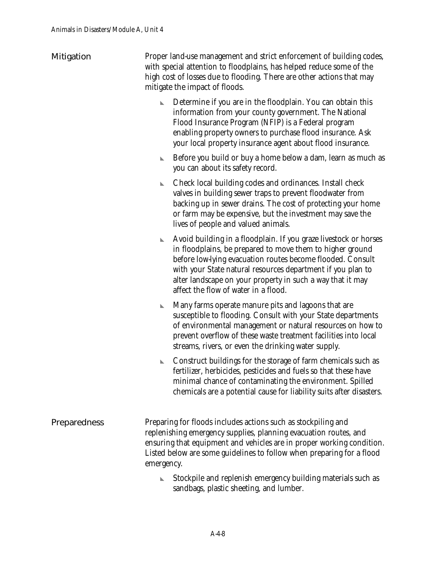| Mitigation   | Proper land-use management and strict enforcement of building codes,<br>with special attention to floodplains, has helped reduce some of the<br>high cost of losses due to flooding. There are other actions that may<br>mitigate the impact of floods.                                                                                                               |
|--------------|-----------------------------------------------------------------------------------------------------------------------------------------------------------------------------------------------------------------------------------------------------------------------------------------------------------------------------------------------------------------------|
|              | Determine if you are in the floodplain. You can obtain this<br>information from your county government. The National<br>Flood Insurance Program (NFIP) is a Federal program<br>enabling property owners to purchase flood insurance. Ask<br>your local property insurance agent about flood insurance.                                                                |
|              | Before you build or buy a home below a dam, learn as much as<br>Ы<br>you can about its safety record.                                                                                                                                                                                                                                                                 |
|              | Check local building codes and ordinances. Install check<br>Ы<br>valves in building sewer traps to prevent floodwater from<br>backing up in sewer drains. The cost of protecting your home<br>or farm may be expensive, but the investment may save the<br>lives of people and valued animals.                                                                        |
|              | Avoid building in a floodplain. If you graze livestock or horses<br>Ы<br>in floodplains, be prepared to move them to higher ground<br>before low-lying evacuation routes become flooded. Consult<br>with your State natural resources department if you plan to<br>alter landscape on your property in such a way that it may<br>affect the flow of water in a flood. |
|              | Many farms operate manure pits and lagoons that are<br>Ы<br>susceptible to flooding. Consult with your State departments<br>of environmental management or natural resources on how to<br>prevent overflow of these waste treatment facilities into local<br>streams, rivers, or even the drinking water supply.                                                      |
|              | Construct buildings for the storage of farm chemicals such as<br>fertilizer, herbicides, pesticides and fuels so that these have<br>minimal chance of contaminating the environment. Spilled<br>chemicals are a potential cause for liability suits after disasters.                                                                                                  |
| Preparedness | Preparing for floods includes actions such as stockpiling and<br>replenishing emergency supplies, planning evacuation routes, and<br>ensuring that equipment and vehicles are in proper working condition.<br>Listed below are some guidelines to follow when preparing for a flood<br>emergency.                                                                     |
|              | Stockpile and replenish emergency building materials such as<br>sandbags, plastic sheeting, and lumber.                                                                                                                                                                                                                                                               |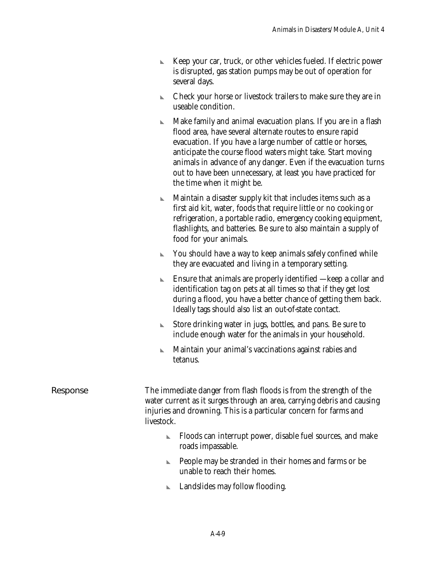| $\blacktriangleright$ Keep your car, truck, or other vehicles fueled. If electric power |
|-----------------------------------------------------------------------------------------|
| is disrupted, gas station pumps may be out of operation for                             |
| several days.                                                                           |

 $\Box$  Check your horse or livestock trailers to make sure they are in useable condition.

| $\mathbf{h}_\mathrm{c}$ | Make family and animal evacuation plans. If you are in a flash |
|-------------------------|----------------------------------------------------------------|
|                         | flood area, have several alternate routes to ensure rapid      |
|                         | evacuation. If you have a large number of cattle or horses,    |
|                         | anticipate the course flood waters might take. Start moving    |
|                         | animals in advance of any danger. Even if the evacuation turns |
|                         | out to have been unnecessary, at least you have practiced for  |
|                         | the time when it might be.                                     |

- $\blacktriangleright$  Maintain a disaster supply kit that includes items such as a first aid kit, water, foods that require little or no cooking or refrigeration, a portable radio, emergency cooking equipment, flashlights, and batteries. Be sure to also maintain a supply of food for your animals.
- $\Box$  You should have a way to keep animals safely confined while they are evacuated and living in a temporary setting.
- $\Box$  Ensure that animals are properly identified  $-$  keep a collar and identification tag on pets at all times so that if they get lost during a flood, you have a better chance of getting them back. Ideally tags should also list an out-of-state contact.
- $\Box$  Store drinking water in jugs, bottles, and pans. Be sure to include enough water for the animals in your household.
- $\blacktriangleright$  Maintain your animal's vaccinations against rabies and tetanus.
- Response The immediate danger from flash floods is from the strength of the water current as it surges through an area, carrying debris and causing injuries and drowning. This is a particular concern for farms and livestock.
	- $\blacktriangleright$  Floods can interrupt power, disable fuel sources, and make roads impassable.
	- $\blacktriangleright$  People may be stranded in their homes and farms or be unable to reach their homes.
	- $\Box$  Landslides may follow flooding.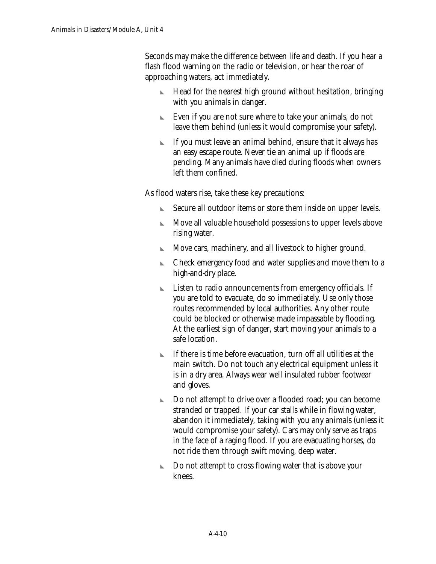Seconds may make the difference between life and death. If you hear a flash flood warning on the radio or television, or hear the roar of approaching waters, act immediately.

- $\blacktriangleright$  Head for the nearest high ground without hesitation, bringing with you animals in danger.
- $\Box$  Even if you are not sure where to take your animals, do not leave them behind (unless it would compromise your safety).
- $\Box$  If you must leave an animal behind, ensure that it always has an easy escape route. Never tie an animal up if floods are pending. Many animals have died during floods when owners left them confined.

As flood waters rise, take these key precautions:

- $\Box$  Secure all outdoor items or store them inside on upper levels.
- Move all valuable household possessions to upper levels above rising water.
- $\blacksquare$  Move cars, machinery, and all livestock to higher ground.
- $\Box$  Check emergency food and water supplies and move them to a high-and-dry place.
- $\blacktriangleright$  Listen to radio announcements from emergency officials. If you are told to evacuate, do so immediately. Use only those routes recommended by local authorities. Any other route could be blocked or otherwise made impassable by flooding. At the earliest sign of danger, start moving your animals to a safe location.
- : If there is time before evacuation, turn off all utilities at the main switch. Do not touch any electrical equipment unless it is in a dry area. Always wear well insulated rubber footwear and gloves.
- ► Do not attempt to drive over a flooded road; you can become stranded or trapped. If your car stalls while in flowing water, abandon it immediately, taking with you any animals (unless it would compromise your safety). Cars may only serve as traps in the face of a raging flood. If you are evacuating horses, do not ride them through swift moving, deep water.
- $\Box$  Do not attempt to cross flowing water that is above your knees.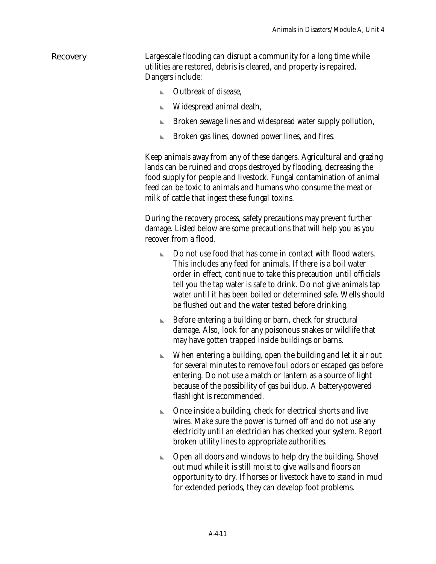Recovery **Example 1** Large-scale flooding can disrupt a community for a long time while utilities are restored, debris is cleared, and property is repaired. Dangers include:

- **Cutbreak of disease.**
- $\blacktriangleright$  Widespread animal death,
- $\Box$  Broken sewage lines and widespread water supply pollution,
- $\blacktriangleright$  Broken gas lines, downed power lines, and fires.

Keep animals away from any of these dangers. Agricultural and grazing lands can be ruined and crops destroyed by flooding, decreasing the food supply for people and livestock. Fungal contamination of animal feed can be toxic to animals and humans who consume the meat or milk of cattle that ingest these fungal toxins.

During the recovery process, safety precautions may prevent further damage. Listed below are some precautions that will help you as you recover from a flood.

- Do not use food that has come in contact with flood waters. This includes any feed for animals. If there is a boil water order in effect, continue to take this precaution until officials tell you the tap water is safe to drink. Do not give animals tap water until it has been boiled or determined safe. Wells should be flushed out and the water tested before drinking.
- $\blacktriangleright$  Before entering a building or barn, check for structural damage. Also, look for any poisonous snakes or wildlife that may have gotten trapped inside buildings or barns.
- $\blacktriangleright$  When entering a building, open the building and let it air out for several minutes to remove foul odors or escaped gas before entering. Do not use a match or lantern as a source of light because of the possibility of gas buildup. A battery-powered flashlight is recommended.
- Once inside a building, check for electrical shorts and live wires. Make sure the power is turned off and do not use any electricity until an electrician has checked your system. Report broken utility lines to appropriate authorities.
- $\Box$  Open all doors and windows to help dry the building. Shovel out mud while it is still moist to give walls and floors an opportunity to dry. If horses or livestock have to stand in mud for extended periods, they can develop foot problems.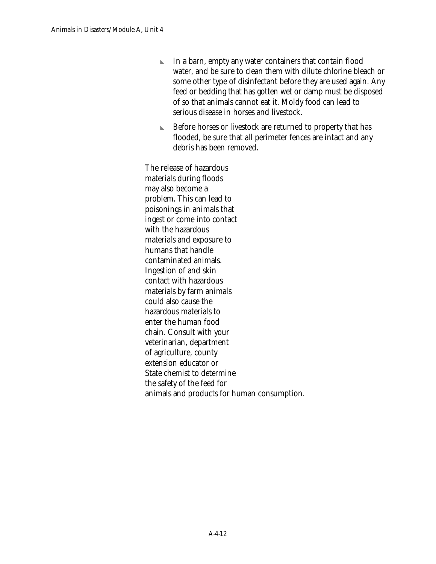- $\blacksquare$  In a barn, empty any water containers that contain flood water, and be sure to clean them with dilute chlorine bleach or some other type of disinfectant before they are used again. Any feed or bedding that has gotten wet or damp must be disposed of so that animals cannot eat it. Moldy food can lead to serious disease in horses and livestock.
- Exteed Before horses or livestock are returned to property that has flooded, be sure that all perimeter fences are intact and any debris has been removed.

The release of hazardous materials during floods may also become a problem. This can lead to poisonings in animals that ingest or come into contact with the hazardous materials and exposure to humans that handle contaminated animals. Ingestion of and skin contact with hazardous materials by farm animals could also cause the hazardous materials to enter the human food chain. Consult with your veterinarian, department of agriculture, county extension educator or State chemist to determine the safety of the feed for animals and products for human consumption.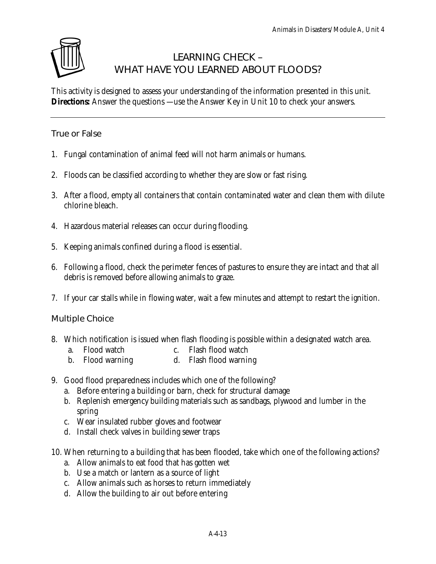

## LEARNING CHECK – WHAT HAVE YOU LEARNED ABOUT FLOODS?

This activity is designed to assess your understanding of the information presented in this unit. **Directions:** Answer the questions – use the Answer Key in Unit 10 to check your answers.

## True or False

- 1. Fungal contamination of animal feed will not harm animals or humans.
- 2. Floods can be classified according to whether they are slow or fast rising.
- 3. After a flood, empty all containers that contain contaminated water and clean them with dilute chlorine bleach.
- 4. Hazardous material releases can occur during flooding.
- 5. Keeping animals confined during a flood is essential.
- 6. Following a flood, check the perimeter fences of pastures to ensure they are intact and that all debris is removed before allowing animals to graze.
- 7. If your car stalls while in flowing water, wait a few minutes and attempt to restart the ignition.

### Multiple Choice

- 8. Which notification is issued when flash flooding is possible within a designated watch area.
	- a. Flood watch c. Flash flood watch
	- b. Flood warning d. Flash flood warning
- 9. Good flood preparedness includes which one of the following?
	- a. Before entering a building or barn, check for structural damage
	- b. Replenish emergency building materials such as sandbags, plywood and lumber in the spring
	- c. Wear insulated rubber gloves and footwear
	- d. Install check valves in building sewer traps
- 10. When returning to a building that has been flooded, take which one of the following actions?
	- a. Allow animals to eat food that has gotten wet
	- b. Use a match or lantern as a source of light
	- c. Allow animals such as horses to return immediately
	- d. Allow the building to air out before entering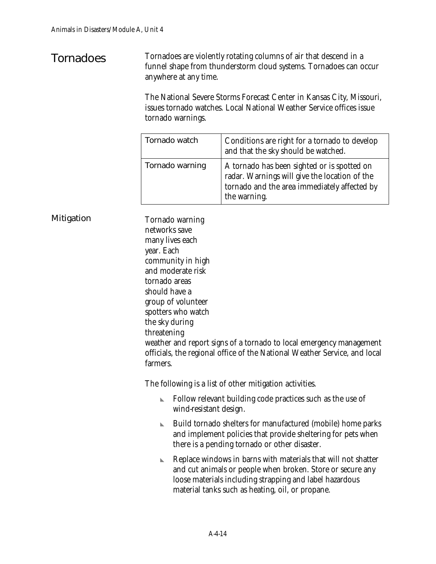Tornadoes Tornadoes are violently rotating columns of air that descend in a funnel shape from thunderstorm cloud systems. Tornadoes can occur anywhere at any time.

> The National Severe Storms Forecast Center in Kansas City, Missouri, issues tornado watches. Local National Weather Service offices issue tornado warnings.

| Tornado watch   | Conditions are right for a tornado to develop<br>and that the sky should be watched.                                                                         |
|-----------------|--------------------------------------------------------------------------------------------------------------------------------------------------------------|
| Tornado warning | A tornado has been sighted or is spotted on<br>radar. Warnings will give the location of the<br>tornado and the area immediately affected by<br>the warning. |

## Mitigation Tornado warning

networks save many lives each year. Each community in high and moderate risk tornado areas should have a group of volunteer spotters who watch the sky during threatening weather and report signs of a tornado to local emergency management officials, the regional office of the National Weather Service, and local farmers.

The following is a list of other mitigation activities.

- $\Box$  Follow relevant building code practices such as the use of wind-resistant design.
- $\blacktriangleright$  Build tornado shelters for manufactured (mobile) home parks and implement policies that provide sheltering for pets when there is a pending tornado or other disaster.
- $\blacktriangleright$  Replace windows in barns with materials that will not shatter and cut animals or people when broken. Store or secure any loose materials including strapping and label hazardous material tanks such as heating, oil, or propane.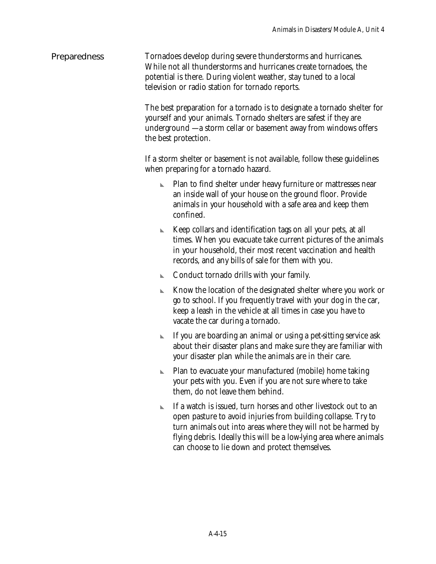### Preparedness Tornadoes develop during severe thunderstorms and hurricanes. While not all thunderstorms and hurricanes create tornadoes, the potential is there. During violent weather, stay tuned to a local television or radio station for tornado reports.

The best preparation for a tornado is to designate a tornado shelter for yourself and your animals. Tornado shelters are safest if they are underground — a storm cellar or basement away from windows offers the best protection.

If a storm shelter or basement is not available, follow these guidelines when preparing for a tornado hazard.

- ► Plan to find shelter under heavy furniture or mattresses near an inside wall of your house on the ground floor. Provide animals in your household with a safe area and keep them confined.
- $\blacktriangleright$  Keep collars and identification tags on all your pets, at all times. When you evacuate take current pictures of the animals in your household, their most recent vaccination and health records, and any bills of sale for them with you.
- $\Box$  Conduct tornado drills with your family.
- $\Box$  Know the location of the designated shelter where you work or go to school. If you frequently travel with your dog in the car, keep a leash in the vehicle at all times in case you have to vacate the car during a tornado.
- $\blacksquare$  If you are boarding an animal or using a pet-sitting service ask about their disaster plans and make sure they are familiar with your disaster plan while the animals are in their care.
- $\Box$  Plan to evacuate your manufactured (mobile) home taking your pets with you. Even if you are not sure where to take them, do not leave them behind.
- If a watch is issued, turn horses and other livestock out to an open pasture to avoid injuries from building collapse. Try to turn animals out into areas where they will not be harmed by flying debris. Ideally this will be a low-lying area where animals can choose to lie down and protect themselves.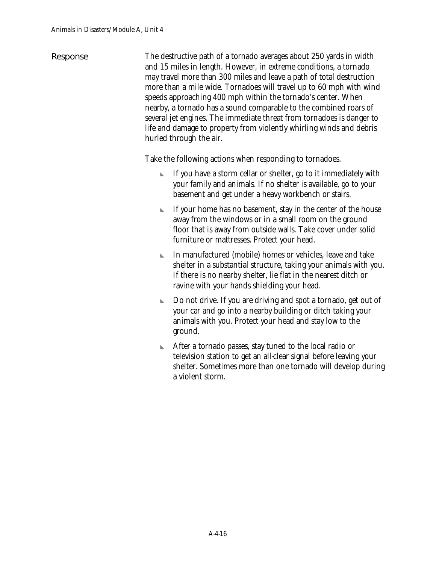Response The destructive path of a tornado averages about 250 yards in width and 15 miles in length. However, in extreme conditions, a tornado may travel more than 300 miles and leave a path of total destruction more than a mile wide. Tornadoes will travel up to 60 mph with wind speeds approaching 400 mph within the tornado's center. When nearby, a tornado has a sound comparable to the combined roars of several jet engines. The immediate threat from tornadoes is danger to life and damage to property from violently whirling winds and debris hurled through the air.

Take the following actions when responding to tornadoes.

- $\blacksquare$  If you have a storm cellar or shelter, go to it immediately with your family and animals. If no shelter is available, go to your basement and get under a heavy workbench or stairs.
- $\blacksquare$  If your home has no basement, stay in the center of the house away from the windows or in a small room on the ground floor that is away from outside walls. Take cover under solid furniture or mattresses. Protect your head.
- $\Box$  In manufactured (mobile) homes or vehicles, leave and take shelter in a substantial structure, taking your animals with you. If there is no nearby shelter, lie flat in the nearest ditch or ravine with your hands shielding your head.
- $\Box$  Do not drive. If you are driving and spot a tornado, get out of your car and go into a nearby building or ditch taking your animals with you. Protect your head and stay low to the ground.
- $\blacktriangleright$  After a tornado passes, stay tuned to the local radio or television station to get an all-clear signal before leaving your shelter. Sometimes more than one tornado will develop during a violent storm.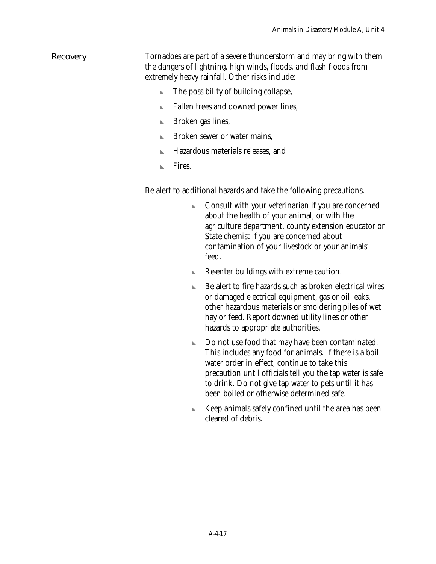Recovery Tornadoes are part of a severe thunderstorm and may bring with them the dangers of lightning, high winds, floods, and flash floods from extremely heavy rainfall. Other risks include:

- $\Box$  The possibility of building collapse,
- $\blacktriangleright$  Fallen trees and downed power lines,
- $\Box$  Broken gas lines,
- $\blacktriangleright$  Broken sewer or water mains,
- : Hazardous materials releases, and
- $\blacktriangleright$  Fires.

Be alert to additional hazards and take the following precautions.

- $\Box$  Consult with your veterinarian if you are concerned about the health of your animal, or with the agriculture department, county extension educator or State chemist if you are concerned about contamination of your livestock or your animals' feed.
- $\blacktriangleright$  Re-enter buildings with extreme caution.
- : Be alert to fire hazards such as broken electrical wires or damaged electrical equipment, gas or oil leaks, other hazardous materials or smoldering piles of wet hay or feed. Report downed utility lines or other hazards to appropriate authorities.
- Do not use food that may have been contaminated. This includes any food for animals. If there is a boil water order in effect, continue to take this precaution until officials tell you the tap water is safe to drink. Do not give tap water to pets until it has been boiled or otherwise determined safe.
- $\blacktriangleright$  Keep animals safely confined until the area has been cleared of debris.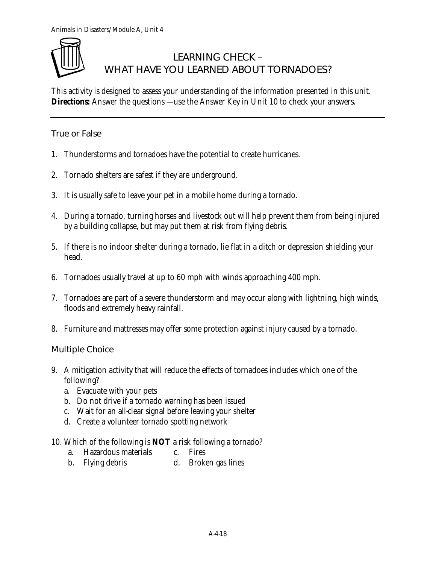

## LEARNING CHECK – WHAT HAVE YOU LEARNED ABOUT TORNADOES?

This activity is designed to assess your understanding of the information presented in this unit. **Directions:** Answer the questions – use the Answer Key in Unit 10 to check your answers.

#### True or False

- 1. Thunderstorms and tornadoes have the potential to create hurricanes.
- 2. Tornado shelters are safest if they are underground.
- 3. It is usually safe to leave your pet in a mobile home during a tornado.
- 4. During a tornado, turning horses and livestock out will help prevent them from being injured by a building collapse, but may put them at risk from flying debris.
- 5. If there is no indoor shelter during a tornado, lie flat in a ditch or depression shielding your head.
- 6. Tornadoes usually travel at up to 60 mph with winds approaching 400 mph.
- 7. Tornadoes are part of a severe thunderstorm and may occur along with lightning, high winds, floods and extremely heavy rainfall.
- 8. Furniture and mattresses may offer some protection against injury caused by a tornado.

- 9. A mitigation activity that will reduce the effects of tornadoes includes which one of the following?
	- a. Evacuate with your pets
	- b. Do not drive if a tornado warning has been issued
	- c. Wait for an all-clear signal before leaving your shelter
	- d. Create a volunteer tornado spotting network
- 10. Which of the following is **NOT** a risk following a tornado?
	- a. Hazardous materials c. Fires
	- b. Flying debris d. Broken gas lines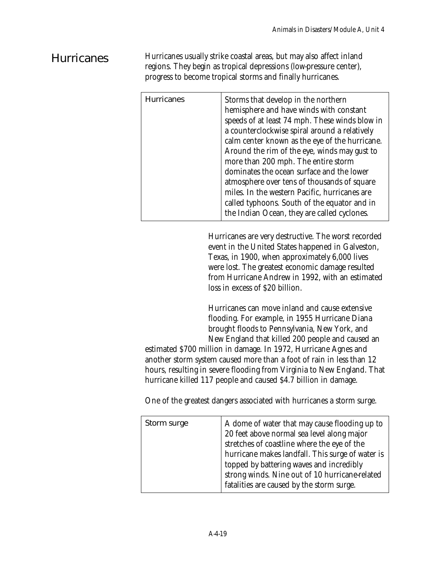Hurricanes Hurricanes usually strike coastal areas, but may also affect inland regions. They begin as tropical depressions (low-pressure center), progress to become tropical storms and finally hurricanes.

| atmosphere over tens of thousands of square<br>miles. In the western Pacific, hurricanes are<br>called typhoons. South of the equator and in<br>the Indian Ocean, they are called cyclones. | <b>Hurricanes</b> | Storms that develop in the northern<br>hemisphere and have winds with constant<br>speeds of at least 74 mph. These winds blow in<br>a counterclockwise spiral around a relatively<br>calm center known as the eye of the hurricane.<br>Around the rim of the eye, winds may gust to<br>more than 200 mph. The entire storm<br>dominates the ocean surface and the lower |
|---------------------------------------------------------------------------------------------------------------------------------------------------------------------------------------------|-------------------|-------------------------------------------------------------------------------------------------------------------------------------------------------------------------------------------------------------------------------------------------------------------------------------------------------------------------------------------------------------------------|
|---------------------------------------------------------------------------------------------------------------------------------------------------------------------------------------------|-------------------|-------------------------------------------------------------------------------------------------------------------------------------------------------------------------------------------------------------------------------------------------------------------------------------------------------------------------------------------------------------------------|

Hurricanes are very destructive. The worst recorded event in the United States happened in Galveston, Texas, in 1900, when approximately 6,000 lives were lost. The greatest economic damage resulted from Hurricane Andrew in 1992, with an estimated loss in excess of \$20 billion.

Hurricanes can move inland and cause extensive flooding. For example, in 1955 Hurricane Diana brought floods to Pennsylvania, New York, and New England that killed 200 people and caused an

estimated \$700 million in damage. In 1972, Hurricane Agnes and another storm system caused more than a foot of rain in less than 12 hours, resulting in severe flooding from Virginia to New England. That hurricane killed 117 people and caused \$4.7 billion in damage.

One of the greatest dangers associated with hurricanes a storm surge.

| Storm surge                                                                                                                                                                                                                                                                                                                               |  |
|-------------------------------------------------------------------------------------------------------------------------------------------------------------------------------------------------------------------------------------------------------------------------------------------------------------------------------------------|--|
| A dome of water that may cause flooding up to<br>20 feet above normal sea level along major<br>stretches of coastline where the eye of the<br>hurricane makes landfall. This surge of water is<br>topped by battering waves and incredibly<br>strong winds. Nine out of 10 hurricane-related<br>fatalities are caused by the storm surge. |  |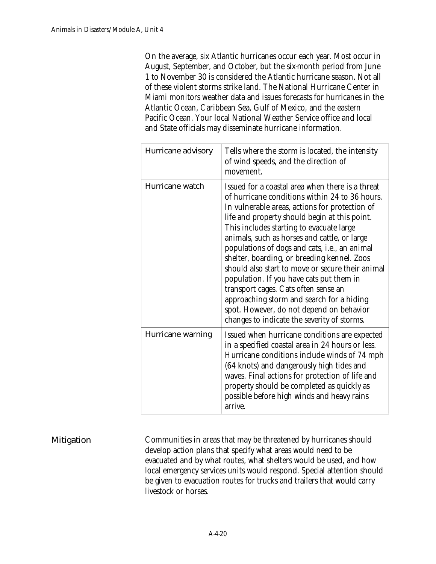On the average, six Atlantic hurricanes occur each year. Most occur in August, September, and October, but the six-month period from June 1 to November 30 is considered the Atlantic hurricane season. Not all of these violent storms strike land. The National Hurricane Center in Miami monitors weather data and issues forecasts for hurricanes in the Atlantic Ocean, Caribbean Sea, Gulf of Mexico, and the eastern Pacific Ocean. Your local National Weather Service office and local and State officials may disseminate hurricane information.

| Hurricane advisory | Tells where the storm is located, the intensity<br>of wind speeds, and the direction of<br>movement.                                                                                                                                                                                                                                                                                                                                                                                                                                                                                                                                                                                      |
|--------------------|-------------------------------------------------------------------------------------------------------------------------------------------------------------------------------------------------------------------------------------------------------------------------------------------------------------------------------------------------------------------------------------------------------------------------------------------------------------------------------------------------------------------------------------------------------------------------------------------------------------------------------------------------------------------------------------------|
| Hurricane watch    | Issued for a coastal area when there is a threat<br>of hurricane conditions within 24 to 36 hours.<br>In vulnerable areas, actions for protection of<br>life and property should begin at this point.<br>This includes starting to evacuate large<br>animals, such as horses and cattle, or large<br>populations of dogs and cats, <i>i.e.</i> , an animal<br>shelter, boarding, or breeding kennel. Zoos<br>should also start to move or secure their animal<br>population. If you have cats put them in<br>transport cages. Cats often sense an<br>approaching storm and search for a hiding<br>spot. However, do not depend on behavior<br>changes to indicate the severity of storms. |
| Hurricane warning  | Issued when hurricane conditions are expected<br>in a specified coastal area in 24 hours or less.<br>Hurricane conditions include winds of 74 mph<br>(64 knots) and dangerously high tides and<br>waves. Final actions for protection of life and<br>property should be completed as quickly as<br>possible before high winds and heavy rains<br>arrive.                                                                                                                                                                                                                                                                                                                                  |

Mitigation Communities in areas that may be threatened by hurricanes should develop action plans that specify what areas would need to be evacuated and by what routes, what shelters would be used, and how local emergency services units would respond. Special attention should be given to evacuation routes for trucks and trailers that would carry livestock or horses.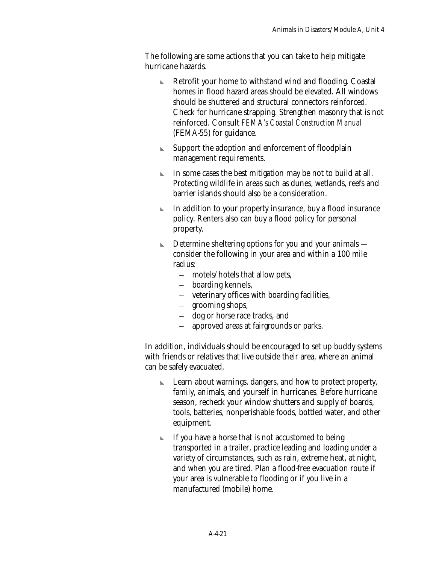The following are some actions that you can take to help mitigate hurricane hazards.

- Retrofit your home to withstand wind and flooding. Coastal homes in flood hazard areas should be elevated. All windows should be shuttered and structural connectors reinforced. Check for hurricane strapping. Strengthen masonry that is not reinforced. Consult *FEMA's Coastal Construction Manual* (FEMA-55) for guidance.
- Support the adoption and enforcement of floodplain management requirements.
- In some cases the best mitigation may be not to build at all. Protecting wildlife in areas such as dunes, wetlands, reefs and barrier islands should also be a consideration.
- $\Box$  In addition to your property insurance, buy a flood insurance policy. Renters also can buy a flood policy for personal property.
- $\Box$  Determine sheltering options for you and your animals  $\Box$ consider the following in your area and within a 100 mile radius:
	- motels/hotels that allow pets,
	- boarding kennels,
	- veterinary offices with boarding facilities,
	- grooming shops,
	- dog or horse race tracks, and
	- approved areas at fairgrounds or parks.

In addition, individuals should be encouraged to set up buddy systems with friends or relatives that live outside their area, where an animal can be safely evacuated.

- $\Box$  Learn about warnings, dangers, and how to protect property, family, animals, and yourself in hurricanes. Before hurricane season, recheck your window shutters and supply of boards, tools, batteries, nonperishable foods, bottled water, and other equipment.
- $\blacktriangleright$  If you have a horse that is not accustomed to being transported in a trailer, practice leading and loading under a variety of circumstances, such as rain, extreme heat, at night, and when you are tired. Plan a flood-free evacuation route if your area is vulnerable to flooding or if you live in a manufactured (mobile) home.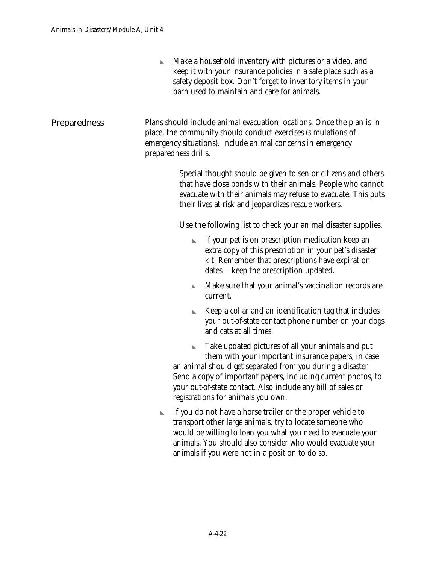|              | Make a household inventory with pictures or a video, and<br>$\mathbf{h}$<br>keep it with your insurance policies in a safe place such as a<br>safety deposit box. Don't forget to inventory items in your<br>barn used to maintain and care for animals.                                                                                          |
|--------------|---------------------------------------------------------------------------------------------------------------------------------------------------------------------------------------------------------------------------------------------------------------------------------------------------------------------------------------------------|
| Preparedness | Plans should include animal evacuation locations. Once the plan is in<br>place, the community should conduct exercises (simulations of<br>emergency situations). Include animal concerns in emergency<br>preparedness drills.                                                                                                                     |
|              | Special thought should be given to senior citizens and others<br>that have close bonds with their animals. People who cannot<br>evacuate with their animals may refuse to evacuate. This puts<br>their lives at risk and jeopardizes rescue workers.                                                                                              |
|              | Use the following list to check your animal disaster supplies.                                                                                                                                                                                                                                                                                    |
|              | If your pet is on prescription medication keep an<br>K<br>extra copy of this prescription in your pet's disaster<br>kit. Remember that prescriptions have expiration<br>dates – keep the prescription updated.                                                                                                                                    |
|              | Make sure that your animal's vaccination records are<br>ь<br>current.                                                                                                                                                                                                                                                                             |
|              | Keep a collar and an identification tag that includes<br>N<br>your out-of-state contact phone number on your dogs<br>and cats at all times.                                                                                                                                                                                                       |
|              | Take updated pictures of all your animals and put<br>ь<br>them with your important insurance papers, in case<br>an animal should get separated from you during a disaster.<br>Send a copy of important papers, including current photos, to<br>your out-of-state contact. Also include any bill of sales or<br>registrations for animals you own. |
|              | If you do not have a horse trailer or the proper vehicle to<br>ь<br>transport other large animals, try to locate someone who<br>would be willing to loan you what you need to evacuate your<br>animals. You should also consider who would evacuate your<br>animals if you were not in a position to do so.                                       |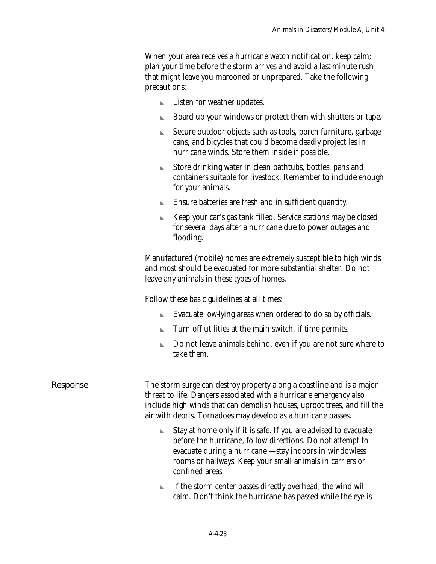When your area receives a hurricane watch notification, keep calm; plan your time before the storm arrives and avoid a last-minute rush that might leave you marooned or unprepared. Take the following precautions:

- $\Box$  Listen for weather updates.
- $\Box$  Board up your windows or protect them with shutters or tape.
- Secure outdoor objects such as tools, porch furniture, garbage cans, and bicycles that could become deadly projectiles in hurricane winds. Store them inside if possible.
- $\Box$  Store drinking water in clean bathtubs, bottles, pans and containers suitable for livestock. Remember to include enough for your animals.
- $\Box$  Ensure batteries are fresh and in sufficient quantity.
- $\blacktriangleright$  Keep your car's gas tank filled. Service stations may be closed for several days after a hurricane due to power outages and flooding.

Manufactured (mobile) homes are extremely susceptible to high winds and most should be evacuated for more substantial shelter. Do not leave any animals in these types of homes.

Follow these basic guidelines at all times:

- $\Box$  Evacuate low-lying areas when ordered to do so by officials.
- $\Box$  Turn off utilities at the main switch, if time permits.
- $\Box$  Do not leave animals behind, even if you are not sure where to take them.

| Response | The storm surge can destroy property along a coastline and is a major   |
|----------|-------------------------------------------------------------------------|
|          | threat to life. Dangers associated with a hurricane emergency also      |
|          | include high winds that can demolish houses, uproot trees, and fill the |
|          | air with debris. Tornadoes may develop as a hurricane passes.           |
|          | $\sim$ Stay at home only if it is safe. If you are advised to evacuate  |

- $\blacktriangleright$  Stay at home only if it is safe. If you are advised to evacuate before the hurricane, follow directions. Do not attempt to evacuate during a hurricane — stay indoors in windowless rooms or hallways. Keep your small animals in carriers or confined areas.
- $\blacksquare$  If the storm center passes directly overhead, the wind will calm. Don't think the hurricane has passed while the eye is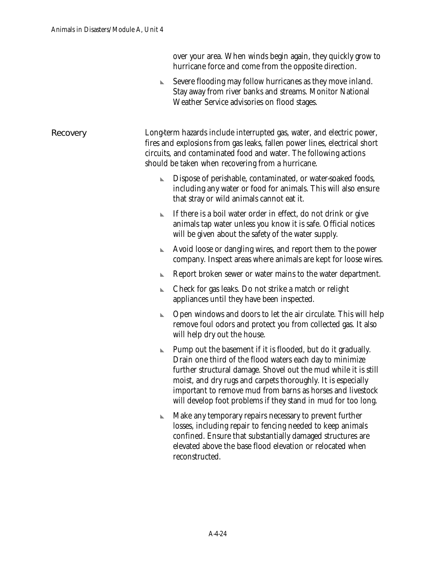|          | over your area. When winds begin again, they quickly grow to<br>hurricane force and come from the opposite direction.                                                                                                                                                                                                                                                                           |
|----------|-------------------------------------------------------------------------------------------------------------------------------------------------------------------------------------------------------------------------------------------------------------------------------------------------------------------------------------------------------------------------------------------------|
|          | Severe flooding may follow hurricanes as they move inland.<br>ь<br>Stay away from river banks and streams. Monitor National<br>Weather Service advisories on flood stages.                                                                                                                                                                                                                      |
| Recovery | Long-term hazards include interrupted gas, water, and electric power,<br>fires and explosions from gas leaks, fallen power lines, electrical short<br>circuits, and contaminated food and water. The following actions<br>should be taken when recovering from a hurricane.                                                                                                                     |
|          | Dispose of perishable, contaminated, or water-soaked foods,<br>Ы<br>including any water or food for animals. This will also ensure<br>that stray or wild animals cannot eat it.                                                                                                                                                                                                                 |
|          | If there is a boil water order in effect, do not drink or give<br>Ы<br>animals tap water unless you know it is safe. Official notices<br>will be given about the safety of the water supply.                                                                                                                                                                                                    |
|          | Avoid loose or dangling wires, and report them to the power<br>ь<br>company. Inspect areas where animals are kept for loose wires.                                                                                                                                                                                                                                                              |
|          | Report broken sewer or water mains to the water department.<br>ь                                                                                                                                                                                                                                                                                                                                |
|          | Check for gas leaks. Do not strike a match or relight<br>N<br>appliances until they have been inspected.                                                                                                                                                                                                                                                                                        |
|          | Open windows and doors to let the air circulate. This will help<br>ь<br>remove foul odors and protect you from collected gas. It also<br>will help dry out the house.                                                                                                                                                                                                                           |
|          | Pump out the basement if it is flooded, but do it gradually.<br>ь<br>Drain one third of the flood waters each day to minimize<br>further structural damage. Shovel out the mud while it is still<br>moist, and dry rugs and carpets thoroughly. It is especially<br>important to remove mud from barns as horses and livestock<br>will develop foot problems if they stand in mud for too long. |
|          | Make any temporary repairs necessary to prevent further<br>ь<br>losses, including repair to fencing needed to keep animals<br>confined. Ensure that substantially damaged structures are<br>elevated above the base flood elevation or relocated when<br>reconstructed.                                                                                                                         |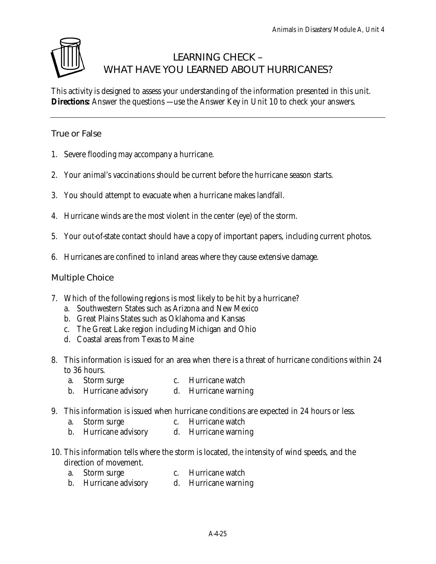

## LEARNING CHECK – WHAT HAVE YOU LEARNED ABOUT HURRICANES?

This activity is designed to assess your understanding of the information presented in this unit. **Directions:** Answer the questions – use the Answer Key in Unit 10 to check your answers.

#### True or False

- 1. Severe flooding may accompany a hurricane.
- 2. Your animal's vaccinations should be current before the hurricane season starts.
- 3. You should attempt to evacuate when a hurricane makes landfall.
- 4. Hurricane winds are the most violent in the center (eye) of the storm.
- 5. Your out-of-state contact should have a copy of important papers, including current photos.
- 6. Hurricanes are confined to inland areas where they cause extensive damage.

- 7. Which of the following regions is most likely to be hit by a hurricane?
	- a. Southwestern States such as Arizona and New Mexico
	- b. Great Plains States such as Oklahoma and Kansas
	- c. The Great Lake region including Michigan and Ohio
	- d. Coastal areas from Texas to Maine
- 8. This information is issued for an area when there is a threat of hurricane conditions within 24 to 36 hours.
	- a. Storm surge c. Hurricane watch
	- b. Hurricane advisory d. Hurricane warning
- 9. This information is issued when hurricane conditions are expected in 24 hours or less.
	- a. Storm surge c. Hurricane watch
	- b. Hurricane advisory d. Hurricane warning
- 10. This information tells where the storm is located, the intensity of wind speeds, and the direction of movement.
	- a. Storm surge c. Hurricane watch
	- b. Hurricane advisory d. Hurricane warning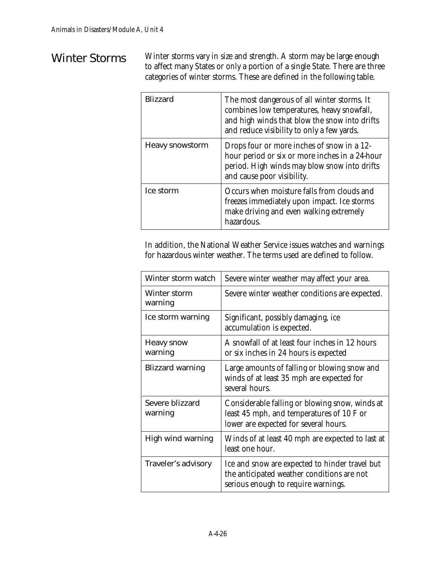Winter Storms Winter storms vary in size and strength. A storm may be large enough to affect many States or only a portion of a single State. There are three categories of winter storms. These are defined in the following table.

| <b>Blizzard</b> | The most dangerous of all winter storms. It<br>combines low temperatures, heavy snowfall,<br>and high winds that blow the snow into drifts<br>and reduce visibility to only a few yards. |  |
|-----------------|------------------------------------------------------------------------------------------------------------------------------------------------------------------------------------------|--|
| Heavy snowstorm | Drops four or more inches of snow in a 12-<br>hour period or six or more inches in a 24-hour<br>period. High winds may blow snow into drifts<br>and cause poor visibility.               |  |
| Ice storm       | Occurs when moisture falls from clouds and<br>freezes immediately upon impact. Ice storms<br>make driving and even walking extremely<br>hazardous.                                       |  |

In addition, the National Weather Service issues watches and warnings for hazardous winter weather. The terms used are defined to follow.

| Winter storm watch         | Severe winter weather may affect your area.                                                                                          |  |
|----------------------------|--------------------------------------------------------------------------------------------------------------------------------------|--|
| Winter storm<br>warning    | Severe winter weather conditions are expected.                                                                                       |  |
| Ice storm warning          | Significant, possibly damaging, ice.<br>accumulation is expected.                                                                    |  |
| Heavy snow<br>warning      | A snowfall of at least four inches in 12 hours<br>or six inches in 24 hours is expected                                              |  |
| Blizzard warning           | Large amounts of falling or blowing snow and<br>winds of at least 35 mph are expected for<br>several hours.                          |  |
| Severe blizzard<br>warning | Considerable falling or blowing snow, winds at<br>least 45 mph, and temperatures of 10 F or<br>lower are expected for several hours. |  |
| High wind warning          | Winds of at least 40 mph are expected to last at<br>least one hour.                                                                  |  |
| Traveler's advisory        | Ice and snow are expected to hinder travel but<br>the anticipated weather conditions are not<br>serious enough to require warnings.  |  |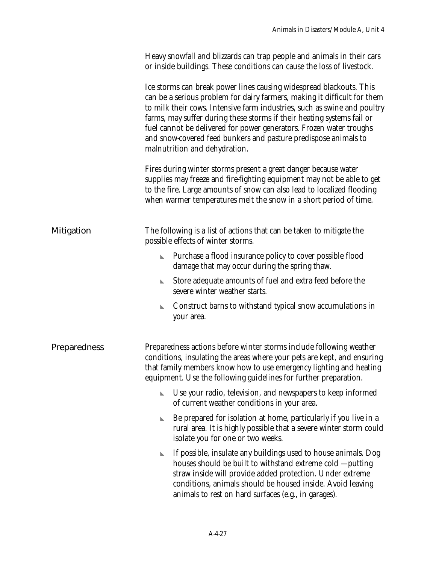|              | Heavy snowfall and blizzards can trap people and animals in their cars<br>or inside buildings. These conditions can cause the loss of livestock.                                                                                                                                                                                                                                                                                                                                 |
|--------------|----------------------------------------------------------------------------------------------------------------------------------------------------------------------------------------------------------------------------------------------------------------------------------------------------------------------------------------------------------------------------------------------------------------------------------------------------------------------------------|
|              | Ice storms can break power lines causing widespread blackouts. This<br>can be a serious problem for dairy farmers, making it difficult for them<br>to milk their cows. Intensive farm industries, such as swine and poultry<br>farms, may suffer during these storms if their heating systems fail or<br>fuel cannot be delivered for power generators. Frozen water troughs<br>and snow-covered feed bunkers and pasture predispose animals to<br>malnutrition and dehydration. |
|              | Fires during winter storms present a great danger because water<br>supplies may freeze and fire-fighting equipment may not be able to get<br>to the fire. Large amounts of snow can also lead to localized flooding<br>when warmer temperatures melt the snow in a short period of time.                                                                                                                                                                                         |
| Mitigation   | The following is a list of actions that can be taken to mitigate the<br>possible effects of winter storms.                                                                                                                                                                                                                                                                                                                                                                       |
|              | Purchase a flood insurance policy to cover possible flood<br>damage that may occur during the spring thaw.                                                                                                                                                                                                                                                                                                                                                                       |
|              | Store adequate amounts of fuel and extra feed before the<br>ь<br>severe winter weather starts.                                                                                                                                                                                                                                                                                                                                                                                   |
|              | Construct barns to withstand typical snow accumulations in<br>ь<br>your area.                                                                                                                                                                                                                                                                                                                                                                                                    |
| Preparedness | Preparedness actions before winter storms include following weather<br>conditions, insulating the areas where your pets are kept, and ensuring<br>that family members know how to use emergency lighting and heating<br>equipment. Use the following guidelines for further preparation.                                                                                                                                                                                         |
|              | Use your radio, television, and newspapers to keep informed<br>of current weather conditions in your area.                                                                                                                                                                                                                                                                                                                                                                       |
|              | Be prepared for isolation at home, particularly if you live in a<br>ь<br>rural area. It is highly possible that a severe winter storm could<br>isolate you for one or two weeks.                                                                                                                                                                                                                                                                                                 |
|              | If possible, insulate any buildings used to house animals. Dog<br>N<br>houses should be built to withstand extreme cold - putting<br>straw inside will provide added protection. Under extreme<br>conditions, animals should be housed inside. Avoid leaving<br>animals to rest on hard surfaces (e.g., in garages).                                                                                                                                                             |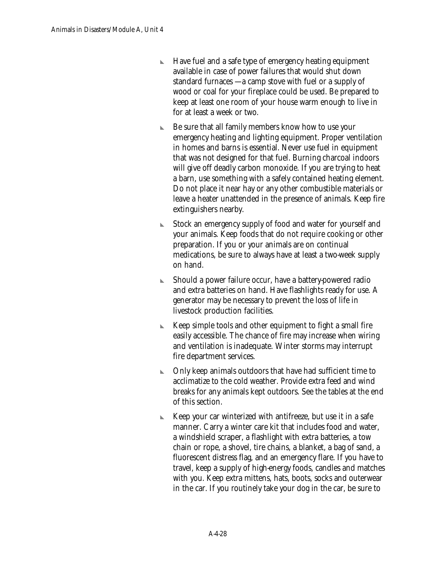- Have fuel and a safe type of emergency heating equipment available in case of power failures that would shut down standard furnaces — a camp stove with fuel or a supply of wood or coal for your fireplace could be used. Be prepared to keep at least one room of your house warm enough to live in for at least a week or two.
- $\blacktriangleright$  Be sure that all family members know how to use your emergency heating and lighting equipment. Proper ventilation in homes and barns is essential. Never use fuel in equipment that was not designed for that fuel. Burning charcoal indoors will give off deadly carbon monoxide. If you are trying to heat a barn, use something with a safely contained heating element. Do not place it near hay or any other combustible materials or leave a heater unattended in the presence of animals. Keep fire extinguishers nearby.
- $\Box$  Stock an emergency supply of food and water for yourself and your animals. Keep foods that do not require cooking or other preparation. If you or your animals are on continual medications, be sure to always have at least a two-week supply on hand.
- Should a power failure occur, have a battery-powered radio and extra batteries on hand. Have flashlights ready for use. A generator may be necessary to prevent the loss of life in livestock production facilities.
- $\blacktriangleright$  Keep simple tools and other equipment to fight a small fire easily accessible. The chance of fire may increase when wiring and ventilation is inadequate. Winter storms may interrupt fire department services.
- $\Box$  Only keep animals outdoors that have had sufficient time to acclimatize to the cold weather. Provide extra feed and wind breaks for any animals kept outdoors. See the tables at the end of this section.
- $\blacktriangleright$  Keep your car winterized with antifreeze, but use it in a safe manner. Carry a winter care kit that includes food and water, a windshield scraper, a flashlight with extra batteries, a tow chain or rope, a shovel, tire chains, a blanket, a bag of sand, a fluorescent distress flag, and an emergency flare. If you have to travel, keep a supply of high-energy foods, candles and matches with you. Keep extra mittens, hats, boots, socks and outerwear in the car. If you routinely take your dog in the car, be sure to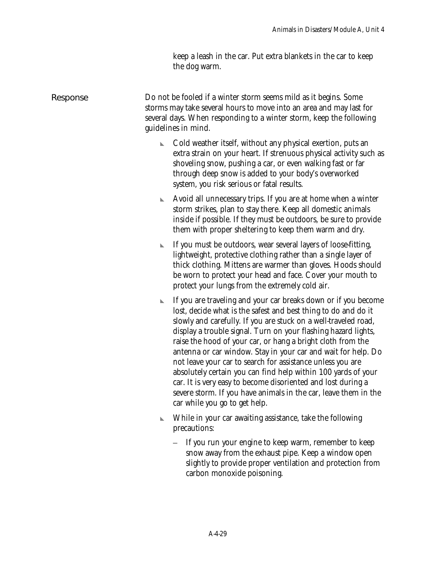| keep a leash in the car. Put extra blankets in the car to keep |  |  |
|----------------------------------------------------------------|--|--|
| the dog warm.                                                  |  |  |

| Response | Do not be fooled if a winter storm seems mild as it begins. Some<br>storms may take several hours to move into an area and may last for<br>several days. When responding to a winter storm, keep the following<br>guidelines in mind. |                                                                                                                                                                                                                                                                                                                                                                                                                                                                                                                                                                                                                                                                                                          |  |
|----------|---------------------------------------------------------------------------------------------------------------------------------------------------------------------------------------------------------------------------------------|----------------------------------------------------------------------------------------------------------------------------------------------------------------------------------------------------------------------------------------------------------------------------------------------------------------------------------------------------------------------------------------------------------------------------------------------------------------------------------------------------------------------------------------------------------------------------------------------------------------------------------------------------------------------------------------------------------|--|
|          |                                                                                                                                                                                                                                       | Cold weather itself, without any physical exertion, puts an<br>extra strain on your heart. If strenuous physical activity such as<br>shoveling snow, pushing a car, or even walking fast or far<br>through deep snow is added to your body's overworked<br>system, you risk serious or fatal results.                                                                                                                                                                                                                                                                                                                                                                                                    |  |
|          | Ы                                                                                                                                                                                                                                     | Avoid all unnecessary trips. If you are at home when a winter<br>storm strikes, plan to stay there. Keep all domestic animals<br>inside if possible. If they must be outdoors, be sure to provide<br>them with proper sheltering to keep them warm and dry.                                                                                                                                                                                                                                                                                                                                                                                                                                              |  |
|          | Ы                                                                                                                                                                                                                                     | If you must be outdoors, wear several layers of loose-fitting,<br>lightweight, protective clothing rather than a single layer of<br>thick clothing. Mittens are warmer than gloves. Hoods should<br>be worn to protect your head and face. Cover your mouth to<br>protect your lungs from the extremely cold air.                                                                                                                                                                                                                                                                                                                                                                                        |  |
|          | ь                                                                                                                                                                                                                                     | If you are traveling and your car breaks down or if you become<br>lost, decide what is the safest and best thing to do and do it<br>slowly and carefully. If you are stuck on a well-traveled road,<br>display a trouble signal. Turn on your flashing hazard lights,<br>raise the hood of your car, or hang a bright cloth from the<br>antenna or car window. Stay in your car and wait for help. Do<br>not leave your car to search for assistance unless you are<br>absolutely certain you can find help within 100 yards of your<br>car. It is very easy to become disoriented and lost during a<br>severe storm. If you have animals in the car, leave them in the<br>car while you go to get help. |  |
|          |                                                                                                                                                                                                                                       | While in your car awaiting assistance, take the following<br>precautions:                                                                                                                                                                                                                                                                                                                                                                                                                                                                                                                                                                                                                                |  |
|          |                                                                                                                                                                                                                                       | If you run your engine to keep warm, remember to keep<br>snow away from the exhaust pipe. Keep a window open<br>slightly to provide proper ventilation and protection from                                                                                                                                                                                                                                                                                                                                                                                                                                                                                                                               |  |

carbon monoxide poisoning.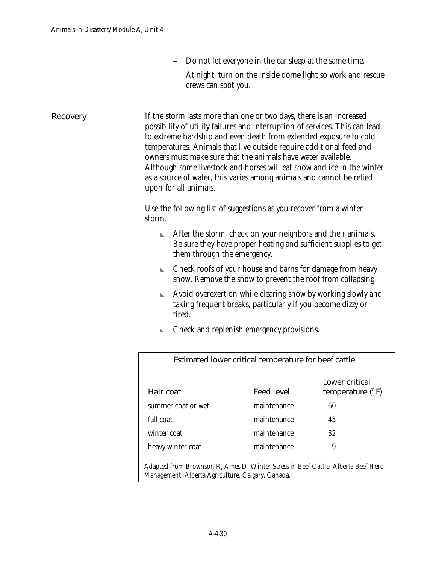- Do not let everyone in the car sleep at the same time.
- At night, turn on the inside dome light so work and rescue crews can spot you.

Recovery **If the storm lasts more than one or two days, there is an increased** possibility of utility failures and interruption of services. This can lead to extreme hardship and even death from extended exposure to cold temperatures. Animals that live outside require additional feed and owners must make sure that the animals have water available. Although some livestock and horses will eat snow and ice in the winter as a source of water, this varies among animals and cannot be relied upon for all animals.

> Use the following list of suggestions as you recover from a winter storm.

- $\blacktriangleright$  After the storm, check on your neighbors and their animals. Be sure they have proper heating and sufficient supplies to get them through the emergency.
- $\Box$  Check roofs of your house and barns for damage from heavy snow. Remove the snow to prevent the roof from collapsing.
- $\blacktriangleright$  Avoid overexertion while clearing snow by working slowly and taking frequent breaks, particularly if you become dizzy or tired.
- $\Box$  Check and replenish emergency provisions.

| Estimated lower critical temperature for beef cattle                                                                                  |             |                                      |  |  |
|---------------------------------------------------------------------------------------------------------------------------------------|-------------|--------------------------------------|--|--|
| Hair coat                                                                                                                             | Feed level  | Lower critical<br>temperature $(°F)$ |  |  |
| summer coat or wet                                                                                                                    | maintenance | 60                                   |  |  |
| fall coat                                                                                                                             | maintenance | 45                                   |  |  |
| winter coat                                                                                                                           | maintenance | 32                                   |  |  |
| heavy winter coat                                                                                                                     | maintenance | 19                                   |  |  |
| Adapted from Brownson R, Ames D. Winter Stress in Beef Cattle. Alberta Beef Herd<br>Management. Alberta Agriculture, Calgary, Canada. |             |                                      |  |  |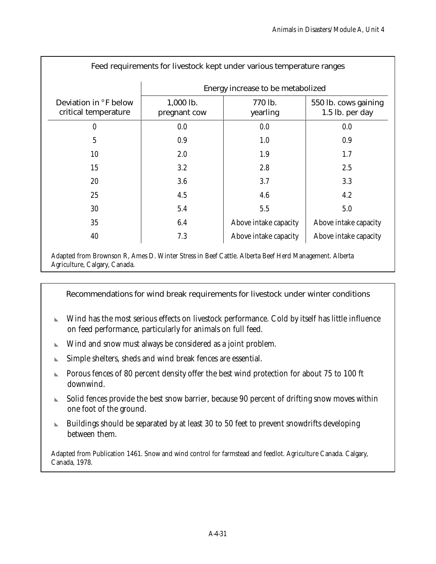| Feed requirements for livestock kept under various temperature ranges |                                   |                       |                                         |
|-----------------------------------------------------------------------|-----------------------------------|-----------------------|-----------------------------------------|
|                                                                       | Energy increase to be metabolized |                       |                                         |
| Deviation in <sup>o</sup> F below<br>critical temperature             | 1,000 lb.<br>pregnant cow         | 770 lb.<br>yearling   | 550 lb. cows gaining<br>1.5 lb. per day |
| $\overline{0}$                                                        | 0.0                               | 0.0                   | 0.0                                     |
| $\overline{5}$                                                        | 0.9                               | 1.0                   | 0.9                                     |
| 10                                                                    | 2.0                               | 1.9                   | 1.7                                     |
| 15                                                                    | 3.2                               | 2.8                   | 2.5                                     |
| 20                                                                    | 3.6                               | 3.7                   | 3.3                                     |
| 25                                                                    | 4.5                               | 4.6                   | 4.2                                     |
| 30                                                                    | 5.4                               | 5.5                   | 5.0                                     |
| 35                                                                    | 6.4                               | Above intake capacity | Above intake capacity                   |
| 40                                                                    | 7.3                               | Above intake capacity | Above intake capacity                   |

Adapted from Brownson R, Ames D. Winter Stress in Beef Cattle. Alberta Beef Herd Management. Alberta Agriculture, Calgary, Canada.

Recommendations for wind break requirements for livestock under winter conditions

- Wind has the most serious effects on livestock performance. Cold by itself has little influence on feed performance, particularly for animals on full feed.
- $\blacktriangleright$  Wind and snow must always be considered as a joint problem.
- $\blacktriangleright$  Simple shelters, sheds and wind break fences are essential.
- Porous fences of 80 percent density offer the best wind protection for about 75 to 100 ft downwind.
- $\blacktriangleright$  Solid fences provide the best snow barrier, because 90 percent of drifting snow moves within one foot of the ground.
- $\blacktriangleright$  Buildings should be separated by at least 30 to 50 feet to prevent snowdrifts developing between them.

Adapted from Publication 1461. Snow and wind control for farmstead and feedlot. Agriculture Canada. Calgary, Canada, 1978.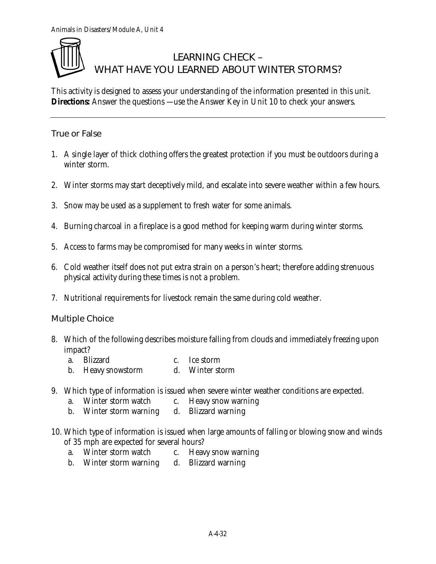## LEARNING CHECK – WHAT HAVE YOU LEARNED ABOUT WINTER STORMS? 1

This activity is designed to assess your understanding of the information presented in this unit. **Directions:** Answer the questions – use the Answer Key in Unit 10 to check your answers.

#### True or False

- 1. A single layer of thick clothing offers the greatest protection if you must be outdoors during a winter storm.
- 2. Winter storms may start deceptively mild, and escalate into severe weather within a few hours.
- 3. Snow may be used as a supplement to fresh water for some animals.
- 4. Burning charcoal in a fireplace is a good method for keeping warm during winter storms.
- 5. Access to farms may be compromised for many weeks in winter storms.
- 6. Cold weather itself does not put extra strain on a person's heart; therefore adding strenuous physical activity during these times is not a problem.
- 7. Nutritional requirements for livestock remain the same during cold weather.

- 8. Which of the following describes moisture falling from clouds and immediately freezing upon impact?
	- a. Blizzard c. Ice storm
	- b. Heavy snowstorm d. Winter storm
- 9. Which type of information is issued when severe winter weather conditions are expected.
	- a. Winter storm watch c. Heavy snow warning
	- b. Winter storm warning d. Blizzard warning
- 10. Which type of information is issued when large amounts of falling or blowing snow and winds of 35 mph are expected for several hours?
	- a. Winter storm watch c. Heavy snow warning
	- b. Winter storm warning d. Blizzard warning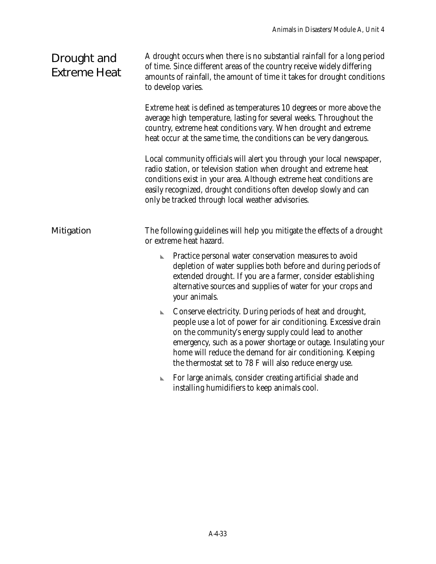| Drought and<br><b>Extreme Heat</b> |    | A drought occurs when there is no substantial rainfall for a long period<br>of time. Since different areas of the country receive widely differing<br>amounts of rainfall, the amount of time it takes for drought conditions<br>to develop varies.                                                                                                                              |
|------------------------------------|----|----------------------------------------------------------------------------------------------------------------------------------------------------------------------------------------------------------------------------------------------------------------------------------------------------------------------------------------------------------------------------------|
|                                    |    | Extreme heat is defined as temperatures 10 degrees or more above the<br>average high temperature, lasting for several weeks. Throughout the<br>country, extreme heat conditions vary. When drought and extreme<br>heat occur at the same time, the conditions can be very dangerous.                                                                                             |
|                                    |    | Local community officials will alert you through your local newspaper,<br>radio station, or television station when drought and extreme heat<br>conditions exist in your area. Although extreme heat conditions are<br>easily recognized, drought conditions often develop slowly and can<br>only be tracked through local weather advisories.                                   |
| Mitigation                         |    | The following guidelines will help you mitigate the effects of a drought<br>or extreme heat hazard.                                                                                                                                                                                                                                                                              |
|                                    | K. | Practice personal water conservation measures to avoid<br>depletion of water supplies both before and during periods of<br>extended drought. If you are a farmer, consider establishing<br>alternative sources and supplies of water for your crops and<br>your animals.                                                                                                         |
|                                    | K. | Conserve electricity. During periods of heat and drought,<br>people use a lot of power for air conditioning. Excessive drain<br>on the community's energy supply could lead to another<br>emergency, such as a power shortage or outage. Insulating your<br>home will reduce the demand for air conditioning. Keeping<br>the thermostat set to 78 F will also reduce energy use. |
|                                    | Ы  | For large animals, consider creating artificial shade and<br>installing humidifiers to keep animals cool.                                                                                                                                                                                                                                                                        |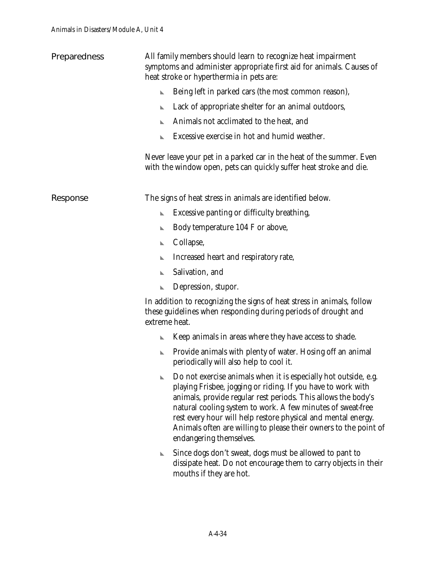| Preparedness | All family members should learn to recognize heat impairment<br>symptoms and administer appropriate first aid for animals. Causes of<br>heat stroke or hyperthermia in pets are:                                                                                                                                                                                                                                                |  |  |
|--------------|---------------------------------------------------------------------------------------------------------------------------------------------------------------------------------------------------------------------------------------------------------------------------------------------------------------------------------------------------------------------------------------------------------------------------------|--|--|
|              | Being left in parked cars (the most common reason),<br>ь                                                                                                                                                                                                                                                                                                                                                                        |  |  |
|              | Lack of appropriate shelter for an animal outdoors,<br>ь                                                                                                                                                                                                                                                                                                                                                                        |  |  |
|              | Animals not acclimated to the heat, and                                                                                                                                                                                                                                                                                                                                                                                         |  |  |
|              | Excessive exercise in hot and humid weather.                                                                                                                                                                                                                                                                                                                                                                                    |  |  |
|              | Never leave your pet in a parked car in the heat of the summer. Even<br>with the window open, pets can quickly suffer heat stroke and die.                                                                                                                                                                                                                                                                                      |  |  |
| Response     | The signs of heat stress in animals are identified below.                                                                                                                                                                                                                                                                                                                                                                       |  |  |
|              | Excessive panting or difficulty breathing,<br>ь                                                                                                                                                                                                                                                                                                                                                                                 |  |  |
|              | Body temperature 104 F or above,                                                                                                                                                                                                                                                                                                                                                                                                |  |  |
|              | Collapse,<br>ь                                                                                                                                                                                                                                                                                                                                                                                                                  |  |  |
|              | Increased heart and respiratory rate,<br>N                                                                                                                                                                                                                                                                                                                                                                                      |  |  |
|              | Salivation, and<br>ь                                                                                                                                                                                                                                                                                                                                                                                                            |  |  |
|              | Depression, stupor.                                                                                                                                                                                                                                                                                                                                                                                                             |  |  |
|              | In addition to recognizing the signs of heat stress in animals, follow<br>these guidelines when responding during periods of drought and<br>extreme heat.                                                                                                                                                                                                                                                                       |  |  |
|              | Keep animals in areas where they have access to shade.<br>ь                                                                                                                                                                                                                                                                                                                                                                     |  |  |
|              | Provide animals with plenty of water. Hosing off an animal<br>periodically will also help to cool it.                                                                                                                                                                                                                                                                                                                           |  |  |
|              | Do not exercise animals when it is especially hot outside, e.g.<br>playing Frisbee, jogging or riding. If you have to work with<br>animals, provide regular rest periods. This allows the body's<br>natural cooling system to work. A few minutes of sweat-free<br>rest every hour will help restore physical and mental energy.<br>Animals often are willing to please their owners to the point of<br>endangering themselves. |  |  |
|              | Since dogs don't sweat, dogs must be allowed to pant to<br>ь<br>dissipate heat. Do not encourage them to carry objects in their<br>mouths if they are hot.                                                                                                                                                                                                                                                                      |  |  |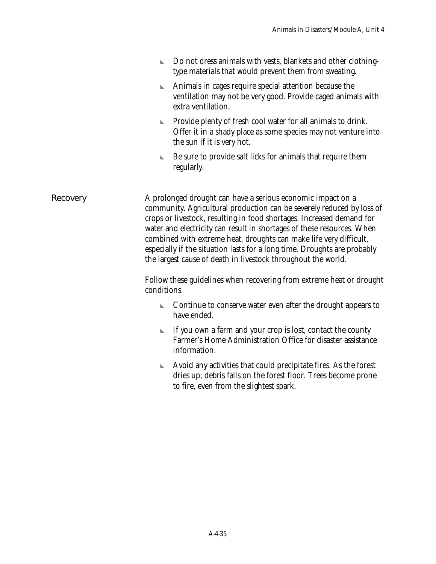|          | Do not dress animals with vests, blankets and other clothing-<br>type materials that would prevent them from sweating.                                                                                                                                                                                                                                                                                                                                                                                                                                                                            |
|----------|---------------------------------------------------------------------------------------------------------------------------------------------------------------------------------------------------------------------------------------------------------------------------------------------------------------------------------------------------------------------------------------------------------------------------------------------------------------------------------------------------------------------------------------------------------------------------------------------------|
|          | Animals in cages require special attention because the<br>ь<br>ventilation may not be very good. Provide caged animals with<br>extra ventilation.                                                                                                                                                                                                                                                                                                                                                                                                                                                 |
|          | Provide plenty of fresh cool water for all animals to drink.<br>Ы<br>Offer it in a shady place as some species may not venture into<br>the sun if it is very hot.                                                                                                                                                                                                                                                                                                                                                                                                                                 |
|          | Be sure to provide salt licks for animals that require them<br>ь<br>regularly.                                                                                                                                                                                                                                                                                                                                                                                                                                                                                                                    |
| Recovery | A prolonged drought can have a serious economic impact on a<br>community. Agricultural production can be severely reduced by loss of<br>crops or livestock, resulting in food shortages. Increased demand for<br>water and electricity can result in shortages of these resources. When<br>combined with extreme heat, droughts can make life very difficult,<br>especially if the situation lasts for a long time. Droughts are probably<br>the largest cause of death in livestock throughout the world.<br>Follow these guidelines when recovering from extreme heat or drought<br>conditions. |
|          | Continue to conserve water even after the drought appears to<br>have ended.                                                                                                                                                                                                                                                                                                                                                                                                                                                                                                                       |
|          | If you own a farm and your crop is lost, contact the county<br>$\mathbf{h}_i$<br>Farmer's Home Administration Office for disaster assistance<br>information.                                                                                                                                                                                                                                                                                                                                                                                                                                      |
|          | Avoid any activities that could precipitate fires. As the forest<br>ь<br>dries up, debris falls on the forest floor. Trees become prone<br>to fire, even from the slightest spark.                                                                                                                                                                                                                                                                                                                                                                                                                |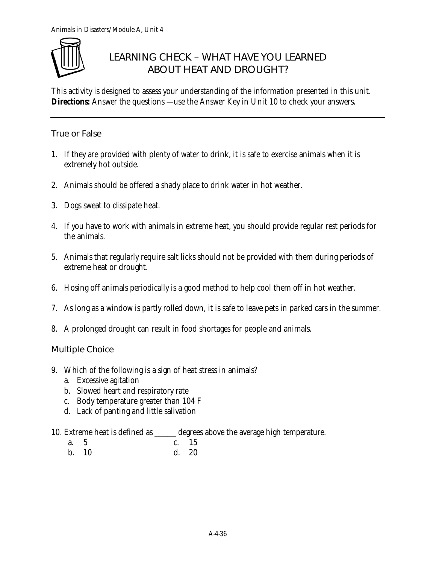

## LEARNING CHECK – WHAT HAVE YOU LEARNED ABOUT HEAT AND DROUGHT?

This activity is designed to assess your understanding of the information presented in this unit. **Directions:** Answer the questions – use the Answer Key in Unit 10 to check your answers.

### True or False

- 1. If they are provided with plenty of water to drink, it is safe to exercise animals when it is extremely hot outside.
- 2. Animals should be offered a shady place to drink water in hot weather.
- 3. Dogs sweat to dissipate heat.
- 4. If you have to work with animals in extreme heat, you should provide regular rest periods for the animals.
- 5. Animals that regularly require salt licks should not be provided with them during periods of extreme heat or drought.
- 6. Hosing off animals periodically is a good method to help cool them off in hot weather.
- 7. As long as a window is partly rolled down, it is safe to leave pets in parked cars in the summer.
- 8. A prolonged drought can result in food shortages for people and animals.

- 9. Which of the following is a sign of heat stress in animals?
	- a. Excessive agitation
	- b. Slowed heart and respiratory rate
	- c. Body temperature greater than 104 F
	- d. Lack of panting and little salivation
- 10. Extreme heat is defined as degrees above the average high temperature.
	- a. 5 c. 15 b. 10 d. 20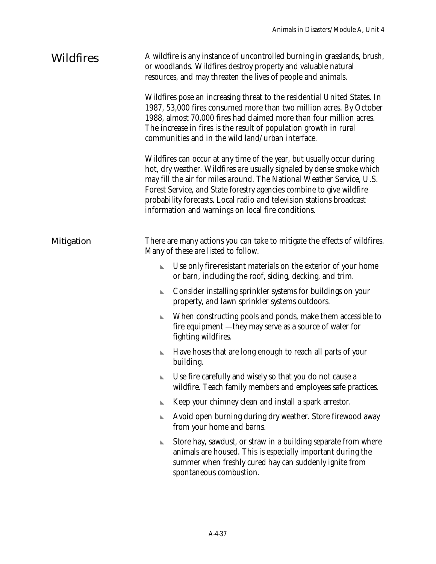| <b>Wildfires</b> | A wildfire is any instance of uncontrolled burning in grasslands, brush,<br>or woodlands. Wildfires destroy property and valuable natural<br>resources, and may threaten the lives of people and animals.                                                                                                                                                                                                                     |  |
|------------------|-------------------------------------------------------------------------------------------------------------------------------------------------------------------------------------------------------------------------------------------------------------------------------------------------------------------------------------------------------------------------------------------------------------------------------|--|
|                  | Wildfires pose an increasing threat to the residential United States. In<br>1987, 53,000 fires consumed more than two million acres. By October<br>1988, almost 70,000 fires had claimed more than four million acres.<br>The increase in fires is the result of population growth in rural<br>communities and in the wild land/urban interface.                                                                              |  |
|                  | Wildfires can occur at any time of the year, but usually occur during<br>hot, dry weather. Wildfires are usually signaled by dense smoke which<br>may fill the air for miles around. The National Weather Service, U.S.<br>Forest Service, and State forestry agencies combine to give wildfire<br>probability forecasts. Local radio and television stations broadcast<br>information and warnings on local fire conditions. |  |
| Mitigation       | There are many actions you can take to mitigate the effects of wildfires.<br>Many of these are listed to follow.                                                                                                                                                                                                                                                                                                              |  |
|                  | Use only fire-resistant materials on the exterior of your home<br>or barn, including the roof, siding, decking, and trim.                                                                                                                                                                                                                                                                                                     |  |
|                  | Consider installing sprinkler systems for buildings on your<br>Ы<br>property, and lawn sprinkler systems outdoors.                                                                                                                                                                                                                                                                                                            |  |
|                  | When constructing pools and ponds, make them accessible to<br>fire equipment $-$ they may serve as a source of water for<br>fighting wildfires.                                                                                                                                                                                                                                                                               |  |
|                  | Have hoses that are long enough to reach all parts of your<br>building.                                                                                                                                                                                                                                                                                                                                                       |  |
|                  | Use fire carefully and wisely so that you do not cause a<br>wildfire. Teach family members and employees safe practices.                                                                                                                                                                                                                                                                                                      |  |
|                  | Keep your chimney clean and install a spark arrestor.                                                                                                                                                                                                                                                                                                                                                                         |  |
|                  | Avoid open burning during dry weather. Store firewood away<br>ь<br>from your home and barns.                                                                                                                                                                                                                                                                                                                                  |  |
|                  | Store hay, sawdust, or straw in a building separate from where<br>⊾<br>animals are housed. This is especially important during the<br>summer when freshly cured hay can suddenly ignite from<br>spontaneous combustion.                                                                                                                                                                                                       |  |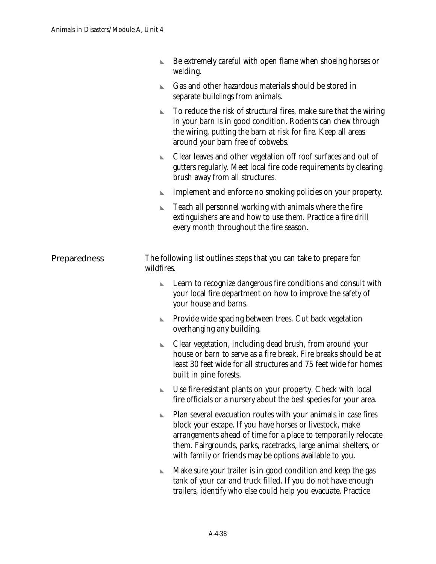|              |            | Be extremely careful with open flame when shoeing horses or<br>welding.                                                                                                                                                                                                                                                    |
|--------------|------------|----------------------------------------------------------------------------------------------------------------------------------------------------------------------------------------------------------------------------------------------------------------------------------------------------------------------------|
|              | Ы          | Gas and other hazardous materials should be stored in<br>separate buildings from animals.                                                                                                                                                                                                                                  |
|              | Ы          | To reduce the risk of structural fires, make sure that the wiring<br>in your barn is in good condition. Rodents can chew through<br>the wiring, putting the barn at risk for fire. Keep all areas<br>around your barn free of cobwebs.                                                                                     |
| k.           |            | Clear leaves and other vegetation off roof surfaces and out of<br>gutters regularly. Meet local fire code requirements by clearing<br>brush away from all structures.                                                                                                                                                      |
|              | N          | Implement and enforce no smoking policies on your property.                                                                                                                                                                                                                                                                |
|              | ь          | Teach all personnel working with animals where the fire<br>extinguishers are and how to use them. Practice a fire drill<br>every month throughout the fire season.                                                                                                                                                         |
| Preparedness | wildfires. | The following list outlines steps that you can take to prepare for                                                                                                                                                                                                                                                         |
|              | k.         | Learn to recognize dangerous fire conditions and consult with<br>your local fire department on how to improve the safety of<br>your house and barns.                                                                                                                                                                       |
|              | Ы          | Provide wide spacing between trees. Cut back vegetation<br>overhanging any building.                                                                                                                                                                                                                                       |
|              | k.         | Clear vegetation, including dead brush, from around your<br>house or barn to serve as a fire break. Fire breaks should be at<br>least 30 feet wide for all structures and 75 feet wide for homes<br>built in pine forests.                                                                                                 |
|              | ь          | Use fire-resistant plants on your property. Check with local<br>fire officials or a nursery about the best species for your area.                                                                                                                                                                                          |
|              | ь          | Plan several evacuation routes with your animals in case fires<br>block your escape. If you have horses or livestock, make<br>arrangements ahead of time for a place to temporarily relocate<br>them. Fairgrounds, parks, racetracks, large animal shelters, or<br>with family or friends may be options available to you. |
|              | N          | Make sure your trailer is in good condition and keep the gas<br>tank of your car and truck filled. If you do not have enough<br>trailers, identify who else could help you evacuate. Practice                                                                                                                              |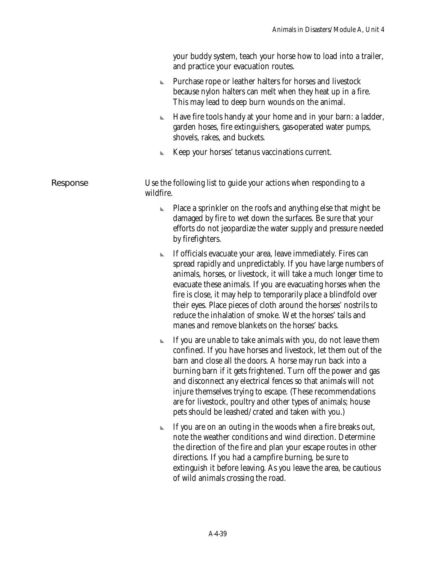|          | your buddy system, teach your horse how to load into a trailer,<br>and practice your evacuation routes.                                                                                                                                                                                                                                                                                                                                                                                                                             |
|----------|-------------------------------------------------------------------------------------------------------------------------------------------------------------------------------------------------------------------------------------------------------------------------------------------------------------------------------------------------------------------------------------------------------------------------------------------------------------------------------------------------------------------------------------|
|          | Purchase rope or leather halters for horses and livestock<br>K.<br>because nylon halters can melt when they heat up in a fire.<br>This may lead to deep burn wounds on the animal.                                                                                                                                                                                                                                                                                                                                                  |
|          | Have fire tools handy at your home and in your barn: a ladder,<br>K.<br>garden hoses, fire extinguishers, gas-operated water pumps,<br>shovels, rakes, and buckets.                                                                                                                                                                                                                                                                                                                                                                 |
|          | Keep your horses' tetanus vaccinations current.<br>Ы                                                                                                                                                                                                                                                                                                                                                                                                                                                                                |
| Response | Use the following list to guide your actions when responding to a<br>wildfire.                                                                                                                                                                                                                                                                                                                                                                                                                                                      |
|          | Place a sprinkler on the roofs and anything else that might be<br>K.<br>damaged by fire to wet down the surfaces. Be sure that your<br>efforts do not jeopardize the water supply and pressure needed<br>by firefighters.                                                                                                                                                                                                                                                                                                           |
|          | If officials evacuate your area, leave immediately. Fires can<br>K.<br>spread rapidly and unpredictably. If you have large numbers of<br>animals, horses, or livestock, it will take a much longer time to<br>evacuate these animals. If you are evacuating horses when the<br>fire is close, it may help to temporarily place a blindfold over<br>their eyes. Place pieces of cloth around the horses' nostrils to<br>reduce the inhalation of smoke. Wet the horses' tails and<br>manes and remove blankets on the horses' backs. |
|          | If you are unable to take animals with you, do not leave them<br>K.<br>confined. If you have horses and livestock, let them out of the<br>barn and close all the doors. A horse may run back into a<br>burning barn if it gets frightened. Turn off the power and gas<br>and disconnect any electrical fences so that animals will not<br>injure themselves trying to escape. (These recommendations<br>are for livestock, poultry and other types of animals; house<br>pets should be leashed/crated and taken with you.)          |
|          | If you are on an outing in the woods when a fire breaks out,<br>$\mathbf{h}$<br>note the weather conditions and wind direction. Determine<br>the direction of the fire and plan your escape routes in other<br>directions. If you had a campfire burning, be sure to<br>extinguish it before leaving. As you leave the area, be cautious<br>of wild animals crossing the road.                                                                                                                                                      |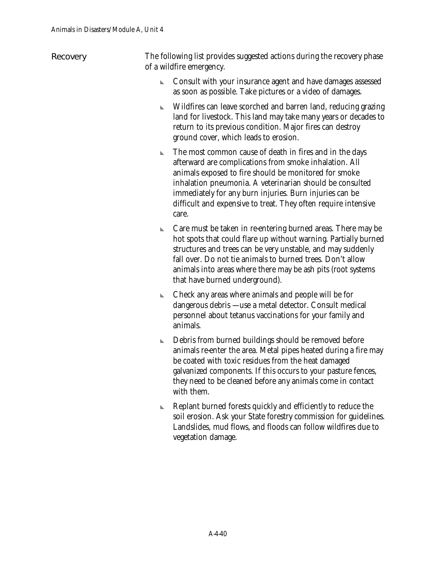| Recovery |    | The following list provides suggested actions during the recovery phase<br>of a wildfire emergency.                                                                                                                                                                                                                                                                          |
|----------|----|------------------------------------------------------------------------------------------------------------------------------------------------------------------------------------------------------------------------------------------------------------------------------------------------------------------------------------------------------------------------------|
|          | Ы  | Consult with your insurance agent and have damages assessed<br>as soon as possible. Take pictures or a video of damages.                                                                                                                                                                                                                                                     |
|          | Ы  | Wildfires can leave scorched and barren land, reducing grazing<br>land for livestock. This land may take many years or decades to<br>return to its previous condition. Major fires can destroy<br>ground cover, which leads to erosion.                                                                                                                                      |
|          | ь  | The most common cause of death in fires and in the days<br>afterward are complications from smoke inhalation. All<br>animals exposed to fire should be monitored for smoke<br>inhalation pneumonia. A veterinarian should be consulted<br>immediately for any burn injuries. Burn injuries can be<br>difficult and expensive to treat. They often require intensive<br>care. |
|          | ь  | Care must be taken in re-entering burned areas. There may be<br>hot spots that could flare up without warning. Partially burned<br>structures and trees can be very unstable, and may suddenly<br>fall over. Do not tie animals to burned trees. Don't allow<br>animals into areas where there may be ash pits (root systems<br>that have burned underground).               |
|          | N. | Check any areas where animals and people will be for<br>dangerous debris - use a metal detector. Consult medical<br>personnel about tetanus vaccinations for your family and<br>animals.                                                                                                                                                                                     |
|          | ь  | Debris from burned buildings should be removed before<br>animals re-enter the area. Metal pipes heated during a fire may<br>be coated with toxic residues from the heat damaged<br>galvanized components. If this occurs to your pasture fences,<br>they need to be cleaned before any animals come in contact<br>with them.                                                 |
|          | ь  | Replant burned forests quickly and efficiently to reduce the<br>soil erosion. Ask your State forestry commission for guidelines.<br>Landslides, mud flows, and floods can follow wildfires due to<br>vegetation damage.                                                                                                                                                      |
|          |    |                                                                                                                                                                                                                                                                                                                                                                              |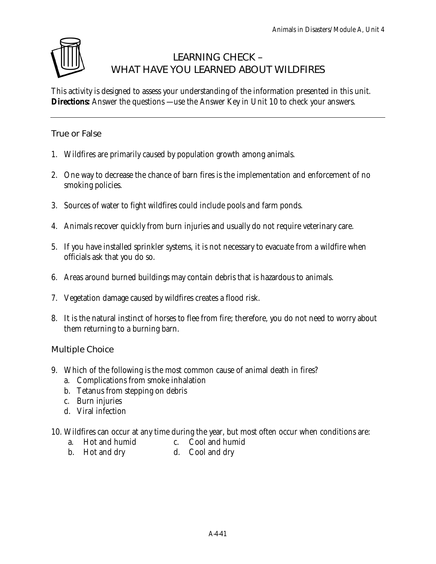

## LEARNING CHECK – WHAT HAVE YOU LEARNED ABOUT WILDFIRES

This activity is designed to assess your understanding of the information presented in this unit. **Directions:** Answer the questions – use the Answer Key in Unit 10 to check your answers.

#### True or False

- 1. Wildfires are primarily caused by population growth among animals.
- 2. One way to decrease the chance of barn fires is the implementation and enforcement of no smoking policies.
- 3. Sources of water to fight wildfires could include pools and farm ponds.
- 4. Animals recover quickly from burn injuries and usually do not require veterinary care.
- 5. If you have installed sprinkler systems, it is not necessary to evacuate from a wildfire when officials ask that you do so.
- 6. Areas around burned buildings may contain debris that is hazardous to animals.
- 7. Vegetation damage caused by wildfires creates a flood risk.
- 8. It is the natural instinct of horses to flee from fire; therefore, you do not need to worry about them returning to a burning barn.

- 9. Which of the following is the most common cause of animal death in fires?
	- a. Complications from smoke inhalation
	- b. Tetanus from stepping on debris
	- c. Burn injuries
	- d. Viral infection
- 10. Wildfires can occur at any time during the year, but most often occur when conditions are:
	- a. Hot and humid c. Cool and humid
	- b. Hot and dry d. Cool and dry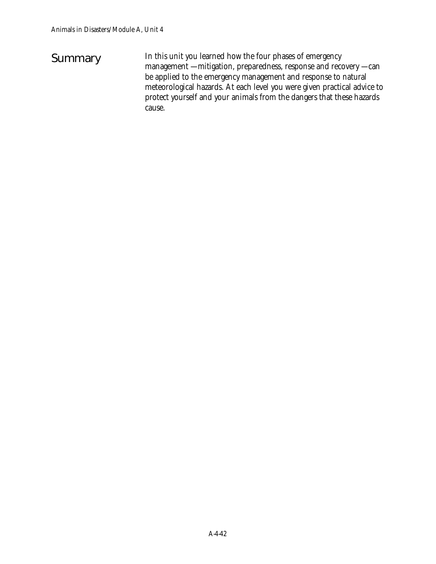Summary In this unit you learned how the four phases of emergency management — mitigation, preparedness, response and recovery — can be applied to the emergency management and response to natural meteorological hazards. At each level you were given practical advice to protect yourself and your animals from the dangers that these hazards cause.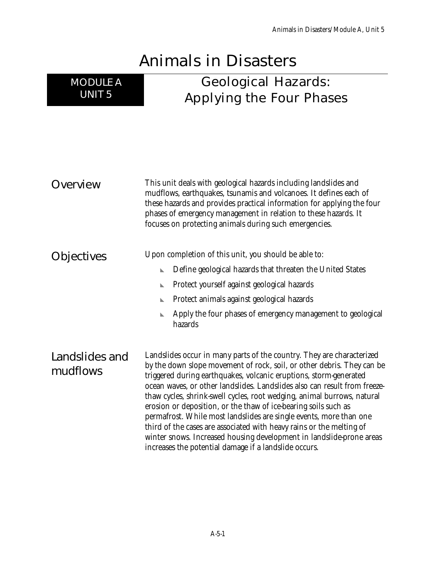# Animals in Disasters

## MODULE A UNIT 5

# Geological Hazards: Applying the Four Phases

| Overview                   | This unit deals with geological hazards including landslides and<br>mudflows, earthquakes, tsunamis and volcanoes. It defines each of<br>these hazards and provides practical information for applying the four<br>phases of emergency management in relation to these hazards. It<br>focuses on protecting animals during such emergencies.                                                                                                                                                                                                                                                                                                                                                                                   |
|----------------------------|--------------------------------------------------------------------------------------------------------------------------------------------------------------------------------------------------------------------------------------------------------------------------------------------------------------------------------------------------------------------------------------------------------------------------------------------------------------------------------------------------------------------------------------------------------------------------------------------------------------------------------------------------------------------------------------------------------------------------------|
| Objectives                 | Upon completion of this unit, you should be able to:<br>Define geological hazards that threaten the United States<br>К<br>Protect yourself against geological hazards<br>ь<br>Protect animals against geological hazards<br>ь<br>Apply the four phases of emergency management to geological<br>hazards                                                                                                                                                                                                                                                                                                                                                                                                                        |
| Landslides and<br>mudflows | Landslides occur in many parts of the country. They are characterized<br>by the down slope movement of rock, soil, or other debris. They can be<br>triggered during earthquakes, volcanic eruptions, storm-generated<br>ocean waves, or other landslides. Landslides also can result from freeze-<br>thaw cycles, shrink-swell cycles, root wedging, animal burrows, natural<br>erosion or deposition, or the thaw of ice-bearing soils such as<br>permafrost. While most landslides are single events, more than one<br>third of the cases are associated with heavy rains or the melting of<br>winter snows. Increased housing development in landslide-prone areas<br>increases the potential damage if a landslide occurs. |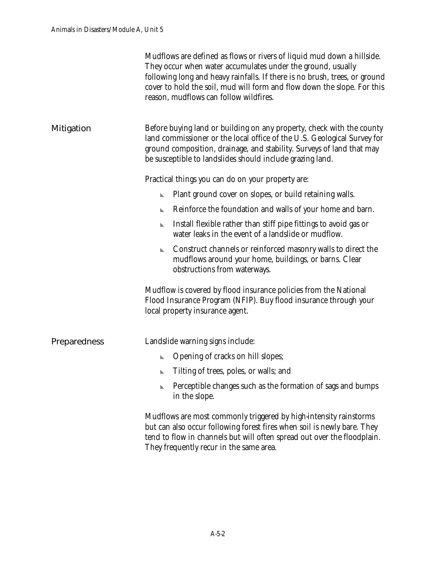|              | Mudflows are defined as flows or rivers of liquid mud down a hillside.<br>They occur when water accumulates under the ground, usually<br>following long and heavy rainfalls. If there is no brush, trees, or ground<br>cover to hold the soil, mud will form and flow down the slope. For this<br>reason, mudflows can follow wildfires. |
|--------------|------------------------------------------------------------------------------------------------------------------------------------------------------------------------------------------------------------------------------------------------------------------------------------------------------------------------------------------|
| Mitigation   | Before buying land or building on any property, check with the county<br>land commissioner or the local office of the U.S. Geological Survey for<br>ground composition, drainage, and stability. Surveys of land that may<br>be susceptible to landslides should include grazing land.                                                   |
|              | Practical things you can do on your property are:                                                                                                                                                                                                                                                                                        |
|              | Plant ground cover on slopes, or build retaining walls.<br>ь                                                                                                                                                                                                                                                                             |
|              | Reinforce the foundation and walls of your home and barn.                                                                                                                                                                                                                                                                                |
|              | Install flexible rather than stiff pipe fittings to avoid gas or<br>Ы<br>water leaks in the event of a landslide or mudflow.                                                                                                                                                                                                             |
|              | Construct channels or reinforced masonry walls to direct the<br>ь<br>mudflows around your home, buildings, or barns. Clear<br>obstructions from waterways.                                                                                                                                                                               |
|              | Mudflow is covered by flood insurance policies from the National<br>Flood Insurance Program (NFIP). Buy flood insurance through your<br>local property insurance agent.                                                                                                                                                                  |
| Preparedness | Landslide warning signs include:                                                                                                                                                                                                                                                                                                         |
|              | Opening of cracks on hill slopes;                                                                                                                                                                                                                                                                                                        |
|              | Tilting of trees, poles, or walls; and                                                                                                                                                                                                                                                                                                   |
|              | Perceptible changes such as the formation of sags and bumps<br>Ы<br>in the slope.                                                                                                                                                                                                                                                        |
|              | Mudflows are most commonly triggered by high-intensity rainstorms<br>but can also occur following forest fires when soil is newly bare. They<br>tend to flow in channels but will often spread out over the floodplain.                                                                                                                  |

They frequently recur in the same area.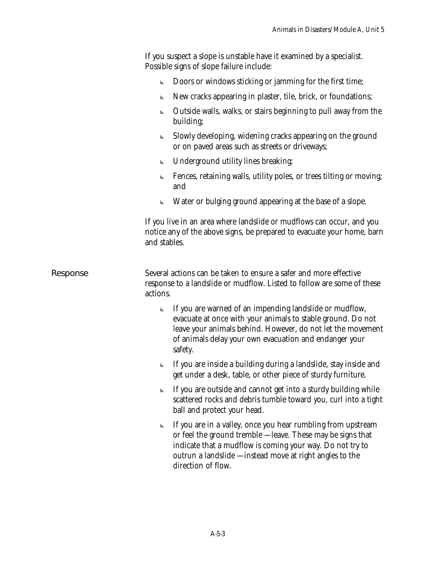|          | If you suspect a slope is unstable have it examined by a specialist.<br>Possible signs of slope failure include:                                                                                                                                                                           |  |
|----------|--------------------------------------------------------------------------------------------------------------------------------------------------------------------------------------------------------------------------------------------------------------------------------------------|--|
|          | Doors or windows sticking or jamming for the first time;<br>ь                                                                                                                                                                                                                              |  |
|          | New cracks appearing in plaster, tile, brick, or foundations;<br>⊾                                                                                                                                                                                                                         |  |
|          | Outside walls, walks, or stairs beginning to pull away from the<br>ь<br>building;                                                                                                                                                                                                          |  |
|          | Slowly developing, widening cracks appearing on the ground<br>$\mathbf{h}$<br>or on paved areas such as streets or driveways;                                                                                                                                                              |  |
|          | Underground utility lines breaking;<br>k.                                                                                                                                                                                                                                                  |  |
|          | Fences, retaining walls, utility poles, or trees tilting or moving;<br>and                                                                                                                                                                                                                 |  |
|          | Water or bulging ground appearing at the base of a slope.                                                                                                                                                                                                                                  |  |
|          | If you live in an area where landslide or mudflows can occur, and you<br>notice any of the above signs, be prepared to evacuate your home, barn<br>and stables.                                                                                                                            |  |
| Response | Several actions can be taken to ensure a safer and more effective<br>response to a landslide or mudflow. Listed to follow are some of these<br>actions.                                                                                                                                    |  |
|          | If you are warned of an impending landslide or mudflow,<br>Ы<br>evacuate at once with your animals to stable ground. Do not<br>leave your animals behind. However, do not let the movement<br>of animals delay your own evacuation and endanger your<br>safety.                            |  |
|          | If you are inside a building during a landslide, stay inside and<br>L.<br>get under a desk, table, or other piece of sturdy furniture.                                                                                                                                                     |  |
|          | If you are outside and cannot get into a sturdy building while<br>$\mathbf{h}$<br>scattered rocks and debris tumble toward you, curl into a tight<br>ball and protect your head.                                                                                                           |  |
|          | If you are in a valley, once you hear rumbling from upstream<br>$\mathbf{h}$<br>or feel the ground tremble - leave. These may be signs that<br>indicate that a mudflow is coming your way. Do not try to<br>outrun a landslide – instead move at right angles to the<br>direction of flow. |  |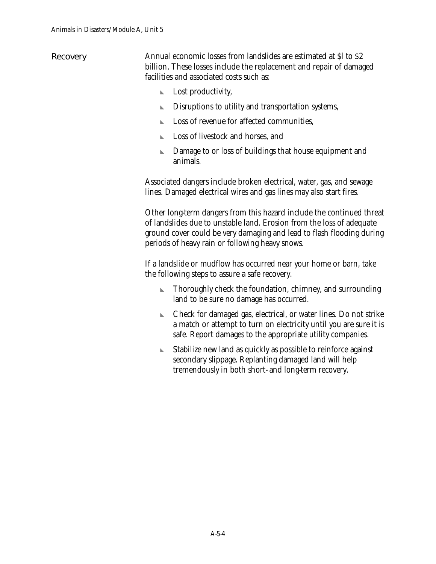| Recovery | Annual economic losses from landslides are estimated at \$1 to \$2<br>billion. These losses include the replacement and repair of damaged<br>facilities and associated costs such as:                                                                                      |
|----------|----------------------------------------------------------------------------------------------------------------------------------------------------------------------------------------------------------------------------------------------------------------------------|
|          | Lost productivity,<br>K.                                                                                                                                                                                                                                                   |
|          | Disruptions to utility and transportation systems,<br>Ы                                                                                                                                                                                                                    |
|          | Loss of revenue for affected communities,<br>ь                                                                                                                                                                                                                             |
|          | Loss of livestock and horses, and<br>Ы                                                                                                                                                                                                                                     |
|          | Damage to or loss of buildings that house equipment and<br>Ы<br>animals.                                                                                                                                                                                                   |
|          | Associated dangers include broken electrical, water, gas, and sewage<br>lines. Damaged electrical wires and gas lines may also start fires.                                                                                                                                |
|          | Other long-term dangers from this hazard include the continued threat<br>of landslides due to unstable land. Erosion from the loss of adequate<br>ground cover could be very damaging and lead to flash flooding during<br>periods of heavy rain or following heavy snows. |
|          | If a landslide or mudflow has occurred near your home or barn, take<br>the following steps to assure a safe recovery.                                                                                                                                                      |
|          | Thoroughly check the foundation, chimney, and surrounding<br>Ы<br>land to be sure no damage has occurred.                                                                                                                                                                  |
|          | Check for damaged gas, electrical, or water lines. Do not strike<br>K.<br>a match or attempt to turn on electricity until you are sure it is<br>safe. Report damages to the appropriate utility companies.                                                                 |
|          | Stabilize new land as quickly as possible to reinforce against<br>Ы<br>secondary slippage. Replanting damaged land will help<br>tremendously in both short- and long-term recovery.                                                                                        |
|          |                                                                                                                                                                                                                                                                            |
|          |                                                                                                                                                                                                                                                                            |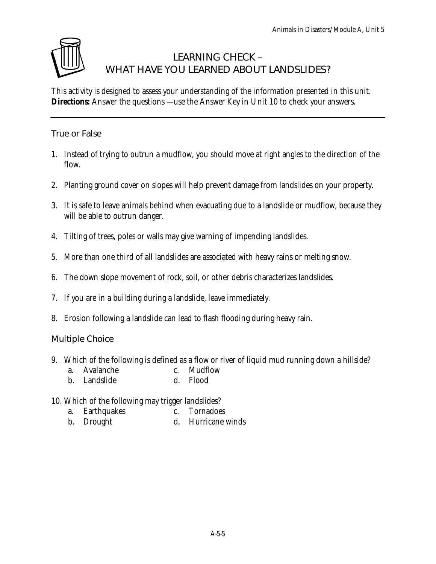

## LEARNING CHECK – WHAT HAVE YOU LEARNED ABOUT LANDSLIDES?

This activity is designed to assess your understanding of the information presented in this unit. **Directions:** Answer the questions – use the Answer Key in Unit 10 to check your answers.

#### True or False

- 1. Instead of trying to outrun a mudflow, you should move at right angles to the direction of the flow.
- 2. Planting ground cover on slopes will help prevent damage from landslides on your property.
- 3. It is safe to leave animals behind when evacuating due to a landslide or mudflow, because they will be able to outrun danger.
- 4. Tilting of trees, poles or walls may give warning of impending landslides.
- 5. More than one third of all landslides are associated with heavy rains or melting snow.
- 6. The down slope movement of rock, soil, or other debris characterizes landslides.
- 7. If you are in a building during a landslide, leave immediately.
- 8. Erosion following a landslide can lead to flash flooding during heavy rain.

- 9. Which of the following is defined as a flow or river of liquid mud running down a hillside?
	- a. Avalanche c. Mudflow
	- b. Landslide d. Flood
- 10. Which of the following may trigger landslides?
	- a. Earthquakes c. Tornadoes
	- b. Drought d. Hurricane winds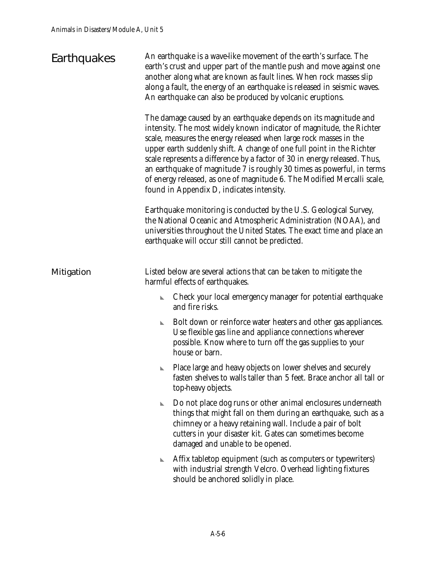| Earthquakes |                                                                                                       | An earthquake is a wave-like movement of the earth's surface. The<br>earth's crust and upper part of the mantle push and move against one<br>another along what are known as fault lines. When rock masses slip<br>along a fault, the energy of an earthquake is released in seismic waves.<br>An earthquake can also be produced by volcanic eruptions.                                                                                                                                                                                                             |
|-------------|-------------------------------------------------------------------------------------------------------|----------------------------------------------------------------------------------------------------------------------------------------------------------------------------------------------------------------------------------------------------------------------------------------------------------------------------------------------------------------------------------------------------------------------------------------------------------------------------------------------------------------------------------------------------------------------|
|             |                                                                                                       | The damage caused by an earthquake depends on its magnitude and<br>intensity. The most widely known indicator of magnitude, the Richter<br>scale, measures the energy released when large rock masses in the<br>upper earth suddenly shift. A change of one full point in the Richter<br>scale represents a difference by a factor of 30 in energy released. Thus,<br>an earthquake of magnitude 7 is roughly 30 times as powerful, in terms<br>of energy released, as one of magnitude 6. The Modified Mercalli scale,<br>found in Appendix D, indicates intensity. |
|             |                                                                                                       | Earthquake monitoring is conducted by the U.S. Geological Survey,<br>the National Oceanic and Atmospheric Administration (NOAA), and<br>universities throughout the United States. The exact time and place an<br>earthquake will occur still cannot be predicted.                                                                                                                                                                                                                                                                                                   |
| Mitigation  | Listed below are several actions that can be taken to mitigate the<br>harmful effects of earthquakes. |                                                                                                                                                                                                                                                                                                                                                                                                                                                                                                                                                                      |
|             |                                                                                                       | • Check your local emergency manager for potential earthquake<br>and fire risks.                                                                                                                                                                                                                                                                                                                                                                                                                                                                                     |
|             | Ы                                                                                                     | Bolt down or reinforce water heaters and other gas appliances.<br>Use flexible gas line and appliance connections wherever<br>possible. Know where to turn off the gas supplies to your<br>house or barn.                                                                                                                                                                                                                                                                                                                                                            |
|             |                                                                                                       | Place large and heavy objects on lower shelves and securely<br>fasten shelves to walls taller than 5 feet. Brace anchor all tall or<br>top-heavy objects.                                                                                                                                                                                                                                                                                                                                                                                                            |
|             | Ы                                                                                                     | Do not place dog runs or other animal enclosures underneath<br>things that might fall on them during an earthquake, such as a<br>chimney or a heavy retaining wall. Include a pair of bolt<br>cutters in your disaster kit. Gates can sometimes become<br>damaged and unable to be opened.                                                                                                                                                                                                                                                                           |
|             | N                                                                                                     | Affix tabletop equipment (such as computers or typewriters)<br>with industrial strength Velcro. Overhead lighting fixtures<br>should be anchored solidly in place.                                                                                                                                                                                                                                                                                                                                                                                                   |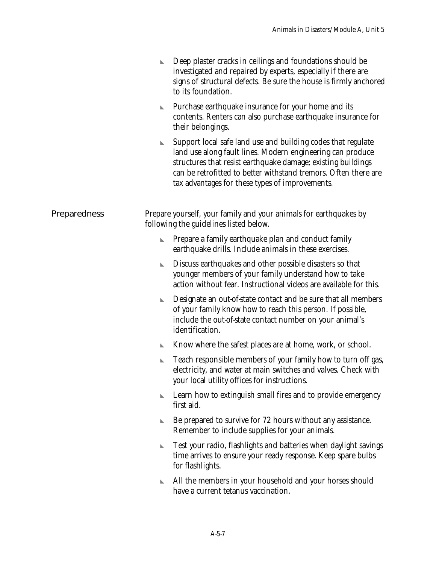|              | Deep plaster cracks in ceilings and foundations should be<br>investigated and repaired by experts, especially if there are<br>signs of structural defects. Be sure the house is firmly anchored<br>to its foundation.                                                                                                  |
|--------------|------------------------------------------------------------------------------------------------------------------------------------------------------------------------------------------------------------------------------------------------------------------------------------------------------------------------|
|              | Purchase earthquake insurance for your home and its<br>ь<br>contents. Renters can also purchase earthquake insurance for<br>their belongings.                                                                                                                                                                          |
|              | Support local safe land use and building codes that regulate<br>K.<br>land use along fault lines. Modern engineering can produce<br>structures that resist earthquake damage; existing buildings<br>can be retrofitted to better withstand tremors. Often there are<br>tax advantages for these types of improvements. |
| Preparedness | Prepare yourself, your family and your animals for earthquakes by<br>following the guidelines listed below.                                                                                                                                                                                                            |
|              | Prepare a family earthquake plan and conduct family<br>earthquake drills. Include animals in these exercises.                                                                                                                                                                                                          |
|              | Discuss earthquakes and other possible disasters so that<br>ь<br>younger members of your family understand how to take<br>action without fear. Instructional videos are available for this.                                                                                                                            |
|              | Designate an out-of-state contact and be sure that all members<br>Ы<br>of your family know how to reach this person. If possible,<br>include the out-of-state contact number on your animal's<br>identification.                                                                                                       |
|              | Know where the safest places are at home, work, or school.<br>Ы                                                                                                                                                                                                                                                        |
|              | Teach responsible members of your family how to turn off gas,<br>electricity, and water at main switches and valves. Check with<br>your local utility offices for instructions.                                                                                                                                        |
|              | Learn how to extinguish small fires and to provide emergency<br>first aid.                                                                                                                                                                                                                                             |
|              | Be prepared to survive for 72 hours without any assistance.<br>Remember to include supplies for your animals.                                                                                                                                                                                                          |
|              | Test your radio, flashlights and batteries when daylight savings<br>ь<br>time arrives to ensure your ready response. Keep spare bulbs<br>for flashlights.                                                                                                                                                              |
|              | All the members in your household and your horses should<br>ь<br>have a current tetanus vaccination.                                                                                                                                                                                                                   |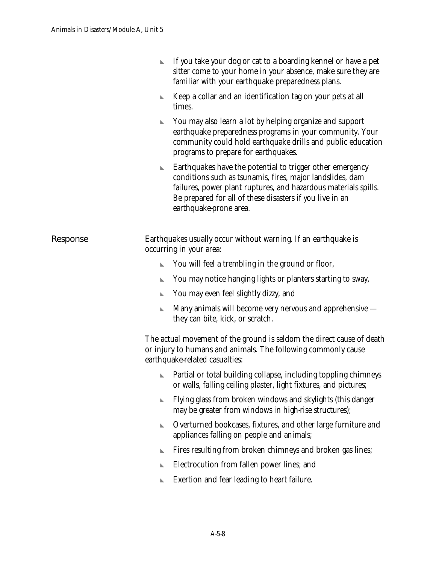|          | If you take your dog or cat to a boarding kennel or have a pet<br>K<br>sitter come to your home in your absence, make sure they are<br>familiar with your earthquake preparedness plans.                                                                                             |
|----------|--------------------------------------------------------------------------------------------------------------------------------------------------------------------------------------------------------------------------------------------------------------------------------------|
|          | Keep a collar and an identification tag on your pets at all<br>Ы<br>times.                                                                                                                                                                                                           |
|          | You may also learn a lot by helping organize and support<br>Ы<br>earthquake preparedness programs in your community. Your<br>community could hold earthquake drills and public education<br>programs to prepare for earthquakes.                                                     |
|          | Earthquakes have the potential to trigger other emergency<br>Ы<br>conditions such as tsunamis, fires, major landslides, dam<br>failures, power plant ruptures, and hazardous materials spills.<br>Be prepared for all of these disasters if you live in an<br>earthquake-prone area. |
| Response | Earthquakes usually occur without warning. If an earthquake is<br>occurring in your area:                                                                                                                                                                                            |
|          | You will feel a trembling in the ground or floor,<br>ь                                                                                                                                                                                                                               |
|          | You may notice hanging lights or planters starting to sway,<br>⊾                                                                                                                                                                                                                     |
|          | You may even feel slightly dizzy, and<br>⊾                                                                                                                                                                                                                                           |
|          | Many animals will become very nervous and apprehensive –<br>ь<br>they can bite, kick, or scratch.                                                                                                                                                                                    |
|          | The actual movement of the ground is seldom the direct cause of death<br>or injury to humans and animals. The following commonly cause<br>earthquake-related casualties:                                                                                                             |
|          | ► Partial or total building collapse, including toppling chimneys<br>or walls, falling ceiling plaster, light fixtures, and pictures;                                                                                                                                                |
|          | Flying glass from broken windows and skylights (this danger<br>ь<br>may be greater from windows in high-rise structures);                                                                                                                                                            |
|          | Overturned bookcases, fixtures, and other large furniture and<br>Ы<br>appliances falling on people and animals;                                                                                                                                                                      |
|          | Fires resulting from broken chimneys and broken gas lines;<br>N                                                                                                                                                                                                                      |
|          | Electrocution from fallen power lines; and<br>N                                                                                                                                                                                                                                      |
|          | Exertion and fear leading to heart failure.<br>⊾                                                                                                                                                                                                                                     |
|          |                                                                                                                                                                                                                                                                                      |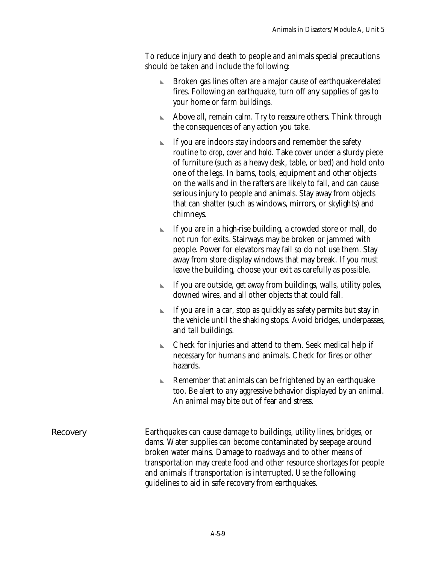To reduce injury and death to people and animals special precautions should be taken and include the following:

- **EXECUTE:** Broken gas lines often are a major cause of earthquake-related fires. Following an earthquake, turn off any supplies of gas to your home or farm buildings.
- $\blacktriangleright$  Above all, remain calm. Try to reassure others. Think through the consequences of any action you take.
- $\blacksquare$  If you are indoors stay indoors and remember the safety routine to *drop, cover* and *hold*. Take cover under a sturdy piece of furniture (such as a heavy desk, table, or bed) and hold onto one of the legs. In barns, tools, equipment and other objects on the walls and in the rafters are likely to fall, and can cause serious injury to people and animals. Stay away from objects that can shatter (such as windows, mirrors, or skylights) and chimneys.
- $\blacksquare$  If you are in a high-rise building, a crowded store or mall, do not run for exits. Stairways may be broken or jammed with people. Power for elevators may fail so do not use them. Stay away from store display windows that may break. If you must leave the building, choose your exit as carefully as possible.
- $\Box$  If you are outside, get away from buildings, walls, utility poles, downed wires, and all other objects that could fall.
- $\Box$  If you are in a car, stop as quickly as safety permits but stay in the vehicle until the shaking stops. Avoid bridges, underpasses, and tall buildings.
- $\Box$  Check for injuries and attend to them. Seek medical help if necessary for humans and animals. Check for fires or other hazards.
- $\blacktriangleright$  Remember that animals can be frightened by an earthquake too. Be alert to any aggressive behavior displayed by an animal. An animal may bite out of fear and stress.
- Recovery Earthquakes can cause damage to buildings, utility lines, bridges, or dams. Water supplies can become contaminated by seepage around broken water mains. Damage to roadways and to other means of transportation may create food and other resource shortages for people and animals if transportation is interrupted. Use the following guidelines to aid in safe recovery from earthquakes.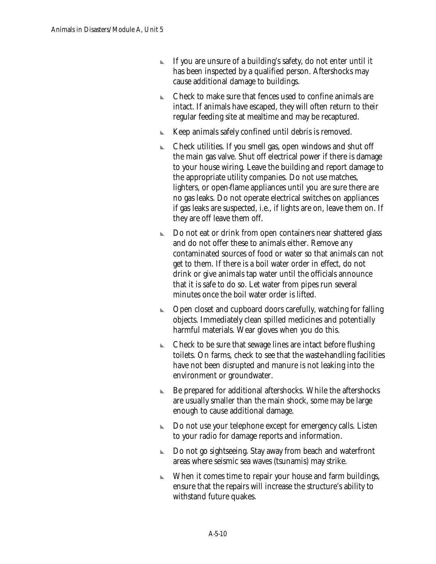- $\blacksquare$  If you are unsure of a building's safety, do not enter until it has been inspected by a qualified person. Aftershocks may cause additional damage to buildings.
- : Check to make sure that fences used to confine animals are intact. If animals have escaped, they will often return to their regular feeding site at mealtime and may be recaptured.
- $\blacktriangleright$  Keep animals safely confined until debris is removed.
- $\Box$  Check utilities. If you smell gas, open windows and shut off the main gas valve. Shut off electrical power if there is damage to your house wiring. Leave the building and report damage to the appropriate utility companies. Do not use matches, lighters, or open-flame appliances until you are sure there are no gas leaks. Do not operate electrical switches on appliances if gas leaks are suspected, i.e., if lights are on, leave them on. If they are off leave them off.
- $\Box$  Do not eat or drink from open containers near shattered glass and do not offer these to animals either. Remove any contaminated sources of food or water so that animals can not get to them. If there is a boil water order in effect, do not drink or give animals tap water until the officials announce that it is safe to do so. Let water from pipes run several minutes once the boil water order is lifted.
- $\Box$  Open closet and cupboard doors carefully, watching for falling objects. Immediately clean spilled medicines and potentially harmful materials. Wear gloves when you do this.
- $\Box$  Check to be sure that sewage lines are intact before flushing toilets. On farms, check to see that the waste-handling facilities have not been disrupted and manure is not leaking into the environment or groundwater.
- $\blacktriangleright$  Be prepared for additional aftershocks. While the aftershocks are usually smaller than the main shock, some may be large enough to cause additional damage.
- $\Box$  Do not use your telephone except for emergency calls. Listen to your radio for damage reports and information.
- Do not go sightseeing. Stay away from beach and waterfront areas where seismic sea waves (tsunamis) may strike.
- $\blacktriangleright$  When it comes time to repair your house and farm buildings, ensure that the repairs will increase the structure's ability to withstand future quakes.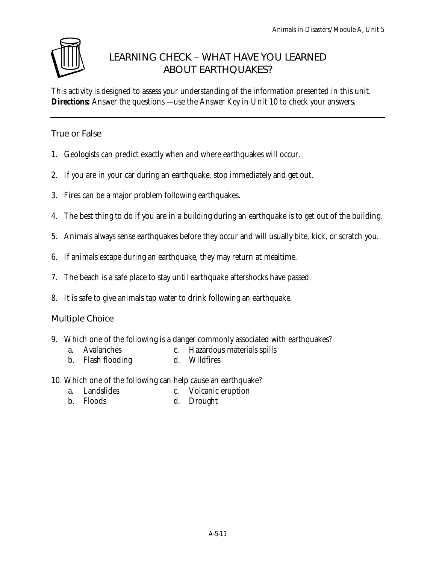

## LEARNING CHECK – WHAT HAVE YOU LEARNED ABOUT EARTHQUAKES?

This activity is designed to assess your understanding of the information presented in this unit. **Directions:** Answer the questions – use the Answer Key in Unit 10 to check your answers.

### True or False

- 1. Geologists can predict exactly when and where earthquakes will occur.
- 2. If you are in your car during an earthquake, stop immediately and get out.
- 3. Fires can be a major problem following earthquakes.
- 4. The best thing to do if you are in a building during an earthquake is to get out of the building.
- 5. Animals always sense earthquakes before they occur and will usually bite, kick, or scratch you.
- 6. If animals escape during an earthquake, they may return at mealtime.
- 7. The beach is a safe place to stay until earthquake aftershocks have passed.
- 8. It is safe to give animals tap water to drink following an earthquake.

- 9. Which one of the following is a danger commonly associated with earthquakes?
	- a. Avalanches c. Hazardous materials spills
	- b. Flash flooding d. Wildfires
- 10. Which one of the following can help cause an earthquake?
	- a. Landslides c. Volcanic eruption
	- b. Floods d. Drought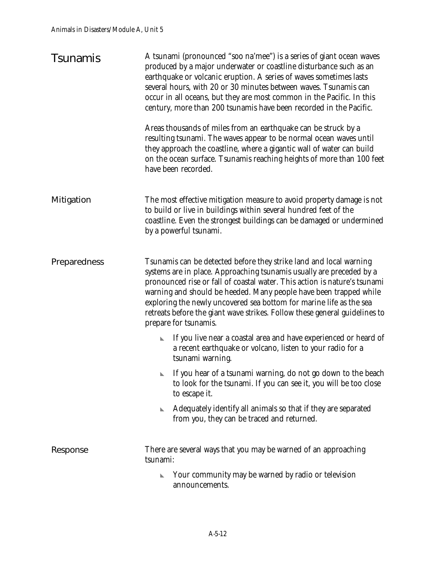| <b>Tsunamis</b> | A tsunami (pronounced "soo na'mee") is a series of giant ocean waves<br>produced by a major underwater or coastline disturbance such as an<br>earthquake or volcanic eruption. A series of waves sometimes lasts<br>several hours, with 20 or 30 minutes between waves. Tsunamis can<br>occur in all oceans, but they are most common in the Pacific. In this<br>century, more than 200 tsunamis have been recorded in the Pacific.<br>Areas thousands of miles from an earthquake can be struck by a<br>resulting tsunami. The waves appear to be normal ocean waves until<br>they approach the coastline, where a gigantic wall of water can build<br>on the ocean surface. Tsunamis reaching heights of more than 100 feet<br>have been recorded. |
|-----------------|------------------------------------------------------------------------------------------------------------------------------------------------------------------------------------------------------------------------------------------------------------------------------------------------------------------------------------------------------------------------------------------------------------------------------------------------------------------------------------------------------------------------------------------------------------------------------------------------------------------------------------------------------------------------------------------------------------------------------------------------------|
| Mitigation      | The most effective mitigation measure to avoid property damage is not<br>to build or live in buildings within several hundred feet of the<br>coastline. Even the strongest buildings can be damaged or undermined<br>by a powerful tsunami.                                                                                                                                                                                                                                                                                                                                                                                                                                                                                                          |
| Preparedness    | Tsunamis can be detected before they strike land and local warning<br>systems are in place. Approaching tsunamis usually are preceded by a<br>pronounced rise or fall of coastal water. This action is nature's tsunami<br>warning and should be heeded. Many people have been trapped while<br>exploring the newly uncovered sea bottom for marine life as the sea<br>retreats before the giant wave strikes. Follow these general guidelines to<br>prepare for tsunamis.                                                                                                                                                                                                                                                                           |
|                 | If you live near a coastal area and have experienced or heard of<br>a recent earthquake or volcano, listen to your radio for a<br>tsunami warning.                                                                                                                                                                                                                                                                                                                                                                                                                                                                                                                                                                                                   |
|                 | If you hear of a tsunami warning, do not go down to the beach<br>to look for the tsunami. If you can see it, you will be too close<br>to escape it.                                                                                                                                                                                                                                                                                                                                                                                                                                                                                                                                                                                                  |
|                 | Adequately identify all animals so that if they are separated<br>Ы<br>from you, they can be traced and returned.                                                                                                                                                                                                                                                                                                                                                                                                                                                                                                                                                                                                                                     |
| Response        | There are several ways that you may be warned of an approaching<br>tsunami:                                                                                                                                                                                                                                                                                                                                                                                                                                                                                                                                                                                                                                                                          |
|                 | Your community may be warned by radio or television<br>announcements.                                                                                                                                                                                                                                                                                                                                                                                                                                                                                                                                                                                                                                                                                |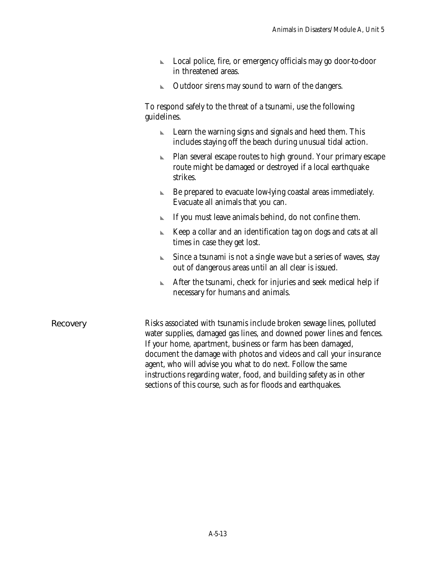- ► Local police, fire, or emergency officials may go door-to-door in threatened areas.
- $\Box$  Outdoor sirens may sound to warn of the dangers.

To respond safely to the threat of a tsunami, use the following guidelines.

- $\Box$  Learn the warning signs and signals and heed them. This includes staying off the beach during unusual tidal action.
- Plan several escape routes to high ground. Your primary escape route might be damaged or destroyed if a local earthquake strikes.
- $\blacktriangleright$  Be prepared to evacuate low-lying coastal areas immediately. Evacuate all animals that you can.
- $\blacksquare$  If you must leave animals behind, do not confine them.
- $\blacktriangleright$  Keep a collar and an identification tag on dogs and cats at all times in case they get lost.
- $\Box$  Since a tsunami is not a single wave but a series of waves, stay out of dangerous areas until an all clear is issued.
- $\blacktriangleright$  After the tsunami, check for injuries and seek medical help if necessary for humans and animals.

Recovery Risks associated with tsunamis include broken sewage lines, polluted water supplies, damaged gas lines, and downed power lines and fences. If your home, apartment, business or farm has been damaged, document the damage with photos and videos and call your insurance agent, who will advise you what to do next. Follow the same instructions regarding water, food, and building safety as in other sections of this course, such as for floods and earthquakes.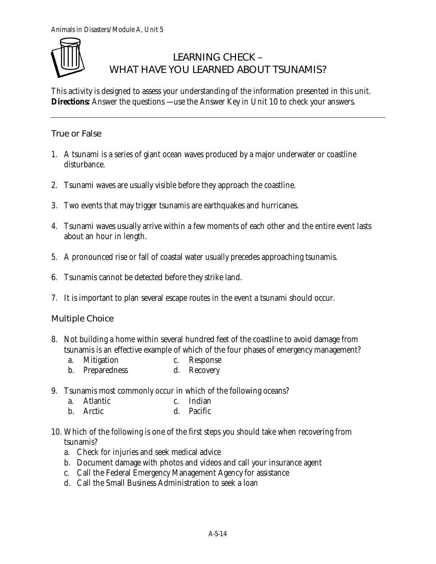

# LEARNING CHECK – WHAT HAVE YOU LEARNED ABOUT TSUNAMIS?

This activity is designed to assess your understanding of the information presented in this unit. **Directions:** Answer the questions – use the Answer Key in Unit 10 to check your answers.

# True or False

- 1. A tsunami is a series of giant ocean waves produced by a major underwater or coastline disturbance.
- 2. Tsunami waves are usually visible before they approach the coastline.
- 3. Two events that may trigger tsunamis are earthquakes and hurricanes.
- 4. Tsunami waves usually arrive within a few moments of each other and the entire event lasts about an hour in length.
- 5. A pronounced rise or fall of coastal water usually precedes approaching tsunamis.
- 6. Tsunamis cannot be detected before they strike land.
- 7. It is important to plan several escape routes in the event a tsunami should occur.

### Multiple Choice

- 8. Not building a home within several hundred feet of the coastline to avoid damage from tsunamis is an effective example of which of the four phases of emergency management?
	- a. Mitigation c. Response
	- b. Preparedness d. Recovery
- 9. Tsunamis most commonly occur in which of the following oceans?
	- a. Atlantic c. Indian
	- b. Arctic d. Pacific
- 10. Which of the following is one of the first steps you should take when recovering from tsunamis?
	- a. Check for injuries and seek medical advice
	- b. Document damage with photos and videos and call your insurance agent
	- c. Call the Federal Emergency Management Agency for assistance
	- d. Call the Small Business Administration to seek a loan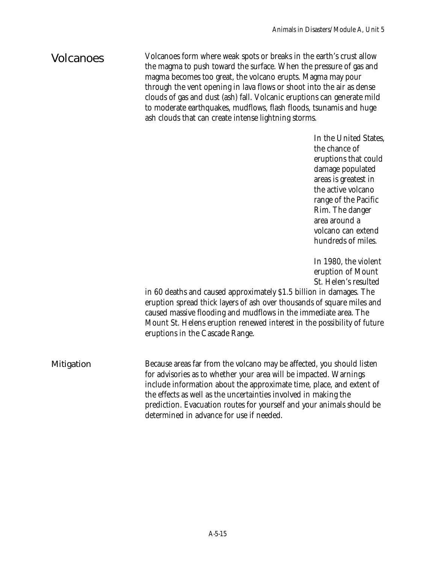#### Volcanoes Volcanoes form where weak spots or breaks in the earth's crust allow the magma to push toward the surface. When the pressure of gas and magma becomes too great, the volcano erupts. Magma may pour through the vent opening in lava flows or shoot into the air as dense clouds of gas and dust (ash) fall. Volcanic eruptions can generate mild to moderate earthquakes, mudflows, flash floods, tsunamis and huge ash clouds that can create intense lightning storms.

In the United States, the chance of eruptions that could damage populated areas is greatest in the active volcano range of the Pacific Rim. The danger area around a volcano can extend hundreds of miles.

In 1980, the violent eruption of Mount St. Helen's resulted

in 60 deaths and caused approximately \$1.5 billion in damages. The eruption spread thick layers of ash over thousands of square miles and caused massive flooding and mudflows in the immediate area. The Mount St. Helens eruption renewed interest in the possibility of future eruptions in the Cascade Range.

Mitigation Because areas far from the volcano may be affected, you should listen for advisories as to whether your area will be impacted. Warnings include information about the approximate time, place, and extent of the effects as well as the uncertainties involved in making the prediction. Evacuation routes for yourself and your animals should be determined in advance for use if needed.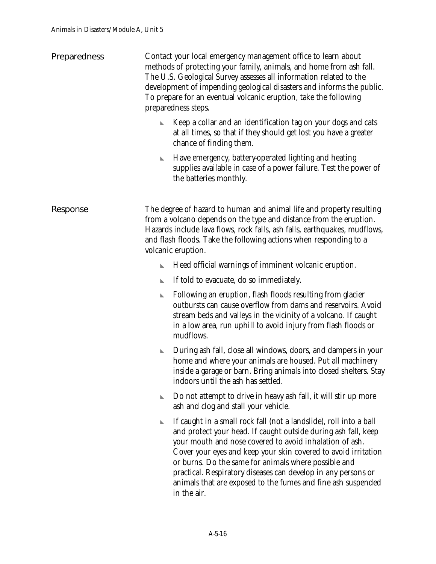| Preparedness | Contact your local emergency management office to learn about<br>methods of protecting your family, animals, and home from ash fall.<br>The U.S. Geological Survey assesses all information related to the<br>development of impending geological disasters and informs the public.<br>To prepare for an eventual volcanic eruption, take the following<br>preparedness steps.                                                                                                  |
|--------------|---------------------------------------------------------------------------------------------------------------------------------------------------------------------------------------------------------------------------------------------------------------------------------------------------------------------------------------------------------------------------------------------------------------------------------------------------------------------------------|
|              | Keep a collar and an identification tag on your dogs and cats<br>at all times, so that if they should get lost you have a greater<br>chance of finding them.                                                                                                                                                                                                                                                                                                                    |
|              | Have emergency, battery-operated lighting and heating<br>ь<br>supplies available in case of a power failure. Test the power of<br>the batteries monthly.                                                                                                                                                                                                                                                                                                                        |
| Response     | The degree of hazard to human and animal life and property resulting<br>from a volcano depends on the type and distance from the eruption.<br>Hazards include lava flows, rock falls, ash falls, earthquakes, mudflows,<br>and flash floods. Take the following actions when responding to a<br>volcanic eruption.                                                                                                                                                              |
|              | Heed official warnings of imminent volcanic eruption.<br>Ы                                                                                                                                                                                                                                                                                                                                                                                                                      |
|              | If told to evacuate, do so immediately.<br>Ы                                                                                                                                                                                                                                                                                                                                                                                                                                    |
|              | Following an eruption, flash floods resulting from glacier<br>Ы<br>outbursts can cause overflow from dams and reservoirs. Avoid<br>stream beds and valleys in the vicinity of a volcano. If caught<br>in a low area, run uphill to avoid injury from flash floods or<br>mudflows.                                                                                                                                                                                               |
|              | During ash fall, close all windows, doors, and dampers in your<br>K.<br>home and where your animals are housed. Put all machinery<br>inside a garage or barn. Bring animals into closed shelters. Stay<br>indoors until the ash has settled.                                                                                                                                                                                                                                    |
|              | Do not attempt to drive in heavy ash fall, it will stir up more<br>ь<br>ash and clog and stall your vehicle.                                                                                                                                                                                                                                                                                                                                                                    |
|              | If caught in a small rock fall (not a landslide), roll into a ball<br>k.<br>and protect your head. If caught outside during ash fall, keep<br>your mouth and nose covered to avoid inhalation of ash.<br>Cover your eyes and keep your skin covered to avoid irritation<br>or burns. Do the same for animals where possible and<br>practical. Respiratory diseases can develop in any persons or<br>animals that are exposed to the fumes and fine ash suspended<br>in the air. |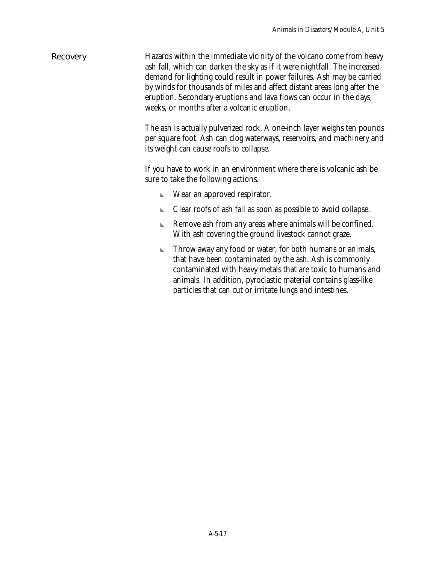Recovery **Hazards** within the immediate vicinity of the volcano come from heavy ash fall, which can darken the sky as if it were nightfall. The increased demand for lighting could result in power failures. Ash may be carried by winds for thousands of miles and affect distant areas long after the eruption. Secondary eruptions and lava flows can occur in the days, weeks, or months after a volcanic eruption.

> The ash is actually pulverized rock. A one-inch layer weighs ten pounds per square foot. Ash can clog waterways, reservoirs, and machinery and its weight can cause roofs to collapse.

If you have to work in an environment where there is volcanic ash be sure to take the following actions.

- $\blacktriangleright$  Wear an approved respirator.
- $\Box$  Clear roofs of ash fall as soon as possible to avoid collapse.
- Remove ash from any areas where animals will be confined. With ash covering the ground livestock cannot graze.
- $\Box$  Throw away any food or water, for both humans or animals, that have been contaminated by the ash. Ash is commonly contaminated with heavy metals that are toxic to humans and animals. In addition, pyroclastic material contains glass-like particles that can cut or irritate lungs and intestines.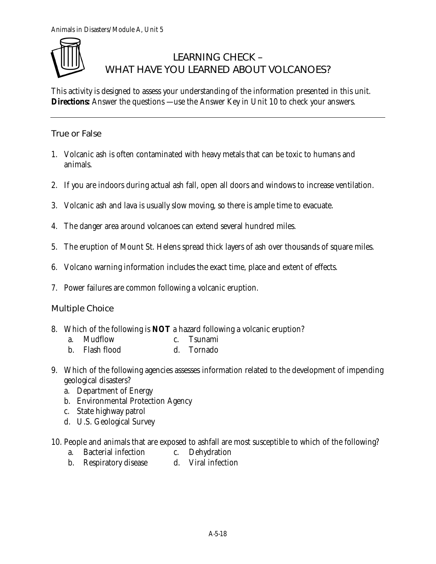

# LEARNING CHECK – WHAT HAVE YOU LEARNED ABOUT VOLCANOES?

This activity is designed to assess your understanding of the information presented in this unit. **Directions:** Answer the questions – use the Answer Key in Unit 10 to check your answers.

# True or False

- 1. Volcanic ash is often contaminated with heavy metals that can be toxic to humans and animals.
- 2. If you are indoors during actual ash fall, open all doors and windows to increase ventilation.
- 3. Volcanic ash and lava is usually slow moving, so there is ample time to evacuate.
- 4. The danger area around volcanoes can extend several hundred miles.
- 5. The eruption of Mount St. Helens spread thick layers of ash over thousands of square miles.
- 6. Volcano warning information includes the exact time, place and extent of effects.
- 7. Power failures are common following a volcanic eruption.

### Multiple Choice

- 8. Which of the following is **NOT** a hazard following a volcanic eruption?
	- a. Mudflow c. Tsunami
	- b. Flash flood d. Tornado
- 9. Which of the following agencies assesses information related to the development of impending geological disasters?
	- a. Department of Energy
	- b. Environmental Protection Agency
	- c. State highway patrol
	- d. U.S. Geological Survey
- 10. People and animals that are exposed to ashfall are most susceptible to which of the following?
	- a. Bacterial infection c. Dehydration
	- b. Respiratory disease d. Viral infection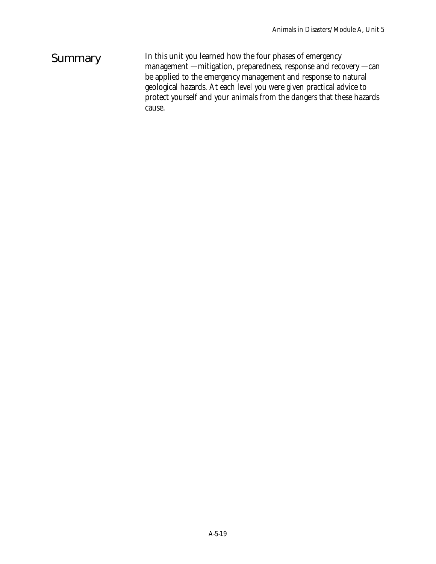Summary In this unit you learned how the four phases of emergency management — mitigation, preparedness, response and recovery — can be applied to the emergency management and response to natural geological hazards. At each level you were given practical advice to protect yourself and your animals from the dangers that these hazards cause.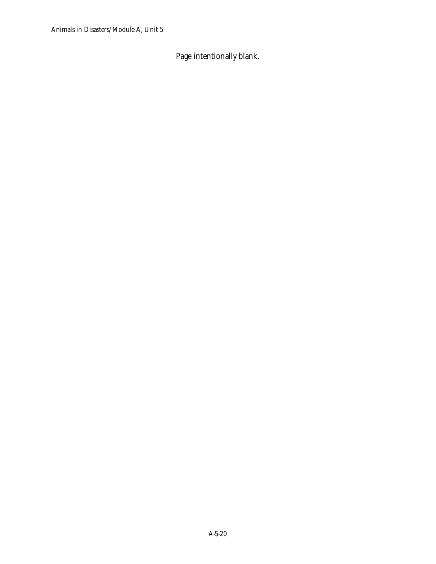Page intentionally blank.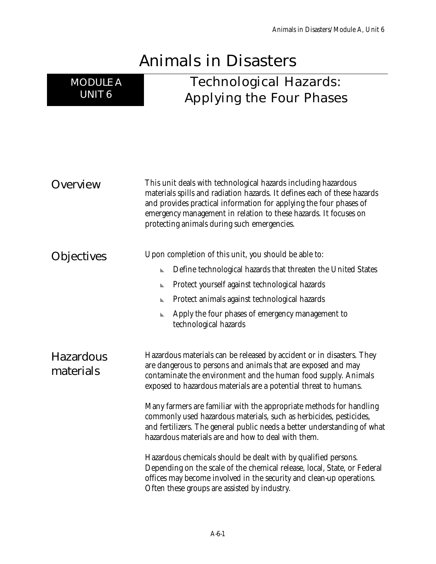# Animals in Disasters

# MODULE A UNIT 6

# Technological Hazards: Applying the Four Phases

| Overview                      | This unit deals with technological hazards including hazardous<br>materials spills and radiation hazards. It defines each of these hazards<br>and provides practical information for applying the four phases of<br>emergency management in relation to these hazards. It focuses on<br>protecting animals during such emergencies.                                                                                                                                                                                                                                                                                                                                                                                                                                                                                               |
|-------------------------------|-----------------------------------------------------------------------------------------------------------------------------------------------------------------------------------------------------------------------------------------------------------------------------------------------------------------------------------------------------------------------------------------------------------------------------------------------------------------------------------------------------------------------------------------------------------------------------------------------------------------------------------------------------------------------------------------------------------------------------------------------------------------------------------------------------------------------------------|
| Objectives                    | Upon completion of this unit, you should be able to:<br>Define technological hazards that threaten the United States<br>ь<br>Protect yourself against technological hazards<br>Protect animals against technological hazards<br>Apply the four phases of emergency management to<br>technological hazards                                                                                                                                                                                                                                                                                                                                                                                                                                                                                                                         |
| <b>Hazardous</b><br>materials | Hazardous materials can be released by accident or in disasters. They<br>are dangerous to persons and animals that are exposed and may<br>contaminate the environment and the human food supply. Animals<br>exposed to hazardous materials are a potential threat to humans.<br>Many farmers are familiar with the appropriate methods for handling<br>commonly used hazardous materials, such as herbicides, pesticides,<br>and fertilizers. The general public needs a better understanding of what<br>hazardous materials are and how to deal with them.<br>Hazardous chemicals should be dealt with by qualified persons.<br>Depending on the scale of the chemical release, local, State, or Federal<br>offices may become involved in the security and clean-up operations.<br>Often these groups are assisted by industry. |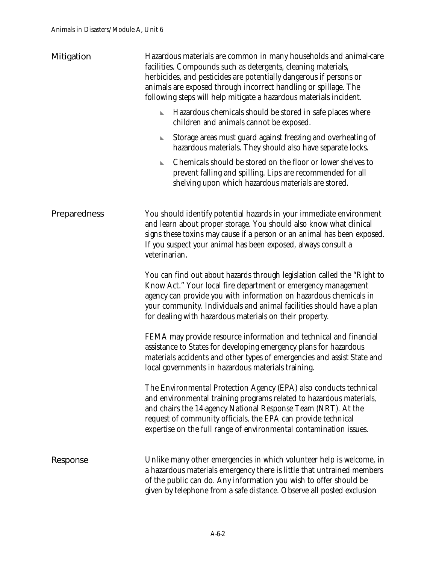| Mitigation   | Hazardous materials are common in many households and animal-care<br>facilities. Compounds such as detergents, cleaning materials,<br>herbicides, and pesticides are potentially dangerous if persons or<br>animals are exposed through incorrect handling or spillage. The<br>following steps will help mitigate a hazardous materials incident. |
|--------------|---------------------------------------------------------------------------------------------------------------------------------------------------------------------------------------------------------------------------------------------------------------------------------------------------------------------------------------------------|
|              | Hazardous chemicals should be stored in safe places where<br>K.<br>children and animals cannot be exposed.                                                                                                                                                                                                                                        |
|              | Storage areas must guard against freezing and overheating of<br>Ы<br>hazardous materials. They should also have separate locks.                                                                                                                                                                                                                   |
|              | Chemicals should be stored on the floor or lower shelves to<br>K.<br>prevent falling and spilling. Lips are recommended for all<br>shelving upon which hazardous materials are stored.                                                                                                                                                            |
| Preparedness | You should identify potential hazards in your immediate environment<br>and learn about proper storage. You should also know what clinical<br>signs these toxins may cause if a person or an animal has been exposed.<br>If you suspect your animal has been exposed, always consult a<br>veterinarian.                                            |
|              | You can find out about hazards through legislation called the "Right to"<br>Know Act." Your local fire department or emergency management<br>agency can provide you with information on hazardous chemicals in<br>your community. Individuals and animal facilities should have a plan<br>for dealing with hazardous materials on their property. |
|              | FEMA may provide resource information and technical and financial<br>assistance to States for developing emergency plans for hazardous<br>materials accidents and other types of emergencies and assist State and<br>local governments in hazardous materials training.                                                                           |
|              | The Environmental Protection Agency (EPA) also conducts technical<br>and environmental training programs related to hazardous materials,<br>and chairs the 14-agency National Response Team (NRT). At the<br>request of community officials, the EPA can provide technical<br>expertise on the full range of environmental contamination issues.  |
| Response     | Unlike many other emergencies in which volunteer help is welcome, in<br>a hazardous materials emergency there is little that untrained members<br>of the public can do. Any information you wish to offer should be<br>given by telephone from a safe distance. Observe all posted exclusion                                                      |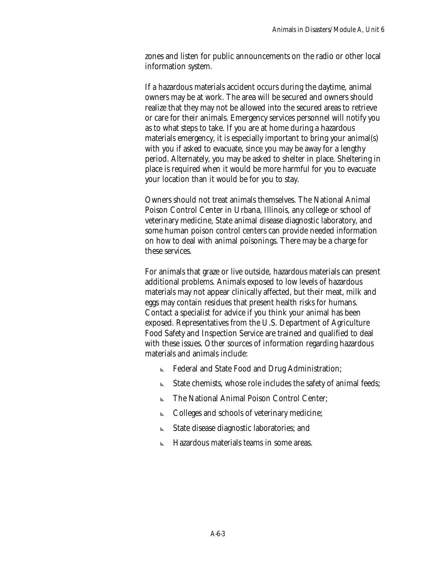zones and listen for public announcements on the radio or other local information system.

If a hazardous materials accident occurs during the daytime, animal owners may be at work. The area will be secured and owners should realize that they may not be allowed into the secured areas to retrieve or care for their animals. Emergency services personnel will notify you as to what steps to take. If you are at home during a hazardous materials emergency, it is especially important to bring your animal(s) with you if asked to evacuate, since you may be away for a lengthy period. Alternately, you may be asked to shelter in place. Sheltering in place is required when it would be more harmful for you to evacuate your location than it would be for you to stay.

Owners should not treat animals themselves. The National Animal Poison Control Center in Urbana, Illinois, any college or school of veterinary medicine, State animal disease diagnostic laboratory, and some human poison control centers can provide needed information on how to deal with animal poisonings. There may be a charge for these services.

For animals that graze or live outside, hazardous materials can present additional problems. Animals exposed to low levels of hazardous materials may not appear clinically affected, but their meat, milk and eggs may contain residues that present health risks for humans. Contact a specialist for advice if you think your animal has been exposed. Representatives from the U.S. Department of Agriculture Food Safety and Inspection Service are trained and qualified to deal with these issues. Other sources of information regarding hazardous materials and animals include:

- Federal and State Food and Drug Administration;
- $\blacktriangleright$  State chemists, whose role includes the safety of animal feeds;
- The National Animal Poison Control Center;
- $\Box$  Colleges and schools of veterinary medicine;
- $\blacktriangleright$  State disease diagnostic laboratories; and
- $\blacktriangleright$  Hazardous materials teams in some areas.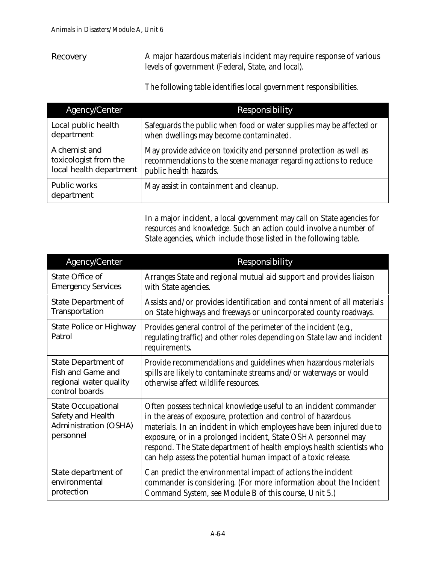Recovery A major hazardous materials incident may require response of various levels of government (Federal, State, and local).

The following table identifies local government responsibilities.

| Agency/Center              | Responsibility                                                       |
|----------------------------|----------------------------------------------------------------------|
| Local public health        | Safeguards the public when food or water supplies may be affected or |
| department                 | when dwellings may become contaminated.                              |
| A chemist and              | May provide advice on toxicity and personnel protection as well as   |
| toxicologist from the      | recommendations to the scene manager regarding actions to reduce     |
| local health department    | public health hazards.                                               |
| Public works<br>department | May assist in containment and cleanup.                               |

In a major incident, a local government may call on State agencies for resources and knowledge. Such an action could involve a number of State agencies, which include those listed in the following table.

| Agency/Center                                                                        | Responsibility                                                                                                                                                                                                                                                                                                                                                                                                           |
|--------------------------------------------------------------------------------------|--------------------------------------------------------------------------------------------------------------------------------------------------------------------------------------------------------------------------------------------------------------------------------------------------------------------------------------------------------------------------------------------------------------------------|
| State Office of<br><b>Emergency Services</b>                                         | Arranges State and regional mutual aid support and provides liaison<br>with State agencies.                                                                                                                                                                                                                                                                                                                              |
| State Department of<br>Transportation                                                | Assists and/or provides identification and containment of all materials<br>on State highways and freeways or unincorporated county roadways.                                                                                                                                                                                                                                                                             |
| State Police or Highway<br>Patrol                                                    | Provides general control of the perimeter of the incident (e.g.,<br>regulating traffic) and other roles depending on State law and incident<br>requirements.                                                                                                                                                                                                                                                             |
| State Department of<br>Fish and Game and<br>regional water quality<br>control boards | Provide recommendations and guidelines when hazardous materials<br>spills are likely to contaminate streams and/or waterways or would<br>otherwise affect wildlife resources.                                                                                                                                                                                                                                            |
| <b>State Occupational</b><br>Safety and Health<br>Administration (OSHA)<br>personnel | Often possess technical knowledge useful to an incident commander<br>in the areas of exposure, protection and control of hazardous<br>materials. In an incident in which employees have been injured due to<br>exposure, or in a prolonged incident, State OSHA personnel may<br>respond. The State department of health employs health scientists who<br>can help assess the potential human impact of a toxic release. |
| State department of<br>environmental<br>protection                                   | Can predict the environmental impact of actions the incident<br>commander is considering. (For more information about the Incident<br>Command System, see Module B of this course, Unit 5.)                                                                                                                                                                                                                              |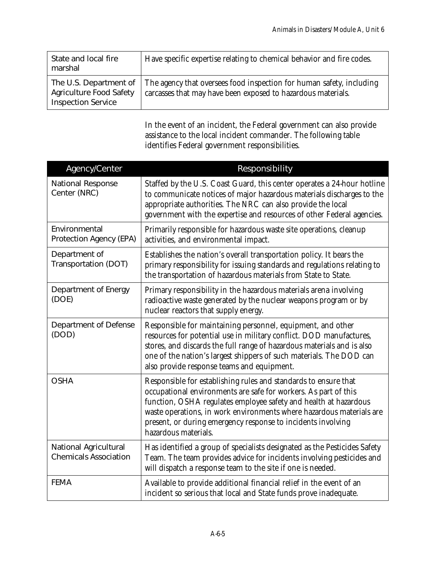| State and local fire<br>marshal                                                       | Have specific expertise relating to chemical behavior and fire codes.                                                                |
|---------------------------------------------------------------------------------------|--------------------------------------------------------------------------------------------------------------------------------------|
| The U.S. Department of<br><b>Agriculture Food Safety</b><br><b>Inspection Service</b> | The agency that oversees food inspection for human safety, including<br>carcasses that may have been exposed to hazardous materials. |

In the event of an incident, the Federal government can also provide assistance to the local incident commander. The following table identifies Federal government responsibilities.

| Agency/Center                                         | Responsibility                                                                                                                                                                                                                                                                                                                                                         |
|-------------------------------------------------------|------------------------------------------------------------------------------------------------------------------------------------------------------------------------------------------------------------------------------------------------------------------------------------------------------------------------------------------------------------------------|
| National Response<br>Center (NRC)                     | Staffed by the U.S. Coast Guard, this center operates a 24-hour hotline<br>to communicate notices of major hazardous materials discharges to the<br>appropriate authorities. The NRC can also provide the local<br>government with the expertise and resources of other Federal agencies.                                                                              |
| Environmental<br>Protection Agency (EPA)              | Primarily responsible for hazardous waste site operations, cleanup<br>activities, and environmental impact.                                                                                                                                                                                                                                                            |
| Department of<br>Transportation (DOT)                 | Establishes the nation's overall transportation policy. It bears the<br>primary responsibility for issuing standards and regulations relating to<br>the transportation of hazardous materials from State to State.                                                                                                                                                     |
| Department of Energy<br>(DOE)                         | Primary responsibility in the hazardous materials arena involving<br>radioactive waste generated by the nuclear weapons program or by<br>nuclear reactors that supply energy.                                                                                                                                                                                          |
| Department of Defense<br>(DOD)                        | Responsible for maintaining personnel, equipment, and other<br>resources for potential use in military conflict. DOD manufactures,<br>stores, and discards the full range of hazardous materials and is also<br>one of the nation's largest shippers of such materials. The DOD can<br>also provide response teams and equipment.                                      |
| <b>OSHA</b>                                           | Responsible for establishing rules and standards to ensure that<br>occupational environments are safe for workers. As part of this<br>function, OSHA regulates employee safety and health at hazardous<br>waste operations, in work environments where hazardous materials are<br>present, or during emergency response to incidents involving<br>hazardous materials. |
| National Agricultural<br><b>Chemicals Association</b> | Has identified a group of specialists designated as the Pesticides Safety<br>Team. The team provides advice for incidents involving pesticides and<br>will dispatch a response team to the site if one is needed.                                                                                                                                                      |
| <b>FEMA</b>                                           | Available to provide additional financial relief in the event of an<br>incident so serious that local and State funds prove inadequate.                                                                                                                                                                                                                                |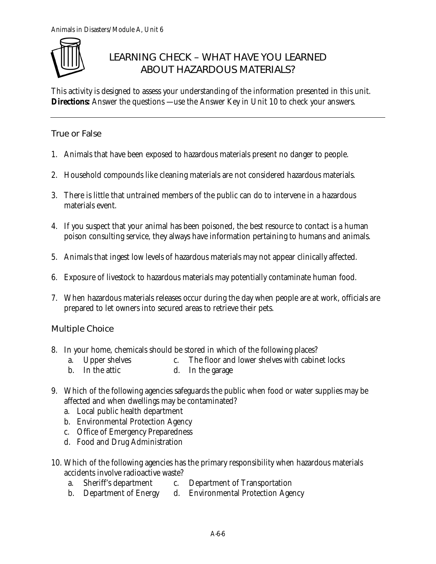

# LEARNING CHECK – WHAT HAVE YOU LEARNED ABOUT HAZARDOUS MATERIALS?

This activity is designed to assess your understanding of the information presented in this unit. **Directions:** Answer the questions – use the Answer Key in Unit 10 to check your answers.

# True or False

- 1. Animals that have been exposed to hazardous materials present no danger to people.
- 2. Household compounds like cleaning materials are not considered hazardous materials.
- 3. There is little that untrained members of the public can do to intervene in a hazardous materials event.
- 4. If you suspect that your animal has been poisoned, the best resource to contact is a human poison consulting service, they always have information pertaining to humans and animals.
- 5. Animals that ingest low levels of hazardous materials may not appear clinically affected.
- 6. Exposure of livestock to hazardous materials may potentially contaminate human food.
- 7. When hazardous materials releases occur during the day when people are at work, officials are prepared to let owners into secured areas to retrieve their pets.

# Multiple Choice

- 8. In your home, chemicals should be stored in which of the following places?
	- a. Upper shelves c. The floor and lower shelves with cabinet locks
	- b. In the attic d. In the garage
- 9. Which of the following agencies safeguards the public when food or water supplies may be affected and when dwellings may be contaminated?
	- a. Local public health department
	- b. Environmental Protection Agency
	- c. Office of Emergency Preparedness
	- d. Food and Drug Administration
- 10. Which of the following agencies has the primary responsibility when hazardous materials accidents involve radioactive waste?
	- a. Sheriff's department c. Department of Transportation
	- b. Department of Energy d. Environmental Protection Agency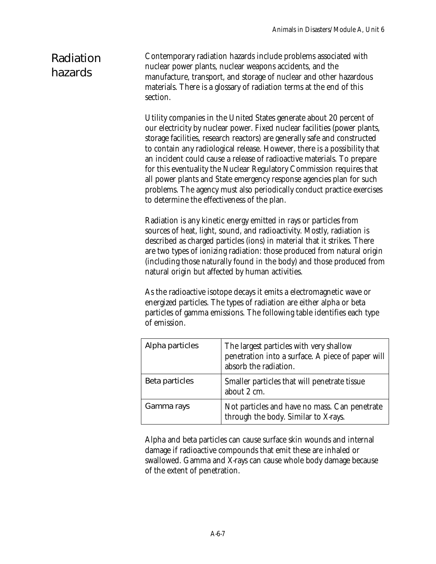# Radiation hazards

Contemporary radiation hazards include problems associated with nuclear power plants, nuclear weapons accidents, and the manufacture, transport, and storage of nuclear and other hazardous materials. There is a glossary of radiation terms at the end of this section.

Utility companies in the United States generate about 20 percent of our electricity by nuclear power. Fixed nuclear facilities (power plants, storage facilities, research reactors) are generally safe and constructed to contain any radiological release. However, there is a possibility that an incident could cause a release of radioactive materials. To prepare for this eventuality the Nuclear Regulatory Commission requires that all power plants and State emergency response agencies plan for such problems. The agency must also periodically conduct practice exercises to determine the effectiveness of the plan.

Radiation is any kinetic energy emitted in rays or particles from sources of heat, light, sound, and radioactivity. Mostly, radiation is described as charged particles (ions) in material that it strikes. There are two types of ionizing radiation: those produced from natural origin (including those naturally found in the body) and those produced from natural origin but affected by human activities.

As the radioactive isotope decays it emits a electromagnetic wave or energized particles. The types of radiation are either alpha or beta particles of gamma emissions. The following table identifies each type of emission.

| Alpha particles | The largest particles with very shallow<br>penetration into a surface. A piece of paper will<br>absorb the radiation. |
|-----------------|-----------------------------------------------------------------------------------------------------------------------|
| Beta particles  | Smaller particles that will penetrate tissue<br>about 2 cm.                                                           |
| Gamma rays      | Not particles and have no mass. Can penetrate<br>through the body. Similar to X-rays.                                 |

Alpha and beta particles can cause surface skin wounds and internal damage if radioactive compounds that emit these are inhaled or swallowed. Gamma and X-rays can cause whole body damage because of the extent of penetration.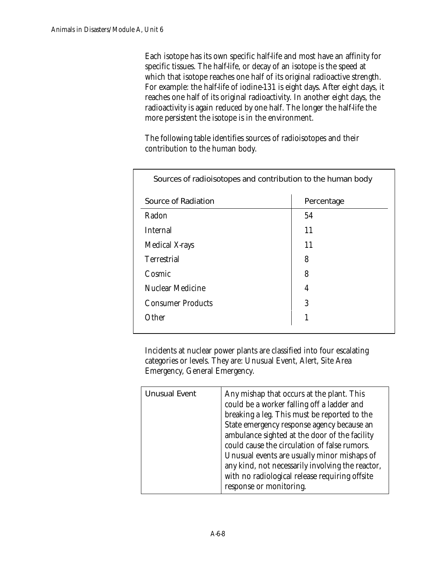Each isotope has its own specific half-life and most have an affinity for specific tissues. The half-life, or decay of an isotope is the speed at which that isotope reaches one half of its original radioactive strength. For example: the half-life of iodine-131 is eight days. After eight days, it reaches one half of its original radioactivity. In another eight days, the radioactivity is again reduced by one half. The longer the half-life the more persistent the isotope is in the environment.

The following table identifies sources of radioisotopes and their contribution to the human body.

| Sources of radioisotopes and contribution to the human body |            |
|-------------------------------------------------------------|------------|
| Source of Radiation                                         | Percentage |
| Radon                                                       | 54         |
| Internal                                                    | 11         |
| Medical X-rays                                              | 11         |
| Terrestrial                                                 | 8          |
| Cosmic                                                      | 8          |
| Nuclear Medicine                                            | 4          |
| <b>Consumer Products</b>                                    | 3          |
| )ther                                                       | 1          |
|                                                             |            |

Incidents at nuclear power plants are classified into four escalating categories or levels. They are: Unusual Event, Alert, Site Area Emergency, General Emergency.

| Unusual Event | Any mishap that occurs at the plant. This<br>could be a worker falling off a ladder and<br>breaking a leg. This must be reported to the<br>State emergency response agency because an<br>ambulance sighted at the door of the facility<br>could cause the circulation of false rumors.<br>Unusual events are usually minor mishaps of<br>any kind, not necessarily involving the reactor,<br>with no radiological release requiring offsite |
|---------------|---------------------------------------------------------------------------------------------------------------------------------------------------------------------------------------------------------------------------------------------------------------------------------------------------------------------------------------------------------------------------------------------------------------------------------------------|
|               | response or monitoring.                                                                                                                                                                                                                                                                                                                                                                                                                     |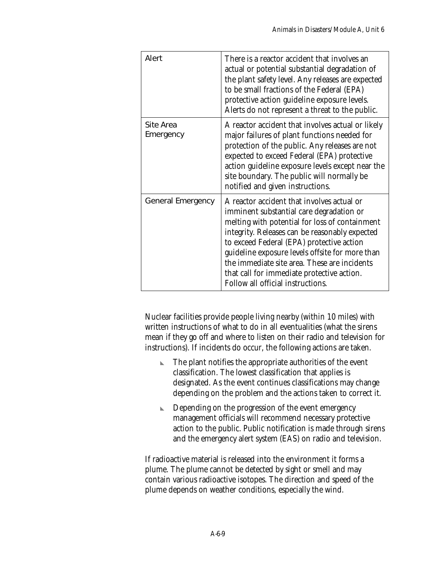| Alert                    | There is a reactor accident that involves an<br>actual or potential substantial degradation of<br>the plant safety level. Any releases are expected<br>to be small fractions of the Federal (EPA)<br>protective action guideline exposure levels.<br>Alerts do not represent a threat to the public.                                                                                                                          |
|--------------------------|-------------------------------------------------------------------------------------------------------------------------------------------------------------------------------------------------------------------------------------------------------------------------------------------------------------------------------------------------------------------------------------------------------------------------------|
| Site Area<br>Emergency   | A reactor accident that involves actual or likely<br>major failures of plant functions needed for<br>protection of the public. Any releases are not<br>expected to exceed Federal (EPA) protective<br>action guideline exposure levels except near the<br>site boundary. The public will normally be<br>notified and given instructions.                                                                                      |
| <b>General Emergency</b> | A reactor accident that involves actual or<br>imminent substantial care degradation or<br>melting with potential for loss of containment<br>integrity. Releases can be reasonably expected<br>to exceed Federal (EPA) protective action<br>guideline exposure levels offsite for more than<br>the immediate site area. These are incidents<br>that call for immediate protective action.<br>Follow all official instructions. |

Nuclear facilities provide people living nearby (within 10 miles) with written instructions of what to do in all eventualities (what the sirens mean if they go off and where to listen on their radio and television for instructions). If incidents do occur, the following actions are taken.

- $\Box$  The plant notifies the appropriate authorities of the event classification. The lowest classification that applies is designated. As the event continues classifications may change depending on the problem and the actions taken to correct it.
- $\Box$  Depending on the progression of the event emergency management officials will recommend necessary protective action to the public. Public notification is made through sirens and the emergency alert system (EAS) on radio and television.

If radioactive material is released into the environment it forms a plume. The plume cannot be detected by sight or smell and may contain various radioactive isotopes. The direction and speed of the plume depends on weather conditions, especially the wind.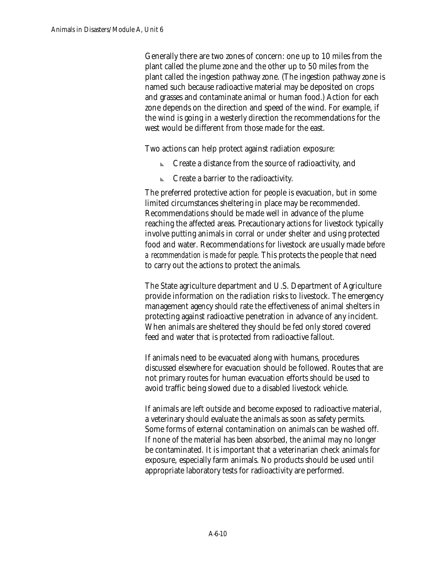Generally there are two zones of concern: one up to 10 miles from the plant called the plume zone and the other up to 50 miles from the plant called the ingestion pathway zone. (The ingestion pathway zone is named such because radioactive material may be deposited on crops and grasses and contaminate animal or human food.) Action for each zone depends on the direction and speed of the wind. For example, if the wind is going in a westerly direction the recommendations for the west would be different from those made for the east.

Two actions can help protect against radiation exposure:

- $\Box$  Create a distance from the source of radioactivity, and
- $\Box$  Create a barrier to the radioactivity.

The preferred protective action for people is evacuation, but in some limited circumstances sheltering in place may be recommended. Recommendations should be made well in advance of the plume reaching the affected areas. Precautionary actions for livestock typically involve putting animals in corral or under shelter and using protected food and water. Recommendations for livestock are usually made *before a recommendation is made for people*. This protects the people that need to carry out the actions to protect the animals.

The State agriculture department and U.S. Department of Agriculture provide information on the radiation risks to livestock. The emergency management agency should rate the effectiveness of animal shelters in protecting against radioactive penetration in advance of any incident. When animals are sheltered they should be fed only stored covered feed and water that is protected from radioactive fallout.

If animals need to be evacuated along with humans, procedures discussed elsewhere for evacuation should be followed. Routes that are not primary routes for human evacuation efforts should be used to avoid traffic being slowed due to a disabled livestock vehicle.

If animals are left outside and become exposed to radioactive material, a veterinary should evaluate the animals as soon as safety permits. Some forms of external contamination on animals can be washed off. If none of the material has been absorbed, the animal may no longer be contaminated. It is important that a veterinarian check animals for exposure, especially farm animals. No products should be used until appropriate laboratory tests for radioactivity are performed.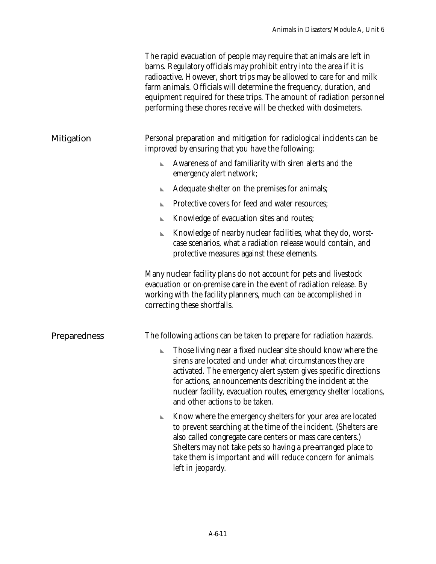|              | The rapid evacuation of people may require that animals are left in<br>barns. Regulatory officials may prohibit entry into the area if it is<br>radioactive. However, short trips may be allowed to care for and milk<br>farm animals. Officials will determine the frequency, duration, and<br>equipment required for these trips. The amount of radiation personnel<br>performing these chores receive will be checked with dosimeters. |
|--------------|-------------------------------------------------------------------------------------------------------------------------------------------------------------------------------------------------------------------------------------------------------------------------------------------------------------------------------------------------------------------------------------------------------------------------------------------|
| Mitigation   | Personal preparation and mitigation for radiological incidents can be<br>improved by ensuring that you have the following:                                                                                                                                                                                                                                                                                                                |
|              | Awareness of and familiarity with siren alerts and the<br>emergency alert network;                                                                                                                                                                                                                                                                                                                                                        |
|              | Adequate shelter on the premises for animals;<br>ь                                                                                                                                                                                                                                                                                                                                                                                        |
|              | Protective covers for feed and water resources;                                                                                                                                                                                                                                                                                                                                                                                           |
|              | Knowledge of evacuation sites and routes;<br>Ы                                                                                                                                                                                                                                                                                                                                                                                            |
|              | Knowledge of nearby nuclear facilities, what they do, worst-<br>Ы<br>case scenarios, what a radiation release would contain, and<br>protective measures against these elements.                                                                                                                                                                                                                                                           |
|              | Many nuclear facility plans do not account for pets and livestock<br>evacuation or on-premise care in the event of radiation release. By<br>working with the facility planners, much can be accomplished in<br>correcting these shortfalls.                                                                                                                                                                                               |
| Preparedness | The following actions can be taken to prepare for radiation hazards.                                                                                                                                                                                                                                                                                                                                                                      |
|              | Those living near a fixed nuclear site should know where the<br>Ы<br>sirens are located and under what circumstances they are<br>activated. The emergency alert system gives specific directions<br>for actions, announcements describing the incident at the<br>nuclear facility, evacuation routes, emergency shelter locations,<br>and other actions to be taken.                                                                      |
|              | Know where the emergency shelters for your area are located<br>Ы<br>to prevent searching at the time of the incident. (Shelters are<br>also called congregate care centers or mass care centers.)<br>Shelters may not take pets so having a pre-arranged place to<br>take them is important and will reduce concern for animals<br>left in jeopardy.                                                                                      |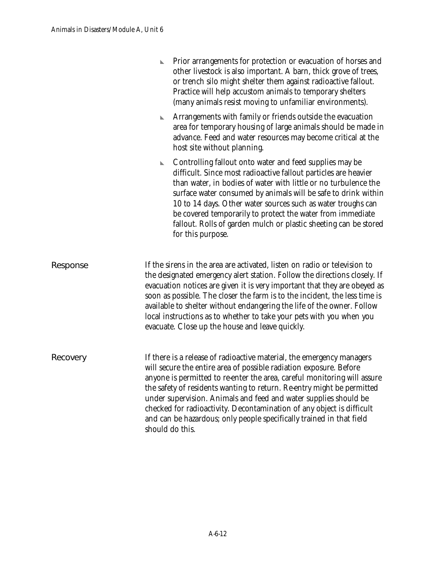|          | Prior arrangements for protection or evacuation of horses and<br>other livestock is also important. A barn, thick grove of trees,<br>or trench silo might shelter them against radioactive fallout.<br>Practice will help accustom animals to temporary shelters<br>(many animals resist moving to unfamiliar environments).                                                                                                                                                                                                              |
|----------|-------------------------------------------------------------------------------------------------------------------------------------------------------------------------------------------------------------------------------------------------------------------------------------------------------------------------------------------------------------------------------------------------------------------------------------------------------------------------------------------------------------------------------------------|
|          | Arrangements with family or friends outside the evacuation<br>k.<br>area for temporary housing of large animals should be made in<br>advance. Feed and water resources may become critical at the<br>host site without planning.                                                                                                                                                                                                                                                                                                          |
|          | Controlling fallout onto water and feed supplies may be<br>k.<br>difficult. Since most radioactive fallout particles are heavier<br>than water, in bodies of water with little or no turbulence the<br>surface water consumed by animals will be safe to drink within<br>10 to 14 days. Other water sources such as water troughs can<br>be covered temporarily to protect the water from immediate<br>fallout. Rolls of garden mulch or plastic sheeting can be stored<br>for this purpose.                                              |
| Response | If the sirens in the area are activated, listen on radio or television to<br>the designated emergency alert station. Follow the directions closely. If<br>evacuation notices are given it is very important that they are obeyed as<br>soon as possible. The closer the farm is to the incident, the less time is<br>available to shelter without endangering the life of the owner. Follow<br>local instructions as to whether to take your pets with you when you<br>evacuate. Close up the house and leave quickly.                    |
| Recovery | If there is a release of radioactive material, the emergency managers<br>will secure the entire area of possible radiation exposure. Before<br>anyone is permitted to re-enter the area, careful monitoring will assure<br>the safety of residents wanting to return. Re-entry might be permitted<br>under supervision. Animals and feed and water supplies should be<br>checked for radioactivity. Decontamination of any object is difficult<br>and can be hazardous; only people specifically trained in that field<br>should do this. |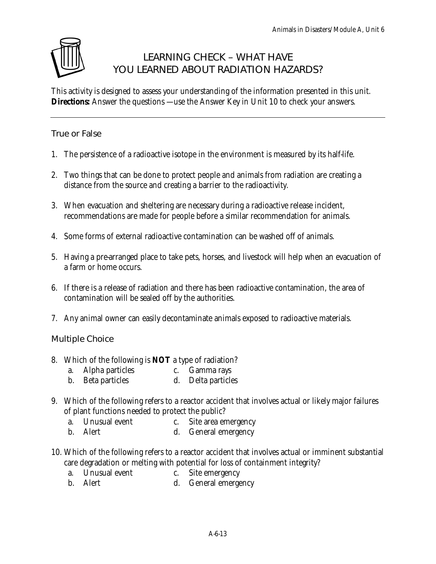

# LEARNING CHECK – WHAT HAVE YOU LEARNED ABOUT RADIATION HAZARDS?

This activity is designed to assess your understanding of the information presented in this unit. **Directions:** Answer the questions – use the Answer Key in Unit 10 to check your answers.

# True or False

- 1. The persistence of a radioactive isotope in the environment is measured by its half-life.
- 2. Two things that can be done to protect people and animals from radiation are creating a distance from the source and creating a barrier to the radioactivity.
- 3. When evacuation and sheltering are necessary during a radioactive release incident, recommendations are made for people before a similar recommendation for animals.
- 4. Some forms of external radioactive contamination can be washed off of animals.
- 5. Having a pre-arranged place to take pets, horses, and livestock will help when an evacuation of a farm or home occurs.
- 6. If there is a release of radiation and there has been radioactive contamination, the area of contamination will be sealed off by the authorities.
- 7. Any animal owner can easily decontaminate animals exposed to radioactive materials.

### Multiple Choice

- 8. Which of the following is **NOT** a type of radiation?
	- a. Alpha particles c. Gamma rays
	- b. Beta particles d. Delta particles
- 9. Which of the following refers to a reactor accident that involves actual or likely major failures of plant functions needed to protect the public?
	- a. Unusual event c. Site area emergency
	- b. Alert d. General emergency
- 10. Which of the following refers to a reactor accident that involves actual or imminent substantial care degradation or melting with potential for loss of containment integrity?
	- a. Unusual event c. Site emergency
	- b. Alert d. General emergency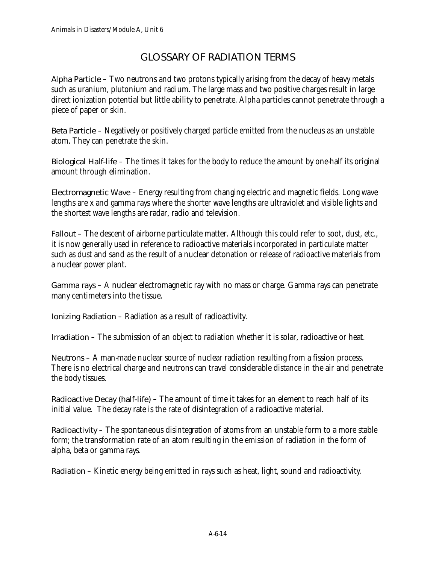# GLOSSARY OF RADIATION TERMS

Alpha Particle – Two neutrons and two protons typically arising from the decay of heavy metals such as uranium, plutonium and radium. The large mass and two positive charges result in large direct ionization potential but little ability to penetrate. Alpha particles cannot penetrate through a piece of paper or skin.

Beta Particle – Negatively or positively charged particle emitted from the nucleus as an unstable atom. They can penetrate the skin.

Biological Half-life – The times it takes for the body to reduce the amount by one-half its original amount through elimination.

Electromagnetic Wave – Energy resulting from changing electric and magnetic fields. Long wave lengths are x and gamma rays where the shorter wave lengths are ultraviolet and visible lights and the shortest wave lengths are radar, radio and television.

Fallout – The descent of airborne particulate matter. Although this could refer to soot, dust, etc., it is now generally used in reference to radioactive materials incorporated in particulate matter such as dust and sand as the result of a nuclear detonation or release of radioactive materials from a nuclear power plant.

Gamma rays – A nuclear electromagnetic ray with no mass or charge. Gamma rays can penetrate many centimeters into the tissue.

Ionizing Radiation – Radiation as a result of radioactivity.

Irradiation – The submission of an object to radiation whether it is solar, radioactive or heat.

Neutrons – A man-made nuclear source of nuclear radiation resulting from a fission process. There is no electrical charge and neutrons can travel considerable distance in the air and penetrate the body tissues.

Radioactive Decay (half-life) – The amount of time it takes for an element to reach half of its initial value. The decay rate is the rate of disintegration of a radioactive material.

Radioactivity – The spontaneous disintegration of atoms from an unstable form to a more stable form; the transformation rate of an atom resulting in the emission of radiation in the form of alpha, beta or gamma rays.

Radiation – Kinetic energy being emitted in rays such as heat, light, sound and radioactivity.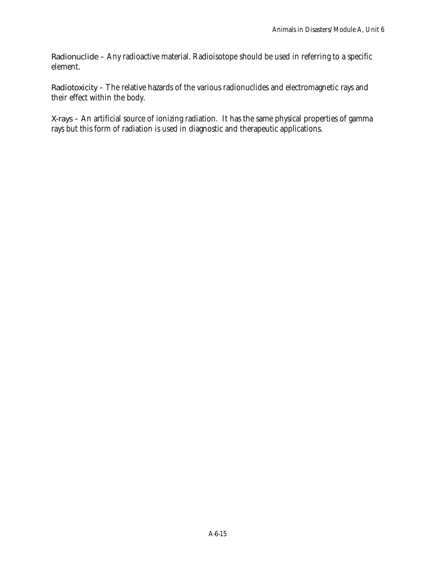Radionuclide – Any radioactive material. Radioisotope should be used in referring to a specific element.

Radiotoxicity – The relative hazards of the various radionuclides and electromagnetic rays and their effect within the body.

X-rays – An artificial source of ionizing radiation. It has the same physical properties of gamma rays but this form of radiation is used in diagnostic and therapeutic applications.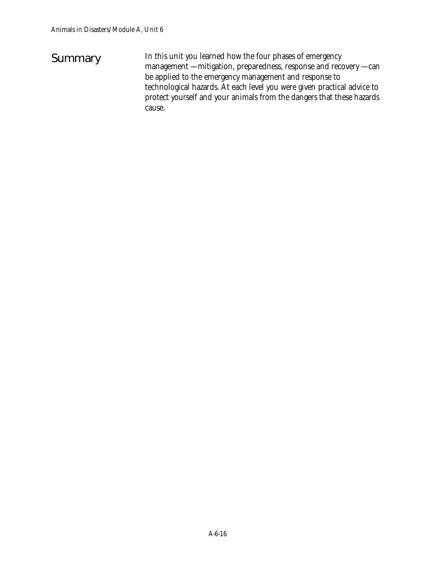Summary In this unit you learned how the four phases of emergency management — mitigation, preparedness, response and recovery — can be applied to the emergency management and response to technological hazards. At each level you were given practical advice to protect yourself and your animals from the dangers that these hazards cause.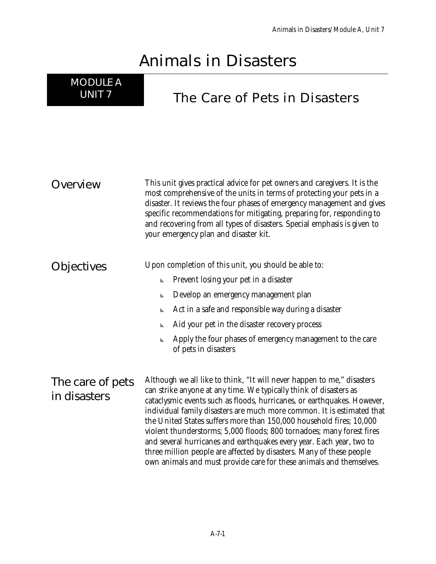# Animals in Disasters

# MODULE A<br>UNIT 7

# The Care of Pets in Disasters

| Overview                         | This unit gives practical advice for pet owners and caregivers. It is the<br>most comprehensive of the units in terms of protecting your pets in a<br>disaster. It reviews the four phases of emergency management and gives<br>specific recommendations for mitigating, preparing for, responding to<br>and recovering from all types of disasters. Special emphasis is given to<br>your emergency plan and disaster kit.                                                                                                                                                                                                                                              |  |
|----------------------------------|-------------------------------------------------------------------------------------------------------------------------------------------------------------------------------------------------------------------------------------------------------------------------------------------------------------------------------------------------------------------------------------------------------------------------------------------------------------------------------------------------------------------------------------------------------------------------------------------------------------------------------------------------------------------------|--|
| Objectives                       | Upon completion of this unit, you should be able to:<br>Prevent losing your pet in a disaster<br>К<br>Develop an emergency management plan<br>Ы<br>Act in a safe and responsible way during a disaster<br>Aid your pet in the disaster recovery process<br>ь<br>Apply the four phases of emergency management to the care<br>of pets in disasters                                                                                                                                                                                                                                                                                                                       |  |
| The care of pets<br>in disasters | Although we all like to think, "It will never happen to me," disasters<br>can strike anyone at any time. We typically think of disasters as<br>cataclysmic events such as floods, hurricanes, or earthquakes. However,<br>individual family disasters are much more common. It is estimated that<br>the United States suffers more than 150,000 household fires; 10,000<br>violent thunderstorms; 5,000 floods; 800 tornadoes; many forest fires<br>and several hurricanes and earthquakes every year. Each year, two to<br>three million people are affected by disasters. Many of these people<br>own animals and must provide care for these animals and themselves. |  |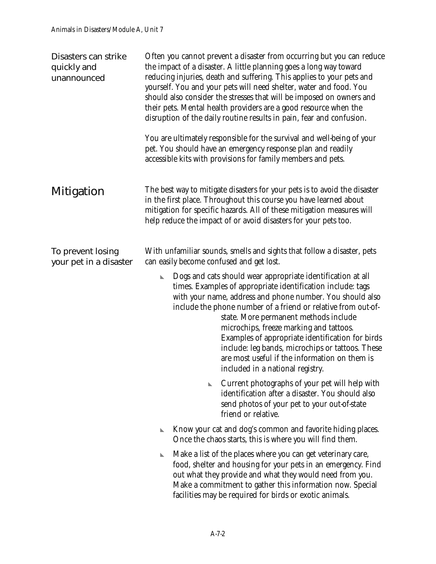| Disasters can strike<br>quickly and<br>unannounced | Often you cannot prevent a disaster from occurring but you can reduce<br>the impact of a disaster. A little planning goes a long way toward<br>reducing injuries, death and suffering. This applies to your pets and<br>yourself. You and your pets will need shelter, water and food. You<br>should also consider the stresses that will be imposed on owners and<br>their pets. Mental health providers are a good resource when the<br>disruption of the daily routine results in pain, fear and confusion.<br>You are ultimately responsible for the survival and well-being of your<br>pet. You should have an emergency response plan and readily |
|----------------------------------------------------|---------------------------------------------------------------------------------------------------------------------------------------------------------------------------------------------------------------------------------------------------------------------------------------------------------------------------------------------------------------------------------------------------------------------------------------------------------------------------------------------------------------------------------------------------------------------------------------------------------------------------------------------------------|
|                                                    | accessible kits with provisions for family members and pets.                                                                                                                                                                                                                                                                                                                                                                                                                                                                                                                                                                                            |
| Mitigation                                         | The best way to mitigate disasters for your pets is to avoid the disaster<br>in the first place. Throughout this course you have learned about<br>mitigation for specific hazards. All of these mitigation measures will<br>help reduce the impact of or avoid disasters for your pets too.                                                                                                                                                                                                                                                                                                                                                             |
| To prevent losing<br>your pet in a disaster        | With unfamiliar sounds, smells and sights that follow a disaster, pets<br>can easily become confused and get lost.                                                                                                                                                                                                                                                                                                                                                                                                                                                                                                                                      |
|                                                    | Dogs and cats should wear appropriate identification at all<br>Ы<br>times. Examples of appropriate identification include: tags<br>with your name, address and phone number. You should also<br>include the phone number of a friend or relative from out-of-<br>state. More permanent methods include<br>microchips, freeze marking and tattoos.<br>Examples of appropriate identification for birds<br>include: leg bands, microchips or tattoos. These<br>are most useful if the information on them is<br>included in a national registry.                                                                                                          |
|                                                    | Current photographs of your pet will help with<br>⊾<br>identification after a disaster. You should also<br>send photos of your pet to your out-of-state<br>friend or relative.                                                                                                                                                                                                                                                                                                                                                                                                                                                                          |
|                                                    | Know your cat and dog's common and favorite hiding places.<br>Once the chaos starts, this is where you will find them.                                                                                                                                                                                                                                                                                                                                                                                                                                                                                                                                  |
|                                                    | Make a list of the places where you can get veterinary care,<br>ь<br>food, shelter and housing for your pets in an emergency. Find<br>out what they provide and what they would need from you.<br>Make a commitment to gather this information now. Special<br>facilities may be required for birds or exotic animals.                                                                                                                                                                                                                                                                                                                                  |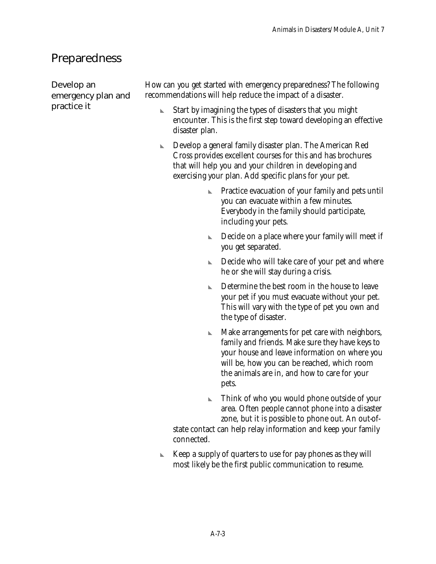# Preparedness

| Develop an<br>emergency plan and<br>practice it |   | How can you get started with emergency preparedness? The following<br>recommendations will help reduce the impact of a disaster.                                                                                                                                |  |
|-------------------------------------------------|---|-----------------------------------------------------------------------------------------------------------------------------------------------------------------------------------------------------------------------------------------------------------------|--|
|                                                 | Ы | Start by imagining the types of disasters that you might<br>encounter. This is the first step toward developing an effective<br>disaster plan.                                                                                                                  |  |
|                                                 | Ы | Develop a general family disaster plan. The American Red<br>Cross provides excellent courses for this and has brochures<br>that will help you and your children in developing and<br>exercising your plan. Add specific plans for your pet.                     |  |
|                                                 |   | Practice evacuation of your family and pets until<br>Ы<br>you can evacuate within a few minutes.<br>Everybody in the family should participate,<br>including your pets.                                                                                         |  |
|                                                 |   | Decide on a place where your family will meet if<br>N<br>you get separated.                                                                                                                                                                                     |  |
|                                                 |   | Decide who will take care of your pet and where<br>N<br>he or she will stay during a crisis.                                                                                                                                                                    |  |
|                                                 |   | Determine the best room in the house to leave<br>ь<br>your pet if you must evacuate without your pet.<br>This will vary with the type of pet you own and<br>the type of disaster.                                                                               |  |
|                                                 |   | Make arrangements for pet care with neighbors,<br>Ы<br>family and friends. Make sure they have keys to<br>your house and leave information on where you<br>will be, how you can be reached, which room<br>the animals are in, and how to care for your<br>pets. |  |
|                                                 |   | Think of who you would phone outside of your<br>area. Often people cannot phone into a disaster<br>zone, but it is possible to phone out. An out-of-<br>state contact can help relay information and keep your family<br>connected.                             |  |
|                                                 |   | Keep a supply of quarters to use for pay phones as they will<br>most likely be the first public communication to resume.                                                                                                                                        |  |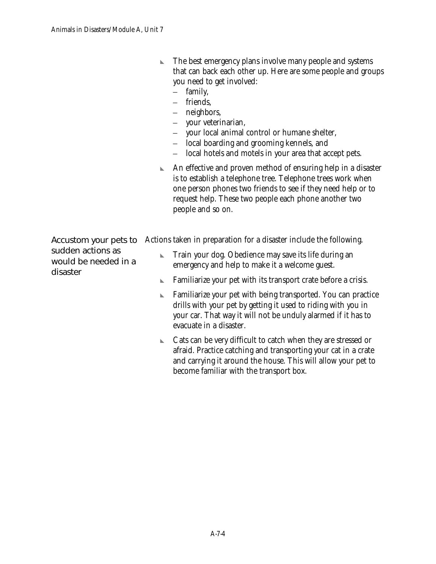- $\blacktriangleright$  The best emergency plans involve many people and systems that can back each other up. Here are some people and groups you need to get involved:
	- family,
	- friends,
	- neighbors,
	- your veterinarian,
	- your local animal control or humane shelter,
	- local boarding and grooming kennels, and
	- local hotels and motels in your area that accept pets.
- $\Box$  An effective and proven method of ensuring help in a disaster is to establish a telephone tree. Telephone trees work when one person phones two friends to see if they need help or to request help. These two people each phone another two people and so on.

Accustom your pets to sudden actions as would be needed in a disaster

Actions taken in preparation for a disaster include the following.

- $\Box$  Train your dog. Obedience may save its life during an emergency and help to make it a welcome guest.
- Familiarize your pet with its transport crate before a crisis.
- $\Box$  Familiarize your pet with being transported. You can practice drills with your pet by getting it used to riding with you in your car. That way it will not be unduly alarmed if it has to evacuate in a disaster.
- $\Box$  Cats can be very difficult to catch when they are stressed or afraid. Practice catching and transporting your cat in a crate and carrying it around the house. This will allow your pet to become familiar with the transport box.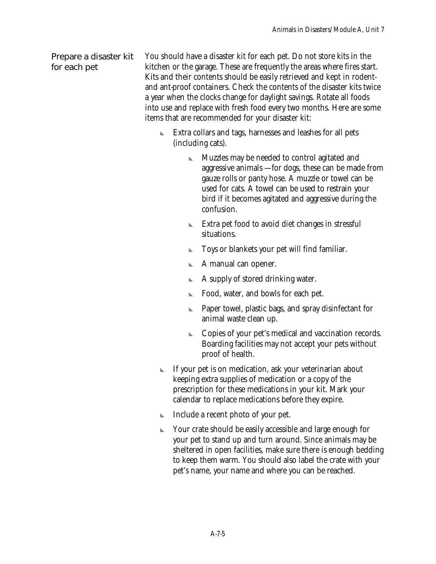#### Prepare a disaster kit for each pet You should have a disaster kit for each pet. Do not store kits in the kitchen or the garage. These are frequently the areas where fires start. Kits and their contents should be easily retrieved and kept in rodentand ant-proof containers. Check the contents of the disaster kits twice a year when the clocks change for daylight savings. Rotate all foods into use and replace with fresh food every two months. Here are some items that are recommended for your disaster kit:

- **Extra collars and tags, harnesses and leashes for all pets** (including cats).
	- $\blacktriangleright$  Muzzles may be needed to control agitated and aggressive animals — for dogs, these can be made from gauze rolls or panty hose. A muzzle or towel can be used for cats. A towel can be used to restrain your bird if it becomes agitated and aggressive during the confusion.
	- $\blacktriangleright$  Extra pet food to avoid diet changes in stressful situations.
	- : Toys or blankets your pet will find familiar.
	- : A manual can opener.
	- $\blacktriangleright$  A supply of stored drinking water.
	- $\blacktriangleright$  Food, water, and bowls for each pet.
	- $\Box$  Paper towel, plastic bags, and spray disinfectant for animal waste clean up.
	- $\Box$  Copies of your pet's medical and vaccination records. Boarding facilities may not accept your pets without proof of health.
- $\blacksquare$  If your pet is on medication, ask your veterinarian about keeping extra supplies of medication or a copy of the prescription for these medications in your kit. Mark your calendar to replace medications before they expire.
- $\Box$  Include a recent photo of your pet.
- ► Your crate should be easily accessible and large enough for your pet to stand up and turn around. Since animals may be sheltered in open facilities, make sure there is enough bedding to keep them warm. You should also label the crate with your pet's name, your name and where you can be reached.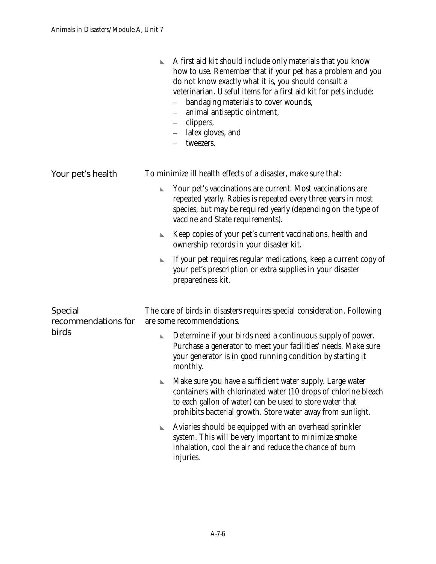|                                | A first aid kit should include only materials that you know<br>how to use. Remember that if your pet has a problem and you<br>do not know exactly what it is, you should consult a<br>veterinarian. Useful items for a first aid kit for pets include:<br>bandaging materials to cover wounds,<br>animal antiseptic ointment,<br>$\qquad \qquad -$<br>clippers,<br>latex gloves, and<br>tweezers. |
|--------------------------------|---------------------------------------------------------------------------------------------------------------------------------------------------------------------------------------------------------------------------------------------------------------------------------------------------------------------------------------------------------------------------------------------------|
| Your pet's health              | To minimize ill health effects of a disaster, make sure that:                                                                                                                                                                                                                                                                                                                                     |
|                                | Your pet's vaccinations are current. Most vaccinations are<br>ь<br>repeated yearly. Rabies is repeated every three years in most<br>species, but may be required yearly (depending on the type of<br>vaccine and State requirements).                                                                                                                                                             |
|                                | Keep copies of your pet's current vaccinations, health and<br>k.<br>ownership records in your disaster kit.                                                                                                                                                                                                                                                                                       |
|                                | If your pet requires regular medications, keep a current copy of<br>Ы<br>your pet's prescription or extra supplies in your disaster<br>preparedness kit.                                                                                                                                                                                                                                          |
| Special<br>recommendations for | The care of birds in disasters requires special consideration. Following<br>are some recommendations.                                                                                                                                                                                                                                                                                             |
| birds                          | Determine if your birds need a continuous supply of power.<br>Ы<br>Purchase a generator to meet your facilities' needs. Make sure<br>your generator is in good running condition by starting it<br>monthly.                                                                                                                                                                                       |
|                                | Make sure you have a sufficient water supply. Large water<br>containers with chlorinated water (10 drops of chlorine bleach<br>to each gallon of water) can be used to store water that<br>prohibits bacterial growth. Store water away from sunlight.                                                                                                                                            |
|                                | Aviaries should be equipped with an overhead sprinkler<br>ь<br>system. This will be very important to minimize smoke<br>inhalation, cool the air and reduce the chance of burn<br>injuries.                                                                                                                                                                                                       |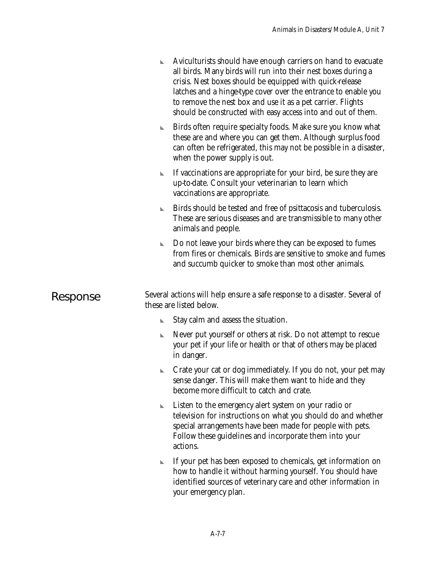|          | Aviculturists should have enough carriers on hand to evacuate<br>all birds. Many birds will run into their nest boxes during a<br>crisis. Nest boxes should be equipped with quick-release<br>latches and a hinge-type cover over the entrance to enable you<br>to remove the nest box and use it as a pet carrier. Flights<br>should be constructed with easy access into and out of them. |
|----------|---------------------------------------------------------------------------------------------------------------------------------------------------------------------------------------------------------------------------------------------------------------------------------------------------------------------------------------------------------------------------------------------|
|          | Birds often require specialty foods. Make sure you know what<br>$\mathbf{h}$<br>these are and where you can get them. Although surplus food<br>can often be refrigerated, this may not be possible in a disaster,<br>when the power supply is out.                                                                                                                                          |
|          | If vaccinations are appropriate for your bird, be sure they are<br>Ы<br>up-to-date. Consult your veterinarian to learn which<br>vaccinations are appropriate.                                                                                                                                                                                                                               |
|          | Birds should be tested and free of psittacosis and tuberculosis.<br>$\mathbf{h}_i$<br>These are serious diseases and are transmissible to many other<br>animals and people.                                                                                                                                                                                                                 |
|          | Do not leave your birds where they can be exposed to fumes<br>Ы<br>from fires or chemicals. Birds are sensitive to smoke and fumes<br>and succumb quicker to smoke than most other animals.                                                                                                                                                                                                 |
| Response | Several actions will help ensure a safe response to a disaster. Several of<br>these are listed below.                                                                                                                                                                                                                                                                                       |
|          | Stay calm and assess the situation.<br>ь                                                                                                                                                                                                                                                                                                                                                    |
|          | Never put yourself or others at risk. Do not attempt to rescue<br>Ы<br>your pet if your life or health or that of others may be placed<br>in danger.                                                                                                                                                                                                                                        |
|          | Crate your cat or dog immediately. If you do not, your pet may<br>sense danger. This will make them want to hide and they<br>become more difficult to catch and crate.                                                                                                                                                                                                                      |
|          | Listen to the emergency alert system on your radio or<br>N<br>television for instructions on what you should do and whether<br>special arrangements have been made for people with pets.<br>Follow these guidelines and incorporate them into your<br>actions.                                                                                                                              |
|          | If your pet has been exposed to chemicals, get information on<br>N<br>how to handle it without harming yourself. You should have<br>identified sources of veterinary care and other information in<br>your emergency plan.                                                                                                                                                                  |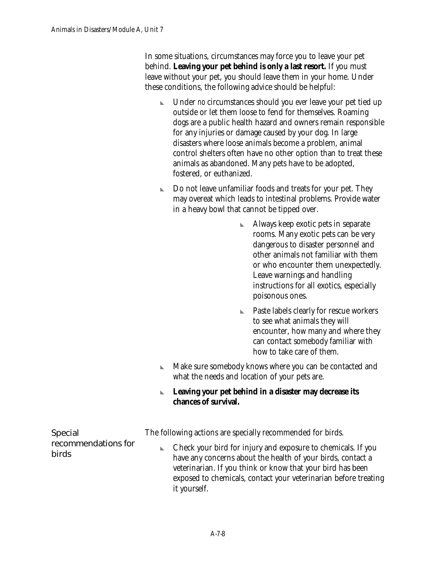In some situations, circumstances may force you to leave your pet behind. **Leaving your pet behind is only a last resort.** If you must leave without your pet, you should leave them in your home. Under these conditions, the following advice should be helpful:

- Under *no* circumstances should you *ever* leave your pet tied up outside or let them loose to fend for themselves. Roaming dogs are a public health hazard and owners remain responsible for any injuries or damage caused by your dog. In large disasters where loose animals become a problem, animal control shelters often have no other option than to treat these animals as abandoned. Many pets have to be adopted, fostered, or euthanized.
- $\Box$  Do not leave unfamiliar foods and treats for your pet. They may overeat which leads to intestinal problems. Provide water in a heavy bowl that cannot be tipped over.
	- $\blacktriangleright$  Always keep exotic pets in separate rooms. Many exotic pets can be very dangerous to disaster personnel and other animals not familiar with them or who encounter them unexpectedly. Leave warnings and handling instructions for all exotics, especially poisonous ones.
	- $\blacktriangleright$  Paste labels clearly for rescue workers to see what animals they will encounter, how many and where they can contact somebody familiar with how to take care of them.
- $\blacktriangleright$  Make sure somebody knows where you can be contacted and what the needs and location of your pets are.
- : **Leaving your pet behind in a disaster may decrease its chances of survival.**

Special recommendations for birds

The following actions are specially recommended for birds.

 $\Box$  Check your bird for injury and exposure to chemicals. If you have any concerns about the health of your birds, contact a veterinarian. If you think or know that your bird has been exposed to chemicals, contact your veterinarian before treating it yourself.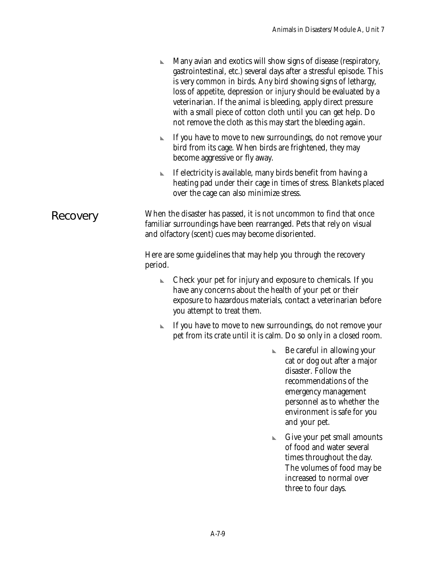|          | Many avian and exotics will show signs of disease (respiratory,<br>gastrointestinal, etc.) several days after a stressful episode. This<br>is very common in birds. Any bird showing signs of lethargy,<br>loss of appetite, depression or injury should be evaluated by a<br>veterinarian. If the animal is bleeding, apply direct pressure<br>with a small piece of cotton cloth until you can get help. Do<br>not remove the cloth as this may start the bleeding again. |
|----------|-----------------------------------------------------------------------------------------------------------------------------------------------------------------------------------------------------------------------------------------------------------------------------------------------------------------------------------------------------------------------------------------------------------------------------------------------------------------------------|
|          | If you have to move to new surroundings, do not remove your<br>ь<br>bird from its cage. When birds are frightened, they may<br>become aggressive or fly away.                                                                                                                                                                                                                                                                                                               |
|          | If electricity is available, many birds benefit from having a<br>$\mathbf{h}_i$<br>heating pad under their cage in times of stress. Blankets placed<br>over the cage can also minimize stress.                                                                                                                                                                                                                                                                              |
| Recovery | When the disaster has passed, it is not uncommon to find that once<br>familiar surroundings have been rearranged. Pets that rely on visual<br>and olfactory (scent) cues may become disoriented.                                                                                                                                                                                                                                                                            |
|          | Here are some guidelines that may help you through the recovery<br>period.                                                                                                                                                                                                                                                                                                                                                                                                  |
|          | Check your pet for injury and exposure to chemicals. If you<br>$\mathbf{k}$<br>have any concerns about the health of your pet or their<br>exposure to hazardous materials, contact a veterinarian before<br>you attempt to treat them.                                                                                                                                                                                                                                      |
|          | If you have to move to new surroundings, do not remove your<br>Ы<br>pet from its crate until it is calm. Do so only in a closed room.                                                                                                                                                                                                                                                                                                                                       |
|          | Be careful in allowing your<br>K.<br>cat or dog out after a major<br>disaster. Follow the<br>recommendations of the<br>emergency management                                                                                                                                                                                                                                                                                                                                 |

- emergency management personnel as to whether the environment is safe for you and your pet.  $\blacktriangleright$  Give your pet small amounts
- of food and water several times throughout the day. The volumes of food may be increased to normal over three to four days.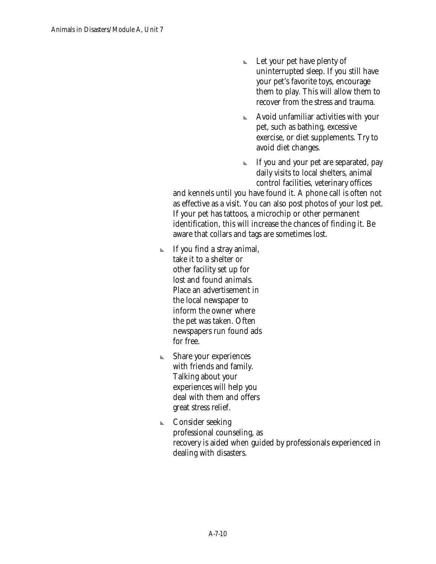- $\blacktriangleright$  Let your pet have plenty of uninterrupted sleep. If you still have your pet's favorite toys, encourage them to play. This will allow them to recover from the stress and trauma.
- $\blacktriangleright$  Avoid unfamiliar activities with your pet, such as bathing, excessive exercise, or diet supplements. Try to avoid diet changes.
- $\Box$  If you and your pet are separated, pay daily visits to local shelters, animal control facilities, veterinary offices

and kennels until you have found it. A phone call is often not as effective as a visit. You can also post photos of your lost pet. If your pet has tattoos, a microchip or other permanent identification, this will increase the chances of finding it. Be aware that collars and tags are sometimes lost.

- $\Box$  If you find a stray animal, take it to a shelter or other facility set up for lost and found animals. Place an advertisement in the local newspaper to inform the owner where the pet was taken. Often newspapers run found ads for free.
- $\blacktriangleright$  Share your experiences with friends and family. Talking about your experiences will help you deal with them and offers great stress relief.
- $\Box$  Consider seeking professional counseling, as recovery is aided when guided by professionals experienced in dealing with disasters.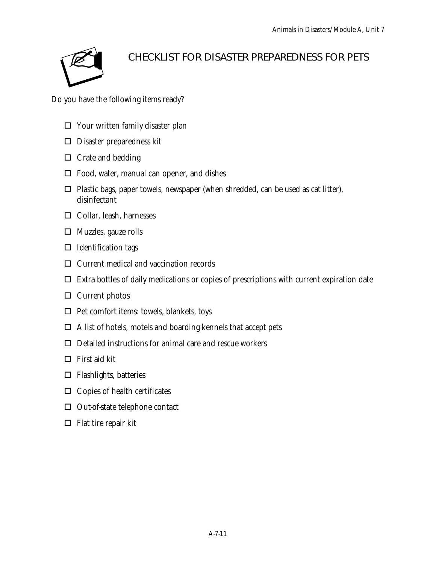

# CHECKLIST FOR DISASTER PREPAREDNESS FOR PETS

Do you have the following items ready?

- $\Box$  Your written family disaster plan
- $\square$  Disaster preparedness kit
- $\Box$  Crate and bedding
- $\Box$  Food, water, manual can opener, and dishes
- $\Box$  Plastic bags, paper towels, newspaper (when shredded, can be used as cat litter), disinfectant
- $\Box$  Collar, leash, harnesses
- $\square$  Muzzles, gauze rolls
- $\Box$  Identification tags
- $\Box$  Current medical and vaccination records
- $\Box$  Extra bottles of daily medications or copies of prescriptions with current expiration date
- $\Box$  Current photos
- $\Box$  Pet comfort items: towels, blankets, toys
- $\Box$  A list of hotels, motels and boarding kennels that accept pets
- $\Box$  Detailed instructions for animal care and rescue workers
- $\Box$  First aid kit
- $\Box$  Flashlights, batteries
- $\Box$  Copies of health certificates
- $\Box$  Out-of-state telephone contact
- $\Box$  Flat tire repair kit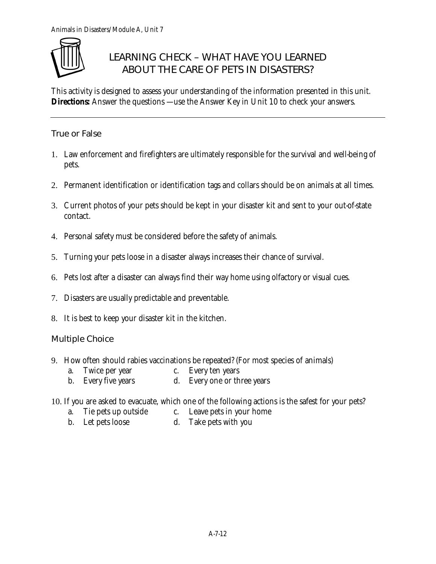

#### LEARNING CHECK – WHAT HAVE YOU LEARNED ABOUT THE CARE OF PETS IN DISASTERS?

This activity is designed to assess your understanding of the information presented in this unit. **Directions:** Answer the questions – use the Answer Key in Unit 10 to check your answers.

#### True or False

- 1. Law enforcement and firefighters are ultimately responsible for the survival and well-being of pets.
- 2. Permanent identification or identification tags and collars should be on animals at all times.
- 3. Current photos of your pets should be kept in your disaster kit and sent to your out-of-state contact.
- 4. Personal safety must be considered before the safety of animals.
- 5. Turning your pets loose in a disaster always increases their chance of survival.
- 6. Pets lost after a disaster can always find their way home using olfactory or visual cues.
- 7. Disasters are usually predictable and preventable.
- 8. It is best to keep your disaster kit in the kitchen.

#### Multiple Choice

- 9. How often should rabies vaccinations be repeated? (For most species of animals)
	- a. Twice per year c. Every ten years
	- b. Every five years d. Every one or three years
- 10. If you are asked to evacuate, which one of the following actions is the safest for your pets?
	- a. Tie pets up outside c. Leave pets in your home
	- b. Let pets loose d. Take pets with you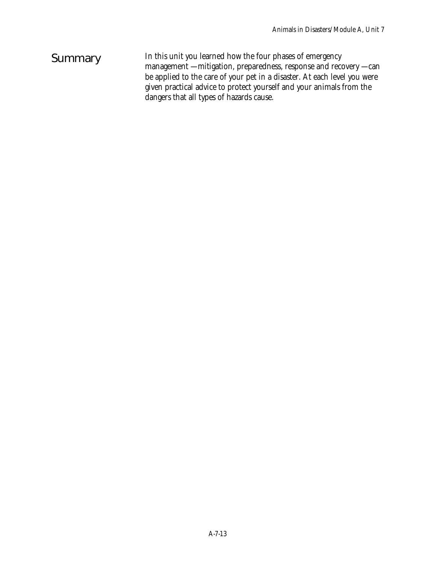Summary In this unit you learned how the four phases of emergency management — mitigation, preparedness, response and recovery — can be applied to the care of your pet in a disaster. At each level you were given practical advice to protect yourself and your animals from the dangers that all types of hazards cause.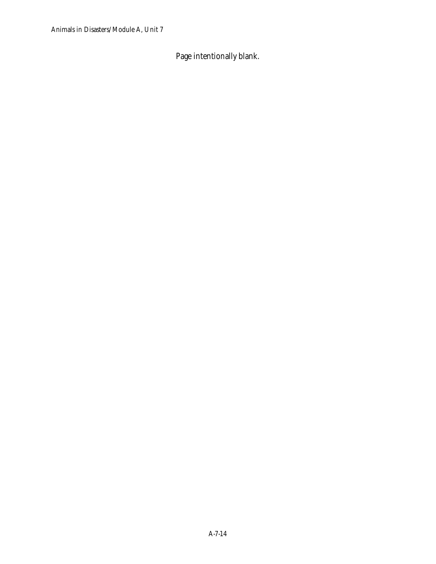Page intentionally blank.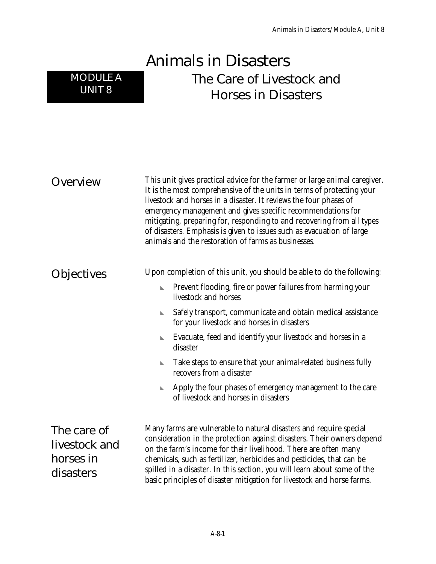### MODULE A UNIT 8

### Animals in Disasters The Care of Livestock and Horses in Disasters

| Overview                                               | This unit gives practical advice for the farmer or large animal caregiver.<br>It is the most comprehensive of the units in terms of protecting your<br>livestock and horses in a disaster. It reviews the four phases of<br>emergency management and gives specific recommendations for<br>mitigating, preparing for, responding to and recovering from all types<br>of disasters. Emphasis is given to issues such as evacuation of large<br>animals and the restoration of farms as businesses.                                                                             |  |
|--------------------------------------------------------|-------------------------------------------------------------------------------------------------------------------------------------------------------------------------------------------------------------------------------------------------------------------------------------------------------------------------------------------------------------------------------------------------------------------------------------------------------------------------------------------------------------------------------------------------------------------------------|--|
| Objectives                                             | Upon completion of this unit, you should be able to do the following:<br>Prevent flooding, fire or power failures from harming your<br>K<br>livestock and horses<br>Safely transport, communicate and obtain medical assistance<br>Ы<br>for your livestock and horses in disasters<br>Evacuate, feed and identify your livestock and horses in a<br>Ы<br>disaster<br>Take steps to ensure that your animal-related business fully<br>Ы<br>recovers from a disaster<br>Apply the four phases of emergency management to the care<br>K.<br>of livestock and horses in disasters |  |
| The care of<br>livestock and<br>horses in<br>disasters | Many farms are vulnerable to natural disasters and require special<br>consideration in the protection against disasters. Their owners depend<br>on the farm's income for their livelihood. There are often many<br>chemicals, such as fertilizer, herbicides and pesticides, that can be<br>spilled in a disaster. In this section, you will learn about some of the<br>basic principles of disaster mitigation for livestock and horse farms.                                                                                                                                |  |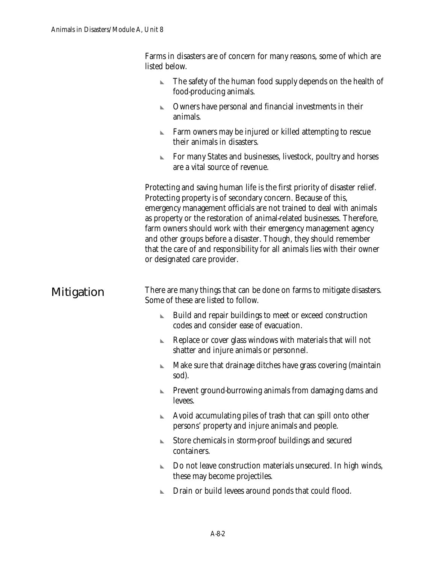|            | Farms in disasters are of concern for many reasons, some of which are<br>listed below.                                                                                                                                                                                                                                                                                                                                                                                                                                                           |
|------------|--------------------------------------------------------------------------------------------------------------------------------------------------------------------------------------------------------------------------------------------------------------------------------------------------------------------------------------------------------------------------------------------------------------------------------------------------------------------------------------------------------------------------------------------------|
|            | The safety of the human food supply depends on the health of<br>food-producing animals.                                                                                                                                                                                                                                                                                                                                                                                                                                                          |
|            | Owners have personal and financial investments in their<br>Ы<br>animals.                                                                                                                                                                                                                                                                                                                                                                                                                                                                         |
|            | Farm owners may be injured or killed attempting to rescue<br>Ы<br>their animals in disasters.                                                                                                                                                                                                                                                                                                                                                                                                                                                    |
|            | For many States and businesses, livestock, poultry and horses<br>K.<br>are a vital source of revenue.                                                                                                                                                                                                                                                                                                                                                                                                                                            |
|            | Protecting and saving human life is the first priority of disaster relief.<br>Protecting property is of secondary concern. Because of this,<br>emergency management officials are not trained to deal with animals<br>as property or the restoration of animal-related businesses. Therefore,<br>farm owners should work with their emergency management agency<br>and other groups before a disaster. Though, they should remember<br>that the care of and responsibility for all animals lies with their owner<br>or designated care provider. |
| Mitigation | There are many things that can be done on farms to mitigate disasters.<br>Some of these are listed to follow.                                                                                                                                                                                                                                                                                                                                                                                                                                    |
|            | Build and repair buildings to meet or exceed construction<br>K.<br>codes and consider ease of evacuation.                                                                                                                                                                                                                                                                                                                                                                                                                                        |
|            | Replace or cover glass windows with materials that will not<br>Ы<br>shatter and injure animals or personnel.                                                                                                                                                                                                                                                                                                                                                                                                                                     |
|            | Make sure that drainage ditches have grass covering (maintain<br>sod).                                                                                                                                                                                                                                                                                                                                                                                                                                                                           |
|            | Prevent ground-burrowing animals from damaging dams and<br>ь<br>levees.                                                                                                                                                                                                                                                                                                                                                                                                                                                                          |
|            | Avoid accumulating piles of trash that can spill onto other<br>ь<br>persons' property and injure animals and people.                                                                                                                                                                                                                                                                                                                                                                                                                             |
|            | Store chemicals in storm-proof buildings and secured<br>ь<br>containers.                                                                                                                                                                                                                                                                                                                                                                                                                                                                         |
|            | Do not leave construction materials unsecured. In high winds,<br>these may become projectiles.                                                                                                                                                                                                                                                                                                                                                                                                                                                   |
|            | Drain or build levees around ponds that could flood.                                                                                                                                                                                                                                                                                                                                                                                                                                                                                             |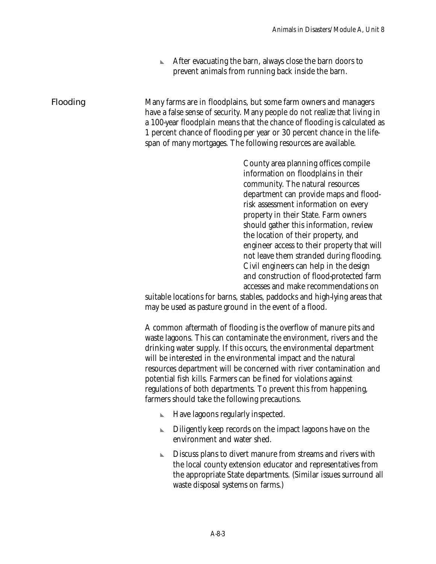$\blacktriangleright$  After evacuating the barn, always close the barn doors to prevent animals from running back inside the barn.

Flooding Many farms are in floodplains, but some farm owners and managers have a false sense of security. Many people do not realize that living in a 100-year floodplain means that the chance of flooding is calculated as 1 percent chance of flooding per year or 30 percent chance in the lifespan of many mortgages. The following resources are available.

> County area planning offices compile information on floodplains in their community. The natural resources department can provide maps and floodrisk assessment information on every property in their State. Farm owners should gather this information, review the location of their property, and engineer access to their property that will not leave them stranded during flooding. Civil engineers can help in the design and construction of flood-protected farm accesses and make recommendations on

suitable locations for barns, stables, paddocks and high-lying areas that may be used as pasture ground in the event of a flood.

A common aftermath of flooding is the overflow of manure pits and waste lagoons. This can contaminate the environment, rivers and the drinking water supply. If this occurs, the environmental department will be interested in the environmental impact and the natural resources department will be concerned with river contamination and potential fish kills. Farmers can be fined for violations against regulations of both departments. To prevent this from happening, farmers should take the following precautions.

- $\blacktriangleright$  Have lagoons regularly inspected.
- $\Box$  Diligently keep records on the impact lagoons have on the environment and water shed.
- $\Box$  Discuss plans to divert manure from streams and rivers with the local county extension educator and representatives from the appropriate State departments. (Similar issues surround all waste disposal systems on farms.)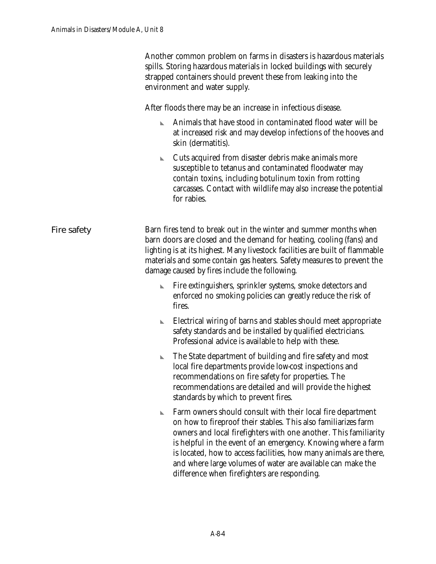|             | Another common problem on farms in disasters is hazardous materials<br>spills. Storing hazardous materials in locked buildings with securely<br>strapped containers should prevent these from leaking into the<br>environment and water supply.                                                                                                                                                                                                             |  |
|-------------|-------------------------------------------------------------------------------------------------------------------------------------------------------------------------------------------------------------------------------------------------------------------------------------------------------------------------------------------------------------------------------------------------------------------------------------------------------------|--|
|             | After floods there may be an increase in infectious disease.                                                                                                                                                                                                                                                                                                                                                                                                |  |
|             | Animals that have stood in contaminated flood water will be<br>K.<br>at increased risk and may develop infections of the hooves and<br>skin (dermatitis).                                                                                                                                                                                                                                                                                                   |  |
|             | Cuts acquired from disaster debris make animals more<br>Ы<br>susceptible to tetanus and contaminated floodwater may<br>contain toxins, including botulinum toxin from rotting<br>carcasses. Contact with wildlife may also increase the potential<br>for rabies.                                                                                                                                                                                            |  |
| Fire safety | Barn fires tend to break out in the winter and summer months when<br>barn doors are closed and the demand for heating, cooling (fans) and<br>lighting is at its highest. Many livestock facilities are built of flammable<br>materials and some contain gas heaters. Safety measures to prevent the<br>damage caused by fires include the following.                                                                                                        |  |
|             | Fire extinguishers, sprinkler systems, smoke detectors and<br>enforced no smoking policies can greatly reduce the risk of<br>fires.                                                                                                                                                                                                                                                                                                                         |  |
|             | Electrical wiring of barns and stables should meet appropriate<br>Ы<br>safety standards and be installed by qualified electricians.<br>Professional advice is available to help with these.                                                                                                                                                                                                                                                                 |  |
|             | The State department of building and fire safety and most<br>ь<br>local fire departments provide low-cost inspections and<br>recommendations on fire safety for properties. The<br>recommendations are detailed and will provide the highest<br>standards by which to prevent fires.                                                                                                                                                                        |  |
|             | Farm owners should consult with their local fire department<br>Ы<br>on how to fireproof their stables. This also familiarizes farm<br>owners and local firefighters with one another. This familiarity<br>is helpful in the event of an emergency. Knowing where a farm<br>is located, how to access facilities, how many animals are there,<br>and where large volumes of water are available can make the<br>difference when firefighters are responding. |  |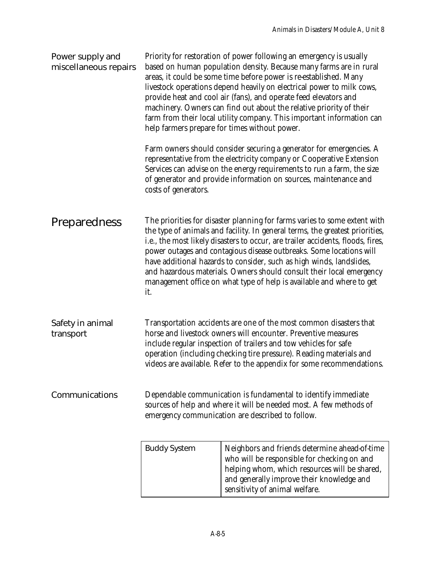| Power supply and<br>miscellaneous repairs | Priority for restoration of power following an emergency is usually<br>based on human population density. Because many farms are in rural<br>areas, it could be some time before power is re-established. Many<br>livestock operations depend heavily on electrical power to milk cows,<br>provide heat and cool air (fans), and operate feed elevators and<br>machinery. Owners can find out about the relative priority of their<br>farm from their local utility company. This important information can<br>help farmers prepare for times without power. |                                                                                                                                                                                                                                                                                           |
|-------------------------------------------|--------------------------------------------------------------------------------------------------------------------------------------------------------------------------------------------------------------------------------------------------------------------------------------------------------------------------------------------------------------------------------------------------------------------------------------------------------------------------------------------------------------------------------------------------------------|-------------------------------------------------------------------------------------------------------------------------------------------------------------------------------------------------------------------------------------------------------------------------------------------|
|                                           | costs of generators.                                                                                                                                                                                                                                                                                                                                                                                                                                                                                                                                         | Farm owners should consider securing a generator for emergencies. A<br>representative from the electricity company or Cooperative Extension<br>Services can advise on the energy requirements to run a farm, the size<br>of generator and provide information on sources, maintenance and |
| Preparedness                              | The priorities for disaster planning for farms varies to some extent with<br>the type of animals and facility. In general terms, the greatest priorities,<br>i.e., the most likely disasters to occur, are trailer accidents, floods, fires,<br>power outages and contagious disease outbreaks. Some locations will<br>have additional hazards to consider, such as high winds, landslides,<br>and hazardous materials. Owners should consult their local emergency<br>management office on what type of help is available and where to get<br>it.           |                                                                                                                                                                                                                                                                                           |
| Safety in animal<br>transport             | Transportation accidents are one of the most common disasters that<br>horse and livestock owners will encounter. Preventive measures<br>include regular inspection of trailers and tow vehicles for safe<br>operation (including checking tire pressure). Reading materials and<br>videos are available. Refer to the appendix for some recommendations.                                                                                                                                                                                                     |                                                                                                                                                                                                                                                                                           |
| Communications                            | Dependable communication is fundamental to identify immediate<br>sources of help and where it will be needed most. A few methods of<br>emergency communication are described to follow.                                                                                                                                                                                                                                                                                                                                                                      |                                                                                                                                                                                                                                                                                           |
|                                           | <b>Buddy System</b>                                                                                                                                                                                                                                                                                                                                                                                                                                                                                                                                          | Neighbors and friends determine ahead-of-time<br>who will be responsible for checking on and<br>helping whom, which resources will be shared,<br>and generally improve their knowledge and<br>sensitivity of animal welfare.                                                              |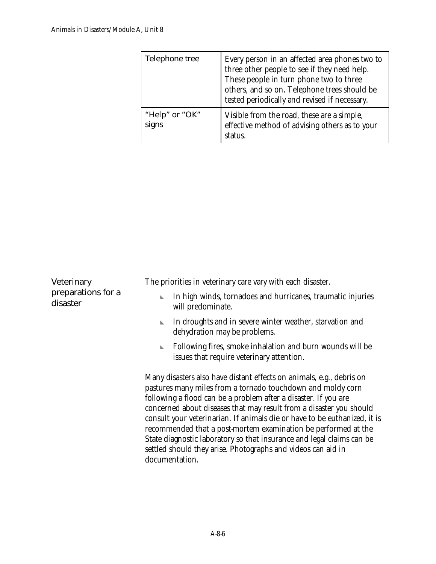| Telephone tree          | Every person in an affected area phones two to<br>three other people to see if they need help.<br>These people in turn phone two to three<br>others, and so on. Telephone trees should be<br>tested periodically and revised if necessary. |
|-------------------------|--------------------------------------------------------------------------------------------------------------------------------------------------------------------------------------------------------------------------------------------|
| "Help" or "OK"<br>signs | Visible from the road, these are a simple,<br>effective method of advising others as to your<br>status.                                                                                                                                    |

| Veterinary<br>preparations for a<br>disaster | The priorities in veterinary care vary with each disaster.                                                                                                                                                                                                                                                                                                                                                                                                                                                                                                                              |  |  |
|----------------------------------------------|-----------------------------------------------------------------------------------------------------------------------------------------------------------------------------------------------------------------------------------------------------------------------------------------------------------------------------------------------------------------------------------------------------------------------------------------------------------------------------------------------------------------------------------------------------------------------------------------|--|--|
|                                              | In high winds, tornadoes and hurricanes, traumatic injuries<br>Ы<br>will predominate.                                                                                                                                                                                                                                                                                                                                                                                                                                                                                                   |  |  |
|                                              | In droughts and in severe winter weather, starvation and<br>K.<br>dehydration may be problems.                                                                                                                                                                                                                                                                                                                                                                                                                                                                                          |  |  |
|                                              | Following fires, smoke inhalation and burn wounds will be<br>$\mathbf{L}$<br>issues that require veterinary attention.                                                                                                                                                                                                                                                                                                                                                                                                                                                                  |  |  |
|                                              | Many disasters also have distant effects on animals, e.g., debris on<br>pastures many miles from a tornado touchdown and moldy corn<br>following a flood can be a problem after a disaster. If you are<br>concerned about diseases that may result from a disaster you should<br>consult your veterinarian. If animals die or have to be euthanized, it is<br>recommended that a post-mortem examination be performed at the<br>State diagnostic laboratory so that insurance and legal claims can be<br>settled should they arise. Photographs and videos can aid in<br>documentation. |  |  |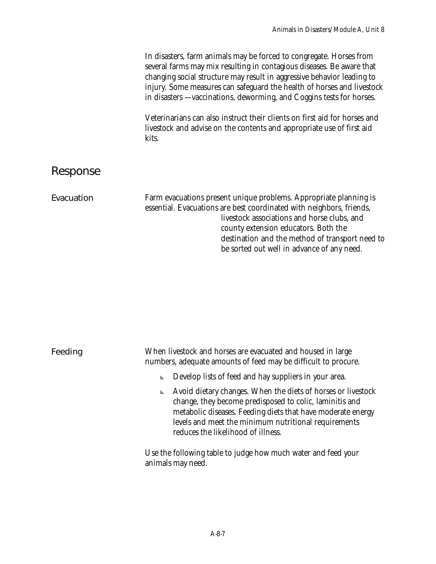|            | In disasters, farm animals may be forced to congregate. Horses from<br>several farms may mix resulting in contagious diseases. Be aware that<br>changing social structure may result in aggressive behavior leading to<br>injury. Some measures can safeguard the health of horses and livestock<br>in disasters – vaccinations, deworming, and Coggins tests for horses. |
|------------|---------------------------------------------------------------------------------------------------------------------------------------------------------------------------------------------------------------------------------------------------------------------------------------------------------------------------------------------------------------------------|
|            | Veterinarians can also instruct their clients on first aid for horses and<br>livestock and advise on the contents and appropriate use of first aid<br>kits.                                                                                                                                                                                                               |
| Response   |                                                                                                                                                                                                                                                                                                                                                                           |
| Evacuation | Farm evacuations present unique problems. Appropriate planning is<br>essential. Evacuations are best coordinated with neighbors, friends,<br>livestock associations and horse clubs, and<br>county extension educators. Both the<br>destination and the method of transport need to<br>be sorted out well in advance of any need.                                         |

| Feeding | When livestock and horses are evacuated and housed in large<br>numbers, adequate amounts of feed may be difficult to procure.                                                                                                                                                              |
|---------|--------------------------------------------------------------------------------------------------------------------------------------------------------------------------------------------------------------------------------------------------------------------------------------------|
|         | Develop lists of feed and hay suppliers in your area.<br>K.                                                                                                                                                                                                                                |
|         | Avoid dietary changes. When the diets of horses or livestock<br>Ь.<br>change, they become predisposed to colic, laminitis and<br>metabolic diseases. Feeding diets that have moderate energy<br>levels and meet the minimum nutritional requirements<br>reduces the likelihood of illness. |
|         | Use the following table to judge how much water and feed your<br>animals may need.                                                                                                                                                                                                         |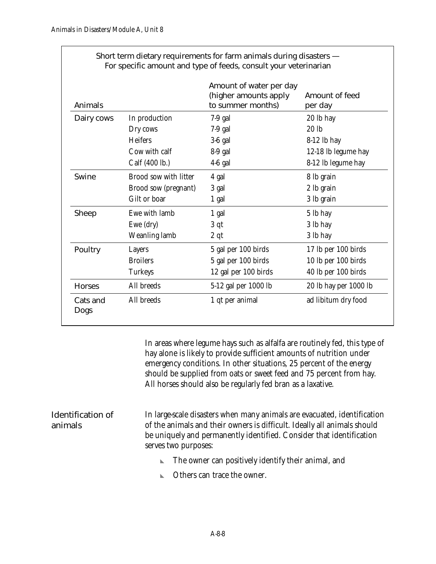| Animals    |                       | Amount of water per day<br>(higher amounts apply<br>to summer months) | Amount of feed<br>per day |
|------------|-----------------------|-----------------------------------------------------------------------|---------------------------|
| Dairy cows | In production         | $7-9$ gal                                                             | 20 lb hay                 |
|            | Dry cows              | $7-9$ gal                                                             | 20 lb                     |
|            | Heifers               | $3-6$ gal                                                             | 8-12 lb hay               |
|            | Cow with calf         | 8-9 gal                                                               | 12-18 lb legume hay       |
|            | Calf (400 lb.)        | $4-6$ gal                                                             | 8-12 lb legume hay        |
| Swine      | Brood sow with litter | 4 gal                                                                 | 8 lb grain                |
|            | Brood sow (pregnant)  | 3 gal                                                                 | 2 lb grain                |
|            | Gilt or boar          | 1 gal                                                                 | 3 lb grain                |
| Sheep      | Ewe with lamb         | 1 gal                                                                 | 5 lb hay                  |
|            | Ewe (dry)             | 3 q t                                                                 | 3 lb hay                  |
|            | Weanling lamb         | 2 qt                                                                  | 3 lb hay                  |
| Poultry    | Layers                | 5 gal per 100 birds                                                   | 17 lb per 100 birds       |
|            | <b>Broilers</b>       | 5 gal per 100 birds                                                   | $10$ lb per $100$ birds   |
|            | Turkeys               | 12 gal per 100 birds                                                  | 40 lb per 100 birds       |
| Horses     | All breeds            | 5-12 gal per 1000 lb                                                  | 20 lb hay per 1000 lb     |
| Cats and   | All breeds            | 1 qt per animal                                                       | ad libitum dry food       |

In areas where legume hays such as alfalfa are routinely fed, this type of hay alone is likely to provide sufficient amounts of nutrition under emergency conditions. In other situations, 25 percent of the energy should be supplied from oats or sweet feed and 75 percent from hay. All horses should also be regularly fed bran as a laxative.

| Identification of<br>animals | In large-scale disasters when many animals are evacuated, identification<br>of the animals and their owners is difficult. Ideally all animals should<br>be uniquely and permanently identified. Consider that identification<br>serves two purposes: |
|------------------------------|------------------------------------------------------------------------------------------------------------------------------------------------------------------------------------------------------------------------------------------------------|
|                              | The owner can positively identify their animal, and<br>$\sim$ 1 $\sim$ 1 $\sim$                                                                                                                                                                      |

 $\Box$  Others can trace the owner.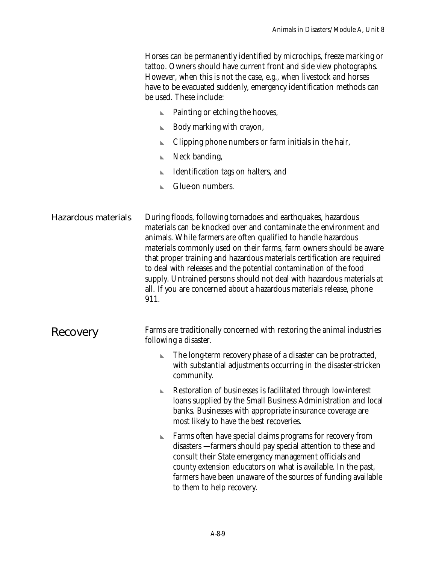|                     | Horses can be permanently identified by microchips, freeze marking or<br>tattoo. Owners should have current front and side view photographs.<br>However, when this is not the case, e.g., when livestock and horses<br>have to be evacuated suddenly, emergency identification methods can<br>be used. These include:                                                                                                                                                                                                                                                                |
|---------------------|--------------------------------------------------------------------------------------------------------------------------------------------------------------------------------------------------------------------------------------------------------------------------------------------------------------------------------------------------------------------------------------------------------------------------------------------------------------------------------------------------------------------------------------------------------------------------------------|
|                     | Painting or etching the hooves,<br>Ы                                                                                                                                                                                                                                                                                                                                                                                                                                                                                                                                                 |
|                     | Body marking with crayon,<br>ь                                                                                                                                                                                                                                                                                                                                                                                                                                                                                                                                                       |
|                     | Clipping phone numbers or farm initials in the hair,<br>ь                                                                                                                                                                                                                                                                                                                                                                                                                                                                                                                            |
|                     | Neck banding,<br>ь                                                                                                                                                                                                                                                                                                                                                                                                                                                                                                                                                                   |
|                     | Identification tags on halters, and<br>N                                                                                                                                                                                                                                                                                                                                                                                                                                                                                                                                             |
|                     | Glue-on numbers.                                                                                                                                                                                                                                                                                                                                                                                                                                                                                                                                                                     |
| Hazardous materials | During floods, following tornadoes and earthquakes, hazardous<br>materials can be knocked over and contaminate the environment and<br>animals. While farmers are often qualified to handle hazardous<br>materials commonly used on their farms, farm owners should be aware<br>that proper training and hazardous materials certification are required<br>to deal with releases and the potential contamination of the food<br>supply. Untrained persons should not deal with hazardous materials at<br>all. If you are concerned about a hazardous materials release, phone<br>911. |
| Recovery            | Farms are traditionally concerned with restoring the animal industries<br>following a disaster.                                                                                                                                                                                                                                                                                                                                                                                                                                                                                      |
|                     | The long-term recovery phase of a disaster can be protracted,<br>with substantial adjustments occurring in the disaster-stricken<br>community.                                                                                                                                                                                                                                                                                                                                                                                                                                       |
|                     | Restoration of businesses is facilitated through low-interest<br>ь<br>loans supplied by the Small Business Administration and local<br>banks. Businesses with appropriate insurance coverage are<br>most likely to have the best recoveries.                                                                                                                                                                                                                                                                                                                                         |
|                     | Farms often have special claims programs for recovery from<br>N<br>disasters - farmers should pay special attention to these and<br>consult their State emergency management officials and<br>county extension educators on what is available. In the past,<br>farmers have been unaware of the sources of funding available<br>to them to help recovery.                                                                                                                                                                                                                            |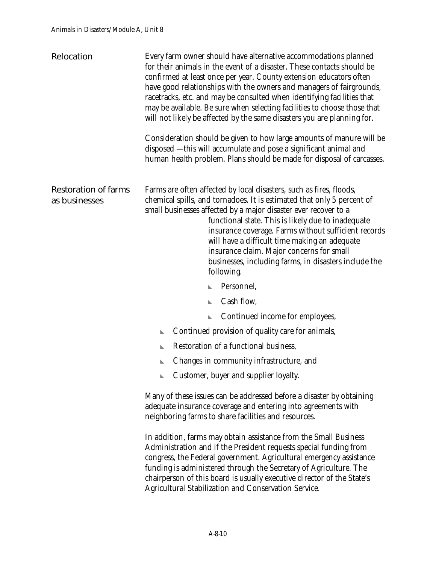| Relocation                                   | Every farm owner should have alternative accommodations planned<br>for their animals in the event of a disaster. These contacts should be<br>confirmed at least once per year. County extension educators often<br>have good relationships with the owners and managers of fairgrounds,<br>racetracks, etc. and may be consulted when identifying facilities that<br>may be available. Be sure when selecting facilities to choose those that<br>will not likely be affected by the same disasters you are planning for.<br>Consideration should be given to how large amounts of manure will be<br>disposed – this will accumulate and pose a significant animal and<br>human health problem. Plans should be made for disposal of carcasses. |
|----------------------------------------------|------------------------------------------------------------------------------------------------------------------------------------------------------------------------------------------------------------------------------------------------------------------------------------------------------------------------------------------------------------------------------------------------------------------------------------------------------------------------------------------------------------------------------------------------------------------------------------------------------------------------------------------------------------------------------------------------------------------------------------------------|
| <b>Restoration of farms</b><br>as businesses | Farms are often affected by local disasters, such as fires, floods,<br>chemical spills, and tornadoes. It is estimated that only 5 percent of<br>small businesses affected by a major disaster ever recover to a<br>functional state. This is likely due to inadequate<br>insurance coverage. Farms without sufficient records<br>will have a difficult time making an adequate<br>insurance claim. Major concerns for small<br>businesses, including farms, in disasters include the<br>following.<br>Personnel,                                                                                                                                                                                                                              |
|                                              | Cash flow,                                                                                                                                                                                                                                                                                                                                                                                                                                                                                                                                                                                                                                                                                                                                     |
|                                              | Continued income for employees,                                                                                                                                                                                                                                                                                                                                                                                                                                                                                                                                                                                                                                                                                                                |
|                                              | Continued provision of quality care for animals,<br>N                                                                                                                                                                                                                                                                                                                                                                                                                                                                                                                                                                                                                                                                                          |
|                                              | Restoration of a functional business,                                                                                                                                                                                                                                                                                                                                                                                                                                                                                                                                                                                                                                                                                                          |
|                                              | Changes in community infrastructure, and                                                                                                                                                                                                                                                                                                                                                                                                                                                                                                                                                                                                                                                                                                       |
|                                              | Customer, buyer and supplier loyalty.                                                                                                                                                                                                                                                                                                                                                                                                                                                                                                                                                                                                                                                                                                          |
|                                              | Many of these issues can be addressed before a disaster by obtaining<br>adequate insurance coverage and entering into agreements with<br>neighboring farms to share facilities and resources.                                                                                                                                                                                                                                                                                                                                                                                                                                                                                                                                                  |
|                                              | In addition, farms may obtain assistance from the Small Business<br>Administration and if the President requests special funding from<br>congress, the Federal government. Agricultural emergency assistance<br>funding is administered through the Secretary of Agriculture. The<br>chairperson of this board is usually executive director of the State's<br>Agricultural Stabilization and Conservation Service.                                                                                                                                                                                                                                                                                                                            |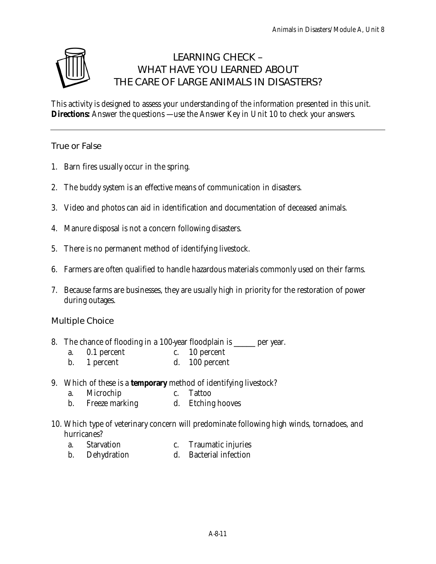

#### LEARNING CHECK – WHAT HAVE YOU LEARNED ABOUT THE CARE OF LARGE ANIMALS IN DISASTERS?

This activity is designed to assess your understanding of the information presented in this unit. **Directions:** Answer the questions – use the Answer Key in Unit 10 to check your answers.

#### True or False

- 1. Barn fires usually occur in the spring.
- 2. The buddy system is an effective means of communication in disasters.
- 3. Video and photos can aid in identification and documentation of deceased animals.
- 4. Manure disposal is not a concern following disasters.
- 5. There is no permanent method of identifying livestock.
- 6. Farmers are often qualified to handle hazardous materials commonly used on their farms.
- 7. Because farms are businesses, they are usually high in priority for the restoration of power during outages.

#### Multiple Choice

- 8. The chance of flooding in a 100-year floodplain is energies
	- a. 0.1 percent c. 10 percent
	- b. 1 percent d. 100 percent
- 9. Which of these is a **temporary** method of identifying livestock?
	- a. Microchip c. Tattoo
	- b. Freeze marking d. Etching hooves
- 10. Which type of veterinary concern will predominate following high winds, tornadoes, and hurricanes?
	- a. Starvation c. Traumatic injuries
	- b. Dehydration d. Bacterial infection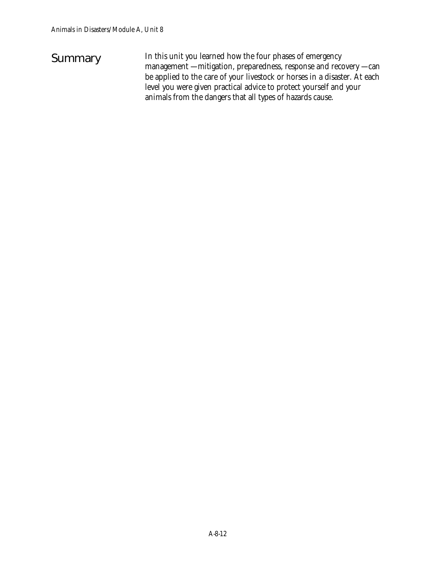Summary In this unit you learned how the four phases of emergency management — mitigation, preparedness, response and recovery — can be applied to the care of your livestock or horses in a disaster. At each level you were given practical advice to protect yourself and your animals from the dangers that all types of hazards cause.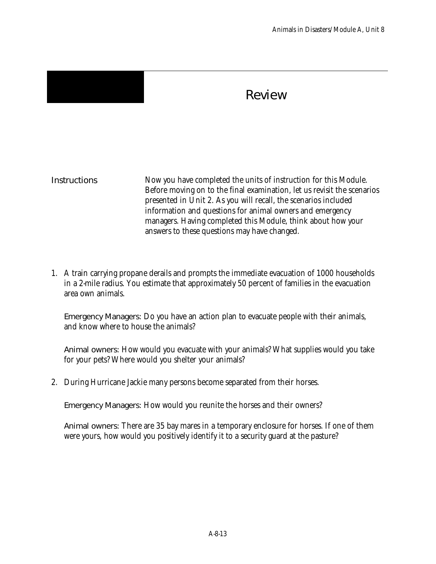### Review

Instructions Now you have completed the units of instruction for this Module. Before moving on to the final examination, let us revisit the scenarios presented in Unit 2. As you will recall, the scenarios included information and questions for animal owners and emergency managers. Having completed this Module, think about how your answers to these questions may have changed.

1. A train carrying propane derails and prompts the immediate evacuation of 1000 households in a 2-mile radius. You estimate that approximately 50 percent of families in the evacuation area own animals.

Emergency Managers: Do you have an action plan to evacuate people with their animals, and know where to house the animals?

Animal owners: How would you evacuate with your animals? What supplies would you take for your pets? Where would you shelter your animals?

2. During Hurricane Jackie many persons become separated from their horses.

Emergency Managers: How would you reunite the horses and their owners?

Animal owners: There are 35 bay mares in a temporary enclosure for horses. If one of them were yours, how would you positively identify it to a security guard at the pasture?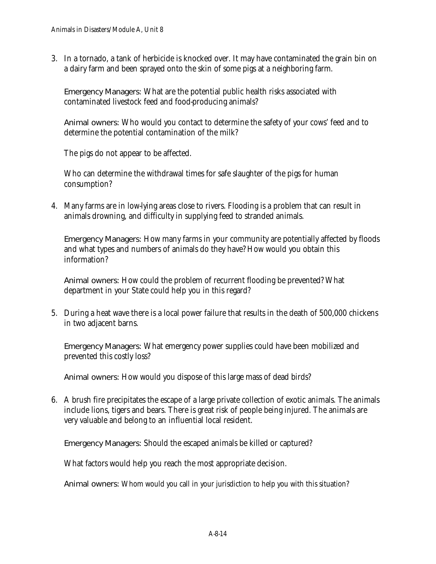3. In a tornado, a tank of herbicide is knocked over. It may have contaminated the grain bin on a dairy farm and been sprayed onto the skin of some pigs at a neighboring farm.

Emergency Managers: What are the potential public health risks associated with contaminated livestock feed and food-producing animals?

Animal owners: Who would you contact to determine the safety of your cows' feed and to determine the potential contamination of the milk?

The pigs do not appear to be affected.

Who can determine the withdrawal times for safe slaughter of the pigs for human consumption?

4. Many farms are in low-lying areas close to rivers. Flooding is a problem that can result in animals drowning, and difficulty in supplying feed to stranded animals.

Emergency Managers: How many farms in your community are potentially affected by floods and what types and numbers of animals do they have? How would you obtain this information?

Animal owners: How could the problem of recurrent flooding be prevented? What department in your State could help you in this regard?

5. During a heat wave there is a local power failure that results in the death of 500,000 chickens in two adjacent barns.

Emergency Managers: What emergency power supplies could have been mobilized and prevented this costly loss?

Animal owners: How would you dispose of this large mass of dead birds?

6. A brush fire precipitates the escape of a large private collection of exotic animals. The animals include lions, tigers and bears. There is great risk of people being injured. The animals are very valuable and belong to an influential local resident.

Emergency Managers: Should the escaped animals be killed or captured?

What factors would help you reach the most appropriate decision.

Animal owners: Whom would you call in your jurisdiction to help you with this situation?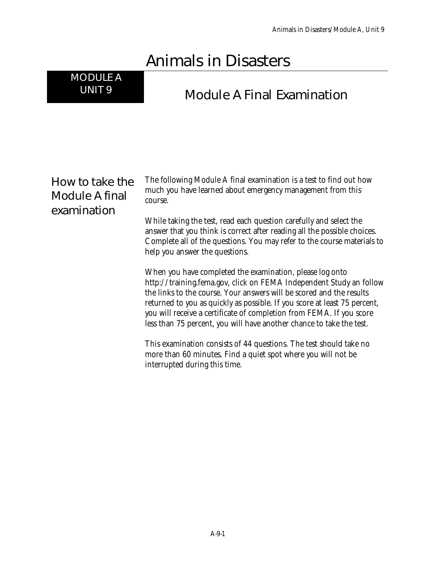### Animals in Disasters

# MODULE A

## UNIT 9 Module A Final Examination

### How to take the Module A final examination

The following Module A final examination is a test to find out how much you have learned about emergency management from this course.

While taking the test, read each question carefully and select the answer that you think is correct after reading all the possible choices. Complete all of the questions. You may refer to the course materials to help you answer the questions.

When you have completed the examination, please log onto http://training.fema.gov, click on FEMA Independent Study an follow the links to the course. Your answers will be scored and the results returned to you as quickly as possible. If you score at least 75 percent, you will receive a certificate of completion from FEMA. If you score less than 75 percent, you will have another chance to take the test.

This examination consists of 44 questions. The test should take no more than 60 minutes. Find a quiet spot where you will not be interrupted during this time.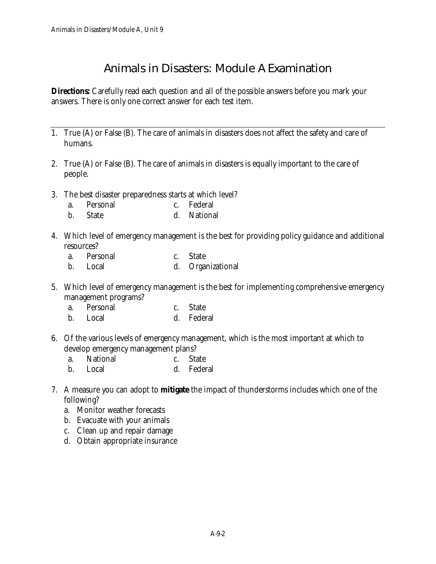### Animals in Disasters: Module A Examination

**Directions:** Carefully read each question and all of the possible answers before you mark your answers. There is only one correct answer for each test item.

- 1. True (A) or False (B). The care of animals in disasters does not affect the safety and care of humans.
- 2. True (A) or False (B). The care of animals in disasters is equally important to the care of people.
- 3. The best disaster preparedness starts at which level?
	- a. Personal c. Federal
	- b. State d. National
- 4. Which level of emergency management is the best for providing policy guidance and additional resources?
	- a. Personal c. State
	- b. Local d. Organizational
- 5. Which level of emergency management is the best for implementing comprehensive emergency management programs?
	- a. Personal c. State
	- b. Local d. Federal
- 6. Of the various levels of emergency management, which is the most important at which to develop emergency management plans?
	- a. National c. State
	- b. Local d. Federal
- 7. A measure you can adopt to **mitigate** the impact of thunderstorms includes which one of the following?
	- a. Monitor weather forecasts
	- b. Evacuate with your animals
	- c. Clean up and repair damage
	- d. Obtain appropriate insurance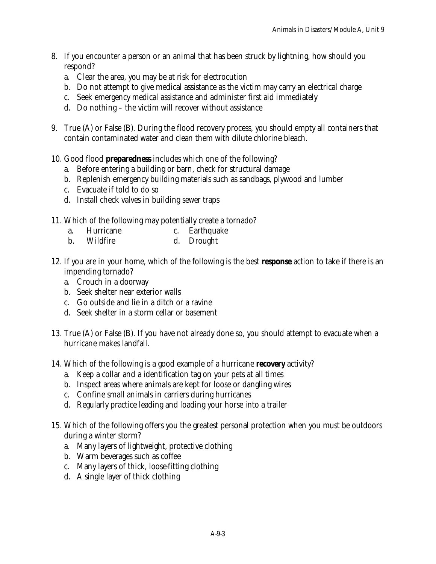- 8. If you encounter a person or an animal that has been struck by lightning, how should you respond?
	- a. Clear the area, you may be at risk for electrocution
	- b. Do not attempt to give medical assistance as the victim may carry an electrical charge
	- c. Seek emergency medical assistance and administer first aid immediately
	- d. Do nothing the victim will recover without assistance
- 9. True (A) or False (B). During the flood recovery process, you should empty all containers that contain contaminated water and clean them with dilute chlorine bleach.
- 10. Good flood **preparedness** includes which one of the following?
	- a. Before entering a building or barn, check for structural damage
	- b. Replenish emergency building materials such as sandbags, plywood and lumber
	- c. Evacuate if told to do so
	- d. Install check valves in building sewer traps
- 11. Which of the following may potentially create a tornado?
	- a. Hurricane c. Earthquake
	- b. Wildfire d. Drought
- 12. If you are in your home, which of the following is the best **response** action to take if there is an impending tornado?
	- a. Crouch in a doorway
	- b. Seek shelter near exterior walls
	- c. Go outside and lie in a ditch or a ravine
	- d. Seek shelter in a storm cellar or basement
- 13. True (A) or False (B). If you have not already done so, you should attempt to evacuate when a hurricane makes landfall.
- 14. Which of the following is a good example of a hurricane **recovery** activity?
	- a. Keep a collar and a identification tag on your pets at all times
	- b. Inspect areas where animals are kept for loose or dangling wires
	- c. Confine small animals in carriers during hurricanes
	- d. Regularly practice leading and loading your horse into a trailer
- 15. Which of the following offers you the greatest personal protection when you must be outdoors during a winter storm?
	- a. Many layers of lightweight, protective clothing
	- b. Warm beverages such as coffee
	- c. Many layers of thick, loose-fitting clothing
	- d. A single layer of thick clothing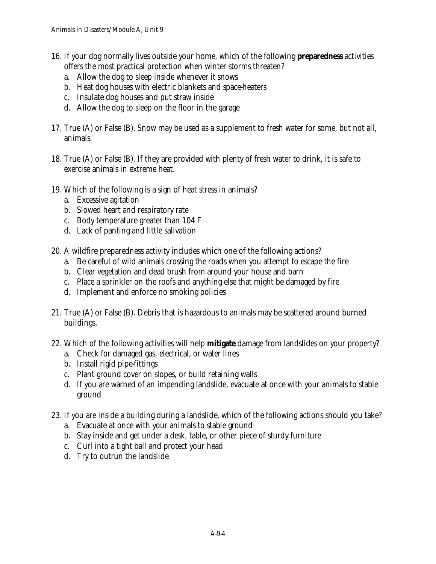- 16. If your dog normally lives outside your home, which of the following **preparedness** activities offers the most practical protection when winter storms threaten?
	- a. Allow the dog to sleep inside whenever it snows
	- b. Heat dog houses with electric blankets and space-heaters
	- c. Insulate dog houses and put straw inside
	- d. Allow the dog to sleep on the floor in the garage
- 17. True (A) or False (B). Snow may be used as a supplement to fresh water for some, but not all, animals.
- 18. True (A) or False (B). If they are provided with plenty of fresh water to drink, it is safe to exercise animals in extreme heat.
- 19. Which of the following is a sign of heat stress in animals?
	- a. Excessive agitation
	- b. Slowed heart and respiratory rate
	- c. Body temperature greater than 104 F
	- d. Lack of panting and little salivation
- 20. A wildfire preparedness activity includes which one of the following actions?
	- a. Be careful of wild animals crossing the roads when you attempt to escape the fire
	- b. Clear vegetation and dead brush from around your house and barn
	- c. Place a sprinkler on the roofs and anything else that might be damaged by fire
	- d. Implement and enforce no smoking policies
- 21. True (A) or False (B). Debris that is hazardous to animals may be scattered around burned buildings.
- 22. Which of the following activities will help **mitigate** damage from landslides on your property?
	- a. Check for damaged gas, electrical, or water lines
	- b. Install rigid pipe-fittings
	- c. Plant ground cover on slopes, or build retaining walls
	- d. If you are warned of an impending landslide, evacuate at once with your animals to stable ground
- 23. If you are inside a building during a landslide, which of the following actions should you take?
	- a. Evacuate at once with your animals to stable ground
	- b. Stay inside and get under a desk, table, or other piece of sturdy furniture
	- c. Curl into a tight ball and protect your head
	- d. Try to outrun the landslide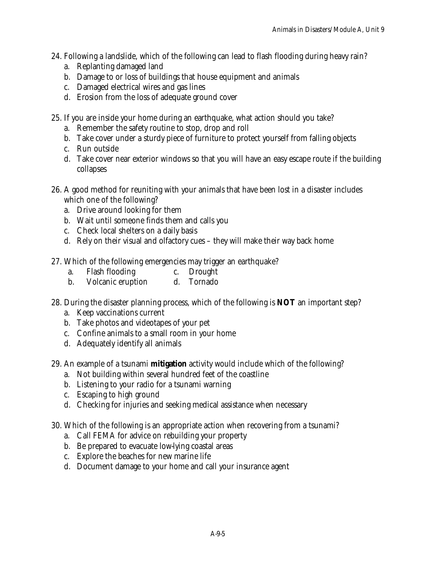- 24. Following a landslide, which of the following can lead to flash flooding during heavy rain?
	- a. Replanting damaged land
	- b. Damage to or loss of buildings that house equipment and animals
	- c. Damaged electrical wires and gas lines
	- d. Erosion from the loss of adequate ground cover
- 25. If you are inside your home during an earthquake, what action should you take?
	- a. Remember the safety routine to stop, drop and roll
	- b. Take cover under a sturdy piece of furniture to protect yourself from falling objects
	- c. Run outside
	- d. Take cover near exterior windows so that you will have an easy escape route if the building collapses
- 26. A good method for reuniting with your animals that have been lost in a disaster includes which one of the following?
	- a. Drive around looking for them
	- b. Wait until someone finds them and calls you
	- c. Check local shelters on a daily basis
	- d. Rely on their visual and olfactory cues they will make their way back home
- 27. Which of the following emergencies may trigger an earthquake?
	- a. Flash flooding c. Drought
	- b. Volcanic eruption d. Tornado
- 28. During the disaster planning process, which of the following is **NOT** an important step?
	- a. Keep vaccinations current
	- b. Take photos and videotapes of your pet
	- c. Confine animals to a small room in your home
	- d. Adequately identify all animals
- 29. An example of a tsunami **mitigation** activity would include which of the following?
	- a. Not building within several hundred feet of the coastline
	- b. Listening to your radio for a tsunami warning
	- c. Escaping to high ground
	- d. Checking for injuries and seeking medical assistance when necessary
- 30. Which of the following is an appropriate action when recovering from a tsunami?
	- a. Call FEMA for advice on rebuilding your property
	- b. Be prepared to evacuate low-lying coastal areas
	- c. Explore the beaches for new marine life
	- d. Document damage to your home and call your insurance agent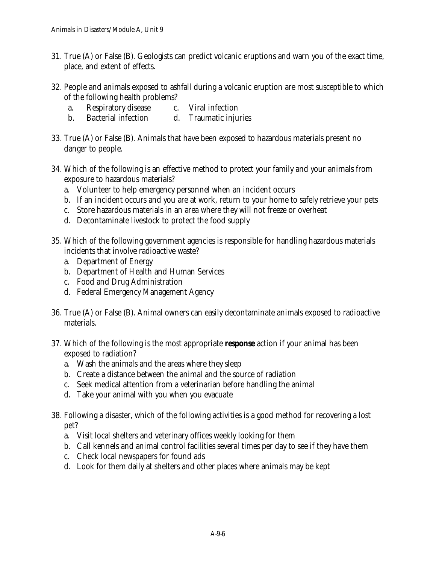- 31. True (A) or False (B). Geologists can predict volcanic eruptions and warn you of the exact time, place, and extent of effects.
- 32. People and animals exposed to ashfall during a volcanic eruption are most susceptible to which of the following health problems?
	- a. Respiratory disease c. Viral infection
	- b. Bacterial infection d. Traumatic injuries
- 33. True (A) or False (B). Animals that have been exposed to hazardous materials present no danger to people.
- 34. Which of the following is an effective method to protect your family and your animals from exposure to hazardous materials?
	- a. Volunteer to help emergency personnel when an incident occurs
	- b. If an incident occurs and you are at work, return to your home to safely retrieve your pets
	- c. Store hazardous materials in an area where they will not freeze or overheat
	- d. Decontaminate livestock to protect the food supply
- 35. Which of the following government agencies is responsible for handling hazardous materials incidents that involve radioactive waste?
	- a. Department of Energy
	- b. Department of Health and Human Services
	- c. Food and Drug Administration
	- d. Federal Emergency Management Agency
- 36. True (A) or False (B). Animal owners can easily decontaminate animals exposed to radioactive materials.
- 37. Which of the following is the most appropriate **response** action if your animal has been exposed to radiation?
	- a. Wash the animals and the areas where they sleep
	- b. Create a distance between the animal and the source of radiation
	- c. Seek medical attention from a veterinarian before handling the animal
	- d. Take your animal with you when you evacuate
- 38. Following a disaster, which of the following activities is a good method for recovering a lost pet?
	- a. Visit local shelters and veterinary offices weekly looking for them
	- b. Call kennels and animal control facilities several times per day to see if they have them
	- c. Check local newspapers for found ads
	- d. Look for them daily at shelters and other places where animals may be kept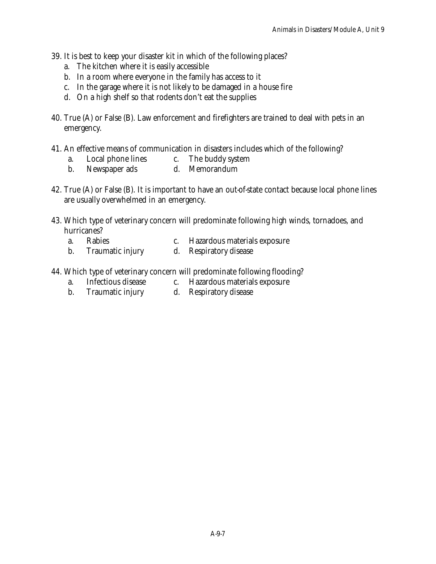- 39. It is best to keep your disaster kit in which of the following places?
	- a. The kitchen where it is easily accessible
	- b. In a room where everyone in the family has access to it
	- c. In the garage where it is not likely to be damaged in a house fire
	- d. On a high shelf so that rodents don't eat the supplies
- 40. True (A) or False (B). Law enforcement and firefighters are trained to deal with pets in an emergency.
- 41. An effective means of communication in disasters includes which of the following?
	- a. Local phone lines c. The buddy system
	- b. Newspaper ads d. Memorandum
- 42. True (A) or False (B). It is important to have an out-of-state contact because local phone lines are usually overwhelmed in an emergency.
- 43. Which type of veterinary concern will predominate following high winds, tornadoes, and hurricanes?
	- a. Rabies c. Hazardous materials exposure
	- b. Traumatic injury d. Respiratory disease
- 44. Which type of veterinary concern will predominate following flooding?
	- a. Infectious disease c. Hazardous materials exposure
	- b. Traumatic injury d. Respiratory disease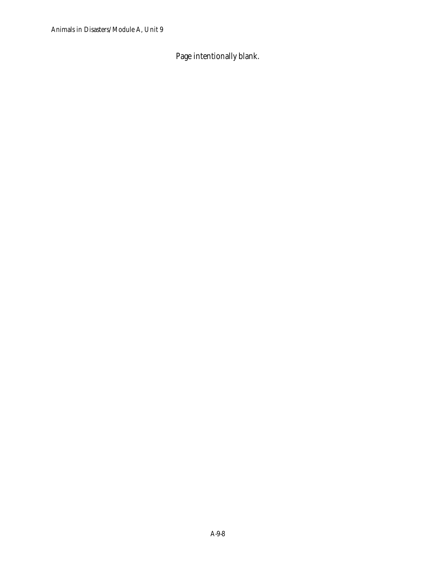Page intentionally blank.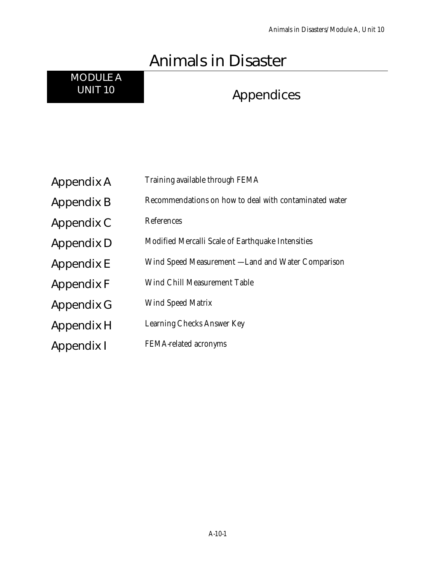## Animals in Disaster

# MODULE A<br>UNIT 10

### Appendices

| Appendix A | Training available through FEMA                        |
|------------|--------------------------------------------------------|
| Appendix B | Recommendations on how to deal with contaminated water |
| Appendix C | References                                             |
| Appendix D | Modified Mercalli Scale of Earthquake Intensities      |
| Appendix E | Wind Speed Measurement – Land and Water Comparison     |
| Appendix F | Wind Chill Measurement Table                           |
| Appendix G | Wind Speed Matrix                                      |
| Appendix H | Learning Checks Answer Key                             |
| Appendix I | FEMA-related acronyms                                  |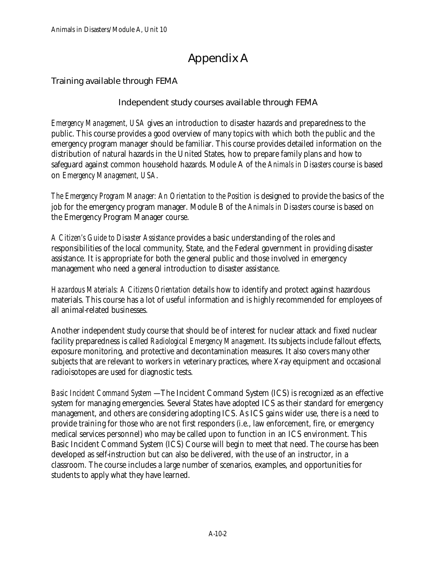### Appendix A

#### Training available through FEMA

#### Independent study courses available through FEMA

*Emergency Management, USA* gives an introduction to disaster hazards and preparedness to the public. This course provides a good overview of many topics with which both the public and the emergency program manager should be familiar. This course provides detailed information on the distribution of natural hazards in the United States, how to prepare family plans and how to safeguard against common household hazards. Module A of the *Animals in Disasters* course is based on *Emergency Management, USA*.

*The Emergency Program Manager: An Orientation to the Position* is designed to provide the basics of the job for the emergency program manager. Module B of the *Animals in Disasters* course is based on the Emergency Program Manager course.

*A Citizen's Guide to Disaster Assistance* provides a basic understanding of the roles and responsibilities of the local community, State, and the Federal government in providing disaster assistance. It is appropriate for both the general public and those involved in emergency management who need a general introduction to disaster assistance.

*Hazardous Materials: A Citizens Orientation* details how to identify and protect against hazardous materials. This course has a lot of useful information and is highly recommended for employees of all animal-related businesses.

Another independent study course that should be of interest for nuclear attack and fixed nuclear facility preparedness is called *Radiological Emergency Management*. Its subjects include fallout effects, exposure monitoring, and protective and decontamination measures. It also covers many other subjects that are relevant to workers in veterinary practices, where X-ray equipment and occasional radioisotopes are used for diagnostic tests.

*Basic Incident Command System* — The Incident Command System (ICS) is recognized as an effective system for managing emergencies. Several States have adopted ICS as their standard for emergency management, and others are considering adopting ICS. As ICS gains wider use, there is a need to provide training for those who are not first responders (i.e., law enforcement, fire, or emergency medical services personnel) who may be called upon to function in an ICS environment. This Basic Incident Command System (ICS) Course will begin to meet that need. The course has been developed as self-instruction but can also be delivered, with the use of an instructor, in a classroom. The course includes a large number of scenarios, examples, and opportunities for students to apply what they have learned.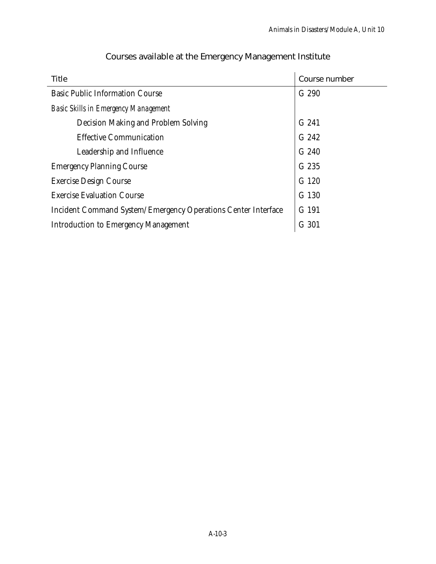| Title                                                         | Course number |
|---------------------------------------------------------------|---------------|
| <b>Basic Public Information Course</b>                        | G 290         |
| <b>Basic Skills in Emergency Management</b>                   |               |
| Decision Making and Problem Solving                           | G 241         |
| <b>Effective Communication</b>                                | G 242         |
| Leadership and Influence                                      | G 240         |
| <b>Emergency Planning Course</b>                              | G 235         |
| <b>Exercise Design Course</b>                                 | G 120         |
| <b>Exercise Evaluation Course</b>                             | G 130         |
| Incident Command System/Emergency Operations Center Interface | G 191         |
| Introduction to Emergency Management                          | G 301         |

### Courses available at the Emergency Management Institute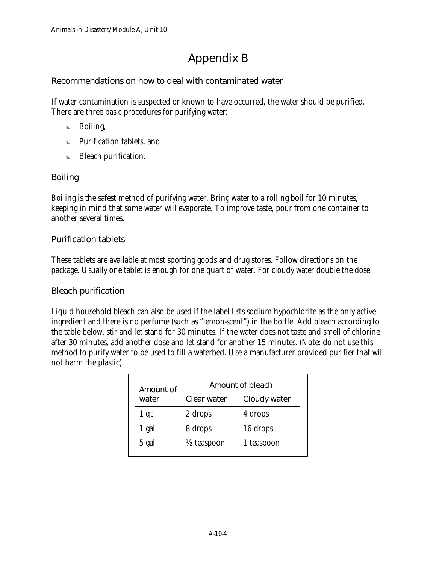### Appendix B

#### Recommendations on how to deal with contaminated water

If water contamination is suspected or known to have occurred, the water should be purified. There are three basic procedures for purifying water:

- $\Box$  Boiling,
- : Purification tablets, and
- **EXECUTE:** Bleach purification.

#### Boiling

Boiling is the safest method of purifying water. Bring water to a rolling boil for 10 minutes, keeping in mind that some water will evaporate. To improve taste, pour from one container to another several times.

#### Purification tablets

These tablets are available at most sporting goods and drug stores. Follow directions on the package. Usually one tablet is enough for one quart of water. For cloudy water double the dose.

#### Bleach purification

Liquid household bleach can also be used if the label lists sodium hypochlorite as the only active ingredient and there is no perfume (such as "lemon-scent") in the bottle. Add bleach according to the table below, stir and let stand for 30 minutes. If the water does not taste and smell of chlorine after 30 minutes, add another dose and let stand for another 15 minutes. (Note: do not use this method to purify water to be used to fill a waterbed. Use a manufacturer provided purifier that will not harm the plastic).

| Amount of bleach       |              |  |  |  |
|------------------------|--------------|--|--|--|
| Clear water            | Cloudy water |  |  |  |
|                        | 4 drops      |  |  |  |
| 8 drops                | 16 drops     |  |  |  |
| $\frac{1}{2}$ teaspoon | 1 teaspoon   |  |  |  |
|                        | 2 drops      |  |  |  |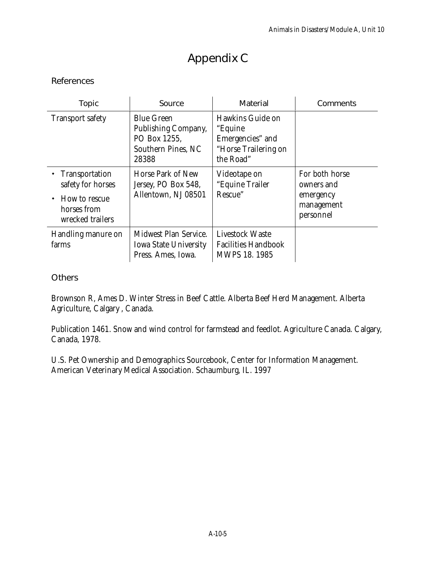### Appendix C

#### References

| Topic                                                                                       | Source                                                                                  | Material                                                                             | Comments                                                             |
|---------------------------------------------------------------------------------------------|-----------------------------------------------------------------------------------------|--------------------------------------------------------------------------------------|----------------------------------------------------------------------|
| Transport safety                                                                            | <b>Blue Green</b><br>Publishing Company,<br>PO Box 1255,<br>Southern Pines, NC<br>28388 | Hawkins Guide on<br>"Equine<br>Emergencies" and<br>"Horse Trailering on<br>the Road" |                                                                      |
| • Transportation<br>safety for horses<br>• How to rescue<br>horses from<br>wrecked trailers | Horse Park of New<br>Jersey, PO Box 548,<br>Allentown, NJ 08501                         | Videotape on<br>"Equine Trailer<br>Rescue"                                           | For both horse<br>owners and<br>emergency<br>management<br>personnel |
| Handling manure on<br>farms                                                                 | Midwest Plan Service.<br><b>Iowa State University</b><br>Press. Ames, Iowa.             | Livestock Waste<br><b>Facilities Handbook</b><br>MWPS 18. 1985                       |                                                                      |

#### **Others**

Brownson R, Ames D. Winter Stress in Beef Cattle. Alberta Beef Herd Management. Alberta Agriculture, Calgary , Canada.

Publication 1461. Snow and wind control for farmstead and feedlot. Agriculture Canada. Calgary, Canada, 1978.

U.S. Pet Ownership and Demographics Sourcebook, Center for Information Management. American Veterinary Medical Association. Schaumburg, IL. 1997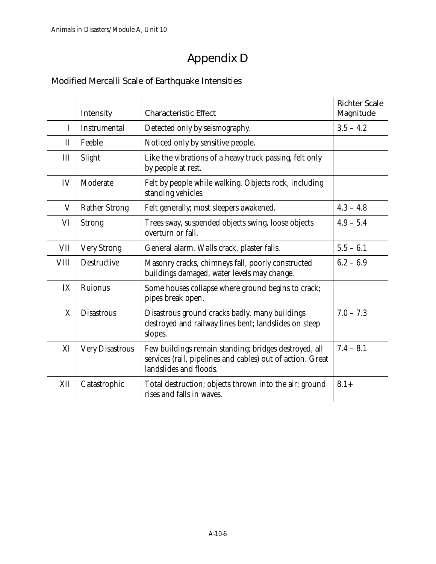### Appendix D

#### Modified Mercalli Scale of Earthquake Intensities

|             | Intensity              | <b>Characteristic Effect</b>                                                                                                                  | <b>Richter Scale</b><br>Magnitude |
|-------------|------------------------|-----------------------------------------------------------------------------------------------------------------------------------------------|-----------------------------------|
| I           | Instrumental           | Detected only by seismography.                                                                                                                | $3.5 - 4.2$                       |
| $\rm II$    | Feeble                 | Noticed only by sensitive people.                                                                                                             |                                   |
| III         | Slight                 | Like the vibrations of a heavy truck passing, felt only<br>by people at rest.                                                                 |                                   |
| IV          | Moderate               | Felt by people while walking. Objects rock, including<br>standing vehicles.                                                                   |                                   |
| V           | Rather Strong          | Felt generally; most sleepers awakened.                                                                                                       | $4.3 - 4.8$                       |
| VI          | Strong                 | Trees sway, suspended objects swing, loose objects<br>overturn or fall.                                                                       | $4.9 - 5.4$                       |
| VII         | <b>Very Strong</b>     | General alarm. Walls crack, plaster falls.                                                                                                    | $5.5 - 6.1$                       |
| <b>VIII</b> | Destructive            | Masonry cracks, chimneys fall, poorly constructed<br>buildings damaged, water levels may change.                                              | $6.2 - 6.9$                       |
| IX          | Ruionus                | Some houses collapse where ground begins to crack;<br>pipes break open.                                                                       |                                   |
| X           | <b>Disastrous</b>      | Disastrous ground cracks badly, many buildings<br>destroyed and railway lines bent; landslides on steep<br>slopes.                            | $7.0 - 7.3$                       |
| XI          | <b>Very Disastrous</b> | Few buildings remain standing; bridges destroyed, all<br>services (rail, pipelines and cables) out of action. Great<br>landslides and floods. | $7.4 - 8.1$                       |
| XII         | Catastrophic           | Total destruction; objects thrown into the air; ground<br>rises and falls in waves.                                                           | $8.1+$                            |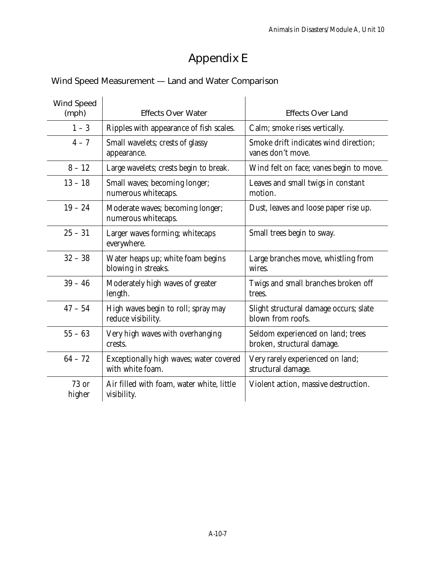### Appendix E

#### Wind Speed Measurement — Land and Water Comparison

| Wind Speed<br>(mph) | <b>Effects Over Water</b>                                   | <b>Effects Over Land</b>                                        |
|---------------------|-------------------------------------------------------------|-----------------------------------------------------------------|
| $1 - 3$             | Ripples with appearance of fish scales.                     | Calm; smoke rises vertically.                                   |
| $4 - 7$             | Small wavelets; crests of glassy<br>appearance.             | Smoke drift indicates wind direction;<br>vanes don't move.      |
| $8 - 12$            | Large wavelets; crests begin to break.                      | Wind felt on face; vanes begin to move.                         |
| $13 - 18$           | Small waves; becoming longer;<br>numerous whitecaps.        | Leaves and small twigs in constant<br>motion.                   |
| $19 - 24$           | Moderate waves; becoming longer;<br>numerous whitecaps.     | Dust, leaves and loose paper rise up.                           |
| $25 - 31$           | Larger waves forming; whitecaps<br>everywhere.              | Small trees begin to sway.                                      |
| $32 - 38$           | Water heaps up; white foam begins<br>blowing in streaks.    | Large branches move, whistling from<br>wires.                   |
| $39 - 46$           | Moderately high waves of greater<br>length.                 | Twigs and small branches broken off<br>trees.                   |
| $47 - 54$           | High waves begin to roll; spray may<br>reduce visibility.   | Slight structural damage occurs; slate<br>blown from roofs.     |
| $55 - 63$           | Very high waves with overhanging<br>crests.                 | Seldom experienced on land; trees<br>broken, structural damage. |
| $64 - 72$           | Exceptionally high waves; water covered<br>with white foam. | Very rarely experienced on land;<br>structural damage.          |
| 73 or<br>higher     | Air filled with foam, water white, little<br>visibility.    | Violent action, massive destruction.                            |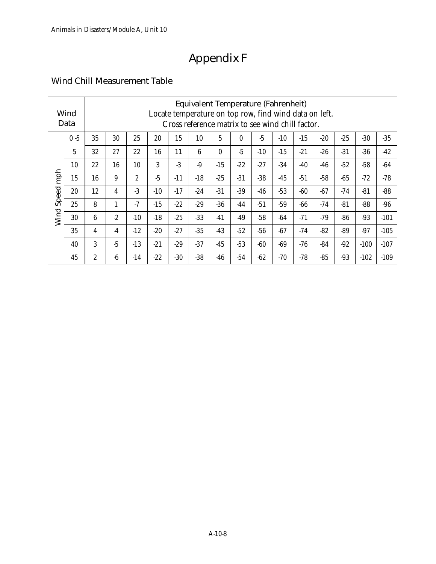### Appendix F

#### Wind Chill Measurement Table

|                | Wind<br>Data | Equivalent Temperature (Fahrenheit)<br>Locate temperature on top row, find wind data on left.<br>Cross reference matrix to see wind chill factor. |      |              |       |       |       |          |          |       |       |       |       |       |        |        |
|----------------|--------------|---------------------------------------------------------------------------------------------------------------------------------------------------|------|--------------|-------|-------|-------|----------|----------|-------|-------|-------|-------|-------|--------|--------|
|                | $0 - 5$      | 35                                                                                                                                                | 30   | 25           | 20    | 15    | 10    | 5        | $\theta$ | $-5$  | $-10$ | $-15$ | $-20$ | $-25$ | $-30$  | $-35$  |
|                | 5            | 32                                                                                                                                                | 27   | 22           | 16    | 11    | 6     | $\Omega$ | $-5$     | $-10$ | $-15$ | $-21$ | $-26$ | $-31$ | $-36$  | $-42$  |
|                | 10           | 22                                                                                                                                                | 16   | 10           | 3     | $-3$  | -9    | $-15$    | $-22$    | $-27$ | $-34$ | $-40$ | $-46$ | $-52$ | $-58$  | $-64$  |
| Wind Speed mph | 15           | 16                                                                                                                                                | 9    | $\mathbf{2}$ | $-5$  | $-11$ | $-18$ | $-25$    | $-31$    | $-38$ | $-45$ | $-51$ | $-58$ | $-65$ | $-72$  | $-78$  |
|                | 20           | 12                                                                                                                                                | 4    | $-3$         | $-10$ | $-17$ | $-24$ | $-31$    | $-39$    | $-46$ | $-53$ | $-60$ | $-67$ | $-74$ | $-81$  | $-88$  |
|                | 25           | 8                                                                                                                                                 | 1    | $-7$         | $-15$ | $-22$ | $-29$ | $-36$    | $-44$    | $-51$ | $-59$ | $-66$ | $-74$ | $-81$ | $-88$  | $-96$  |
|                | 30           | 6                                                                                                                                                 | $-2$ | $-10$        | $-18$ | $-25$ | $-33$ | $-41$    | $-49$    | $-58$ | $-64$ | $-71$ | $-79$ | $-86$ | $-93$  | $-101$ |
|                | 35           | $\overline{4}$                                                                                                                                    | $-4$ | $-12$        | $-20$ | $-27$ | $-35$ | $-43$    | $-52$    | $-56$ | $-67$ | $-74$ | $-82$ | $-89$ | $-97$  | $-105$ |
|                | 40           | 3                                                                                                                                                 | $-5$ | $-13$        | $-21$ | $-29$ | $-37$ | $-45$    | $-53$    | $-60$ | $-69$ | $-76$ | $-84$ | $-92$ | $-100$ | $-107$ |
|                | 45           | $\boldsymbol{2}$                                                                                                                                  | $-6$ | $-14$        | $-22$ | $-30$ | $-38$ | $-46$    | $-54$    | $-62$ | $-70$ | $-78$ | $-85$ | $-93$ | $-102$ | $-109$ |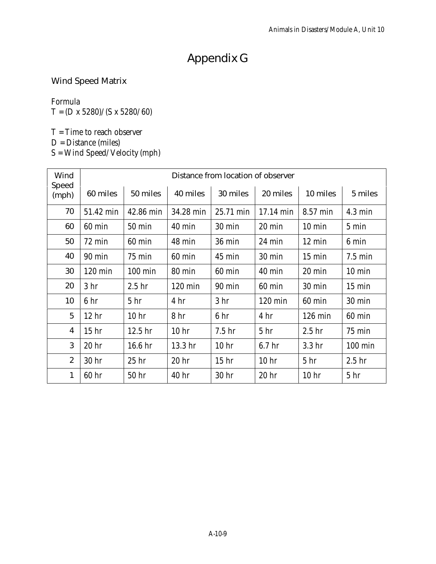### Appendix G

Wind Speed Matrix

Formula  $T = (D \times 5280) / (S \times 5280/60)$ 

T = Time to reach observer D = Distance (miles)

S = Wind Speed/Velocity (mph)

| Wind           | Distance from location of observer |                    |                   |                   |                   |                   |                   |  |
|----------------|------------------------------------|--------------------|-------------------|-------------------|-------------------|-------------------|-------------------|--|
| Speed<br>(mph) | 60 miles                           | 50 miles           | 40 miles          | 30 miles          | 20 miles          | 10 miles          | 5 miles           |  |
| 70             | 51.42 min                          | 42.86 min          | 34.28 min         | 25.71 min         | 17.14 min         | 8.57 min          | $4.3 \text{ min}$ |  |
| 60             | 60 min                             | $50$ min           | 40 min            | 30 min            | 20 min            | $10 \text{ min}$  | $5 \text{ min}$   |  |
| 50             | 72 min                             | 60 min             | 48 min            | 36 min            | 24 min            | 12 min            | 6 min             |  |
| 40             | 90 min                             | $75 \text{ min}$   | $60$ min          | $45 \text{ min}$  | 30 min            | $15 \text{ min}$  | $7.5 \text{ min}$ |  |
| 30             | $120 \text{ min}$                  | $100 \text{ min}$  | 80 min            | 60 min            | 40 min            | $20 \text{ min}$  | $10 \text{ min}$  |  |
| 20             | 3 <sub>hr</sub>                    | 2.5 <sub>hr</sub>  | $120 \text{ min}$ | 90 min            | $60$ min          | 30 min            | $15 \text{ min}$  |  |
| 10             | 6 <sub>hr</sub>                    | 5 <sub>hr</sub>    | 4 hr              | 3 <sub>hr</sub>   | $120 \text{ min}$ | $60$ min          | 30 min            |  |
| 5              | 12 <sub>hr</sub>                   | 10 <sub>hr</sub>   | 8 hr              | 6 hr              | 4 hr              | $126 \text{ min}$ | 60 min            |  |
| 4              | 15 <sub>hr</sub>                   | 12.5 <sub>hr</sub> | 10 <sub>hr</sub>  | 7.5 <sub>hr</sub> | 5 <sub>hr</sub>   | 2.5 <sub>hr</sub> | $75 \text{ min}$  |  |
| 3              | 20 <sub>hr</sub>                   | 16.6 hr            | 13.3 hr           | 10 <sub>hr</sub>  | 6.7 <sub>hr</sub> | 3.3 <sub>hr</sub> | $100 \text{ min}$ |  |
| $\overline{2}$ | 30 <sub>hr</sub>                   | 25 <sub>hr</sub>   | 20 <sub>hr</sub>  | 15 <sub>hr</sub>  | 10 <sub>hr</sub>  | 5 <sub>hr</sub>   | 2.5 <sub>hr</sub> |  |
| 1              | 60 <sub>hr</sub>                   | 50 <sub>hr</sub>   | 40 <sub>hr</sub>  | 30 <sub>hr</sub>  | 20 <sub>hr</sub>  | 10 <sub>hr</sub>  | 5 <sub>hr</sub>   |  |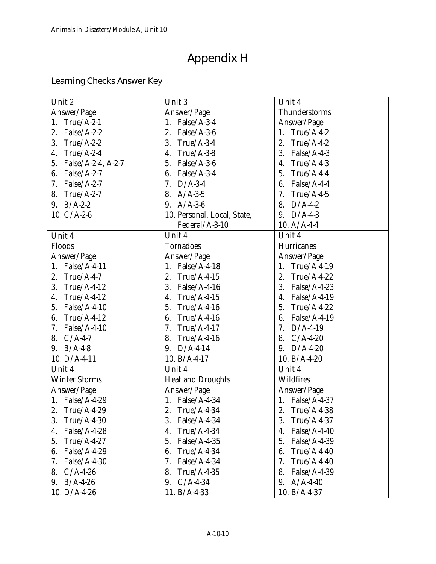### Appendix H

#### Learning Checks Answer Key

| Unit 2               | Unit 3                      | Unit 4             |
|----------------------|-----------------------------|--------------------|
| Answer/Page          | Answer/Page                 | Thunderstorms      |
| $True/A-2-1$<br>1.   | False/A-3-4<br>1.           | Answer/Page        |
| 2.                   | 2.                          | 1.                 |
| False/A-2-2          | False/A-3-6                 | $True/A-4-2$       |
| 3.                   | 3.                          | 2.                 |
| $True/A-2-2$         | $True/A-3-4$                | $True/A-4-2$       |
| $True/A-2-4$         | 4.                          | 3.                 |
| 4.                   | $True/A-3-8$                | False/A-4-3        |
| False/A-2-4, A-2-7   | 5.                          | $True/A-4-3$       |
| 5.                   | False/A-3-6                 | 4.                 |
| False/A-2-7          | 6.                          | $True/A-4-4$       |
| 6.                   | False/A-3-4                 | 5.                 |
| False/A-2-7          | 7.                          | 6.                 |
| 7.                   | $D/A-3-4$                   | False/A-4-4        |
| True/ $A-2-7$        | 8.                          | 7.                 |
| 8.                   | $A/A-3-5$                   | True/A-4-5         |
| $B/A-2-2$<br>9.      | $A/A-3-6$<br>9.             | 8. $D/A-4-2$       |
| 10. $C/A-2-6$        | 10. Personal, Local, State, | 9. $D/A-4-3$       |
|                      | Federal/A-3-10              | 10. $A/A-4-4$      |
| Unit 4               | Unit 4                      | Unit 4             |
| Floods               | Tornadoes                   | Hurricanes         |
| Answer/Page          | Answer/Page                 | Answer/Page        |
| False/A-4-11         | False/A-4-18                | True/A-4-19        |
| 1.                   | 1.                          | 1.                 |
| $True/A-4-7$         | 2.                          | 2.                 |
| 2.                   | True/A-4-15                 | True/A-4-22        |
| 3.<br>$True/A-4-12$  | 3.<br>False/A-4-16          | 3. False/A-4-23    |
| $True/A-4-12$        | $True/A-4-15$               | False/A-4-19       |
| 4.                   | 4.                          | 4.                 |
| False/A-4-10         | 5.                          | 5.                 |
| 5.                   | $True/A-4-16$               | True/A-4-22        |
| $True/A-4-12$        | 6.                          | False/A-4-19       |
| 6.                   | True/A-4-16                 | 6.                 |
| False/A-4-10         | 7.                          | $D/A-4-19$         |
| 7.                   | $True/A-4-17$               | 7.                 |
| $C/A-4-7$            | 8.                          | $C/A-4-20$         |
| 8.                   | $True/A-4-16$               | 8.                 |
| $B/A-4-8$<br>9.      | $D/A-4-14$<br>9.            | $9. D/A-4-20$      |
| 10. $D/A-4-11$       | 10. $B/A-4-17$              | 10. B/A-4-20       |
| Unit 4               | Unit 4                      | Unit 4             |
| <b>Winter Storms</b> | Heat and Droughts           | Wildfires          |
| Answer/Page          | Answer/Page                 | Answer/Page        |
| 1. False/A-4-29      | False/A-4-34<br>1.          | False/A-4-37<br>1. |
| 2.                   | 2.                          | 2.                 |
| True/A-4-29          | True/A-4-34                 | True/A-4-38        |
| 3.                   | 3.                          | 3.                 |
| $True/A-4-30$        | False/A-4-34                | True/A-4-37        |
| False/A-4-28         | 4.                          | False/A-4-40       |
| 4.                   | $True/A-4-34$               | 4.                 |
| $True/A-4-27$        | 5.                          | False/A-4-39       |
| 5.                   | False/A-4-35                | 5.                 |
| False/A-4-29         | 6.                          | $True/A-4-40$      |
| 6.                   | $True/A-4-34$               | 6.                 |
| False/A-4-30         | 7.                          | 7.                 |
| 7.                   | False/A-4-34                | $True/A-4-40$      |
| $C/A-4-26$           | 8.                          | 8.                 |
| 8.                   | True/A-4-35                 | False/A-4-39       |
| $B/A-4-26$<br>9.     | $9. C/A-4-34$               | 9. $A/A-4-40$      |
| 10. $D/A-4-26$       | 11. B/A-4-33                | 10. B/A-4-37       |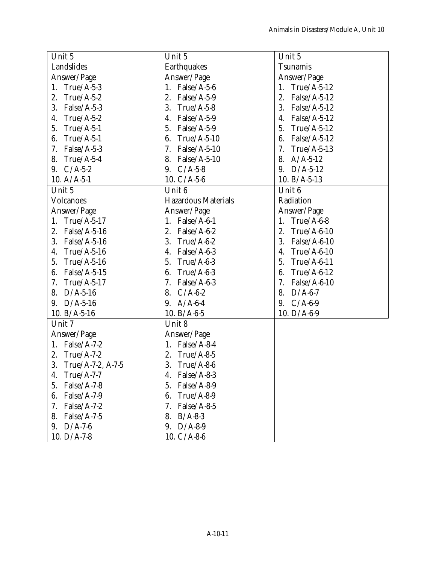| Unit 5                  | Unit 5               | Unit 5               |
|-------------------------|----------------------|----------------------|
| Landslides              | Earthquakes          | Tsunamis             |
| Answer/Page             | Answer/Page          | Answer/Page          |
| True/ $A-5-3$<br>1.     | False/A-5-6<br>1.    | True/A-5-12<br>1.    |
| 2.<br>$True/A-5-2$      | 2.<br>False/A-5-9    | 2.<br>False/A-5-12   |
| 3.<br>False/A-5-3       | 3.<br>True/A-5-8     | 3.<br>False/A-5-12   |
| $True/A-5-2$<br>4.      | False/A-5-9<br>4.    | False/A-5-12<br>4.   |
| 5.<br>$True/A-5-1$      | 5.<br>False/A-5-9    | 5.<br>True/A-5-12    |
| $True/A-5-1$<br>6.      | 6.<br>$True/A-5-10$  | $False/A-5-12$<br>6. |
| False/A-5-3<br>7.       | False/A-5-10<br>7.   | 7.<br>$True/A-5-13$  |
| $True/A-5-4$<br>8.      | $False/A-5-10$<br>8. | 8.<br>$A/A-5-12$     |
| $C/A-5-2$<br>9.         | $9. C/A-5-8$         | $D/A-5-12$<br>9.     |
| 10. $A/A-5-1$           | 10. $C/A - 5 - 6$    | 10. $B/A-5-13$       |
| Unit 5                  | Unit 6               | Unit 6               |
| Volcanoes               | Hazardous Materials  | Radiation            |
| Answer/Page             | Answer/Page          | Answer/Page          |
| $True/A-5-17$<br>1.     | False/A-6-1<br>1.    | True/A-6-8<br>1.     |
| 2.<br>$False/A-5-16$    | 2.<br>False/A-6-2    | 2.<br>$True/A-6-10$  |
| $False/A-5-16$<br>3.    | 3.<br>$True/A-6-2$   | False/A-6-10<br>3.   |
| $True/A-5-16$<br>4.     | 4.<br>False/A-6-3    | $True/A-6-10$<br>4.  |
| 5.<br>$True/A-5-16$     | 5.<br>$True/A-6-3$   | 5.<br>$True/A-6-11$  |
| False/A-5-15<br>6.      | 6.<br>True/A-6-3     | True/A-6-12<br>6.    |
| $True/A-5-17$<br>7.     | False/A-6-3<br>7.    | False/A-6-10<br>7.   |
| $D/A-5-16$<br>8.        | $C/A-6-2$<br>8.      | $D/A-6-7$<br>8.      |
| $D/A-5-16$<br>9.        | $A/A-6-4$<br>9.      | $C/A-6-9$<br>9.      |
| 10. $B/A-5-16$          | 10. $B/A-6-5$        | 10. $D/A - 6 - 9$    |
| Unit 7                  | Unit 8               |                      |
| Answer/Page             | Answer/Page          |                      |
| False/A-7-2<br>1.       | False/A-8-4<br>1.    |                      |
| 2.<br>$True/A-7-2$      | 2.<br>True/A-8-5     |                      |
| 3.<br>True/A-7-2, A-7-5 | 3.<br>True/A-8-6     |                      |
| $True/A-7-7$<br>4.      | False/A-8-3<br>4.    |                      |
| False/A-7-8<br>5.       | 5.<br>False/A-8-9    |                      |
| False/A-7-9<br>6.       | True/A-8-9<br>6.     |                      |
| False/A-7-2<br>7.       | 7.<br>False/A-8-5    |                      |
| False/A-7-5<br>8.       | $B/A-8-3$<br>8.      |                      |
| $D/A-7-6$<br>9.         | $D/A-8-9$<br>9.      |                      |
| 10. $D/A-7-8$           | 10. C/A-8-6          |                      |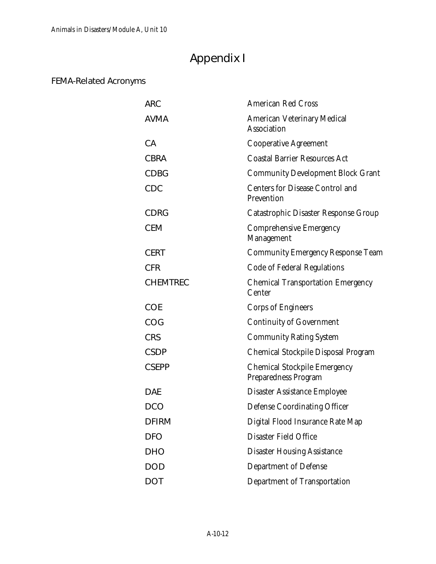## Appendix I

FEMA-Related Acronyms

| ARC             | American Red Cross                                   |
|-----------------|------------------------------------------------------|
| AVMA            | American Veterinary Medical<br>Association           |
| СA              | Cooperative Agreement                                |
| <b>CBRA</b>     | <b>Coastal Barrier Resources Act</b>                 |
| <b>CDBG</b>     | <b>Community Development Block Grant</b>             |
| CDC             | Centers for Disease Control and<br>Prevention        |
| CDRG            | Catastrophic Disaster Response Group                 |
| CEM             | Comprehensive Emergency<br>Management                |
| CERT            | <b>Community Emergency Response Team</b>             |
| CFR             | Code of Federal Regulations                          |
| <b>CHEMTREC</b> | <b>Chemical Transportation Emergency</b><br>Center   |
| COE             | Corps of Engineers                                   |
| COG             | Continuity of Government                             |
| CRS             | <b>Community Rating System</b>                       |
| CSDP            | Chemical Stockpile Disposal Program                  |
| <b>CSEPP</b>    | Chemical Stockpile Emergency<br>Preparedness Program |
| DAE             | Disaster Assistance Employee                         |
| DCO             | Defense Coordinating Officer                         |
| <b>DFIRM</b>    | Digital Flood Insurance Rate Map                     |
| DFO             | Disaster Field Office                                |
| <b>DHO</b>      | <b>Disaster Housing Assistance</b>                   |
| <b>DOD</b>      | Department of Defense                                |
| <b>DOT</b>      | Department of Transportation                         |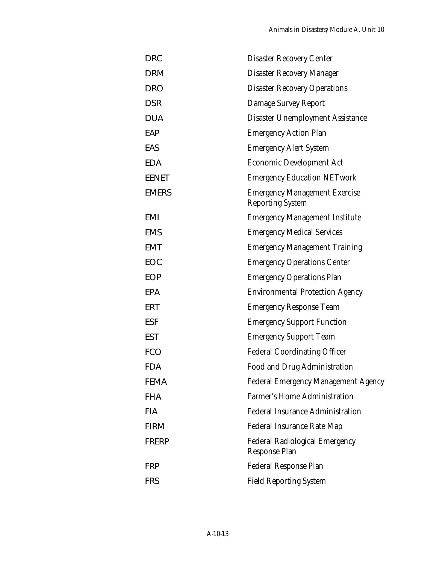| <b>DRC</b>   | <b>Disaster Recovery Center</b>                                 |
|--------------|-----------------------------------------------------------------|
| <b>DRM</b>   | Disaster Recovery Manager                                       |
| <b>DRO</b>   | <b>Disaster Recovery Operations</b>                             |
| <b>DSR</b>   | Damage Survey Report                                            |
| <b>DUA</b>   | Disaster Unemployment Assistance                                |
| EAP          | <b>Emergency Action Plan</b>                                    |
| EAS          | <b>Emergency Alert System</b>                                   |
| <b>EDA</b>   | Economic Development Act                                        |
| <b>EENET</b> | <b>Emergency Education NETwork</b>                              |
| <b>EMERS</b> | <b>Emergency Management Exercise</b><br><b>Reporting System</b> |
| EMI          | <b>Emergency Management Institute</b>                           |
| <b>EMS</b>   | <b>Emergency Medical Services</b>                               |
| <b>EMT</b>   | <b>Emergency Management Training</b>                            |
| EOC          | <b>Emergency Operations Center</b>                              |
| <b>EOP</b>   | <b>Emergency Operations Plan</b>                                |
| EPA          | <b>Environmental Protection Agency</b>                          |
| ERT          | <b>Emergency Response Team</b>                                  |
| <b>ESF</b>   | <b>Emergency Support Function</b>                               |
| <b>EST</b>   | <b>Emergency Support Team</b>                                   |
| <b>FCO</b>   | <b>Federal Coordinating Officer</b>                             |
| <b>FDA</b>   | Food and Drug Administration                                    |
| <b>FEMA</b>  | Federal Emergency Management Agency                             |
| <b>FHA</b>   | Farmer's Home Administration                                    |
| <b>FIA</b>   | Federal Insurance Administration                                |
| <b>FIRM</b>  | Federal Insurance Rate Map                                      |
| <b>FRERP</b> | Federal Radiological Emergency<br>Response Plan                 |
| <b>FRP</b>   | Federal Response Plan                                           |
| <b>FRS</b>   | <b>Field Reporting System</b>                                   |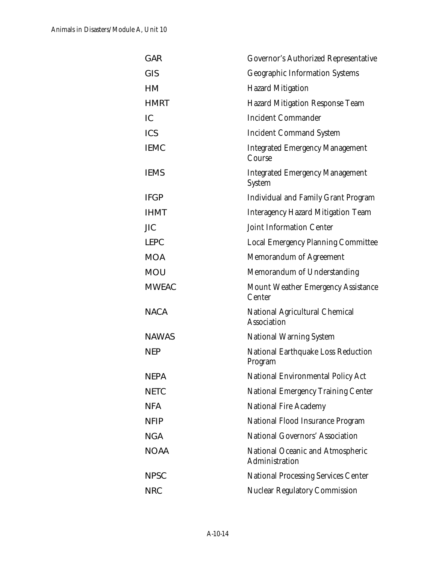| GAR          | Governor's Authorized Representative               |
|--------------|----------------------------------------------------|
| <b>GIS</b>   | Geographic Information Systems                     |
| <b>HM</b>    | <b>Hazard Mitigation</b>                           |
| <b>HMRT</b>  | Hazard Mitigation Response Team                    |
| IС           | Incident Commander                                 |
| ICS          | Incident Command System                            |
| <b>IEMC</b>  | Integrated Emergency Management<br>Course          |
| <b>IEMS</b>  | Integrated Emergency Management<br>System          |
| <b>IFGP</b>  | Individual and Family Grant Program                |
| <b>IHMT</b>  | Interagency Hazard Mitigation Team                 |
| <b>JIC</b>   | Joint Information Center                           |
| <b>LEPC</b>  | Local Emergency Planning Committee                 |
| <b>MOA</b>   | Memorandum of Agreement                            |
| <b>MOU</b>   | Memorandum of Understanding                        |
| <b>MWEAC</b> | Mount Weather Emergency Assistance<br>Center       |
| <b>NACA</b>  | National Agricultural Chemical<br>Association      |
| <b>NAWAS</b> | National Warning System                            |
| <b>NEP</b>   | National Earthquake Loss Reduction<br>Program      |
| <b>NEPA</b>  | National Environmental Policy Act                  |
| <b>NETC</b>  | National Emergency Training Center                 |
| <b>NFA</b>   | National Fire Academy                              |
| <b>NFIP</b>  | National Flood Insurance Program                   |
| <b>NGA</b>   | National Governors' Association                    |
| <b>NOAA</b>  | National Oceanic and Atmospheric<br>Administration |
| <b>NPSC</b>  | National Processing Services Center                |
| <b>NRC</b>   | Nuclear Regulatory Commission                      |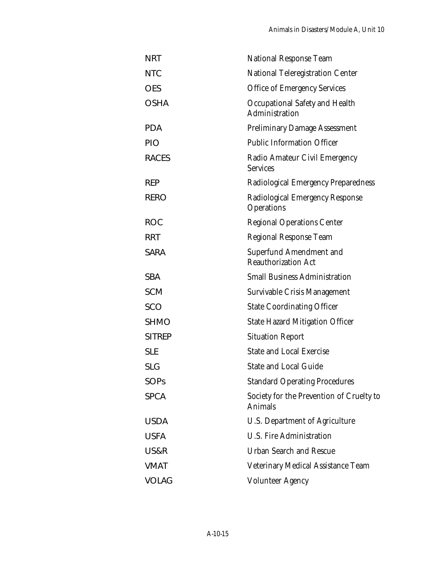| <b>NRT</b>    | National Response Team                                |
|---------------|-------------------------------------------------------|
| <b>NTC</b>    | National Teleregistration Center                      |
| <b>OES</b>    | <b>Office of Emergency Services</b>                   |
| <b>OSHA</b>   | Occupational Safety and Health<br>Administration      |
| <b>PDA</b>    | Preliminary Damage Assessment                         |
| <b>PIO</b>    | <b>Public Information Officer</b>                     |
| <b>RACES</b>  | Radio Amateur Civil Emergency<br><b>Services</b>      |
| <b>REP</b>    | Radiological Emergency Preparedness                   |
| <b>RERO</b>   | Radiological Emergency Response<br>Operations         |
| <b>ROC</b>    | <b>Regional Operations Center</b>                     |
| <b>RRT</b>    | Regional Response Team                                |
| <b>SARA</b>   | Superfund Amendment and<br><b>Reauthorization Act</b> |
| <b>SBA</b>    | <b>Small Business Administration</b>                  |
| <b>SCM</b>    | Survivable Crisis Management                          |
| SCO           | <b>State Coordinating Officer</b>                     |
| <b>SHMO</b>   | State Hazard Mitigation Officer                       |
| <b>SITREP</b> | <b>Situation Report</b>                               |
| <b>SLE</b>    | <b>State and Local Exercise</b>                       |
| <b>SLG</b>    | State and Local Guide                                 |
| SOPs          | <b>Standard Operating Procedures</b>                  |
| <b>SPCA</b>   | Society for the Prevention of Cruelty to<br>Animals   |
| <b>USDA</b>   | U.S. Department of Agriculture                        |
|               |                                                       |
| <b>USFA</b>   | U.S. Fire Administration                              |
| US&R          | <b>Urban Search and Rescue</b>                        |
| <b>VMAT</b>   | Veterinary Medical Assistance Team                    |